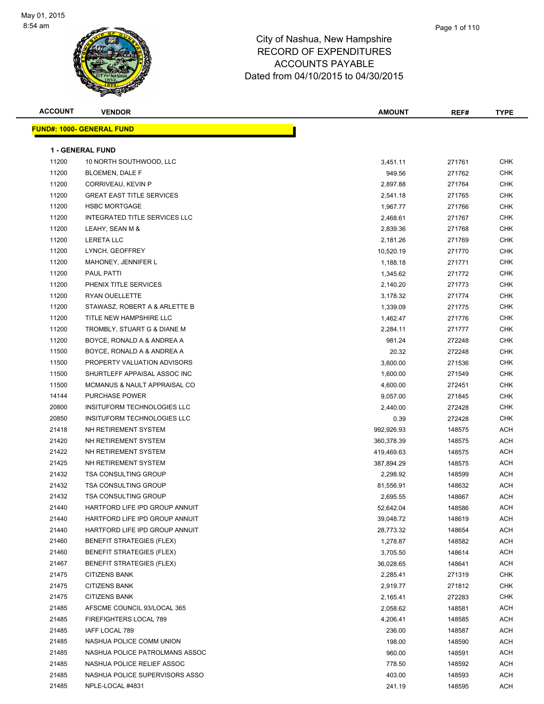

| <b>ACCOUNT</b> | <b>VENDOR</b>                        | <b>AMOUNT</b> | REF#   | <b>TYPE</b>              |
|----------------|--------------------------------------|---------------|--------|--------------------------|
|                | <u> FUND#: 1000- GENERAL FUND</u>    |               |        |                          |
|                | 1 - GENERAL FUND                     |               |        |                          |
| 11200          | 10 NORTH SOUTHWOOD, LLC              | 3,451.11      | 271761 | <b>CHK</b>               |
| 11200          | BLOEMEN, DALE F                      | 949.56        | 271762 | <b>CHK</b>               |
| 11200          | CORRIVEAU, KEVIN P                   | 2,897.88      | 271764 | <b>CHK</b>               |
| 11200          | <b>GREAT EAST TITLE SERVICES</b>     |               |        | <b>CHK</b>               |
| 11200          | <b>HSBC MORTGAGE</b>                 | 2,541.18      | 271765 | <b>CHK</b>               |
|                | <b>INTEGRATED TITLE SERVICES LLC</b> | 1,967.77      | 271766 |                          |
| 11200<br>11200 | LEAHY, SEAN M &                      | 2,468.61      | 271767 | <b>CHK</b><br><b>CHK</b> |
|                |                                      | 2,839.36      | 271768 |                          |
| 11200          | <b>LERETA LLC</b>                    | 2,181.26      | 271769 | <b>CHK</b>               |
| 11200          | LYNCH, GEOFFREY                      | 10,520.19     | 271770 | <b>CHK</b>               |
| 11200          | MAHONEY, JENNIFER L                  | 1,188.18      | 271771 | <b>CHK</b>               |
| 11200          | <b>PAUL PATTI</b>                    | 1,345.62      | 271772 | <b>CHK</b>               |
| 11200          | PHENIX TITLE SERVICES                | 2,140.20      | 271773 | <b>CHK</b>               |
| 11200          | RYAN OUELLETTE                       | 3,178.32      | 271774 | <b>CHK</b>               |
| 11200          | STAWASZ, ROBERT A & ARLETTE B        | 1,339.09      | 271775 | <b>CHK</b>               |
| 11200          | TITLE NEW HAMPSHIRE LLC              | 1,462.47      | 271776 | <b>CHK</b>               |
| 11200          | TROMBLY, STUART G & DIANE M          | 2,284.11      | 271777 | <b>CHK</b>               |
| 11200          | BOYCE, RONALD A & ANDREA A           | 981.24        | 272248 | <b>CHK</b>               |
| 11500          | BOYCE, RONALD A & ANDREA A           | 20.32         | 272248 | <b>CHK</b>               |
| 11500          | PROPERTY VALUATION ADVISORS          | 3,600.00      | 271536 | <b>CHK</b>               |
| 11500          | SHURTLEFF APPAISAL ASSOC INC         | 1,600.00      | 271549 | <b>CHK</b>               |
| 11500          | MCMANUS & NAULT APPRAISAL CO         | 4,600.00      | 272451 | <b>CHK</b>               |
| 14144          | <b>PURCHASE POWER</b>                | 9,057.00      | 271845 | <b>CHK</b>               |
| 20800          | INSITUFORM TECHNOLOGIES LLC          | 2,440.00      | 272428 | <b>CHK</b>               |
| 20850          | INSITUFORM TECHNOLOGIES LLC          | 0.39          | 272428 | <b>CHK</b>               |
| 21418          | NH RETIREMENT SYSTEM                 | 992,926.93    | 148575 | <b>ACH</b>               |
| 21420          | NH RETIREMENT SYSTEM                 | 360,378.39    | 148575 | <b>ACH</b>               |
| 21422          | NH RETIREMENT SYSTEM                 | 419,469.63    | 148575 | <b>ACH</b>               |
| 21425          | NH RETIREMENT SYSTEM                 | 387,894.29    | 148575 | ACH                      |
| 21432          | <b>TSA CONSULTING GROUP</b>          | 2,298.92      | 148599 | ACH                      |
| 21432          | <b>TSA CONSULTING GROUP</b>          | 81,556.91     | 148632 | ACH                      |
| 21432          | <b>TSA CONSULTING GROUP</b>          | 2,695.55      | 148667 | <b>ACH</b>               |
| 21440          | HARTFORD LIFE IPD GROUP ANNUIT       | 52,642.04     | 148586 | ACH                      |
| 21440          | HARTFORD LIFE IPD GROUP ANNUIT       | 39,048.72     | 148619 | ACH                      |
| 21440          | HARTFORD LIFE IPD GROUP ANNUIT       | 28,773.32     | 148654 | ACH                      |
| 21460          | BENEFIT STRATEGIES (FLEX)            | 1,278.87      | 148582 | ACH                      |
| 21460          | <b>BENEFIT STRATEGIES (FLEX)</b>     | 3,705.50      | 148614 | ACH                      |
| 21467          | BENEFIT STRATEGIES (FLEX)            | 36,028.65     | 148641 | ACH                      |
| 21475          | <b>CITIZENS BANK</b>                 | 2,285.41      | 271319 | <b>CHK</b>               |
| 21475          | <b>CITIZENS BANK</b>                 | 2,919.77      | 271812 | <b>CHK</b>               |
| 21475          | <b>CITIZENS BANK</b>                 | 2,165.41      | 272283 | <b>CHK</b>               |
| 21485          | AFSCME COUNCIL 93/LOCAL 365          | 2,058.62      | 148581 | ACH                      |
| 21485          | FIREFIGHTERS LOCAL 789               | 4,206.41      | 148585 | ACH                      |
| 21485          | IAFF LOCAL 789                       | 236.00        | 148587 | ACH                      |
| 21485          | NASHUA POLICE COMM UNION             | 198.00        | 148590 | ACH                      |
| 21485          | NASHUA POLICE PATROLMANS ASSOC       | 960.00        | 148591 | ACH                      |
| 21485          | NASHUA POLICE RELIEF ASSOC           | 778.50        | 148592 | ACH                      |
| 21485          | NASHUA POLICE SUPERVISORS ASSO       | 403.00        | 148593 | ACH                      |
| 21485          | NPLE-LOCAL #4831                     | 241.19        | 148595 | ACH                      |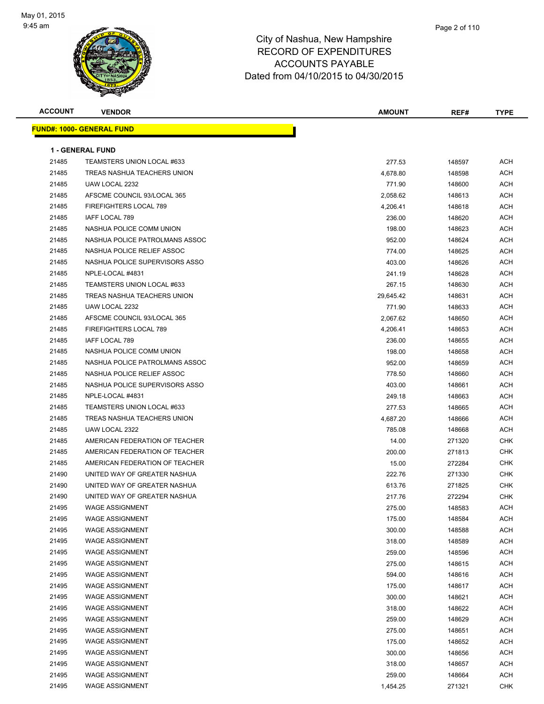

| <b>ACCOUNT</b> | <b>VENDOR</b>                  | <b>AMOUNT</b> | REF#   | <b>TYPE</b> |
|----------------|--------------------------------|---------------|--------|-------------|
|                | FUND#: 1000- GENERAL FUND      |               |        |             |
|                |                                |               |        |             |
|                | <b>1 - GENERAL FUND</b>        |               |        |             |
| 21485          | TEAMSTERS UNION LOCAL #633     | 277.53        | 148597 | ACH         |
| 21485          | TREAS NASHUA TEACHERS UNION    | 4,678.80      | 148598 | ACH         |
| 21485          | UAW LOCAL 2232                 | 771.90        | 148600 | ACH         |
| 21485          | AFSCME COUNCIL 93/LOCAL 365    | 2,058.62      | 148613 | ACH         |
| 21485          | FIREFIGHTERS LOCAL 789         | 4,206.41      | 148618 | ACH         |
| 21485          | <b>IAFF LOCAL 789</b>          | 236.00        | 148620 | ACH         |
| 21485          | NASHUA POLICE COMM UNION       | 198.00        | 148623 | ACH         |
| 21485          | NASHUA POLICE PATROLMANS ASSOC | 952.00        | 148624 | ACH         |
| 21485          | NASHUA POLICE RELIEF ASSOC     | 774.00        | 148625 | ACH         |
| 21485          | NASHUA POLICE SUPERVISORS ASSO | 403.00        | 148626 | ACH         |
| 21485          | NPLE-LOCAL #4831               | 241.19        | 148628 | ACH         |
| 21485          | TEAMSTERS UNION LOCAL #633     | 267.15        | 148630 | ACH         |
| 21485          | TREAS NASHUA TEACHERS UNION    | 29,645.42     | 148631 | ACH         |
| 21485          | UAW LOCAL 2232                 | 771.90        | 148633 | ACH         |
| 21485          | AFSCME COUNCIL 93/LOCAL 365    | 2,067.62      | 148650 | ACH         |
| 21485          | FIREFIGHTERS LOCAL 789         | 4,206.41      | 148653 | ACH         |
| 21485          | IAFF LOCAL 789                 | 236.00        | 148655 | ACH         |
| 21485          | NASHUA POLICE COMM UNION       | 198.00        | 148658 | ACH         |
| 21485          | NASHUA POLICE PATROLMANS ASSOC | 952.00        | 148659 | ACH         |
| 21485          | NASHUA POLICE RELIEF ASSOC     | 778.50        | 148660 | ACH         |
| 21485          | NASHUA POLICE SUPERVISORS ASSO | 403.00        | 148661 | ACH         |
| 21485          | NPLE-LOCAL #4831               | 249.18        | 148663 | ACH         |
| 21485          | TEAMSTERS UNION LOCAL #633     | 277.53        | 148665 | ACH         |
| 21485          | TREAS NASHUA TEACHERS UNION    | 4,687.20      | 148666 | ACH         |
| 21485          | UAW LOCAL 2322                 | 785.08        | 148668 | ACH         |
| 21485          | AMERICAN FEDERATION OF TEACHER | 14.00         | 271320 | CHK         |
| 21485          | AMERICAN FEDERATION OF TEACHER | 200.00        | 271813 | CHK         |
| 21485          | AMERICAN FEDERATION OF TEACHER | 15.00         | 272284 | <b>CHK</b>  |
| 21490          | UNITED WAY OF GREATER NASHUA   | 222.76        | 271330 | CHK         |
| 21490          | UNITED WAY OF GREATER NASHUA   | 613.76        | 271825 | CHK         |
| 21490          | UNITED WAY OF GREATER NASHUA   | 217.76        | 272294 | <b>CHK</b>  |
| 21495          | WAGE ASSIGNMENT                | 275.00        | 148583 | ACH         |
| 21495          | <b>WAGE ASSIGNMENT</b>         | 175.00        | 148584 | <b>ACH</b>  |
| 21495          | <b>WAGE ASSIGNMENT</b>         | 300.00        | 148588 | ACH         |
| 21495          | <b>WAGE ASSIGNMENT</b>         | 318.00        | 148589 | <b>ACH</b>  |
| 21495          | <b>WAGE ASSIGNMENT</b>         | 259.00        | 148596 | ACH         |
| 21495          | <b>WAGE ASSIGNMENT</b>         | 275.00        | 148615 | <b>ACH</b>  |
| 21495          | <b>WAGE ASSIGNMENT</b>         | 594.00        | 148616 | ACH         |
| 21495          | <b>WAGE ASSIGNMENT</b>         | 175.00        | 148617 | <b>ACH</b>  |
| 21495          | <b>WAGE ASSIGNMENT</b>         | 300.00        | 148621 | ACH         |
| 21495          | <b>WAGE ASSIGNMENT</b>         | 318.00        | 148622 | <b>ACH</b>  |
| 21495          | <b>WAGE ASSIGNMENT</b>         | 259.00        | 148629 | ACH         |
| 21495          | <b>WAGE ASSIGNMENT</b>         | 275.00        | 148651 | ACH         |
| 21495          | <b>WAGE ASSIGNMENT</b>         | 175.00        | 148652 | ACH         |
| 21495          | <b>WAGE ASSIGNMENT</b>         | 300.00        | 148656 | ACH         |
| 21495          | <b>WAGE ASSIGNMENT</b>         | 318.00        | 148657 | <b>ACH</b>  |
| 21495          | <b>WAGE ASSIGNMENT</b>         | 259.00        | 148664 | ACH         |
| 21495          | <b>WAGE ASSIGNMENT</b>         | 1,454.25      | 271321 | <b>CHK</b>  |
|                |                                |               |        |             |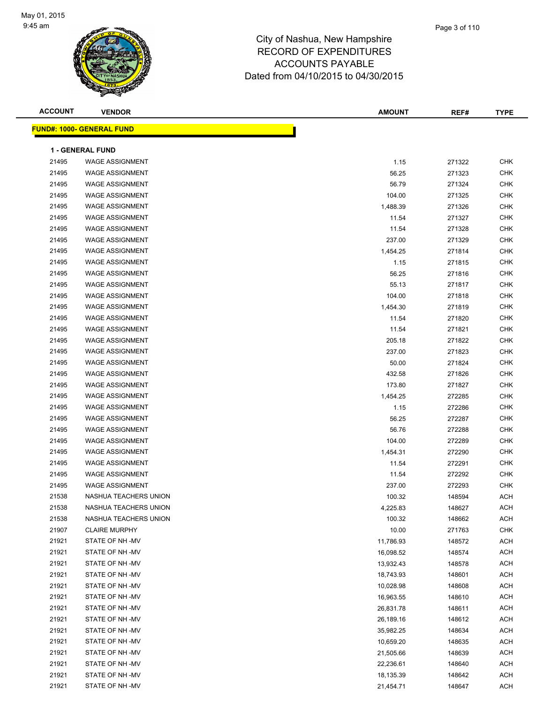

| <b>ACCOUNT</b> | <b>VENDOR</b>                    | <b>AMOUNT</b> | REF#   | <b>TYPE</b> |
|----------------|----------------------------------|---------------|--------|-------------|
|                | <b>FUND#: 1000- GENERAL FUND</b> |               |        |             |
|                |                                  |               |        |             |
|                | 1 - GENERAL FUND                 |               |        |             |
| 21495          | <b>WAGE ASSIGNMENT</b>           | 1.15          | 271322 | <b>CHK</b>  |
| 21495          | <b>WAGE ASSIGNMENT</b>           | 56.25         | 271323 | <b>CHK</b>  |
| 21495          | <b>WAGE ASSIGNMENT</b>           | 56.79         | 271324 | <b>CHK</b>  |
| 21495          | <b>WAGE ASSIGNMENT</b>           | 104.00        | 271325 | <b>CHK</b>  |
| 21495          | <b>WAGE ASSIGNMENT</b>           | 1,488.39      | 271326 | <b>CHK</b>  |
| 21495          | <b>WAGE ASSIGNMENT</b>           | 11.54         | 271327 | <b>CHK</b>  |
| 21495          | <b>WAGE ASSIGNMENT</b>           | 11.54         | 271328 | <b>CHK</b>  |
| 21495          | <b>WAGE ASSIGNMENT</b>           | 237.00        | 271329 | <b>CHK</b>  |
| 21495          | <b>WAGE ASSIGNMENT</b>           | 1,454.25      | 271814 | <b>CHK</b>  |
| 21495          | <b>WAGE ASSIGNMENT</b>           | 1.15          | 271815 | <b>CHK</b>  |
| 21495          | <b>WAGE ASSIGNMENT</b>           | 56.25         | 271816 | <b>CHK</b>  |
| 21495          | <b>WAGE ASSIGNMENT</b>           | 55.13         | 271817 | <b>CHK</b>  |
| 21495          | <b>WAGE ASSIGNMENT</b>           | 104.00        | 271818 | <b>CHK</b>  |
| 21495          | <b>WAGE ASSIGNMENT</b>           | 1,454.30      | 271819 | <b>CHK</b>  |
| 21495          | <b>WAGE ASSIGNMENT</b>           | 11.54         | 271820 | <b>CHK</b>  |
| 21495          | <b>WAGE ASSIGNMENT</b>           | 11.54         | 271821 | <b>CHK</b>  |
| 21495          | <b>WAGE ASSIGNMENT</b>           | 205.18        | 271822 | CHK         |
| 21495          | <b>WAGE ASSIGNMENT</b>           | 237.00        | 271823 | <b>CHK</b>  |
| 21495          | <b>WAGE ASSIGNMENT</b>           | 50.00         | 271824 | <b>CHK</b>  |
| 21495          | <b>WAGE ASSIGNMENT</b>           | 432.58        | 271826 | <b>CHK</b>  |
| 21495          | <b>WAGE ASSIGNMENT</b>           | 173.80        | 271827 | <b>CHK</b>  |
| 21495          | <b>WAGE ASSIGNMENT</b>           | 1,454.25      | 272285 | <b>CHK</b>  |
| 21495          | <b>WAGE ASSIGNMENT</b>           | 1.15          | 272286 | <b>CHK</b>  |
| 21495          | <b>WAGE ASSIGNMENT</b>           | 56.25         | 272287 | <b>CHK</b>  |
| 21495          | <b>WAGE ASSIGNMENT</b>           | 56.76         | 272288 | <b>CHK</b>  |
| 21495          | <b>WAGE ASSIGNMENT</b>           | 104.00        | 272289 | <b>CHK</b>  |
| 21495          | <b>WAGE ASSIGNMENT</b>           | 1,454.31      | 272290 | <b>CHK</b>  |
| 21495          | <b>WAGE ASSIGNMENT</b>           | 11.54         | 272291 | <b>CHK</b>  |
| 21495          | <b>WAGE ASSIGNMENT</b>           | 11.54         | 272292 | <b>CHK</b>  |
| 21495          | <b>WAGE ASSIGNMENT</b>           | 237.00        | 272293 | <b>CHK</b>  |
| 21538          | NASHUA TEACHERS UNION            | 100.32        | 148594 | <b>ACH</b>  |
| 21538          | NASHUA TEACHERS UNION            | 4,225.83      | 148627 | ACH         |
| 21538          | NASHUA TEACHERS UNION            | 100.32        | 148662 | ACH         |
| 21907          | <b>CLAIRE MURPHY</b>             | 10.00         | 271763 | CHK         |
| 21921          | STATE OF NH-MV                   | 11,786.93     | 148572 | ACH         |
| 21921          | STATE OF NH-MV                   | 16,098.52     | 148574 | ACH         |
| 21921          | STATE OF NH-MV                   | 13,932.43     | 148578 | ACH         |
| 21921          | STATE OF NH-MV                   | 18,743.93     | 148601 | ACH         |
| 21921          | STATE OF NH-MV                   | 10,028.98     | 148608 | ACH         |
| 21921          | STATE OF NH-MV                   | 16,963.55     | 148610 | ACH         |
| 21921          | STATE OF NH-MV                   | 26,831.78     | 148611 | ACH         |
| 21921          | STATE OF NH-MV                   | 26,189.16     | 148612 | ACH         |
| 21921          | STATE OF NH-MV                   | 35,982.25     | 148634 | ACH         |
| 21921          | STATE OF NH -MV                  | 10,659.20     | 148635 | ACH         |
| 21921          | STATE OF NH -MV                  | 21,505.66     | 148639 | ACH         |
| 21921          | STATE OF NH -MV                  | 22,236.61     | 148640 | ACH         |
| 21921          | STATE OF NH -MV                  | 18,135.39     | 148642 | ACH         |
| 21921          | STATE OF NH -MV                  | 21,454.71     | 148647 | ACH         |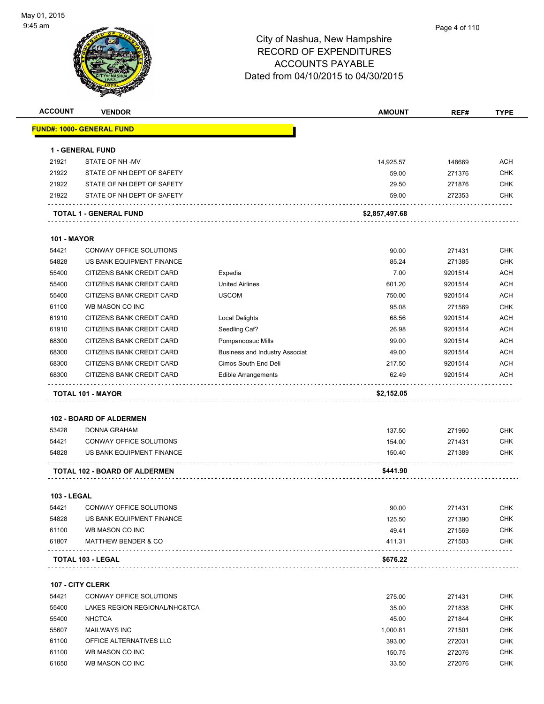

| <b>ACCOUNT</b>     | <b>VENDOR</b>                     |                                       | <b>AMOUNT</b>  | REF#    | <b>TYPE</b> |
|--------------------|-----------------------------------|---------------------------------------|----------------|---------|-------------|
|                    | <u> FUND#: 1000- GENERAL FUND</u> |                                       |                |         |             |
|                    | 1 - GENERAL FUND                  |                                       |                |         |             |
| 21921              | STATE OF NH-MV                    |                                       | 14,925.57      | 148669  | <b>ACH</b>  |
| 21922              | STATE OF NH DEPT OF SAFETY        |                                       | 59.00          | 271376  | <b>CHK</b>  |
| 21922              | STATE OF NH DEPT OF SAFETY        |                                       | 29.50          | 271876  | <b>CHK</b>  |
| 21922              | STATE OF NH DEPT OF SAFETY        |                                       | 59.00          | 272353  | <b>CHK</b>  |
|                    | TOTAL 1 - GENERAL FUND            |                                       | \$2,857,497.68 |         |             |
| <b>101 - MAYOR</b> |                                   |                                       |                |         |             |
| 54421              | CONWAY OFFICE SOLUTIONS           |                                       | 90.00          | 271431  | <b>CHK</b>  |
| 54828              | US BANK EQUIPMENT FINANCE         |                                       | 85.24          | 271385  | <b>CHK</b>  |
| 55400              | CITIZENS BANK CREDIT CARD         | Expedia                               | 7.00           | 9201514 | <b>ACH</b>  |
| 55400              | CITIZENS BANK CREDIT CARD         | <b>United Airlines</b>                | 601.20         | 9201514 | ACH         |
| 55400              | CITIZENS BANK CREDIT CARD         | <b>USCOM</b>                          | 750.00         | 9201514 | <b>ACH</b>  |
| 61100              | WB MASON CO INC                   |                                       | 95.08          | 271569  | <b>CHK</b>  |
| 61910              | CITIZENS BANK CREDIT CARD         | Local Delights                        | 68.56          | 9201514 | <b>ACH</b>  |
| 61910              | CITIZENS BANK CREDIT CARD         | Seedling Caf?                         | 26.98          | 9201514 | <b>ACH</b>  |
| 68300              | CITIZENS BANK CREDIT CARD         | Pompanoosuc Mills                     | 99.00          | 9201514 | <b>ACH</b>  |
| 68300              | CITIZENS BANK CREDIT CARD         | <b>Business and Industry Associat</b> | 49.00          | 9201514 | <b>ACH</b>  |
| 68300              | CITIZENS BANK CREDIT CARD         | Cimos South End Deli                  | 217.50         | 9201514 | <b>ACH</b>  |
| 68300              | CITIZENS BANK CREDIT CARD         |                                       | 62.49          | 9201514 | <b>ACH</b>  |
|                    |                                   | Edible Arrangements                   |                |         |             |
|                    | TOTAL 101 - MAYOR                 |                                       | \$2,152.05     |         |             |
|                    | 102 - BOARD OF ALDERMEN           |                                       |                |         |             |
| 53428              | <b>DONNA GRAHAM</b>               |                                       | 137.50         | 271960  | <b>CHK</b>  |
| 54421              | CONWAY OFFICE SOLUTIONS           |                                       | 154.00         | 271431  | <b>CHK</b>  |
| 54828              | US BANK EQUIPMENT FINANCE         |                                       | 150.40         | 271389  | CHK         |
|                    | TOTAL 102 - BOARD OF ALDERMEN     |                                       | \$441.90       |         |             |
| <b>103 - LEGAL</b> |                                   |                                       |                |         |             |
| 54421              | CONWAY OFFICE SOLUTIONS           |                                       | 90.00          | 271431  | <b>CHK</b>  |
| 54828              | US BANK EQUIPMENT FINANCE         |                                       | 125.50         | 271390  | <b>CHK</b>  |
| 61100              | WB MASON CO INC                   |                                       | 49.41          | 271569  | <b>CHK</b>  |
| 61807              | <b>MATTHEW BENDER &amp; CO</b>    |                                       | 411.31         | 271503  | <b>CHK</b>  |
|                    | TOTAL 103 - LEGAL                 |                                       | \$676.22       |         |             |
|                    | <b>107 - CITY CLERK</b>           |                                       |                |         |             |
| 54421              | <b>CONWAY OFFICE SOLUTIONS</b>    |                                       | 275.00         | 271431  | <b>CHK</b>  |
| 55400              | LAKES REGION REGIONAL/NHC&TCA     |                                       | 35.00          | 271838  | <b>CHK</b>  |
| 55400              | <b>NHCTCA</b>                     |                                       | 45.00          | 271844  | <b>CHK</b>  |
| 55607              | <b>MAILWAYS INC</b>               |                                       | 1,000.81       | 271501  | <b>CHK</b>  |
| 61100              | OFFICE ALTERNATIVES LLC           |                                       | 393.00         | 272031  | <b>CHK</b>  |
| 61100              | WB MASON CO INC                   |                                       | 150.75         | 272076  | CHK         |
| 61650              | WB MASON CO INC                   |                                       |                |         | CHK         |
|                    |                                   |                                       | 33.50          | 272076  |             |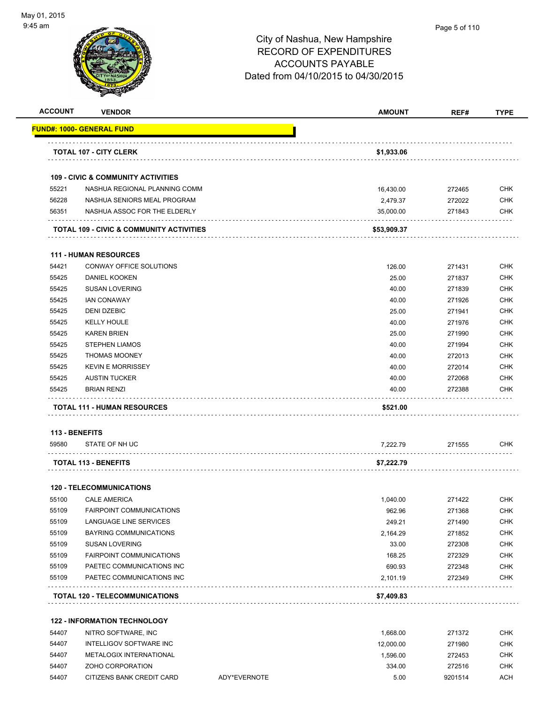

#### Page 5 of 110

| <b>ACCOUNT</b> | <b>VENDOR</b>                                 |              | <b>AMOUNT</b> | REF#    | <b>TYPE</b> |
|----------------|-----------------------------------------------|--------------|---------------|---------|-------------|
|                | <u> UND#: 1000- GENERAL FUND</u>              |              |               |         |             |
|                | <b>TOTAL 107 - CITY CLERK</b>                 |              | \$1,933.06    |         |             |
|                | <b>109 - CIVIC &amp; COMMUNITY ACTIVITIES</b> |              |               |         |             |
| 55221          | NASHUA REGIONAL PLANNING COMM                 |              | 16,430.00     | 272465  | <b>CHK</b>  |
| 56228          | NASHUA SENIORS MEAL PROGRAM                   |              | 2,479.37      | 272022  | <b>CHK</b>  |
| 56351          | NASHUA ASSOC FOR THE ELDERLY                  |              | 35,000.00     | 271843  | <b>CHK</b>  |
|                | TOTAL 109 - CIVIC & COMMUNITY ACTIVITIES      |              | \$53,909.37   |         |             |
|                | <b>111 - HUMAN RESOURCES</b>                  |              |               |         |             |
| 54421          | CONWAY OFFICE SOLUTIONS                       |              | 126.00        | 271431  | <b>CHK</b>  |
| 55425          | <b>DANIEL KOOKEN</b>                          |              | 25.00         | 271837  | <b>CHK</b>  |
| 55425          | <b>SUSAN LOVERING</b>                         |              | 40.00         | 271839  | <b>CHK</b>  |
| 55425          | <b>IAN CONAWAY</b>                            |              | 40.00         | 271926  | <b>CHK</b>  |
| 55425          | DENI DZEBIC                                   |              | 25.00         | 271941  | <b>CHK</b>  |
| 55425          | <b>KELLY HOULE</b>                            |              | 40.00         | 271976  | <b>CHK</b>  |
| 55425          | <b>KAREN BRIEN</b>                            |              | 25.00         | 271990  | <b>CHK</b>  |
| 55425          | <b>STEPHEN LIAMOS</b>                         |              | 40.00         | 271994  | <b>CHK</b>  |
| 55425          | <b>THOMAS MOONEY</b>                          |              | 40.00         | 272013  | <b>CHK</b>  |
| 55425          | <b>KEVIN E MORRISSEY</b>                      |              | 40.00         | 272014  | <b>CHK</b>  |
| 55425          | <b>AUSTIN TUCKER</b>                          |              | 40.00         | 272068  | <b>CHK</b>  |
| 55425          | <b>BRIAN RENZI</b>                            |              | 40.00         | 272388  | <b>CHK</b>  |
|                | <b>TOTAL 111 - HUMAN RESOURCES</b>            |              | \$521.00      |         |             |
|                | 113 - BENEFITS                                |              |               |         |             |
| 59580          | STATE OF NH UC                                |              | 7,222.79      | 271555  | <b>CHK</b>  |
|                | <b>TOTAL 113 - BENEFITS</b>                   |              | \$7,222.79    |         |             |
|                | <b>120 - TELECOMMUNICATIONS</b>               |              |               |         |             |
| 55100          | <b>CALE AMERICA</b>                           |              | 1,040.00      | 271422  | <b>CHK</b>  |
| 55109          | FAIRPOINT COMMUNICATIONS                      |              | 962.96        | 271368  | CHK         |
| 55109          | <b>LANGUAGE LINE SERVICES</b>                 |              | 249.21        | 271490  | <b>CHK</b>  |
| 55109          | <b>BAYRING COMMUNICATIONS</b>                 |              | 2,164.29      | 271852  | <b>CHK</b>  |
| 55109          | SUSAN LOVERING                                |              | 33.00         | 272308  | <b>CHK</b>  |
| 55109          | <b>FAIRPOINT COMMUNICATIONS</b>               |              | 168.25        | 272329  | <b>CHK</b>  |
| 55109          | PAETEC COMMUNICATIONS INC                     |              | 690.93        | 272348  | <b>CHK</b>  |
| 55109          | PAETEC COMMUNICATIONS INC                     |              | 2,101.19      | 272349  | <b>CHK</b>  |
|                | <b>TOTAL 120 - TELECOMMUNICATIONS</b>         |              | \$7,409.83    |         |             |
|                |                                               |              |               |         |             |
|                | <b>122 - INFORMATION TECHNOLOGY</b>           |              |               |         |             |
| 54407          | NITRO SOFTWARE, INC                           |              | 1,668.00      | 271372  | <b>CHK</b>  |
| 54407          | INTELLIGOV SOFTWARE INC                       |              | 12,000.00     | 271980  | <b>CHK</b>  |
| 54407          | METALOGIX INTERNATIONAL                       |              | 1,596.00      | 272453  | <b>CHK</b>  |
| 54407          | ZOHO CORPORATION                              |              | 334.00        | 272516  | <b>CHK</b>  |
| 54407          | CITIZENS BANK CREDIT CARD                     | ADY*EVERNOTE | 5.00          | 9201514 | <b>ACH</b>  |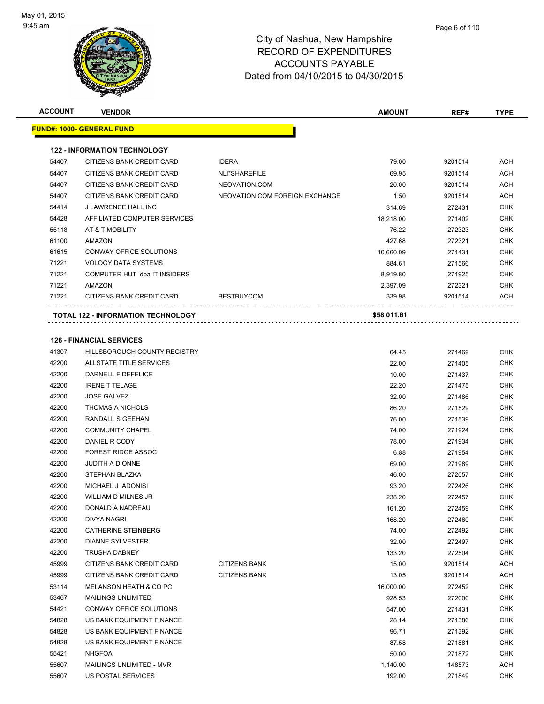| <b>ACCOUNT</b> | <b>VENDOR</b>                             |                                | <b>AMOUNT</b> | REF#    | <b>TYPE</b> |
|----------------|-------------------------------------------|--------------------------------|---------------|---------|-------------|
|                | <u> FUND#: 1000- GENERAL FUND</u>         |                                |               |         |             |
|                |                                           |                                |               |         |             |
|                | <b>122 - INFORMATION TECHNOLOGY</b>       |                                |               |         |             |
| 54407          | CITIZENS BANK CREDIT CARD                 | <b>IDERA</b>                   | 79.00         | 9201514 | ACH         |
| 54407          | CITIZENS BANK CREDIT CARD                 | NLI*SHAREFILE                  | 69.95         | 9201514 | ACH         |
| 54407          | CITIZENS BANK CREDIT CARD                 | NEOVATION.COM                  | 20.00         | 9201514 | ACH         |
| 54407          | CITIZENS BANK CREDIT CARD                 | NEOVATION.COM FOREIGN EXCHANGE | 1.50          | 9201514 | ACH         |
| 54414          | J LAWRENCE HALL INC                       |                                | 314.69        | 272431  | CHK         |
| 54428          | AFFILIATED COMPUTER SERVICES              |                                | 18,218.00     | 271402  | <b>CHK</b>  |
| 55118          | AT & T MOBILITY                           |                                | 76.22         | 272323  | CHK         |
| 61100          | AMAZON                                    |                                | 427.68        | 272321  | CHK         |
| 61615          | CONWAY OFFICE SOLUTIONS                   |                                | 10,660.09     | 271431  | <b>CHK</b>  |
| 71221          | <b>VOLOGY DATA SYSTEMS</b>                |                                | 884.61        | 271566  | CHK         |
| 71221          | COMPUTER HUT dba IT INSIDERS              |                                | 8,919.80      | 271925  | CHK         |
| 71221          | <b>AMAZON</b>                             |                                | 2,397.09      | 272321  | CHK         |
| 71221          | CITIZENS BANK CREDIT CARD                 | <b>BESTBUYCOM</b>              | 339.98        | 9201514 | <b>ACH</b>  |
|                | <b>TOTAL 122 - INFORMATION TECHNOLOGY</b> |                                | \$58,011.61   |         |             |
|                | <b>126 - FINANCIAL SERVICES</b>           |                                |               |         |             |
|                |                                           |                                |               |         |             |
| 41307          | <b>HILLSBOROUGH COUNTY REGISTRY</b>       |                                | 64.45         | 271469  | <b>CHK</b>  |
| 42200          | ALLSTATE TITLE SERVICES                   |                                | 22.00         | 271405  | CHK         |
| 42200          | DARNELL F DEFELICE                        |                                | 10.00         | 271437  | CHK         |
| 42200          | <b>IRENE T TELAGE</b>                     |                                | 22.20         | 271475  | <b>CHK</b>  |
| 42200          | <b>JOSE GALVEZ</b>                        |                                | 32.00         | 271486  | CHK         |
| 42200          | <b>THOMAS A NICHOLS</b>                   |                                | 86.20         | 271529  | <b>CHK</b>  |
| 42200          | RANDALL S GEEHAN                          |                                | 76.00         | 271539  | CHK         |
| 42200          | <b>COMMUNITY CHAPEL</b>                   |                                | 74.00         | 271924  | CHK         |
| 42200          | DANIEL R CODY                             |                                | 78.00         | 271934  | <b>CHK</b>  |
| 42200          | <b>FOREST RIDGE ASSOC</b>                 |                                | 6.88          | 271954  | CHK         |
| 42200          | <b>JUDITH A DIONNE</b>                    |                                | 69.00         | 271989  | CHK         |
| 42200          | STEPHAN BLAZKA                            |                                | 46.00         | 272057  | CHK         |
| 42200          | MICHAEL J IADONISI                        |                                | 93.20         | 272426  | CHK         |
| 42200          | WILLIAM D MILNES JR                       |                                | 238.20        | 272457  | CHK         |
| 42200          | DONALD A NADREAU                          |                                | 161.20        | 272459  | <b>CHK</b>  |
| 42200          | <b>DIVYA NAGRI</b>                        |                                | 168.20        | 272460  | CHK         |
| 42200          | <b>CATHERINE STEINBERG</b>                |                                | 74.00         | 272492  | <b>CHK</b>  |
| 42200          | <b>DIANNE SYLVESTER</b>                   |                                | 32.00         | 272497  | <b>CHK</b>  |
| 42200          | TRUSHA DABNEY                             |                                | 133.20        | 272504  | <b>CHK</b>  |
| 45999          | CITIZENS BANK CREDIT CARD                 | <b>CITIZENS BANK</b>           | 15.00         | 9201514 | ACH         |
| 45999          | CITIZENS BANK CREDIT CARD                 | <b>CITIZENS BANK</b>           | 13.05         | 9201514 | ACH         |
| 53114          | <b>MELANSON HEATH &amp; CO PC</b>         |                                | 16,000.00     | 272452  | <b>CHK</b>  |
| 53467          | MAILINGS UNLIMITED                        |                                | 928.53        | 272000  | CHK         |
| 54421          | CONWAY OFFICE SOLUTIONS                   |                                | 547.00        | 271431  | CHK         |
| 54828          | US BANK EQUIPMENT FINANCE                 |                                | 28.14         | 271386  | <b>CHK</b>  |
| 54828          | US BANK EQUIPMENT FINANCE                 |                                | 96.71         | 271392  | CHK         |
| 54828          | US BANK EQUIPMENT FINANCE                 |                                | 87.58         | 271881  | <b>CHK</b>  |
| 55421          | NHGFOA                                    |                                | 50.00         | 271872  | <b>CHK</b>  |
| 55607          | MAILINGS UNLIMITED - MVR                  |                                | 1,140.00      | 148573  | ACH         |

US POSTAL SERVICES 192.00 271849 CHK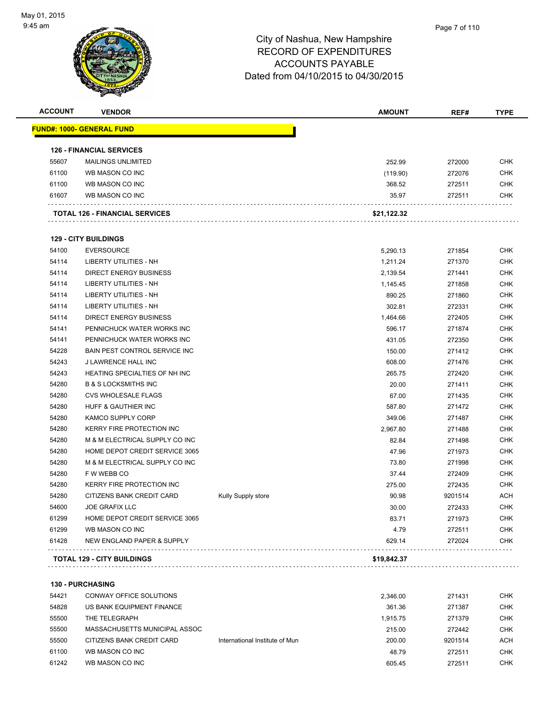**130 - PURCHASING**

#### City of Nashua, New Hampshire RECORD OF EXPENDITURES ACCOUNTS PAYABLE Dated from 04/10/2015 to 04/30/2015

| <b>ACCOUNT</b> | <b>VENDOR</b>                         |                    | <b>AMOUNT</b> | REF#    | <b>TYPE</b> |
|----------------|---------------------------------------|--------------------|---------------|---------|-------------|
|                | <u> FUND#: 1000- GENERAL FUND</u>     |                    |               |         |             |
|                | <b>126 - FINANCIAL SERVICES</b>       |                    |               |         |             |
| 55607          | <b>MAILINGS UNLIMITED</b>             |                    | 252.99        | 272000  | <b>CHK</b>  |
| 61100          | WB MASON CO INC                       |                    | (119.90)      | 272076  | <b>CHK</b>  |
| 61100          | WB MASON CO INC                       |                    | 368.52        | 272511  | CHK         |
| 61607          | WB MASON CO INC                       |                    | 35.97         | 272511  | CHK         |
|                | <b>TOTAL 126 - FINANCIAL SERVICES</b> |                    | \$21,122.32   |         |             |
|                | <b>129 - CITY BUILDINGS</b>           |                    |               |         |             |
| 54100          | <b>EVERSOURCE</b>                     |                    | 5,290.13      | 271854  | <b>CHK</b>  |
| 54114          | LIBERTY UTILITIES - NH                |                    | 1,211.24      | 271370  | <b>CHK</b>  |
| 54114          | <b>DIRECT ENERGY BUSINESS</b>         |                    | 2,139.54      | 271441  | <b>CHK</b>  |
| 54114          | LIBERTY UTILITIES - NH                |                    | 1,145.45      | 271858  | CHK         |
| 54114          | LIBERTY UTILITIES - NH                |                    | 890.25        | 271860  | CHK         |
| 54114          | <b>LIBERTY UTILITIES - NH</b>         |                    | 302.81        | 272331  | <b>CHK</b>  |
| 54114          | <b>DIRECT ENERGY BUSINESS</b>         |                    | 1,464.66      | 272405  | <b>CHK</b>  |
| 54141          | PENNICHUCK WATER WORKS INC            |                    | 596.17        | 271874  | <b>CHK</b>  |
| 54141          | PENNICHUCK WATER WORKS INC            |                    | 431.05        | 272350  | <b>CHK</b>  |
| 54228          | BAIN PEST CONTROL SERVICE INC         |                    | 150.00        | 271412  | CHK         |
| 54243          | J LAWRENCE HALL INC                   |                    | 608.00        | 271476  | <b>CHK</b>  |
| 54243          | HEATING SPECIALTIES OF NH INC         |                    | 265.75        | 272420  | <b>CHK</b>  |
| 54280          | <b>B &amp; S LOCKSMITHS INC</b>       |                    | 20.00         | 271411  | CHK         |
| 54280          | <b>CVS WHOLESALE FLAGS</b>            |                    | 67.00         | 271435  | <b>CHK</b>  |
| 54280          | HUFF & GAUTHIER INC                   |                    | 587.80        | 271472  | CHK         |
| 54280          | KAMCO SUPPLY CORP                     |                    | 349.06        | 271487  | CHK         |
| 54280          | KERRY FIRE PROTECTION INC             |                    | 2,967.80      | 271488  | <b>CHK</b>  |
| 54280          | M & M ELECTRICAL SUPPLY CO INC        |                    | 82.84         | 271498  | CHK         |
| 54280          | HOME DEPOT CREDIT SERVICE 3065        |                    | 47.96         | 271973  | <b>CHK</b>  |
| 54280          | M & M ELECTRICAL SUPPLY CO INC        |                    | 73.80         | 271998  | <b>CHK</b>  |
| 54280          | F W WEBB CO                           |                    | 37.44         | 272409  | CHK         |
| 54280          | <b>KERRY FIRE PROTECTION INC</b>      |                    | 275.00        | 272435  | <b>CHK</b>  |
| 54280          | CITIZENS BANK CREDIT CARD             | Kully Supply store | 90.98         | 9201514 | ACH         |
| 54600          | JOE GRAFIX LLC                        |                    | 30.00         | 272433  | CHK         |
| 61299          | HOME DEPOT CREDIT SERVICE 3065        |                    | 83.71         | 271973  | <b>CHK</b>  |
| 61299          | WB MASON CO INC                       |                    | 4.79          | 272511  | <b>CHK</b>  |
| 61428          | NEW ENGLAND PAPER & SUPPLY            |                    | 629.14        | 272024  | <b>CHK</b>  |
|                | <b>TOTAL 129 - CITY BUILDINGS</b>     |                    | \$19,842.37   |         |             |

 CONWAY OFFICE SOLUTIONS 2,346.00 271431 CHK US BANK EQUIPMENT FINANCE 361.36 271387 CHK THE TELEGRAPH 1,915.75 271379 CHK MASSACHUSETTS MUNICIPAL ASSOC 215.00 272442 CHK 55500 CITIZENS BANK CREDIT CARD International Institute of Mun 200.00 9201514 ACH WB MASON CO INC 48.79 272511 CHK WB MASON CO INC 605.45 272511 CHK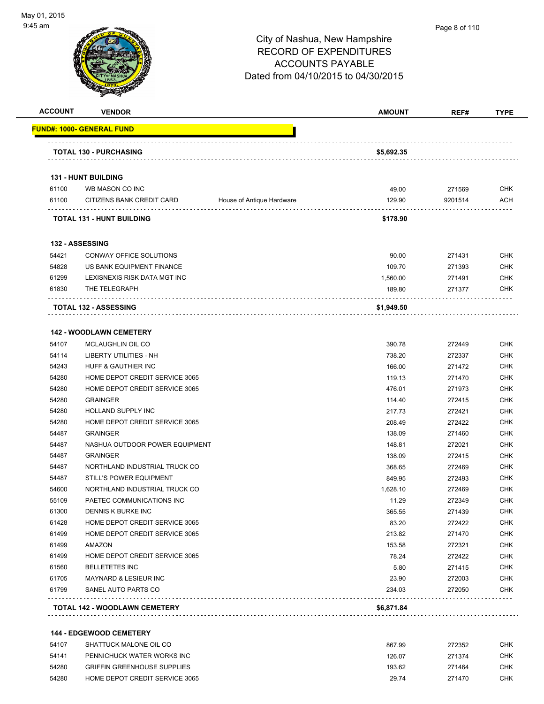

#### Page 8 of 110

# City of Nashua, New Hampshire RECORD OF EXPENDITURES ACCOUNTS PAYABLE Dated from 04/10/2015 to 04/30/2015

| <b>ACCOUNT</b> | <b>VENDOR</b>                                |                           | <b>AMOUNT</b>   | REF#              | <b>TYPE</b>              |
|----------------|----------------------------------------------|---------------------------|-----------------|-------------------|--------------------------|
|                | FUND#: 1000- GENERAL FUND                    |                           |                 |                   |                          |
|                | <b>TOTAL 130 - PURCHASING</b>                |                           | \$5,692.35      |                   |                          |
|                | 131 - HUNT BUILDING                          |                           |                 |                   |                          |
| 61100          |                                              |                           |                 |                   |                          |
| 61100          | WB MASON CO INC<br>CITIZENS BANK CREDIT CARD | House of Antique Hardware | 49.00<br>129.90 | 271569<br>9201514 | <b>CHK</b><br><b>ACH</b> |
|                |                                              |                           |                 |                   |                          |
|                | <b>TOTAL 131 - HUNT BUILDING</b>             |                           | \$178.90        |                   |                          |
|                | 132 - ASSESSING                              |                           |                 |                   |                          |
| 54421          | CONWAY OFFICE SOLUTIONS                      |                           | 90.00           | 271431            | <b>CHK</b>               |
| 54828          | US BANK EQUIPMENT FINANCE                    |                           | 109.70          | 271393            | <b>CHK</b>               |
| 61299          | LEXISNEXIS RISK DATA MGT INC                 |                           | 1,560.00        | 271491            | <b>CHK</b>               |
| 61830          | THE TELEGRAPH                                |                           | 189.80          | 271377            | <b>CHK</b>               |
|                | <b>TOTAL 132 - ASSESSING</b>                 |                           | \$1,949.50      |                   |                          |
|                | <b>142 - WOODLAWN CEMETERY</b>               |                           |                 |                   |                          |
| 54107          | MCLAUGHLIN OIL CO                            |                           | 390.78          | 272449            | <b>CHK</b>               |
| 54114          | <b>LIBERTY UTILITIES - NH</b>                |                           | 738.20          | 272337            | <b>CHK</b>               |
| 54243          | HUFF & GAUTHIER INC                          |                           | 166.00          | 271472            | <b>CHK</b>               |
| 54280          | HOME DEPOT CREDIT SERVICE 3065               |                           | 119.13          | 271470            | <b>CHK</b>               |
| 54280          | HOME DEPOT CREDIT SERVICE 3065               |                           | 476.01          | 271973            | <b>CHK</b>               |
| 54280          | <b>GRAINGER</b>                              |                           | 114.40          | 272415            | <b>CHK</b>               |
| 54280          | HOLLAND SUPPLY INC                           |                           | 217.73          | 272421            | <b>CHK</b>               |
| 54280          | HOME DEPOT CREDIT SERVICE 3065               |                           | 208.49          | 272422            | <b>CHK</b>               |
| 54487          | <b>GRAINGER</b>                              |                           | 138.09          | 271460            | <b>CHK</b>               |
| 54487          | NASHUA OUTDOOR POWER EQUIPMENT               |                           | 148.81          | 272021            | <b>CHK</b>               |
| 54487          | <b>GRAINGER</b>                              |                           | 138.09          | 272415            | <b>CHK</b>               |
| 54487          | NORTHLAND INDUSTRIAL TRUCK CO                |                           | 368.65          | 272469            | <b>CHK</b>               |
| 54487          | <b>STILL'S POWER EQUIPMENT</b>               |                           | 849.95          | 272493            | <b>CHK</b>               |
| 54600          | NORTHLAND INDUSTRIAL TRUCK CO                |                           | 1,628.10        | 272469            | <b>CHK</b>               |
| 55109          | PAETEC COMMUNICATIONS INC                    |                           | 11.29           | 272349            | <b>CHK</b>               |
| 61300          | DENNIS K BURKE INC                           |                           | 365.55          | 271439            | <b>CHK</b>               |
| 61428          | HOME DEPOT CREDIT SERVICE 3065               |                           | 83.20           | 272422            | <b>CHK</b>               |
| 61499          | HOME DEPOT CREDIT SERVICE 3065               |                           | 213.82          | 271470            | <b>CHK</b>               |
| 61499          | AMAZON                                       |                           | 153.58          | 272321            | <b>CHK</b>               |
| 61499          | HOME DEPOT CREDIT SERVICE 3065               |                           | 78.24           | 272422            | <b>CHK</b>               |
| 61560          | <b>BELLETETES INC</b>                        |                           | 5.80            | 271415            | <b>CHK</b>               |
| 61705          | <b>MAYNARD &amp; LESIEUR INC</b>             |                           | 23.90           | 272003            | <b>CHK</b>               |
| 61799          | SANEL AUTO PARTS CO                          |                           | 234.03          | 272050            | <b>CHK</b>               |
|                | <b>TOTAL 142 - WOODLAWN CEMETERY</b>         |                           | \$6,871.84      |                   |                          |

#### **144 - EDGEWOOD CEMETERY**

| 54107 | SHATTUCK MALONE OIL CO             | 867.99 | 272352 | снк |
|-------|------------------------------------|--------|--------|-----|
| 54141 | PENNICHUCK WATER WORKS INC         | 126.07 | 271374 | СНК |
| 54280 | <b>GRIFFIN GREENHOUSE SUPPLIES</b> | 193.62 | 271464 | СНК |
| 54280 | HOME DEPOT CREDIT SERVICE 3065     | 29.74  | 271470 | снк |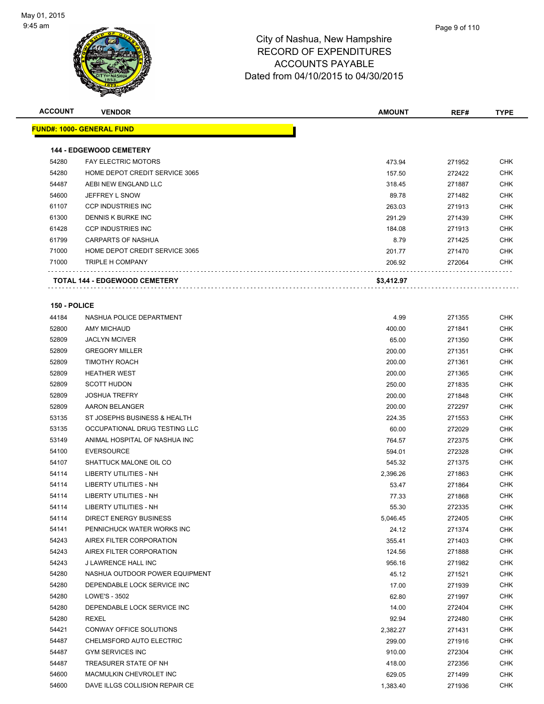

| <b>ACCOUNT</b> | <b>VENDOR</b>                        | <b>AMOUNT</b> | REF#   | <b>TYPE</b> |
|----------------|--------------------------------------|---------------|--------|-------------|
|                | <b>FUND#: 1000- GENERAL FUND</b>     |               |        |             |
|                |                                      |               |        |             |
|                | <b>144 - EDGEWOOD CEMETERY</b>       |               |        |             |
| 54280          | <b>FAY ELECTRIC MOTORS</b>           | 473.94        | 271952 | <b>CHK</b>  |
| 54280          | HOME DEPOT CREDIT SERVICE 3065       | 157.50        | 272422 | <b>CHK</b>  |
| 54487          | AEBI NEW ENGLAND LLC                 | 318.45        | 271887 | CHK         |
| 54600          | JEFFREY L SNOW                       | 89.78         | 271482 | <b>CHK</b>  |
| 61107          | <b>CCP INDUSTRIES INC</b>            | 263.03        | 271913 | <b>CHK</b>  |
| 61300          | DENNIS K BURKE INC                   | 291.29        | 271439 | <b>CHK</b>  |
| 61428          | <b>CCP INDUSTRIES INC</b>            | 184.08        | 271913 | <b>CHK</b>  |
| 61799          | CARPARTS OF NASHUA                   | 8.79          | 271425 | <b>CHK</b>  |
| 71000          | HOME DEPOT CREDIT SERVICE 3065       | 201.77        | 271470 | <b>CHK</b>  |
| 71000          | TRIPLE H COMPANY                     | 206.92        | 272064 | CHK         |
|                | <b>TOTAL 144 - EDGEWOOD CEMETERY</b> | \$3,412.97    |        |             |
|                |                                      |               |        |             |
| 150 - POLICE   |                                      |               |        |             |
| 44184          | NASHUA POLICE DEPARTMENT             | 4.99          | 271355 | <b>CHK</b>  |
| 52800          | <b>AMY MICHAUD</b>                   | 400.00        | 271841 | <b>CHK</b>  |
| 52809          | <b>JACLYN MCIVER</b>                 | 65.00         | 271350 | <b>CHK</b>  |
| 52809          | <b>GREGORY MILLER</b>                | 200.00        | 271351 | <b>CHK</b>  |
| 52809          | <b>TIMOTHY ROACH</b>                 | 200.00        | 271361 | <b>CHK</b>  |
| 52809          | <b>HEATHER WEST</b>                  | 200.00        | 271365 | CHK         |
| 52809          | <b>SCOTT HUDON</b>                   | 250.00        | 271835 | CHK         |
| 52809          | <b>JOSHUA TREFRY</b>                 | 200.00        | 271848 | <b>CHK</b>  |
| 52809          | AARON BELANGER                       | 200.00        | 272297 | <b>CHK</b>  |
| 53135          | ST JOSEPHS BUSINESS & HEALTH         | 224.35        | 271553 | <b>CHK</b>  |
| 53135          | OCCUPATIONAL DRUG TESTING LLC        | 60.00         | 272029 | <b>CHK</b>  |
| 53149          | ANIMAL HOSPITAL OF NASHUA INC        | 764.57        | 272375 | CHK         |
| 54100          | <b>EVERSOURCE</b>                    | 594.01        | 272328 | <b>CHK</b>  |
| 54107          | SHATTUCK MALONE OIL CO               | 545.32        | 271375 | <b>CHK</b>  |
| 54114          | <b>LIBERTY UTILITIES - NH</b>        | 2,396.26      | 271863 | <b>CHK</b>  |
| 54114          | LIBERTY UTILITIES - NH               | 53.47         | 271864 | <b>CHK</b>  |
| 54114          | LIBERTY UTILITIES - NH               | 77.33         | 271868 | <b>CHK</b>  |
| 54114          | <b>LIBERTY UTILITIES - NH</b>        | 55.30         | 272335 | <b>CHK</b>  |
| 54114          | <b>DIRECT ENERGY BUSINESS</b>        | 5,046.45      | 272405 | CHK         |
| 54141          | PENNICHUCK WATER WORKS INC           | 24.12         | 271374 | <b>CHK</b>  |
| 54243          | AIREX FILTER CORPORATION             | 355.41        | 271403 | <b>CHK</b>  |
| 54243          | AIREX FILTER CORPORATION             | 124.56        | 271888 | <b>CHK</b>  |
| 54243          | J LAWRENCE HALL INC                  | 956.16        | 271982 | <b>CHK</b>  |
| 54280          | NASHUA OUTDOOR POWER EQUIPMENT       | 45.12         | 271521 | <b>CHK</b>  |
| 54280          | DEPENDABLE LOCK SERVICE INC          | 17.00         | 271939 | <b>CHK</b>  |
| 54280          | LOWE'S - 3502                        | 62.80         | 271997 | <b>CHK</b>  |
| 54280          | DEPENDABLE LOCK SERVICE INC          | 14.00         | 272404 | <b>CHK</b>  |
| 54280          | <b>REXEL</b>                         | 92.94         | 272480 | <b>CHK</b>  |
| 54421          | CONWAY OFFICE SOLUTIONS              | 2,382.27      | 271431 | <b>CHK</b>  |
| 54487          | CHELMSFORD AUTO ELECTRIC             | 299.00        | 271916 | <b>CHK</b>  |
| 54487          | <b>GYM SERVICES INC</b>              | 910.00        | 272304 | <b>CHK</b>  |
| 54487          | TREASURER STATE OF NH                | 418.00        | 272356 | <b>CHK</b>  |
| 54600          | MACMULKIN CHEVROLET INC              | 629.05        | 271499 | <b>CHK</b>  |
| 54600          | DAVE ILLGS COLLISION REPAIR CE       | 1,383.40      | 271936 | <b>CHK</b>  |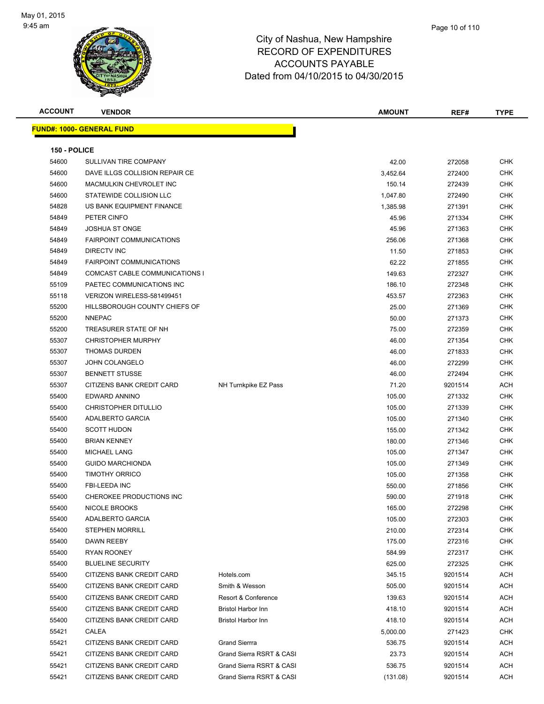

| <b>ACCOUNT</b> | <b>VENDOR</b>                     |                           | <b>AMOUNT</b> | REF#    | <b>TYPE</b> |
|----------------|-----------------------------------|---------------------------|---------------|---------|-------------|
|                | <u> FUND#: 1000- GENERAL FUND</u> |                           |               |         |             |
|                |                                   |                           |               |         |             |
| 150 - POLICE   |                                   |                           |               |         |             |
| 54600          | SULLIVAN TIRE COMPANY             |                           | 42.00         | 272058  | <b>CHK</b>  |
| 54600          | DAVE ILLGS COLLISION REPAIR CE    |                           | 3,452.64      | 272400  | <b>CHK</b>  |
| 54600          | MACMULKIN CHEVROLET INC           |                           | 150.14        | 272439  | <b>CHK</b>  |
| 54600          | STATEWIDE COLLISION LLC           |                           | 1,047.80      | 272490  | <b>CHK</b>  |
| 54828          | US BANK EQUIPMENT FINANCE         |                           | 1,385.98      | 271391  | <b>CHK</b>  |
| 54849          | PETER CINFO                       |                           | 45.96         | 271334  | <b>CHK</b>  |
| 54849          | <b>JOSHUA ST ONGE</b>             |                           | 45.96         | 271363  | <b>CHK</b>  |
| 54849          | <b>FAIRPOINT COMMUNICATIONS</b>   |                           | 256.06        | 271368  | <b>CHK</b>  |
| 54849          | DIRECTV INC                       |                           | 11.50         | 271853  | <b>CHK</b>  |
| 54849          | <b>FAIRPOINT COMMUNICATIONS</b>   |                           | 62.22         | 271855  | <b>CHK</b>  |
| 54849          | COMCAST CABLE COMMUNICATIONS I    |                           | 149.63        | 272327  | <b>CHK</b>  |
| 55109          | PAETEC COMMUNICATIONS INC         |                           | 186.10        | 272348  | <b>CHK</b>  |
| 55118          | VERIZON WIRELESS-581499451        |                           | 453.57        | 272363  | <b>CHK</b>  |
| 55200          | HILLSBOROUGH COUNTY CHIEFS OF     |                           | 25.00         | 271369  | <b>CHK</b>  |
| 55200          | <b>NNEPAC</b>                     |                           | 50.00         | 271373  | <b>CHK</b>  |
| 55200          | TREASURER STATE OF NH             |                           | 75.00         | 272359  | <b>CHK</b>  |
| 55307          | <b>CHRISTOPHER MURPHY</b>         |                           | 46.00         | 271354  | <b>CHK</b>  |
| 55307          | <b>THOMAS DURDEN</b>              |                           | 46.00         | 271833  | <b>CHK</b>  |
| 55307          | <b>JOHN COLANGELO</b>             |                           | 46.00         | 272299  | <b>CHK</b>  |
| 55307          | <b>BENNETT STUSSE</b>             |                           | 46.00         | 272494  | <b>CHK</b>  |
| 55307          | CITIZENS BANK CREDIT CARD         | NH Turnkpike EZ Pass      | 71.20         | 9201514 | <b>ACH</b>  |
| 55400          | EDWARD ANNINO                     |                           | 105.00        | 271332  | <b>CHK</b>  |
| 55400          | <b>CHRISTOPHER DITULLIO</b>       |                           | 105.00        | 271339  | <b>CHK</b>  |
| 55400          | ADALBERTO GARCIA                  |                           | 105.00        | 271340  | <b>CHK</b>  |
| 55400          | <b>SCOTT HUDON</b>                |                           | 155.00        | 271342  | <b>CHK</b>  |
| 55400          | <b>BRIAN KENNEY</b>               |                           | 180.00        | 271346  | <b>CHK</b>  |
| 55400          | <b>MICHAEL LANG</b>               |                           | 105.00        | 271347  | <b>CHK</b>  |
| 55400          | <b>GUIDO MARCHIONDA</b>           |                           | 105.00        | 271349  | <b>CHK</b>  |
| 55400          | <b>TIMOTHY ORRICO</b>             |                           | 105.00        | 271358  | <b>CHK</b>  |
| 55400          | <b>FBI-LEEDA INC</b>              |                           | 550.00        | 271856  | <b>CHK</b>  |
| 55400          | CHEROKEE PRODUCTIONS INC          |                           | 590.00        | 271918  | <b>CHK</b>  |
| 55400          | <b>NICOLE BROOKS</b>              |                           | 165.00        | 272298  | <b>CHK</b>  |
| 55400          | ADALBERTO GARCIA                  |                           | 105.00        | 272303  | <b>CHK</b>  |
| 55400          | <b>STEPHEN MORRILL</b>            |                           | 210.00        | 272314  | <b>CHK</b>  |
| 55400          | DAWN REEBY                        |                           | 175.00        | 272316  | <b>CHK</b>  |
| 55400          | RYAN ROONEY                       |                           | 584.99        | 272317  | <b>CHK</b>  |
| 55400          | <b>BLUELINE SECURITY</b>          |                           | 625.00        | 272325  | <b>CHK</b>  |
| 55400          | CITIZENS BANK CREDIT CARD         | Hotels.com                | 345.15        | 9201514 | <b>ACH</b>  |
| 55400          | CITIZENS BANK CREDIT CARD         | Smith & Wesson            | 505.00        | 9201514 | <b>ACH</b>  |
| 55400          | CITIZENS BANK CREDIT CARD         | Resort & Conference       | 139.63        | 9201514 | <b>ACH</b>  |
| 55400          | CITIZENS BANK CREDIT CARD         | Bristol Harbor Inn        | 418.10        | 9201514 | <b>ACH</b>  |
| 55400          | CITIZENS BANK CREDIT CARD         | <b>Bristol Harbor Inn</b> | 418.10        | 9201514 | <b>ACH</b>  |
| 55421          | CALEA                             |                           | 5,000.00      | 271423  | <b>CHK</b>  |
| 55421          | CITIZENS BANK CREDIT CARD         | <b>Grand Sierrra</b>      | 536.75        | 9201514 | <b>ACH</b>  |
| 55421          | CITIZENS BANK CREDIT CARD         | Grand Sierra RSRT & CASI  | 23.73         | 9201514 | <b>ACH</b>  |
| 55421          | CITIZENS BANK CREDIT CARD         | Grand Sierra RSRT & CASI  | 536.75        | 9201514 | ACH         |
| 55421          | CITIZENS BANK CREDIT CARD         | Grand Sierra RSRT & CASI  | (131.08)      | 9201514 | ACH         |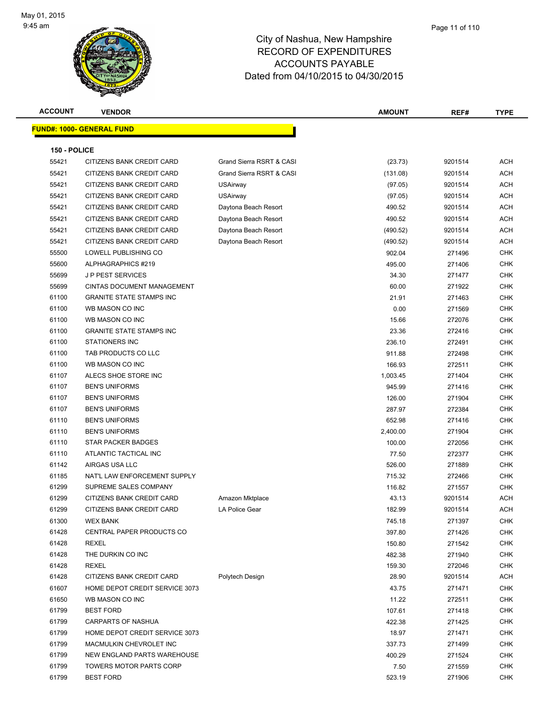

| <b>ACCOUNT</b> | <b>VENDOR</b>                     |                          | <b>AMOUNT</b> | REF#    | <b>TYPE</b> |
|----------------|-----------------------------------|--------------------------|---------------|---------|-------------|
|                | <u> FUND#: 1000- GENERAL FUND</u> |                          |               |         |             |
|                |                                   |                          |               |         |             |
| 150 - POLICE   |                                   |                          |               |         |             |
| 55421          | CITIZENS BANK CREDIT CARD         | Grand Sierra RSRT & CASI | (23.73)       | 9201514 | ACH         |
| 55421          | CITIZENS BANK CREDIT CARD         | Grand Sierra RSRT & CASI | (131.08)      | 9201514 | ACH         |
| 55421          | CITIZENS BANK CREDIT CARD         | USAirway                 | (97.05)       | 9201514 | ACH         |
| 55421          | CITIZENS BANK CREDIT CARD         | <b>USAirway</b>          | (97.05)       | 9201514 | ACH         |
| 55421          | CITIZENS BANK CREDIT CARD         | Daytona Beach Resort     | 490.52        | 9201514 | ACH         |
| 55421          | CITIZENS BANK CREDIT CARD         | Daytona Beach Resort     | 490.52        | 9201514 | ACH         |
| 55421          | CITIZENS BANK CREDIT CARD         | Daytona Beach Resort     | (490.52)      | 9201514 | ACH         |
| 55421          | CITIZENS BANK CREDIT CARD         | Daytona Beach Resort     | (490.52)      | 9201514 | ACH         |
| 55500          | LOWELL PUBLISHING CO              |                          | 902.04        | 271496  | <b>CHK</b>  |
| 55600          | ALPHAGRAPHICS #219                |                          | 495.00        | 271406  | <b>CHK</b>  |
| 55699          | <b>JP PEST SERVICES</b>           |                          | 34.30         | 271477  | <b>CHK</b>  |
| 55699          | CINTAS DOCUMENT MANAGEMENT        |                          | 60.00         | 271922  | <b>CHK</b>  |
| 61100          | <b>GRANITE STATE STAMPS INC</b>   |                          | 21.91         | 271463  | <b>CHK</b>  |
| 61100          | WB MASON CO INC                   |                          | 0.00          | 271569  | <b>CHK</b>  |
| 61100          | WB MASON CO INC                   |                          | 15.66         | 272076  | <b>CHK</b>  |
| 61100          | <b>GRANITE STATE STAMPS INC</b>   |                          | 23.36         | 272416  | <b>CHK</b>  |
| 61100          | <b>STATIONERS INC</b>             |                          | 236.10        | 272491  | CHK         |
| 61100          | TAB PRODUCTS CO LLC               |                          | 911.88        | 272498  | <b>CHK</b>  |
| 61100          | WB MASON CO INC                   |                          | 166.93        | 272511  | <b>CHK</b>  |
| 61107          | ALECS SHOE STORE INC              |                          | 1,003.45      | 271404  | <b>CHK</b>  |
| 61107          | <b>BEN'S UNIFORMS</b>             |                          | 945.99        | 271416  | <b>CHK</b>  |
| 61107          | <b>BEN'S UNIFORMS</b>             |                          | 126.00        | 271904  | <b>CHK</b>  |
| 61107          | <b>BEN'S UNIFORMS</b>             |                          | 287.97        | 272384  | <b>CHK</b>  |
| 61110          | <b>BEN'S UNIFORMS</b>             |                          | 652.98        | 271416  | <b>CHK</b>  |
| 61110          | <b>BEN'S UNIFORMS</b>             |                          | 2,400.00      | 271904  | <b>CHK</b>  |
| 61110          | <b>STAR PACKER BADGES</b>         |                          | 100.00        | 272056  | <b>CHK</b>  |
| 61110          | ATLANTIC TACTICAL INC             |                          | 77.50         | 272377  | <b>CHK</b>  |
| 61142          | AIRGAS USA LLC                    |                          | 526.00        | 271889  | CHK         |
| 61185          | NAT'L LAW ENFORCEMENT SUPPLY      |                          | 715.32        | 272466  | <b>CHK</b>  |
| 61299          | SUPREME SALES COMPANY             |                          | 116.82        | 271557  | <b>CHK</b>  |
| 61299          | CITIZENS BANK CREDIT CARD         | Amazon Mktplace          | 43.13         | 9201514 | ACH         |
| 61299          | CITIZENS BANK CREDIT CARD         | LA Police Gear           | 182.99        | 9201514 | <b>ACH</b>  |
| 61300          | <b>WEX BANK</b>                   |                          | 745.18        | 271397  | CHK         |
| 61428          | CENTRAL PAPER PRODUCTS CO         |                          | 397.80        | 271426  | <b>CHK</b>  |
| 61428          | <b>REXEL</b>                      |                          | 150.80        | 271542  | <b>CHK</b>  |
| 61428          | THE DURKIN CO INC                 |                          | 482.38        | 271940  | <b>CHK</b>  |
| 61428          | <b>REXEL</b>                      |                          | 159.30        | 272046  | <b>CHK</b>  |
| 61428          | CITIZENS BANK CREDIT CARD         | Polytech Design          | 28.90         | 9201514 | ACH         |
| 61607          | HOME DEPOT CREDIT SERVICE 3073    |                          | 43.75         | 271471  | <b>CHK</b>  |
| 61650          | WB MASON CO INC                   |                          | 11.22         | 272511  | <b>CHK</b>  |
| 61799          | <b>BEST FORD</b>                  |                          | 107.61        | 271418  | <b>CHK</b>  |
| 61799          | <b>CARPARTS OF NASHUA</b>         |                          | 422.38        | 271425  | <b>CHK</b>  |
| 61799          | HOME DEPOT CREDIT SERVICE 3073    |                          | 18.97         | 271471  | CHK         |
| 61799          | MACMULKIN CHEVROLET INC           |                          | 337.73        | 271499  | <b>CHK</b>  |
| 61799          | NEW ENGLAND PARTS WAREHOUSE       |                          | 400.29        | 271524  | <b>CHK</b>  |
| 61799          | <b>TOWERS MOTOR PARTS CORP</b>    |                          | 7.50          | 271559  | CHK         |
| 61799          | <b>BEST FORD</b>                  |                          | 523.19        | 271906  | <b>CHK</b>  |
|                |                                   |                          |               |         |             |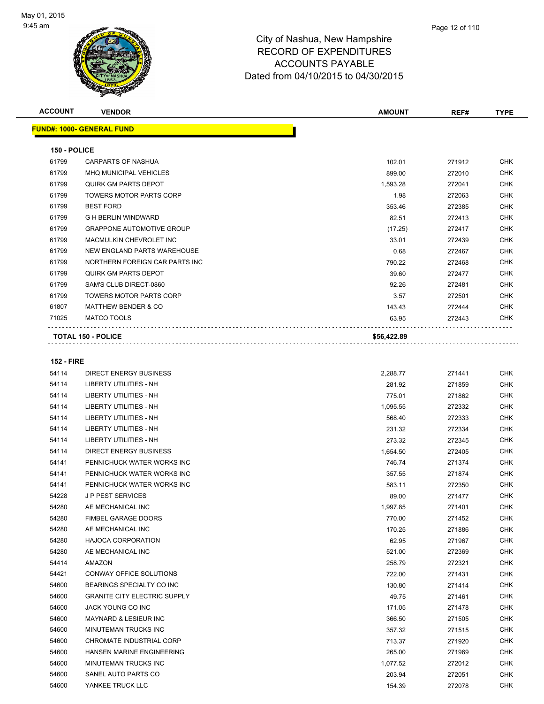

| <b>ACCOUNT</b>    | <b>VENDOR</b>                    | <b>AMOUNT</b> | REF#   | <b>TYPE</b> |
|-------------------|----------------------------------|---------------|--------|-------------|
|                   | <b>FUND#: 1000- GENERAL FUND</b> |               |        |             |
| 150 - POLICE      |                                  |               |        |             |
| 61799             | <b>CARPARTS OF NASHUA</b>        | 102.01        | 271912 | <b>CHK</b>  |
| 61799             | <b>MHQ MUNICIPAL VEHICLES</b>    | 899.00        | 272010 | <b>CHK</b>  |
| 61799             | <b>QUIRK GM PARTS DEPOT</b>      | 1,593.28      | 272041 | <b>CHK</b>  |
| 61799             | <b>TOWERS MOTOR PARTS CORP</b>   | 1.98          | 272063 | <b>CHK</b>  |
| 61799             | <b>BEST FORD</b>                 | 353.46        | 272385 | <b>CHK</b>  |
| 61799             | <b>G H BERLIN WINDWARD</b>       | 82.51         | 272413 | <b>CHK</b>  |
| 61799             | <b>GRAPPONE AUTOMOTIVE GROUP</b> | (17.25)       | 272417 | <b>CHK</b>  |
| 61799             | MACMULKIN CHEVROLET INC          | 33.01         | 272439 | <b>CHK</b>  |
| 61799             | NEW ENGLAND PARTS WAREHOUSE      | 0.68          | 272467 | <b>CHK</b>  |
| 61799             | NORTHERN FOREIGN CAR PARTS INC   | 790.22        | 272468 | <b>CHK</b>  |
| 61799             | QUIRK GM PARTS DEPOT             | 39.60         | 272477 | <b>CHK</b>  |
| 61799             | SAM'S CLUB DIRECT-0860           | 92.26         | 272481 | <b>CHK</b>  |
| 61799             | <b>TOWERS MOTOR PARTS CORP</b>   | 3.57          | 272501 | <b>CHK</b>  |
| 61807             | <b>MATTHEW BENDER &amp; CO</b>   | 143.43        | 272444 | <b>CHK</b>  |
| 71025             | <b>MATCO TOOLS</b>               | 63.95         | 272443 | <b>CHK</b>  |
|                   | <b>TOTAL 150 - POLICE</b>        | \$56,422.89   |        |             |
|                   |                                  |               |        |             |
| <b>152 - FIRE</b> |                                  |               |        |             |

| 54114 | <b>DIRECT ENERGY BUSINESS</b>       | 2,288.77 | 271441 | <b>CHK</b> |
|-------|-------------------------------------|----------|--------|------------|
| 54114 | <b>LIBERTY UTILITIES - NH</b>       | 281.92   | 271859 | <b>CHK</b> |
| 54114 | LIBERTY UTILITIES - NH              | 775.01   | 271862 | <b>CHK</b> |
| 54114 | <b>LIBERTY UTILITIES - NH</b>       | 1,095.55 | 272332 | <b>CHK</b> |
| 54114 | <b>LIBERTY UTILITIES - NH</b>       | 568.40   | 272333 | <b>CHK</b> |
| 54114 | <b>LIBERTY UTILITIES - NH</b>       | 231.32   | 272334 | <b>CHK</b> |
| 54114 | <b>LIBERTY UTILITIES - NH</b>       | 273.32   | 272345 | <b>CHK</b> |
| 54114 | <b>DIRECT ENERGY BUSINESS</b>       | 1,654.50 | 272405 | <b>CHK</b> |
| 54141 | PENNICHUCK WATER WORKS INC          | 746.74   | 271374 | <b>CHK</b> |
| 54141 | PENNICHUCK WATER WORKS INC          | 357.55   | 271874 | <b>CHK</b> |
| 54141 | PENNICHUCK WATER WORKS INC          | 583.11   | 272350 | <b>CHK</b> |
| 54228 | <b>JP PEST SERVICES</b>             | 89.00    | 271477 | <b>CHK</b> |
| 54280 | AE MECHANICAL INC                   | 1,997.85 | 271401 | <b>CHK</b> |
| 54280 | <b>FIMBEL GARAGE DOORS</b>          | 770.00   | 271452 | <b>CHK</b> |
| 54280 | AE MECHANICAL INC                   | 170.25   | 271886 | <b>CHK</b> |
| 54280 | <b>HAJOCA CORPORATION</b>           | 62.95    | 271967 | <b>CHK</b> |
| 54280 | AE MECHANICAL INC                   | 521.00   | 272369 | <b>CHK</b> |
| 54414 | AMAZON                              | 258.79   | 272321 | <b>CHK</b> |
| 54421 | CONWAY OFFICE SOLUTIONS             | 722.00   | 271431 | <b>CHK</b> |
| 54600 | BEARINGS SPECIALTY CO INC           | 130.80   | 271414 | <b>CHK</b> |
| 54600 | <b>GRANITE CITY ELECTRIC SUPPLY</b> | 49.75    | 271461 | <b>CHK</b> |
| 54600 | JACK YOUNG CO INC                   | 171.05   | 271478 | <b>CHK</b> |
| 54600 | <b>MAYNARD &amp; LESIEUR INC</b>    | 366.50   | 271505 | <b>CHK</b> |
| 54600 | MINUTEMAN TRUCKS INC                | 357.32   | 271515 | <b>CHK</b> |
| 54600 | CHROMATE INDUSTRIAL CORP            | 713.37   | 271920 | <b>CHK</b> |
| 54600 | HANSEN MARINE ENGINEERING           | 265.00   | 271969 | <b>CHK</b> |
| 54600 | MINUTEMAN TRUCKS INC                | 1,077.52 | 272012 | <b>CHK</b> |
| 54600 | SANEL AUTO PARTS CO                 | 203.94   | 272051 | <b>CHK</b> |
| 54600 | YANKEE TRUCK LLC                    | 154.39   | 272078 | <b>CHK</b> |
|       |                                     |          |        |            |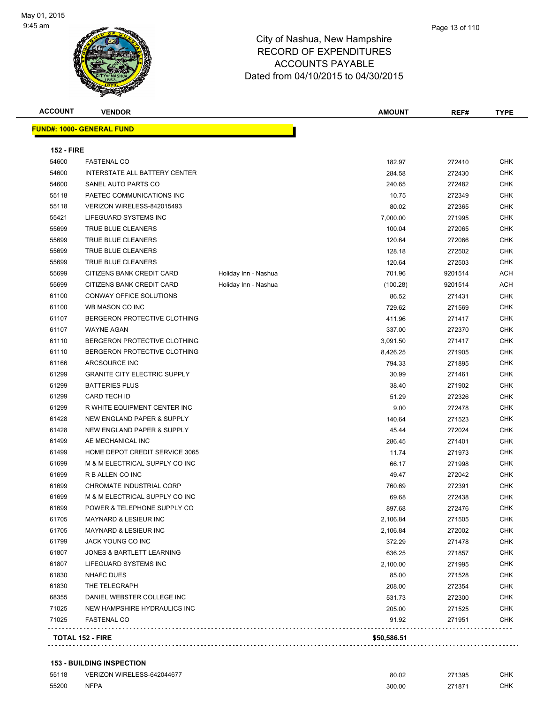

| <b>ACCOUNT</b>    | <b>VENDOR</b>                       |                      | <b>AMOUNT</b> | REF#    | <b>TYPE</b> |
|-------------------|-------------------------------------|----------------------|---------------|---------|-------------|
|                   | <b>FUND#: 1000- GENERAL FUND</b>    |                      |               |         |             |
| <b>152 - FIRE</b> |                                     |                      |               |         |             |
| 54600             | <b>FASTENAL CO</b>                  |                      | 182.97        | 272410  | CHK         |
| 54600             | INTERSTATE ALL BATTERY CENTER       |                      | 284.58        | 272430  | <b>CHK</b>  |
| 54600             | SANEL AUTO PARTS CO                 |                      | 240.65        | 272482  | <b>CHK</b>  |
| 55118             | PAETEC COMMUNICATIONS INC           |                      | 10.75         | 272349  | <b>CHK</b>  |
| 55118             | VERIZON WIRELESS-842015493          |                      | 80.02         | 272365  | <b>CHK</b>  |
| 55421             | LIFEGUARD SYSTEMS INC               |                      | 7,000.00      | 271995  | <b>CHK</b>  |
| 55699             | <b>TRUE BLUE CLEANERS</b>           |                      | 100.04        | 272065  | <b>CHK</b>  |
| 55699             | TRUE BLUE CLEANERS                  |                      | 120.64        | 272066  | <b>CHK</b>  |
| 55699             | TRUE BLUE CLEANERS                  |                      | 128.18        | 272502  | <b>CHK</b>  |
| 55699             | TRUE BLUE CLEANERS                  |                      | 120.64        | 272503  | <b>CHK</b>  |
| 55699             | CITIZENS BANK CREDIT CARD           | Holiday Inn - Nashua | 701.96        | 9201514 | ACH         |
| 55699             | CITIZENS BANK CREDIT CARD           | Holiday Inn - Nashua | (100.28)      | 9201514 | ACH         |
| 61100             | CONWAY OFFICE SOLUTIONS             |                      | 86.52         | 271431  | <b>CHK</b>  |
| 61100             | WB MASON CO INC                     |                      | 729.62        | 271569  | <b>CHK</b>  |
| 61107             | BERGERON PROTECTIVE CLOTHING        |                      | 411.96        | 271417  | <b>CHK</b>  |
| 61107             | <b>WAYNE AGAN</b>                   |                      | 337.00        | 272370  | <b>CHK</b>  |
| 61110             | BERGERON PROTECTIVE CLOTHING        |                      | 3,091.50      | 271417  | <b>CHK</b>  |
| 61110             | BERGERON PROTECTIVE CLOTHING        |                      | 8,426.25      | 271905  | <b>CHK</b>  |
| 61166             | ARCSOURCE INC                       |                      | 794.33        | 271895  | <b>CHK</b>  |
| 61299             | <b>GRANITE CITY ELECTRIC SUPPLY</b> |                      | 30.99         | 271461  | <b>CHK</b>  |
| 61299             | <b>BATTERIES PLUS</b>               |                      | 38.40         | 271902  | <b>CHK</b>  |
| 61299             | <b>CARD TECH ID</b>                 |                      | 51.29         | 272326  | CHK         |
| 61299             | R WHITE EQUIPMENT CENTER INC        |                      | 9.00          | 272478  | <b>CHK</b>  |
| 61428             | NEW ENGLAND PAPER & SUPPLY          |                      | 140.64        | 271523  | <b>CHK</b>  |
| 61428             | NEW ENGLAND PAPER & SUPPLY          |                      | 45.44         | 272024  | <b>CHK</b>  |
| 61499             | AE MECHANICAL INC                   |                      | 286.45        | 271401  | <b>CHK</b>  |
| 61499             | HOME DEPOT CREDIT SERVICE 3065      |                      | 11.74         | 271973  | <b>CHK</b>  |
| 61699             | M & M ELECTRICAL SUPPLY CO INC      |                      | 66.17         | 271998  | <b>CHK</b>  |
| 61699             | R B ALLEN CO INC                    |                      | 49.47         | 272042  | <b>CHK</b>  |
| 61699             | CHROMATE INDUSTRIAL CORP            |                      | 760.69        | 272391  | <b>CHK</b>  |
| 61699             | M & M ELECTRICAL SUPPLY CO INC      |                      | 69.68         | 272438  | <b>CHK</b>  |
| 61699             | POWER & TELEPHONE SUPPLY CO         |                      | 897.68        | 272476  | <b>CHK</b>  |
| 61705             | MAYNARD & LESIEUR INC               |                      | 2,106.84      | 271505  | CHK         |
| 61705             | MAYNARD & LESIEUR INC               |                      | 2,106.84      | 272002  | CHK         |
| 61799             | JACK YOUNG CO INC                   |                      | 372.29        | 271478  | CHK         |
| 61807             | JONES & BARTLETT LEARNING           |                      | 636.25        | 271857  | <b>CHK</b>  |
| 61807             | LIFEGUARD SYSTEMS INC               |                      | 2,100.00      | 271995  | <b>CHK</b>  |
| 61830             | NHAFC DUES                          |                      | 85.00         | 271528  | <b>CHK</b>  |
| 61830             | THE TELEGRAPH                       |                      | 208.00        | 272354  | <b>CHK</b>  |
| 68355             | DANIEL WEBSTER COLLEGE INC          |                      | 531.73        | 272300  | <b>CHK</b>  |
| 71025             | NEW HAMPSHIRE HYDRAULICS INC        |                      | 205.00        | 271525  | <b>CHK</b>  |
| 71025             | <b>FASTENAL CO</b>                  |                      | 91.92         | 271951  | <b>CHK</b>  |
|                   | TOTAL 152 - FIRE                    |                      | \$50,586.51   |         |             |
|                   |                                     |                      |               |         |             |

# **153 - BUILDING INSPECTION**

| 55118 | VERIZON WIRELESS-642044677 | 80.02  | 271395 | <b>CHK</b> |
|-------|----------------------------|--------|--------|------------|
| 55200 | <b>NFPA</b>                | 300.00 | 271871 | <b>CHK</b> |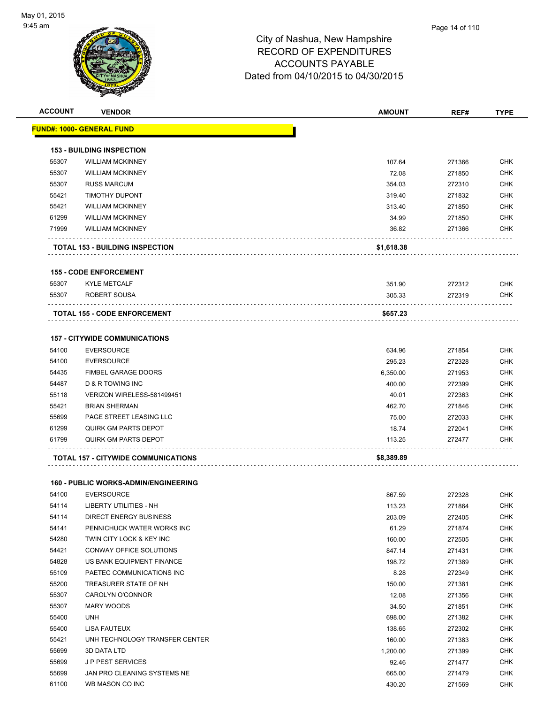

| <b>ACCOUNT</b> | <b>VENDOR</b>                               | <b>AMOUNT</b> | REF#   | <b>TYPE</b> |
|----------------|---------------------------------------------|---------------|--------|-------------|
|                | <u> FUND#: 1000- GENERAL FUND</u>           |               |        |             |
|                | <b>153 - BUILDING INSPECTION</b>            |               |        |             |
| 55307          | <b>WILLIAM MCKINNEY</b>                     | 107.64        | 271366 | <b>CHK</b>  |
| 55307          | <b>WILLIAM MCKINNEY</b>                     | 72.08         | 271850 | <b>CHK</b>  |
| 55307          | <b>RUSS MARCUM</b>                          | 354.03        | 272310 | <b>CHK</b>  |
| 55421          | <b>TIMOTHY DUPONT</b>                       | 319.40        | 271832 | <b>CHK</b>  |
| 55421          | <b>WILLIAM MCKINNEY</b>                     | 313.40        | 271850 | <b>CHK</b>  |
| 61299          | <b>WILLIAM MCKINNEY</b>                     | 34.99         | 271850 | <b>CHK</b>  |
| 71999          | <b>WILLIAM MCKINNEY</b>                     | 36.82         | 271366 | <b>CHK</b>  |
|                | <b>TOTAL 153 - BUILDING INSPECTION</b>      | \$1,618.38    |        |             |
|                | <b>155 - CODE ENFORCEMENT</b>               |               |        |             |
| 55307          | <b>KYLE METCALF</b>                         | 351.90        | 272312 | <b>CHK</b>  |
| 55307          | ROBERT SOUSA                                | 305.33        | 272319 | <b>CHK</b>  |
|                |                                             |               |        |             |
|                | <b>TOTAL 155 - CODE ENFORCEMENT</b>         | \$657.23      |        |             |
|                | <b>157 - CITYWIDE COMMUNICATIONS</b>        |               |        |             |
| 54100          | <b>EVERSOURCE</b>                           | 634.96        | 271854 | <b>CHK</b>  |
| 54100          | <b>EVERSOURCE</b>                           | 295.23        | 272328 | <b>CHK</b>  |
| 54435          | <b>FIMBEL GARAGE DOORS</b>                  | 6,350.00      | 271953 | <b>CHK</b>  |
| 54487          | D & R TOWING INC                            | 400.00        | 272399 | <b>CHK</b>  |
| 55118          | VERIZON WIRELESS-581499451                  | 40.01         | 272363 | <b>CHK</b>  |
| 55421          | <b>BRIAN SHERMAN</b>                        | 462.70        | 271846 | <b>CHK</b>  |
| 55699          | PAGE STREET LEASING LLC                     | 75.00         | 272033 | <b>CHK</b>  |
| 61299          | QUIRK GM PARTS DEPOT                        | 18.74         | 272041 | <b>CHK</b>  |
| 61799          | <b>QUIRK GM PARTS DEPOT</b>                 | 113.25        | 272477 | <b>CHK</b>  |
|                | TOTAL 157 - CITYWIDE COMMUNICATIONS         | \$8,389.89    |        |             |
|                | <b>160 - PUBLIC WORKS-ADMIN/ENGINEERING</b> |               |        |             |
| 54100          | <b>EVERSOURCE</b>                           | 867.59        | 272328 | <b>CHK</b>  |
| 54114          | LIBERTY UTILITIES - NH                      | 113.23        | 271864 | CHK         |
| 54114          | <b>DIRECT ENERGY BUSINESS</b>               | 203.09        | 272405 | <b>CHK</b>  |
| 54141          | PENNICHUCK WATER WORKS INC                  | 61.29         | 271874 | <b>CHK</b>  |
| 54280          | TWIN CITY LOCK & KEY INC                    | 160.00        | 272505 | <b>CHK</b>  |
| 54421          | CONWAY OFFICE SOLUTIONS                     | 847.14        | 271431 | <b>CHK</b>  |
| 54828          | US BANK EQUIPMENT FINANCE                   | 198.72        | 271389 | <b>CHK</b>  |
| 55109          | PAETEC COMMUNICATIONS INC                   | 8.28          | 272349 | <b>CHK</b>  |
| 55200          | TREASURER STATE OF NH                       | 150.00        | 271381 | <b>CHK</b>  |
| 55307          | CAROLYN O'CONNOR                            | 12.08         | 271356 | <b>CHK</b>  |
| 55307          | MARY WOODS                                  | 34.50         | 271851 | <b>CHK</b>  |
| 55400          | <b>UNH</b>                                  | 698.00        | 271382 | <b>CHK</b>  |
| 55400          | <b>LISA FAUTEUX</b>                         | 138.65        | 272302 | <b>CHK</b>  |
| 55421          | UNH TECHNOLOGY TRANSFER CENTER              | 160.00        | 271383 | <b>CHK</b>  |
| 55699          | 3D DATA LTD                                 | 1,200.00      | 271399 | <b>CHK</b>  |
| 55699          | JP PEST SERVICES                            | 92.46         | 271477 | <b>CHK</b>  |
| 55699          | JAN PRO CLEANING SYSTEMS NE                 | 665.00        | 271479 | <b>CHK</b>  |
| 61100          | WB MASON CO INC                             | 430.20        | 271569 | <b>CHK</b>  |
|                |                                             |               |        |             |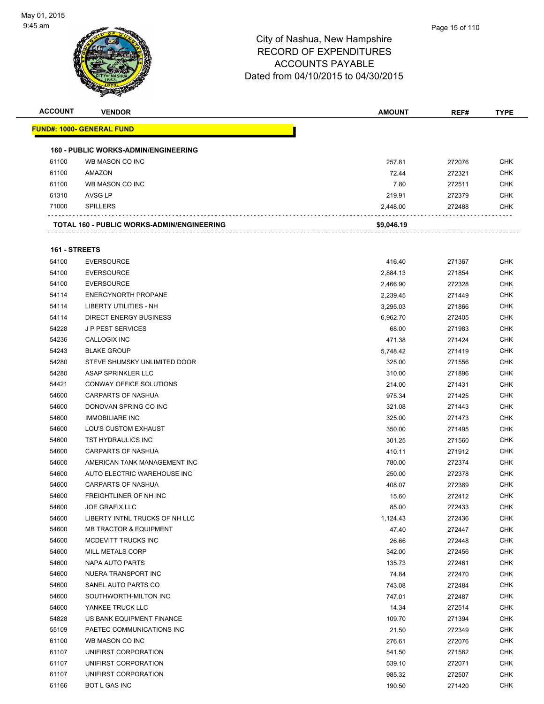

| <b>ACCOUNT</b> | <b>VENDOR</b>                               | <b>AMOUNT</b>      | REF#             | <b>TYPE</b>              |
|----------------|---------------------------------------------|--------------------|------------------|--------------------------|
|                | <u> FUND#: 1000- GENERAL FUND</u>           |                    |                  |                          |
|                | <b>160 - PUBLIC WORKS-ADMIN/ENGINEERING</b> |                    |                  |                          |
| 61100          | WB MASON CO INC                             | 257.81             | 272076           | <b>CHK</b>               |
| 61100          | AMAZON                                      | 72.44              | 272321           | <b>CHK</b>               |
| 61100          | WB MASON CO INC                             | 7.80               | 272511           | CHK                      |
| 61310          | AVSG LP                                     | 219.91             | 272379           | <b>CHK</b>               |
| 71000          | <b>SPILLERS</b>                             | 2,448.00           | 272488           | <b>CHK</b>               |
|                | TOTAL 160 - PUBLIC WORKS-ADMIN/ENGINEERING  | \$9,046.19         |                  |                          |
| 161 - STREETS  |                                             |                    |                  |                          |
| 54100          | <b>EVERSOURCE</b>                           |                    |                  | <b>CHK</b>               |
| 54100          | <b>EVERSOURCE</b>                           | 416.40             | 271367           | <b>CHK</b>               |
| 54100          | <b>EVERSOURCE</b>                           | 2,884.13           | 271854           | <b>CHK</b>               |
| 54114          | <b>ENERGYNORTH PROPANE</b>                  | 2,466.90           | 272328<br>271449 |                          |
| 54114          | LIBERTY UTILITIES - NH                      | 2,239.45           |                  | <b>CHK</b><br><b>CHK</b> |
|                | <b>DIRECT ENERGY BUSINESS</b>               | 3,295.03           | 271866           | <b>CHK</b>               |
| 54114<br>54228 | <b>JP PEST SERVICES</b>                     | 6,962.70<br>68.00  | 272405<br>271983 | <b>CHK</b>               |
| 54236          | <b>CALLOGIX INC</b>                         |                    |                  | <b>CHK</b>               |
| 54243          | <b>BLAKE GROUP</b>                          | 471.38<br>5,748.42 | 271424<br>271419 | <b>CHK</b>               |
| 54280          | STEVE SHUMSKY UNLIMITED DOOR                | 325.00             | 271556           | <b>CHK</b>               |
| 54280          | ASAP SPRINKLER LLC                          | 310.00             | 271896           | <b>CHK</b>               |
| 54421          | CONWAY OFFICE SOLUTIONS                     | 214.00             | 271431           | CHK                      |
| 54600          | CARPARTS OF NASHUA                          | 975.34             | 271425           | <b>CHK</b>               |
| 54600          | DONOVAN SPRING CO INC                       |                    |                  | <b>CHK</b>               |
| 54600          | <b>IMMOBILIARE INC</b>                      | 321.08             | 271443           |                          |
| 54600          | LOU'S CUSTOM EXHAUST                        | 325.00             | 271473           | <b>CHK</b><br><b>CHK</b> |
| 54600          | TST HYDRAULICS INC                          | 350.00             | 271495           |                          |
| 54600          | <b>CARPARTS OF NASHUA</b>                   | 301.25             | 271560           | <b>CHK</b><br><b>CHK</b> |
| 54600          | AMERICAN TANK MANAGEMENT INC                | 410.11             | 271912           |                          |
| 54600          | AUTO ELECTRIC WAREHOUSE INC                 | 780.00             | 272374           | <b>CHK</b><br><b>CHK</b> |
| 54600          | CARPARTS OF NASHUA                          | 250.00             | 272378           | <b>CHK</b>               |
| 54600          | FREIGHTLINER OF NH INC                      | 408.07<br>15.60    | 272389<br>272412 | <b>CHK</b>               |
|                | <b>JOE GRAFIX LLC</b>                       |                    |                  | <b>CHK</b>               |
| 54600<br>54600 | LIBERTY INTNL TRUCKS OF NH LLC              | 85.00              | 272433           | CHK                      |
| 54600          | <b>MB TRACTOR &amp; EQUIPMENT</b>           | 1,124.43<br>47.40  | 272436<br>272447 | <b>CHK</b>               |
| 54600          | MCDEVITT TRUCKS INC                         | 26.66              | 272448           | <b>CHK</b>               |
| 54600          | MILL METALS CORP                            | 342.00             | 272456           | <b>CHK</b>               |
| 54600          | <b>NAPA AUTO PARTS</b>                      | 135.73             | 272461           | <b>CHK</b>               |
| 54600          | NUERA TRANSPORT INC                         | 74.84              | 272470           | <b>CHK</b>               |
| 54600          | SANEL AUTO PARTS CO                         | 743.08             | 272484           | <b>CHK</b>               |
| 54600          | SOUTHWORTH-MILTON INC                       | 747.01             | 272487           | <b>CHK</b>               |
| 54600          | YANKEE TRUCK LLC                            | 14.34              | 272514           | <b>CHK</b>               |
| 54828          | US BANK EQUIPMENT FINANCE                   | 109.70             | 271394           | <b>CHK</b>               |
| 55109          | PAETEC COMMUNICATIONS INC                   |                    |                  | <b>CHK</b>               |
| 61100          | WB MASON CO INC                             | 21.50<br>276.61    | 272349<br>272076 | <b>CHK</b>               |
| 61107          | UNIFIRST CORPORATION                        | 541.50             | 271562           | <b>CHK</b>               |
| 61107          | UNIFIRST CORPORATION                        | 539.10             | 272071           | <b>CHK</b>               |
| 61107          | UNIFIRST CORPORATION                        | 985.32             | 272507           | <b>CHK</b>               |
| 61166          |                                             |                    |                  | <b>CHK</b>               |
|                | BOT L GAS INC                               | 190.50             | 271420           |                          |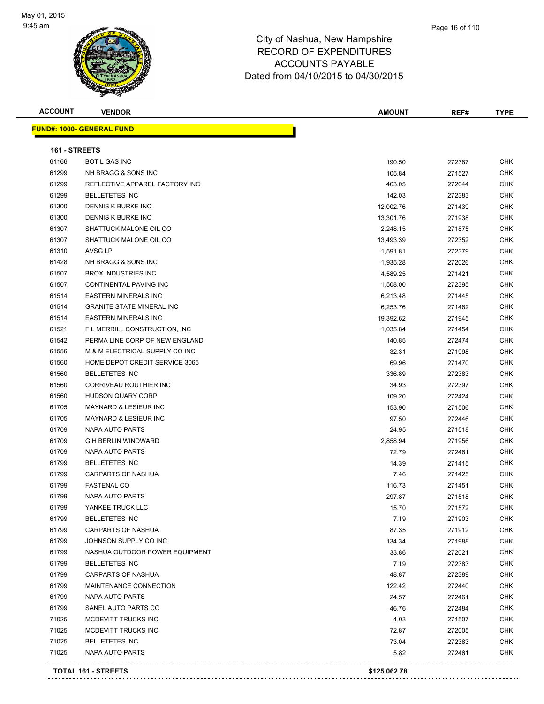

| <b>ACCOUNT</b> | <b>VENDOR</b>                    | <b>AMOUNT</b> | REF#   | <b>TYPE</b> |
|----------------|----------------------------------|---------------|--------|-------------|
|                | <b>FUND#: 1000- GENERAL FUND</b> |               |        |             |
| 161 - STREETS  |                                  |               |        |             |
| 61166          | <b>BOT L GAS INC</b>             | 190.50        | 272387 | <b>CHK</b>  |
| 61299          | NH BRAGG & SONS INC              | 105.84        | 271527 | <b>CHK</b>  |
| 61299          | REFLECTIVE APPAREL FACTORY INC   | 463.05        | 272044 | <b>CHK</b>  |
| 61299          | <b>BELLETETES INC</b>            | 142.03        | 272383 | <b>CHK</b>  |
| 61300          | DENNIS K BURKE INC               | 12,002.76     | 271439 | <b>CHK</b>  |
| 61300          | DENNIS K BURKE INC               | 13,301.76     | 271938 | <b>CHK</b>  |
| 61307          | SHATTUCK MALONE OIL CO           | 2,248.15      | 271875 | <b>CHK</b>  |
| 61307          | SHATTUCK MALONE OIL CO           | 13,493.39     | 272352 | <b>CHK</b>  |
| 61310          | AVSG LP                          | 1,591.81      | 272379 | <b>CHK</b>  |
| 61428          | NH BRAGG & SONS INC              | 1,935.28      | 272026 | <b>CHK</b>  |
| 61507          | <b>BROX INDUSTRIES INC</b>       | 4,589.25      | 271421 | <b>CHK</b>  |
| 61507          | CONTINENTAL PAVING INC           | 1,508.00      | 272395 | <b>CHK</b>  |
| 61514          | EASTERN MINERALS INC             | 6,213.48      | 271445 | <b>CHK</b>  |
| 61514          | <b>GRANITE STATE MINERAL INC</b> | 6,253.76      | 271462 | <b>CHK</b>  |
| 61514          | <b>EASTERN MINERALS INC</b>      | 19,392.62     | 271945 | <b>CHK</b>  |
| 61521          | F L MERRILL CONSTRUCTION, INC    | 1,035.84      | 271454 | CHK         |
| 61542          | PERMA LINE CORP OF NEW ENGLAND   | 140.85        | 272474 | CHK         |
| 61556          | M & M ELECTRICAL SUPPLY CO INC   | 32.31         | 271998 | CHK         |
| 61560          | HOME DEPOT CREDIT SERVICE 3065   | 69.96         | 271470 | CHK         |
| 61560          | <b>BELLETETES INC</b>            | 336.89        | 272383 | <b>CHK</b>  |
| 61560          | CORRIVEAU ROUTHIER INC           | 34.93         | 272397 | <b>CHK</b>  |
| 61560          | <b>HUDSON QUARY CORP</b>         | 109.20        | 272424 | <b>CHK</b>  |
| 61705          | <b>MAYNARD &amp; LESIEUR INC</b> | 153.90        | 271506 | <b>CHK</b>  |
| 61705          | MAYNARD & LESIEUR INC            | 97.50         | 272446 | <b>CHK</b>  |
| 61709          | NAPA AUTO PARTS                  | 24.95         | 271518 | <b>CHK</b>  |
| 61709          | <b>G H BERLIN WINDWARD</b>       | 2,858.94      | 271956 | <b>CHK</b>  |
| 61709          | NAPA AUTO PARTS                  | 72.79         | 272461 | CHK         |
| 61799          | <b>BELLETETES INC</b>            | 14.39         | 271415 | <b>CHK</b>  |
| 61799          | <b>CARPARTS OF NASHUA</b>        | 7.46          | 271425 | <b>CHK</b>  |
| 61799          | <b>FASTENAL CO</b>               | 116.73        | 271451 | <b>CHK</b>  |
| 61799          | NAPA AUTO PARTS                  | 297.87        | 271518 | <b>CHK</b>  |
| 61799          | YANKEE TRUCK LLC                 | 15.70         | 271572 | <b>CHK</b>  |
| 61799          | <b>BELLETETES INC</b>            | 7.19          | 271903 | <b>CHK</b>  |
| 61799          | <b>CARPARTS OF NASHUA</b>        | 87.35         | 271912 | <b>CHK</b>  |
| 61799          | JOHNSON SUPPLY CO INC            | 134.34        | 271988 | <b>CHK</b>  |
| 61799          | NASHUA OUTDOOR POWER EQUIPMENT   | 33.86         | 272021 | <b>CHK</b>  |
| 61799          | <b>BELLETETES INC</b>            | 7.19          | 272383 | <b>CHK</b>  |
| 61799          | CARPARTS OF NASHUA               | 48.87         | 272389 | <b>CHK</b>  |
| 61799          | MAINTENANCE CONNECTION           | 122.42        | 272440 | <b>CHK</b>  |
| 61799          | <b>NAPA AUTO PARTS</b>           | 24.57         | 272461 | <b>CHK</b>  |
| 61799          | SANEL AUTO PARTS CO              | 46.76         | 272484 | <b>CHK</b>  |
| 71025          | MCDEVITT TRUCKS INC              | 4.03          | 271507 | <b>CHK</b>  |
| 71025          | MCDEVITT TRUCKS INC              | 72.87         | 272005 | <b>CHK</b>  |
| 71025          | <b>BELLETETES INC</b>            | 73.04         | 272383 | <b>CHK</b>  |
| 71025          | NAPA AUTO PARTS                  | 5.82          | 272461 | CHK         |
|                |                                  |               |        |             |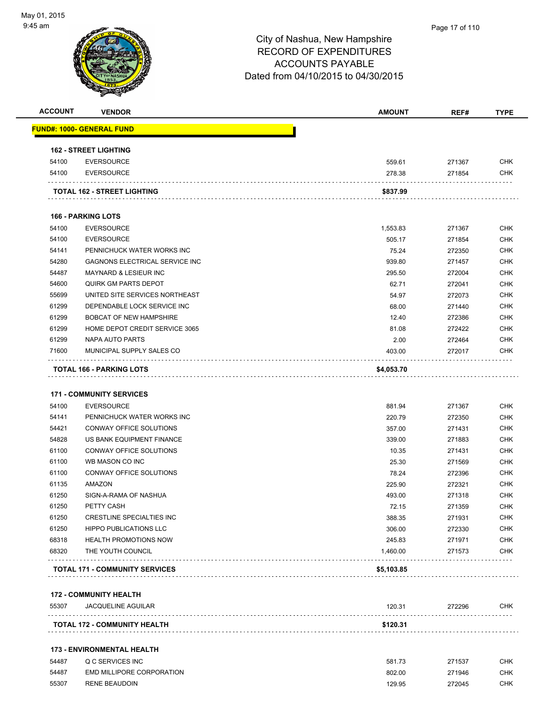

| <b>ACCOUNT</b> | <b>VENDOR</b>                                   | <b>AMOUNT</b>    | REF#             | <b>TYPE</b>              |
|----------------|-------------------------------------------------|------------------|------------------|--------------------------|
|                | <u> FUND#: 1000- GENERAL FUND</u>               |                  |                  |                          |
|                | <b>162 - STREET LIGHTING</b>                    |                  |                  |                          |
| 54100          | <b>EVERSOURCE</b>                               | 559.61           | 271367           | <b>CHK</b>               |
| 54100          | <b>EVERSOURCE</b>                               | 278.38           | 271854           | <b>CHK</b>               |
|                | TOTAL 162 - STREET LIGHTING                     | \$837.99         |                  |                          |
|                | <b>166 - PARKING LOTS</b>                       |                  |                  |                          |
| 54100          | <b>EVERSOURCE</b>                               | 1,553.83         | 271367           | <b>CHK</b>               |
| 54100          | <b>EVERSOURCE</b>                               | 505.17           | 271854           | <b>CHK</b>               |
| 54141          | PENNICHUCK WATER WORKS INC                      | 75.24            | 272350           | <b>CHK</b>               |
| 54280          | GAGNONS ELECTRICAL SERVICE INC                  | 939.80           | 271457           | <b>CHK</b>               |
| 54487          | <b>MAYNARD &amp; LESIEUR INC</b>                | 295.50           | 272004           | <b>CHK</b>               |
| 54600          | <b>QUIRK GM PARTS DEPOT</b>                     | 62.71            | 272041           | <b>CHK</b>               |
| 55699          | UNITED SITE SERVICES NORTHEAST                  | 54.97            | 272073           | <b>CHK</b>               |
| 61299          | DEPENDABLE LOCK SERVICE INC                     | 68.00            | 271440           | <b>CHK</b>               |
| 61299          | <b>BOBCAT OF NEW HAMPSHIRE</b>                  | 12.40            |                  | <b>CHK</b>               |
|                | HOME DEPOT CREDIT SERVICE 3065                  |                  | 272386           |                          |
| 61299          |                                                 | 81.08            | 272422           | <b>CHK</b>               |
| 61299          | NAPA AUTO PARTS<br>MUNICIPAL SUPPLY SALES CO    | 2.00             | 272464           | <b>CHK</b>               |
| 71600          |                                                 | 403.00           | 272017           | <b>CHK</b>               |
|                | TOTAL 166 - PARKING LOTS                        | \$4,053.70       |                  |                          |
| 54100<br>54141 | <b>EVERSOURCE</b><br>PENNICHUCK WATER WORKS INC | 881.94<br>220.79 | 271367<br>272350 | <b>CHK</b><br><b>CHK</b> |
| 54421          | CONWAY OFFICE SOLUTIONS                         | 357.00           | 271431           | <b>CHK</b>               |
| 54828          | US BANK EQUIPMENT FINANCE                       | 339.00           | 271883           | <b>CHK</b>               |
| 61100          | CONWAY OFFICE SOLUTIONS                         | 10.35            | 271431           | <b>CHK</b>               |
| 61100          | WB MASON CO INC                                 | 25.30            | 271569           | <b>CHK</b>               |
| 61100          | CONWAY OFFICE SOLUTIONS                         | 78.24            | 272396           | <b>CHK</b>               |
| 61135          | AMAZON                                          | 225.90           | 272321           | <b>CHK</b>               |
| 61250          | SIGN-A-RAMA OF NASHUA                           | 493.00           | 271318           | <b>CHK</b>               |
| 61250          | PETTY CASH                                      | 72.15            | 271359           | <b>CHK</b>               |
| 61250          | CRESTLINE SPECIALTIES INC                       | 388.35           | 271931           | <b>CHK</b>               |
| 61250          | <b>HIPPO PUBLICATIONS LLC</b>                   | 306.00           | 272330           | <b>CHK</b>               |
| 68318          | <b>HEALTH PROMOTIONS NOW</b>                    | 245.83           | 271971           | <b>CHK</b>               |
| 68320          | THE YOUTH COUNCIL                               | 1,460.00         | 271573           | <b>CHK</b>               |
|                | <b>TOTAL 171 - COMMUNITY SERVICES</b>           | \$5,103.85       |                  |                          |
|                |                                                 |                  |                  |                          |
| 55307          | <b>172 - COMMUNITY HEALTH</b>                   |                  |                  |                          |
|                | <b>JACQUELINE AGUILAR</b>                       | 120.31           | 272296<br>.      | CHK                      |
|                | TOTAL 172 - COMMUNITY HEALTH                    | \$120.31         |                  |                          |
|                | <b>173 - ENVIRONMENTAL HEALTH</b>               |                  |                  |                          |
| 54487          | Q C SERVICES INC                                | 581.73           | 271537           | <b>CHK</b>               |
| 54487          | EMD MILLIPORE CORPORATION                       | 802.00           | 271946           | <b>CHK</b>               |
| 55307          | <b>RENE BEAUDOIN</b>                            | 129.95           | 272045           | <b>CHK</b>               |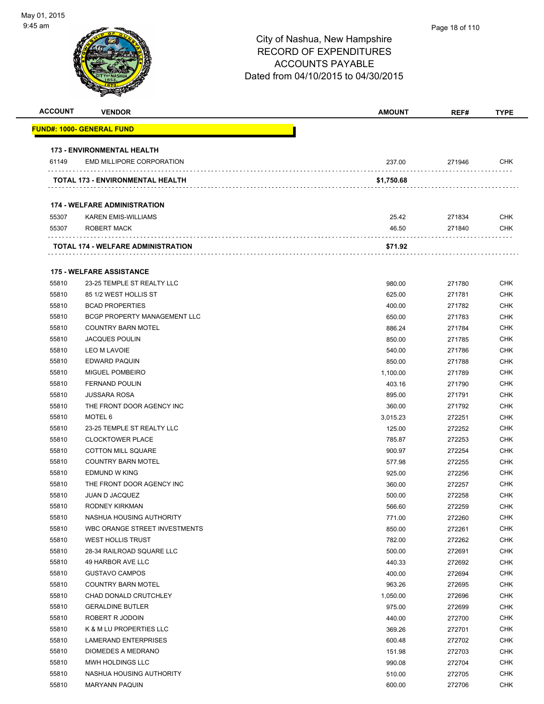| <b>ACCOUNT</b> | <b>VENDOR</b>                           | <b>AMOUNT</b> | REF#   | <b>TYPE</b> |
|----------------|-----------------------------------------|---------------|--------|-------------|
|                | <u> FUND#: 1000- GENERAL FUND</u>       |               |        |             |
|                | <b>173 - ENVIRONMENTAL HEALTH</b>       |               |        |             |
| 61149          | <b>EMD MILLIPORE CORPORATION</b>        | 237.00        | 271946 | CHK         |
|                | <b>TOTAL 173 - ENVIRONMENTAL HEALTH</b> | \$1,750.68    |        |             |
|                |                                         |               |        |             |
|                | <b>174 - WELFARE ADMINISTRATION</b>     |               |        |             |
| 55307          | <b>KAREN EMIS-WILLIAMS</b>              | 25.42         | 271834 | <b>CHK</b>  |
| 55307          | ROBERT MACK                             | 46.50         | 271840 | <b>CHK</b>  |
|                | TOTAL 174 - WELFARE ADMINISTRATION      | \$71.92       |        |             |
|                | <b>175 - WELFARE ASSISTANCE</b>         |               |        |             |
| 55810          | 23-25 TEMPLE ST REALTY LLC              | 980.00        | 271780 | <b>CHK</b>  |
| 55810          | 85 1/2 WEST HOLLIS ST                   | 625.00        | 271781 | <b>CHK</b>  |
| 55810          | <b>BCAD PROPERTIES</b>                  | 400.00        | 271782 | <b>CHK</b>  |
| 55810          | BCGP PROPERTY MANAGEMENT LLC            | 650.00        | 271783 | <b>CHK</b>  |
| 55810          | <b>COUNTRY BARN MOTEL</b>               | 886.24        | 271784 | <b>CHK</b>  |
| 55810          | <b>JACQUES POULIN</b>                   | 850.00        | 271785 | <b>CHK</b>  |
| 55810          | LEO M LAVOIE                            | 540.00        | 271786 | <b>CHK</b>  |
| 55810          | <b>EDWARD PAQUIN</b>                    | 850.00        | 271788 | <b>CHK</b>  |
| 55810          | <b>MIGUEL POMBEIRO</b>                  | 1,100.00      | 271789 | <b>CHK</b>  |
| 55810          | <b>FERNAND POULIN</b>                   | 403.16        | 271790 | <b>CHK</b>  |
| 55810          | <b>JUSSARA ROSA</b>                     | 895.00        | 271791 | <b>CHK</b>  |
| 55810          | THE FRONT DOOR AGENCY INC               | 360.00        | 271792 | <b>CHK</b>  |
| 55810          | MOTEL 6                                 | 3,015.23      | 272251 | <b>CHK</b>  |
| 55810          | 23-25 TEMPLE ST REALTY LLC              | 125.00        | 272252 | <b>CHK</b>  |
| 55810          | <b>CLOCKTOWER PLACE</b>                 | 785.87        | 272253 | <b>CHK</b>  |
| 55810          | <b>COTTON MILL SQUARE</b>               | 900.97        | 272254 | <b>CHK</b>  |
| 55810          | <b>COUNTRY BARN MOTEL</b>               | 577.98        | 272255 | <b>CHK</b>  |
| 55810          | <b>EDMUND W KING</b>                    | 925.00        | 272256 | <b>CHK</b>  |
| 55810          | THE FRONT DOOR AGENCY INC               | 360.00        | 272257 | <b>CHK</b>  |
| 55810          | <b>JUAN D JACQUEZ</b>                   | 500.00        | 272258 | <b>CHK</b>  |
| 55810          | RODNEY KIRKMAN                          | 566.60        | 272259 | <b>CHK</b>  |
| 55810          | NASHUA HOUSING AUTHORITY                | 771.00        | 272260 | <b>CHK</b>  |
| 55810          | WBC ORANGE STREET INVESTMENTS           | 850.00        | 272261 | <b>CHK</b>  |
| 55810          | <b>WEST HOLLIS TRUST</b>                | 782.00        | 272262 | <b>CHK</b>  |
| 55810          | 28-34 RAILROAD SQUARE LLC               | 500.00        | 272691 | <b>CHK</b>  |
| 55810          | 49 HARBOR AVE LLC                       | 440.33        | 272692 | <b>CHK</b>  |
| 55810          | <b>GUSTAVO CAMPOS</b>                   | 400.00        | 272694 | <b>CHK</b>  |
| 55810          | <b>COUNTRY BARN MOTEL</b>               | 963.26        | 272695 | <b>CHK</b>  |
| 55810          | CHAD DONALD CRUTCHLEY                   | 1,050.00      | 272696 | <b>CHK</b>  |
| 55810          | <b>GERALDINE BUTLER</b>                 | 975.00        | 272699 | <b>CHK</b>  |
| 55810          | ROBERT R JODOIN                         | 440.00        | 272700 | <b>CHK</b>  |
| 55810          | K & M LU PROPERTIES LLC                 | 369.26        | 272701 | <b>CHK</b>  |
| 55810          | LAMERAND ENTERPRISES                    | 600.48        | 272702 | <b>CHK</b>  |
| 55810          | DIOMEDES A MEDRANO                      | 151.98        | 272703 | <b>CHK</b>  |
| 55810          | MWH HOLDINGS LLC                        | 990.08        | 272704 | <b>CHK</b>  |
| 55810          | NASHUA HOUSING AUTHORITY                | 510.00        | 272705 | <b>CHK</b>  |
| 55810          | <b>MARYANN PAQUIN</b>                   | 600.00        | 272706 | <b>CHK</b>  |
|                |                                         |               |        |             |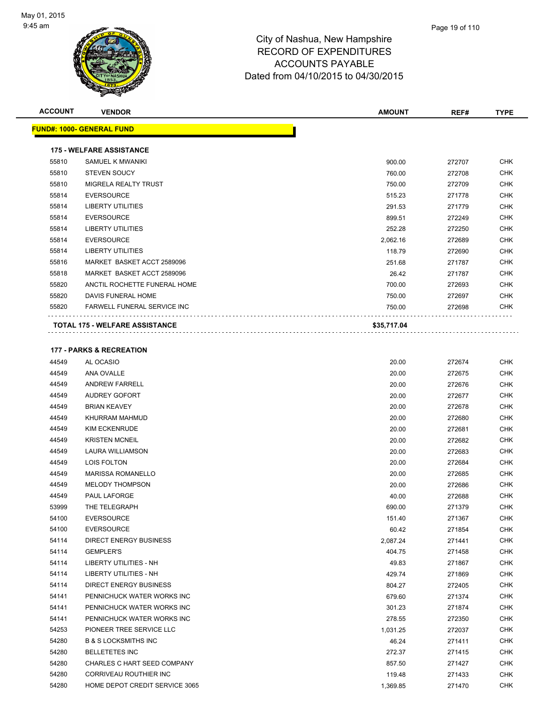

| <b>ACCOUNT</b> | <b>VENDOR</b>                         | <b>AMOUNT</b> | REF#   | <b>TYPE</b> |
|----------------|---------------------------------------|---------------|--------|-------------|
|                | <b>FUND#: 1000- GENERAL FUND</b>      |               |        |             |
|                | <b>175 - WELFARE ASSISTANCE</b>       |               |        |             |
| 55810          | SAMUEL K MWANIKI                      | 900.00        | 272707 | <b>CHK</b>  |
| 55810          | <b>STEVEN SOUCY</b>                   | 760.00        | 272708 | <b>CHK</b>  |
| 55810          | <b>MIGRELA REALTY TRUST</b>           | 750.00        | 272709 | <b>CHK</b>  |
| 55814          | <b>EVERSOURCE</b>                     | 515.23        | 271778 | <b>CHK</b>  |
| 55814          | <b>LIBERTY UTILITIES</b>              | 291.53        | 271779 | <b>CHK</b>  |
| 55814          | <b>EVERSOURCE</b>                     | 899.51        | 272249 | <b>CHK</b>  |
| 55814          | <b>LIBERTY UTILITIES</b>              | 252.28        | 272250 | <b>CHK</b>  |
| 55814          | <b>EVERSOURCE</b>                     | 2,062.16      | 272689 | <b>CHK</b>  |
| 55814          | <b>LIBERTY UTILITIES</b>              | 118.79        | 272690 | <b>CHK</b>  |
| 55816          | MARKET BASKET ACCT 2589096            | 251.68        | 271787 | <b>CHK</b>  |
| 55818          | MARKET BASKET ACCT 2589096            | 26.42         | 271787 | <b>CHK</b>  |
| 55820          | ANCTIL ROCHETTE FUNERAL HOME          | 700.00        | 272693 | <b>CHK</b>  |
| 55820          | DAVIS FUNERAL HOME                    | 750.00        | 272697 | <b>CHK</b>  |
| 55820          | <b>FARWELL FUNERAL SERVICE INC</b>    | 750.00        | 272698 | <b>CHK</b>  |
|                | <b>TOTAL 175 - WELFARE ASSISTANCE</b> | \$35,717.04   |        |             |
|                |                                       |               |        |             |

#### **177 - PARKS & RECREATION**

| 44549 | AL OCASIO                       | 20.00    | 272674 | <b>CHK</b> |
|-------|---------------------------------|----------|--------|------------|
| 44549 | ANA OVALLE                      | 20.00    | 272675 | <b>CHK</b> |
| 44549 | <b>ANDREW FARRELL</b>           | 20.00    | 272676 | <b>CHK</b> |
| 44549 | <b>AUDREY GOFORT</b>            | 20.00    | 272677 | <b>CHK</b> |
| 44549 | <b>BRIAN KEAVEY</b>             | 20.00    | 272678 | <b>CHK</b> |
| 44549 | KHURRAM MAHMUD                  | 20.00    | 272680 | <b>CHK</b> |
| 44549 | <b>KIM ECKENRUDE</b>            | 20.00    | 272681 | <b>CHK</b> |
| 44549 | <b>KRISTEN MCNEIL</b>           | 20.00    | 272682 | <b>CHK</b> |
| 44549 | <b>LAURA WILLIAMSON</b>         | 20.00    | 272683 | <b>CHK</b> |
| 44549 | LOIS FOLTON                     | 20.00    | 272684 | <b>CHK</b> |
| 44549 | <b>MARISSA ROMANELLO</b>        | 20.00    | 272685 | <b>CHK</b> |
| 44549 | <b>MELODY THOMPSON</b>          | 20.00    | 272686 | <b>CHK</b> |
| 44549 | <b>PAUL LAFORGE</b>             | 40.00    | 272688 | <b>CHK</b> |
| 53999 | THE TELEGRAPH                   | 690.00   | 271379 | <b>CHK</b> |
| 54100 | <b>EVERSOURCE</b>               | 151.40   | 271367 | <b>CHK</b> |
| 54100 | <b>EVERSOURCE</b>               | 60.42    | 271854 | <b>CHK</b> |
| 54114 | <b>DIRECT ENERGY BUSINESS</b>   | 2,087.24 | 271441 | <b>CHK</b> |
| 54114 | <b>GEMPLER'S</b>                | 404.75   | 271458 | <b>CHK</b> |
| 54114 | <b>LIBERTY UTILITIES - NH</b>   | 49.83    | 271867 | <b>CHK</b> |
| 54114 | <b>LIBERTY UTILITIES - NH</b>   | 429.74   | 271869 | <b>CHK</b> |
| 54114 | <b>DIRECT ENERGY BUSINESS</b>   | 804.27   | 272405 | <b>CHK</b> |
| 54141 | PENNICHUCK WATER WORKS INC      | 679.60   | 271374 | <b>CHK</b> |
| 54141 | PENNICHUCK WATER WORKS INC      | 301.23   | 271874 | <b>CHK</b> |
| 54141 | PENNICHUCK WATER WORKS INC      | 278.55   | 272350 | <b>CHK</b> |
| 54253 | PIONEER TREE SERVICE LLC        | 1,031.25 | 272037 | <b>CHK</b> |
| 54280 | <b>B &amp; S LOCKSMITHS INC</b> | 46.24    | 271411 | <b>CHK</b> |
| 54280 | <b>BELLETETES INC</b>           | 272.37   | 271415 | <b>CHK</b> |
| 54280 | CHARLES C HART SEED COMPANY     | 857.50   | 271427 | <b>CHK</b> |
| 54280 | CORRIVEAU ROUTHIER INC          | 119.48   | 271433 | <b>CHK</b> |
| 54280 | HOME DEPOT CREDIT SERVICE 3065  | 1,369.85 | 271470 | <b>CHK</b> |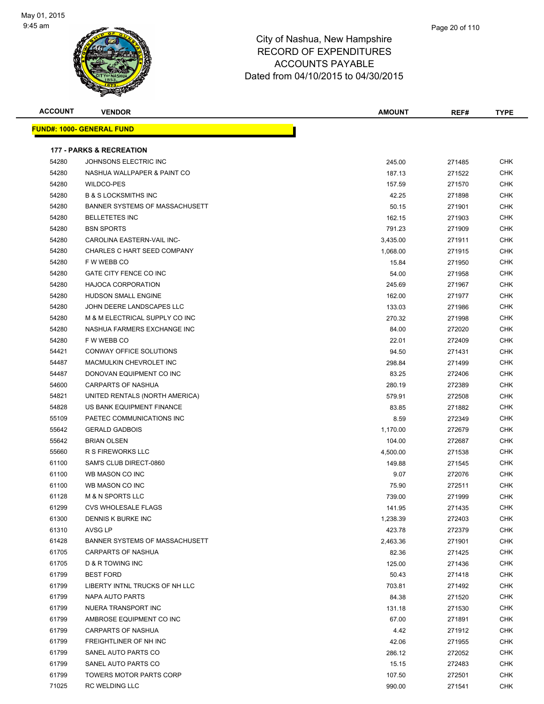

| <b>ACCOUNT</b> | <b>VENDOR</b>                       | <b>AMOUNT</b> | REF#   | TYPE       |
|----------------|-------------------------------------|---------------|--------|------------|
|                | <u> FUND#: 1000- GENERAL FUND</u>   |               |        |            |
|                |                                     |               |        |            |
|                | <b>177 - PARKS &amp; RECREATION</b> |               |        |            |
| 54280          | JOHNSONS ELECTRIC INC               | 245.00        | 271485 | <b>CHK</b> |
| 54280          | NASHUA WALLPAPER & PAINT CO         | 187.13        | 271522 | <b>CHK</b> |
| 54280          | <b>WILDCO-PES</b>                   | 157.59        | 271570 | CHK        |
| 54280          | <b>B &amp; S LOCKSMITHS INC</b>     | 42.25         | 271898 | CHK        |
| 54280          | BANNER SYSTEMS OF MASSACHUSETT      | 50.15         | 271901 | <b>CHK</b> |
| 54280          | <b>BELLETETES INC</b>               | 162.15        | 271903 | <b>CHK</b> |
| 54280          | <b>BSN SPORTS</b>                   | 791.23        | 271909 | CHK        |
| 54280          | CAROLINA EASTERN-VAIL INC-          | 3,435.00      | 271911 | <b>CHK</b> |
| 54280          | CHARLES C HART SEED COMPANY         | 1,068.00      | 271915 | <b>CHK</b> |
| 54280          | F W WEBB CO                         | 15.84         | 271950 | <b>CHK</b> |
| 54280          | GATE CITY FENCE CO INC              | 54.00         | 271958 | <b>CHK</b> |
| 54280          | <b>HAJOCA CORPORATION</b>           | 245.69        | 271967 | CHK        |
| 54280          | <b>HUDSON SMALL ENGINE</b>          | 162.00        | 271977 | <b>CHK</b> |
| 54280          | JOHN DEERE LANDSCAPES LLC           | 133.03        | 271986 | CHK        |
| 54280          | M & M ELECTRICAL SUPPLY CO INC      | 270.32        | 271998 | CHK        |
| 54280          | NASHUA FARMERS EXCHANGE INC         | 84.00         | 272020 | CHK        |
| 54280          | F W WEBB CO                         | 22.01         | 272409 | CHK        |
| 54421          | CONWAY OFFICE SOLUTIONS             | 94.50         | 271431 | CHK        |
| 54487          | MACMULKIN CHEVROLET INC             | 298.84        | 271499 | <b>CHK</b> |
| 54487          | DONOVAN EQUIPMENT CO INC            | 83.25         | 272406 | <b>CHK</b> |
| 54600          | CARPARTS OF NASHUA                  | 280.19        | 272389 | <b>CHK</b> |
| 54821          | UNITED RENTALS (NORTH AMERICA)      | 579.91        | 272508 | <b>CHK</b> |
| 54828          | US BANK EQUIPMENT FINANCE           | 83.85         | 271882 | CHK        |
| 55109          | PAETEC COMMUNICATIONS INC           | 8.59          | 272349 | CHK        |
| 55642          | <b>GERALD GADBOIS</b>               | 1,170.00      | 272679 | <b>CHK</b> |
| 55642          | <b>BRIAN OLSEN</b>                  | 104.00        | 272687 | CHK        |
| 55660          | <b>R S FIREWORKS LLC</b>            | 4,500.00      | 271538 | <b>CHK</b> |
| 61100          | SAM'S CLUB DIRECT-0860              | 149.88        | 271545 | <b>CHK</b> |
| 61100          | WB MASON CO INC                     | 9.07          | 272076 | CHK        |
| 61100          | WB MASON CO INC                     | 75.90         | 272511 | <b>CHK</b> |
| 61128          | <b>M &amp; N SPORTS LLC</b>         | 739.00        | 271999 | CHK        |
| 61299          | CVS WHOLESALE FLAGS                 | 141.95        | 271435 | CHK        |
| 61300          | DENNIS K BURKE INC                  | 1,238.39      | 272403 | CHK        |
| 61310          | AVSG LP                             | 423.78        | 272379 | <b>CHK</b> |
| 61428          | BANNER SYSTEMS OF MASSACHUSETT      | 2,463.36      | 271901 | CHK        |
| 61705          | CARPARTS OF NASHUA                  | 82.36         | 271425 | CHK        |
| 61705          | D & R TOWING INC                    | 125.00        | 271436 | <b>CHK</b> |
| 61799          | <b>BEST FORD</b>                    | 50.43         | 271418 | <b>CHK</b> |
| 61799          | LIBERTY INTNL TRUCKS OF NH LLC      | 703.81        | 271492 | CHK        |
| 61799          | NAPA AUTO PARTS                     | 84.38         | 271520 | <b>CHK</b> |
| 61799          | NUERA TRANSPORT INC                 | 131.18        | 271530 | CHK        |
| 61799          | AMBROSE EQUIPMENT CO INC            | 67.00         | 271891 | CHK        |
| 61799          | CARPARTS OF NASHUA                  | 4.42          | 271912 | <b>CHK</b> |
| 61799          | FREIGHTLINER OF NH INC              | 42.06         | 271955 | CHK        |
| 61799          | SANEL AUTO PARTS CO                 | 286.12        | 272052 | CHK        |
| 61799          | SANEL AUTO PARTS CO                 | 15.15         | 272483 | CHK        |
| 61799          | TOWERS MOTOR PARTS CORP             | 107.50        | 272501 | CHK        |
| 71025          | <b>RC WELDING LLC</b>               | 990.00        | 271541 | <b>CHK</b> |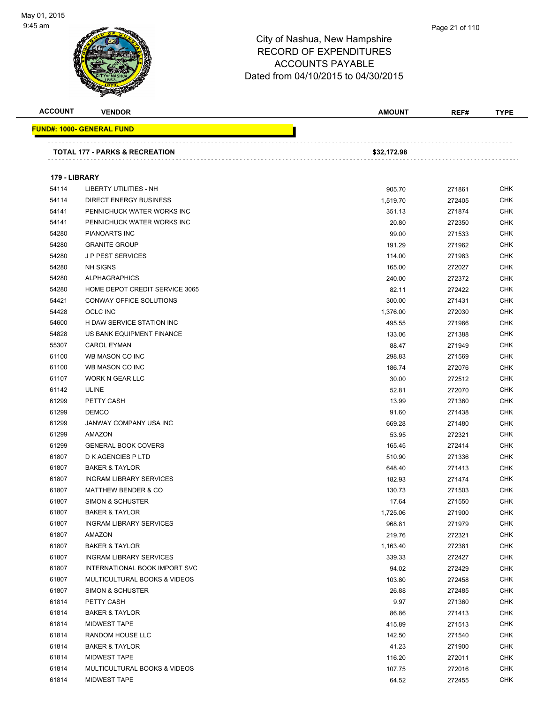

#### Page 21 of 110

| <b>ACCOUNT</b> | <b>VENDOR</b>                             | <b>AMOUNT</b> | REF#   | <b>TYPE</b> |
|----------------|-------------------------------------------|---------------|--------|-------------|
|                | <u> FUND#: 1000- GENERAL FUND</u>         |               |        |             |
|                |                                           |               |        |             |
|                | <b>TOTAL 177 - PARKS &amp; RECREATION</b> | \$32,172.98   |        |             |
|                |                                           |               |        |             |
| 179 - LIBRARY  |                                           |               |        |             |
| 54114          | <b>LIBERTY UTILITIES - NH</b>             | 905.70        | 271861 | <b>CHK</b>  |
| 54114          | <b>DIRECT ENERGY BUSINESS</b>             | 1,519.70      | 272405 | <b>CHK</b>  |
| 54141          | PENNICHUCK WATER WORKS INC                | 351.13        | 271874 | CHK         |
| 54141          | PENNICHUCK WATER WORKS INC                | 20.80         | 272350 | <b>CHK</b>  |
| 54280          | PIANOARTS INC                             | 99.00         | 271533 | <b>CHK</b>  |
| 54280          | <b>GRANITE GROUP</b>                      | 191.29        | 271962 | <b>CHK</b>  |
| 54280          | <b>JP PEST SERVICES</b>                   | 114.00        | 271983 | <b>CHK</b>  |
| 54280          | <b>NH SIGNS</b>                           | 165.00        | 272027 | <b>CHK</b>  |
| 54280          | <b>ALPHAGRAPHICS</b>                      | 240.00        | 272372 | <b>CHK</b>  |
| 54280          | HOME DEPOT CREDIT SERVICE 3065            | 82.11         | 272422 | <b>CHK</b>  |
| 54421          | CONWAY OFFICE SOLUTIONS                   | 300.00        | 271431 | <b>CHK</b>  |
| 54428          | <b>OCLC INC</b>                           | 1,376.00      | 272030 | <b>CHK</b>  |
| 54600          | H DAW SERVICE STATION INC                 | 495.55        | 271966 | <b>CHK</b>  |
| 54828          | US BANK EQUIPMENT FINANCE                 | 133.06        | 271388 | <b>CHK</b>  |
| 55307          | <b>CAROL EYMAN</b>                        | 88.47         | 271949 | <b>CHK</b>  |
| 61100          | WB MASON CO INC                           | 298.83        | 271569 | <b>CHK</b>  |
| 61100          | WB MASON CO INC                           | 186.74        | 272076 | <b>CHK</b>  |
| 61107          | WORK N GEAR LLC                           | 30.00         | 272512 | <b>CHK</b>  |
| 61142          | <b>ULINE</b>                              | 52.81         | 272070 | <b>CHK</b>  |
| 61299          | PETTY CASH                                | 13.99         | 271360 | <b>CHK</b>  |
| 61299          | <b>DEMCO</b>                              | 91.60         | 271438 | <b>CHK</b>  |
| 61299          | JANWAY COMPANY USA INC                    | 669.28        | 271480 | <b>CHK</b>  |
| 61299          | AMAZON                                    | 53.95         | 272321 | <b>CHK</b>  |
| 61299          | <b>GENERAL BOOK COVERS</b>                | 165.45        | 272414 | CHK         |
| 61807          | <b>D K AGENCIES P LTD</b>                 | 510.90        | 271336 | CHK         |
| 61807          | <b>BAKER &amp; TAYLOR</b>                 | 648.40        | 271413 | <b>CHK</b>  |
| 61807          | <b>INGRAM LIBRARY SERVICES</b>            | 182.93        | 271474 | CHK         |
| 61807          | <b>MATTHEW BENDER &amp; CO</b>            | 130.73        | 271503 | <b>CHK</b>  |
| 61807          | <b>SIMON &amp; SCHUSTER</b>               | 17.64         | 271550 | <b>CHK</b>  |
| 61807          | <b>BAKER &amp; TAYLOR</b>                 | 1,725.06      | 271900 | <b>CHK</b>  |
| 61807          | <b>INGRAM LIBRARY SERVICES</b>            | 968.81        | 271979 | <b>CHK</b>  |
| 61807          | AMAZON                                    | 219.76        | 272321 | <b>CHK</b>  |
| 61807          | <b>BAKER &amp; TAYLOR</b>                 | 1,163.40      | 272381 | <b>CHK</b>  |
| 61807          | <b>INGRAM LIBRARY SERVICES</b>            | 339.33        | 272427 | <b>CHK</b>  |
| 61807          | INTERNATIONAL BOOK IMPORT SVC             | 94.02         | 272429 | <b>CHK</b>  |
| 61807          | MULTICULTURAL BOOKS & VIDEOS              | 103.80        | 272458 | <b>CHK</b>  |
| 61807          | <b>SIMON &amp; SCHUSTER</b>               | 26.88         | 272485 | <b>CHK</b>  |
| 61814          | PETTY CASH                                | 9.97          | 271360 | <b>CHK</b>  |
| 61814          | <b>BAKER &amp; TAYLOR</b>                 | 86.86         | 271413 | <b>CHK</b>  |
| 61814          | <b>MIDWEST TAPE</b>                       | 415.89        | 271513 | <b>CHK</b>  |
| 61814          | RANDOM HOUSE LLC                          | 142.50        | 271540 | CHK         |
| 61814          | <b>BAKER &amp; TAYLOR</b>                 | 41.23         | 271900 | <b>CHK</b>  |
| 61814          | <b>MIDWEST TAPE</b>                       | 116.20        | 272011 | <b>CHK</b>  |
| 61814          | MULTICULTURAL BOOKS & VIDEOS              | 107.75        | 272016 | <b>CHK</b>  |
| 61814          | <b>MIDWEST TAPE</b>                       | 64.52         | 272455 | <b>CHK</b>  |
|                |                                           |               |        |             |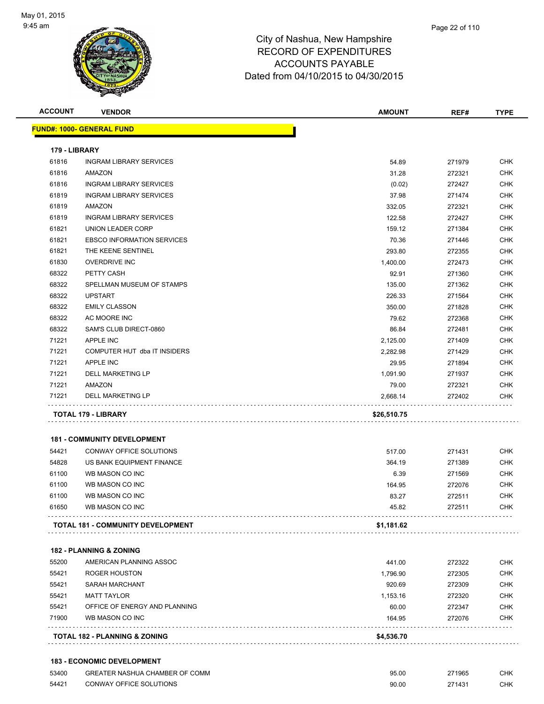

| <b>ACCOUNT</b> | <b>VENDOR</b>                                                       | <b>AMOUNT</b> | REF#   | <b>TYPE</b> |
|----------------|---------------------------------------------------------------------|---------------|--------|-------------|
|                | <u> FUND#: 1000- GENERAL FUND</u>                                   |               |        |             |
| 179 - LIBRARY  |                                                                     |               |        |             |
| 61816          | <b>INGRAM LIBRARY SERVICES</b>                                      | 54.89         | 271979 | CHK         |
| 61816          | AMAZON                                                              | 31.28         | 272321 | CHK         |
| 61816          | <b>INGRAM LIBRARY SERVICES</b>                                      | (0.02)        | 272427 | <b>CHK</b>  |
| 61819          | <b>INGRAM LIBRARY SERVICES</b>                                      | 37.98         | 271474 | <b>CHK</b>  |
| 61819          | AMAZON                                                              | 332.05        | 272321 | <b>CHK</b>  |
| 61819          | <b>INGRAM LIBRARY SERVICES</b>                                      | 122.58        | 272427 | CHK         |
| 61821          | UNION LEADER CORP                                                   | 159.12        | 271384 | <b>CHK</b>  |
| 61821          | <b>EBSCO INFORMATION SERVICES</b>                                   | 70.36         | 271446 | CHK         |
| 61821          | THE KEENE SENTINEL                                                  | 293.80        | 272355 | <b>CHK</b>  |
| 61830          | <b>OVERDRIVE INC</b>                                                | 1,400.00      | 272473 | <b>CHK</b>  |
| 68322          | PETTY CASH                                                          | 92.91         | 271360 | <b>CHK</b>  |
| 68322          | SPELLMAN MUSEUM OF STAMPS                                           | 135.00        | 271362 | <b>CHK</b>  |
| 68322          | <b>UPSTART</b>                                                      | 226.33        | 271564 | <b>CHK</b>  |
| 68322          | <b>EMILY CLASSON</b>                                                | 350.00        | 271828 | <b>CHK</b>  |
| 68322          | AC MOORE INC                                                        | 79.62         | 272368 | CHK         |
| 68322          | SAM'S CLUB DIRECT-0860                                              | 86.84         | 272481 | CHK         |
| 71221          | <b>APPLE INC</b>                                                    | 2,125.00      | 271409 | CHK         |
| 71221          | COMPUTER HUT dba IT INSIDERS                                        | 2,282.98      | 271429 | CHK         |
| 71221          | <b>APPLE INC</b>                                                    | 29.95         | 271894 | <b>CHK</b>  |
| 71221          | DELL MARKETING LP                                                   | 1,091.90      | 271937 | CHK         |
| 71221          | AMAZON                                                              | 79.00         | 272321 | CHK         |
| 71221          | DELL MARKETING LP                                                   | 2,668.14      | 272402 | <b>CHK</b>  |
|                | TOTAL 179 - LIBRARY                                                 | \$26,510.75   |        |             |
|                |                                                                     |               |        |             |
|                | <b>181 - COMMUNITY DEVELOPMENT</b>                                  |               |        |             |
| 54421          | CONWAY OFFICE SOLUTIONS                                             | 517.00        | 271431 | CHK         |
| 54828          | US BANK EQUIPMENT FINANCE                                           | 364.19        | 271389 | <b>CHK</b>  |
| 61100          | WB MASON CO INC                                                     | 6.39          | 271569 | CHK         |
| 61100          | WB MASON CO INC                                                     | 164.95        | 272076 | CHK         |
| 61100          | WB MASON CO INC                                                     | 83.27         | 272511 | <b>CHK</b>  |
| 61650          | WB MASON CO INC                                                     | 45.82         | 272511 | <b>CHK</b>  |
|                | <b>TOTAL 181 - COMMUNITY DEVELOPMENT</b>                            | \$1,181.62    |        |             |
|                | <b>182 - PLANNING &amp; ZONING</b>                                  |               |        |             |
| 55200          | AMERICAN PLANNING ASSOC                                             | 441.00        | 272322 | <b>CHK</b>  |
| 55421          | <b>ROGER HOUSTON</b>                                                | 1,796.90      | 272305 | <b>CHK</b>  |
| 55421          | <b>SARAH MARCHANT</b>                                               | 920.69        | 272309 | <b>CHK</b>  |
| 55421          | <b>MATT TAYLOR</b>                                                  | 1,153.16      | 272320 | <b>CHK</b>  |
| 55421          | OFFICE OF ENERGY AND PLANNING                                       | 60.00         | 272347 | <b>CHK</b>  |
| 71900          | WB MASON CO INC                                                     | 164.95        | 272076 | CHK         |
|                | TOTAL 182 - PLANNING & ZONING                                       | \$4,536.70    |        |             |
|                |                                                                     |               |        |             |
| 53400          | <b>183 - ECONOMIC DEVELOPMENT</b><br>GREATER NASHUA CHAMBER OF COMM |               |        |             |
|                |                                                                     | 95.00         | 271965 | CHK         |

54421 CONWAY OFFICE SOLUTIONS **EXECUTE SOLUTIONS** 90.00 271431 CHK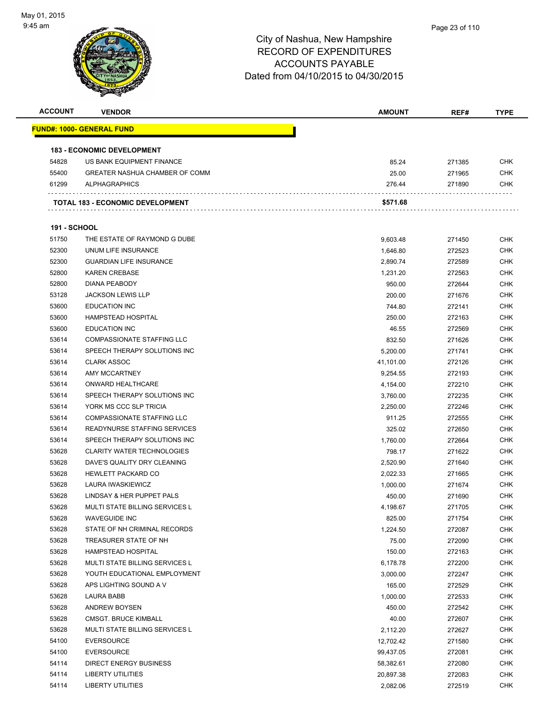

| <b>ACCOUNT</b>      | <b>VENDOR</b>                                       | <b>AMOUNT</b> | REF#   | <b>TYPE</b> |
|---------------------|-----------------------------------------------------|---------------|--------|-------------|
|                     | <u> FUND#: 1000- GENERAL FUND</u>                   |               |        |             |
|                     | <b>183 - ECONOMIC DEVELOPMENT</b>                   |               |        |             |
| 54828               | US BANK EQUIPMENT FINANCE                           | 85.24         | 271385 | <b>CHK</b>  |
| 55400               | <b>GREATER NASHUA CHAMBER OF COMM</b>               | 25.00         | 271965 | <b>CHK</b>  |
| 61299               | <b>ALPHAGRAPHICS</b>                                | 276.44        | 271890 | <b>CHK</b>  |
|                     | TOTAL 183 - ECONOMIC DEVELOPMENT                    | \$571.68      |        |             |
| <b>191 - SCHOOL</b> |                                                     |               |        |             |
|                     |                                                     |               |        |             |
| 51750<br>52300      | THE ESTATE OF RAYMOND G DUBE<br>UNUM LIFE INSURANCE | 9,603.48      | 271450 | <b>CHK</b>  |
|                     |                                                     | 1,646.80      | 272523 | <b>CHK</b>  |
| 52300               | <b>GUARDIAN LIFE INSURANCE</b>                      | 2,890.74      | 272589 | <b>CHK</b>  |
| 52800               | <b>KAREN CREBASE</b>                                | 1,231.20      | 272563 | <b>CHK</b>  |
| 52800               | <b>DIANA PEABODY</b>                                | 950.00        | 272644 | <b>CHK</b>  |
| 53128               | <b>JACKSON LEWIS LLP</b>                            | 200.00        | 271676 | <b>CHK</b>  |
| 53600               | <b>EDUCATION INC</b>                                | 744.80        | 272141 | <b>CHK</b>  |
| 53600               | HAMPSTEAD HOSPITAL                                  | 250.00        | 272163 | <b>CHK</b>  |
| 53600               | <b>EDUCATION INC</b>                                | 46.55         | 272569 | <b>CHK</b>  |
| 53614               | <b>COMPASSIONATE STAFFING LLC</b>                   | 832.50        | 271626 | CHK         |
| 53614               | SPEECH THERAPY SOLUTIONS INC                        | 5,200.00      | 271741 | <b>CHK</b>  |
| 53614               | <b>CLARK ASSOC</b>                                  | 41,101.00     | 272126 | <b>CHK</b>  |
| 53614               | AMY MCCARTNEY                                       | 9,254.55      | 272193 | <b>CHK</b>  |
| 53614               | ONWARD HEALTHCARE                                   | 4,154.00      | 272210 | <b>CHK</b>  |
| 53614               | SPEECH THERAPY SOLUTIONS INC                        | 3,760.00      | 272235 | CHK         |
| 53614               | YORK MS CCC SLP TRICIA                              | 2,250.00      | 272246 | <b>CHK</b>  |
| 53614               | <b>COMPASSIONATE STAFFING LLC</b>                   | 911.25        | 272555 | <b>CHK</b>  |
| 53614               | READYNURSE STAFFING SERVICES                        | 325.02        | 272650 | CHK         |
| 53614               | SPEECH THERAPY SOLUTIONS INC                        | 1,760.00      | 272664 | <b>CHK</b>  |
| 53628               | <b>CLARITY WATER TECHNOLOGIES</b>                   | 798.17        | 271622 | <b>CHK</b>  |
| 53628               | DAVE'S QUALITY DRY CLEANING                         | 2,520.90      | 271640 | <b>CHK</b>  |
| 53628               | <b>HEWLETT PACKARD CO</b>                           | 2,022.33      | 271665 | <b>CHK</b>  |
| 53628               | LAURA IWASKIEWICZ                                   | 1,000.00      | 271674 | <b>CHK</b>  |
| 53628               | LINDSAY & HER PUPPET PALS                           | 450.00        | 271690 | <b>CHK</b>  |
| 53628               | MULTI STATE BILLING SERVICES L                      | 4,198.67      | 271705 | <b>CHK</b>  |
| 53628               | <b>WAVEGUIDE INC</b>                                | 825.00        | 271754 | CHK         |
| 53628               | STATE OF NH CRIMINAL RECORDS                        | 1,224.50      | 272087 | <b>CHK</b>  |
| 53628               | TREASURER STATE OF NH                               | 75.00         | 272090 | <b>CHK</b>  |
| 53628               | HAMPSTEAD HOSPITAL                                  | 150.00        | 272163 | <b>CHK</b>  |
| 53628               | MULTI STATE BILLING SERVICES L                      | 6,178.78      | 272200 | <b>CHK</b>  |
| 53628               | YOUTH EDUCATIONAL EMPLOYMENT                        | 3,000.00      | 272247 | <b>CHK</b>  |
| 53628               | APS LIGHTING SOUND A V                              | 165.00        | 272529 | <b>CHK</b>  |
| 53628               | LAURA BABB                                          | 1,000.00      | 272533 | <b>CHK</b>  |
| 53628               | <b>ANDREW BOYSEN</b>                                | 450.00        | 272542 | <b>CHK</b>  |
| 53628               | <b>CMSGT. BRUCE KIMBALL</b>                         | 40.00         | 272607 | <b>CHK</b>  |
| 53628               | MULTI STATE BILLING SERVICES L                      | 2,112.20      | 272627 | <b>CHK</b>  |
| 54100               | <b>EVERSOURCE</b>                                   | 12,702.42     | 271580 | <b>CHK</b>  |
| 54100               | <b>EVERSOURCE</b>                                   | 99,437.05     | 272081 | <b>CHK</b>  |
| 54114               | <b>DIRECT ENERGY BUSINESS</b>                       | 58,382.61     | 272080 | <b>CHK</b>  |
| 54114               | <b>LIBERTY UTILITIES</b>                            | 20,897.38     | 272083 | <b>CHK</b>  |
| 54114               | <b>LIBERTY UTILITIES</b>                            | 2,082.06      | 272519 | <b>CHK</b>  |
|                     |                                                     |               |        |             |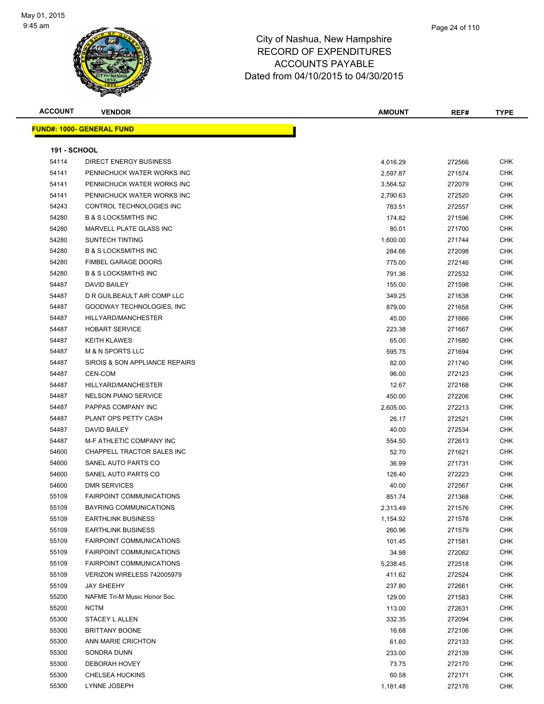

| <b>ACCOUNT</b>      | <b>VENDOR</b>                     | <b>AMOUNT</b> | REF#   | <b>TYPE</b> |
|---------------------|-----------------------------------|---------------|--------|-------------|
|                     | <u> FUND#: 1000- GENERAL FUND</u> |               |        |             |
|                     |                                   |               |        |             |
| <b>191 - SCHOOL</b> |                                   |               |        |             |
| 54114               | <b>DIRECT ENERGY BUSINESS</b>     | 4,016.29      | 272566 | <b>CHK</b>  |
| 54141               | PENNICHUCK WATER WORKS INC        | 2,597.87      | 271574 | <b>CHK</b>  |
| 54141               | PENNICHUCK WATER WORKS INC        | 3,564.52      | 272079 | CHK         |
| 54141               | PENNICHUCK WATER WORKS INC        | 2,790.63      | 272520 | <b>CHK</b>  |
| 54243               | CONTROL TECHNOLOGIES INC          | 783.51        | 272557 | <b>CHK</b>  |
| 54280               | <b>B &amp; S LOCKSMITHS INC</b>   | 174.82        | 271596 | <b>CHK</b>  |
| 54280               | MARVELL PLATE GLASS INC           | 80.01         | 271700 | <b>CHK</b>  |
| 54280               | <b>SUNTECH TINTING</b>            | 1,600.00      | 271744 | <b>CHK</b>  |
| 54280               | <b>B &amp; S LOCKSMITHS INC</b>   | 284.66        | 272098 | <b>CHK</b>  |
| 54280               | <b>FIMBEL GARAGE DOORS</b>        | 775.00        | 272146 | <b>CHK</b>  |
| 54280               | <b>B &amp; S LOCKSMITHS INC</b>   | 791.36        | 272532 | <b>CHK</b>  |
| 54487               | DAVID BAILEY                      | 155.00        | 271598 | <b>CHK</b>  |
| 54487               | D R GUILBEAULT AIR COMP LLC       | 349.25        | 271638 | <b>CHK</b>  |
| 54487               | GOODWAY TECHNOLOGIES, INC         | 879.00        | 271658 | <b>CHK</b>  |
| 54487               | HILLYARD/MANCHESTER               | 45.00         | 271666 | <b>CHK</b>  |
| 54487               | <b>HOBART SERVICE</b>             | 223.38        | 271667 | CHK         |
| 54487               | <b>KEITH KLAWES</b>               | 65.00         | 271680 | <b>CHK</b>  |
| 54487               | <b>M &amp; N SPORTS LLC</b>       | 595.75        | 271694 | <b>CHK</b>  |
| 54487               | SIROIS & SON APPLIANCE REPAIRS    | 82.00         | 271740 | <b>CHK</b>  |
| 54487               | CEN-COM                           | 96.00         | 272123 | <b>CHK</b>  |
| 54487               | HILLYARD/MANCHESTER               | 12.67         | 272168 | <b>CHK</b>  |
| 54487               | <b>NELSON PIANO SERVICE</b>       | 450.00        | 272206 | <b>CHK</b>  |
| 54487               | PAPPAS COMPANY INC                | 2,605.00      | 272213 | <b>CHK</b>  |
| 54487               | PLANT OPS PETTY CASH              | 26.17         | 272521 | <b>CHK</b>  |
| 54487               | DAVID BAILEY                      | 40.00         | 272534 | CHK         |
| 54487               | M-F ATHLETIC COMPANY INC          | 554.50        | 272613 | <b>CHK</b>  |
| 54600               | CHAPPELL TRACTOR SALES INC        | 52.70         | 271621 | <b>CHK</b>  |
| 54600               | SANEL AUTO PARTS CO               | 36.99         | 271731 | CHK         |
| 54600               | SANEL AUTO PARTS CO               | 128.40        | 272223 | <b>CHK</b>  |
| 54600               | <b>DMR SERVICES</b>               | 40.00         | 272567 | <b>CHK</b>  |
| 55109               | <b>FAIRPOINT COMMUNICATIONS</b>   | 851.74        | 271368 | CHK         |
| 55109               | <b>BAYRING COMMUNICATIONS</b>     | 2,313.49      | 271576 | CHK         |
| 55109               | <b>EARTHLINK BUSINESS</b>         | 1,154.92      | 271578 | <b>CHK</b>  |
| 55109               | <b>EARTHLINK BUSINESS</b>         | 260.96        | 271579 | <b>CHK</b>  |
| 55109               | <b>FAIRPOINT COMMUNICATIONS</b>   | 101.45        | 271581 | <b>CHK</b>  |
| 55109               | FAIRPOINT COMMUNICATIONS          | 34.98         | 272082 | <b>CHK</b>  |
| 55109               | FAIRPOINT COMMUNICATIONS          | 5,238.45      | 272518 | <b>CHK</b>  |
| 55109               | VERIZON WIRELESS 742005979        | 411.62        | 272524 | <b>CHK</b>  |
| 55109               | <b>JAY SHEEHY</b>                 | 237.80        | 272661 | <b>CHK</b>  |
| 55200               | NAFME Tri-M Music Honor Soc.      | 129.00        | 271583 | <b>CHK</b>  |
| 55200               | <b>NCTM</b>                       | 113.00        | 272631 | <b>CHK</b>  |
| 55300               | STACEY L ALLEN                    | 332.35        | 272094 | <b>CHK</b>  |
| 55300               | <b>BRITTANY BOONE</b>             | 16.68         | 272106 | <b>CHK</b>  |
| 55300               | ANN MARIE CRICHTON                | 61.60         | 272133 | <b>CHK</b>  |
| 55300               | SONDRA DUNN                       | 233.00        | 272139 | <b>CHK</b>  |
| 55300               | DEBORAH HOVEY                     | 73.75         | 272170 | <b>CHK</b>  |
| 55300               | CHELSEA HUCKINS                   | 60.58         | 272171 | CHK         |
| 55300               | LYNNE JOSEPH                      | 1,181.48      | 272176 | <b>CHK</b>  |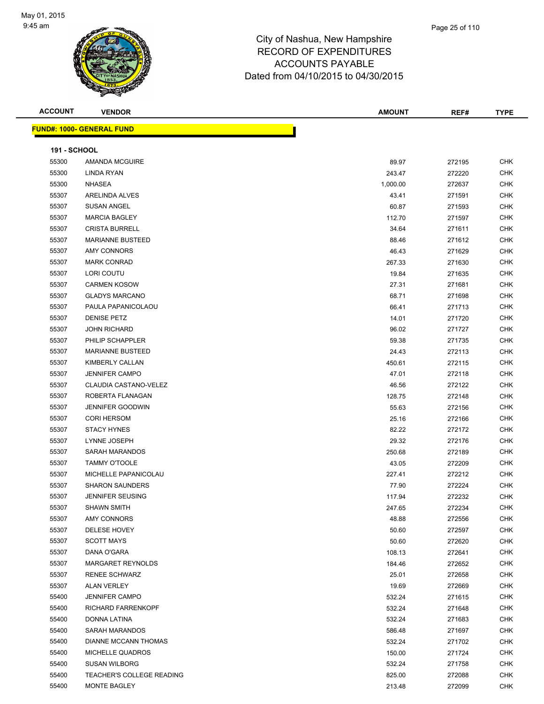

| <b>ACCOUNT</b>      | <b>VENDOR</b>                    | <b>AMOUNT</b> | REF#   | <b>TYPE</b> |
|---------------------|----------------------------------|---------------|--------|-------------|
|                     | <b>FUND#: 1000- GENERAL FUND</b> |               |        |             |
|                     |                                  |               |        |             |
| <b>191 - SCHOOL</b> |                                  |               |        |             |
| 55300               | <b>AMANDA MCGUIRE</b>            | 89.97         | 272195 | <b>CHK</b>  |
| 55300               | LINDA RYAN                       | 243.47        | 272220 | <b>CHK</b>  |
| 55300               | <b>NHASEA</b>                    | 1,000.00      | 272637 | <b>CHK</b>  |
| 55307               | ARELINDA ALVES                   | 43.41         | 271591 | <b>CHK</b>  |
| 55307               | <b>SUSAN ANGEL</b>               | 60.87         | 271593 | <b>CHK</b>  |
| 55307               | <b>MARCIA BAGLEY</b>             | 112.70        | 271597 | <b>CHK</b>  |
| 55307               | <b>CRISTA BURRELL</b>            | 34.64         | 271611 | <b>CHK</b>  |
| 55307               | <b>MARIANNE BUSTEED</b>          | 88.46         | 271612 | <b>CHK</b>  |
| 55307               | AMY CONNORS                      | 46.43         | 271629 | <b>CHK</b>  |
| 55307               | <b>MARK CONRAD</b>               | 267.33        | 271630 | <b>CHK</b>  |
| 55307               | LORI COUTU                       | 19.84         | 271635 | <b>CHK</b>  |
| 55307               | <b>CARMEN KOSOW</b>              | 27.31         | 271681 | <b>CHK</b>  |
| 55307               | <b>GLADYS MARCANO</b>            | 68.71         | 271698 | <b>CHK</b>  |
| 55307               | PAULA PAPANICOLAOU               | 66.41         | 271713 | <b>CHK</b>  |
| 55307               | <b>DENISE PETZ</b>               | 14.01         | 271720 | <b>CHK</b>  |
| 55307               | <b>JOHN RICHARD</b>              | 96.02         | 271727 | <b>CHK</b>  |
| 55307               | PHILIP SCHAPPLER                 | 59.38         | 271735 | <b>CHK</b>  |
| 55307               | <b>MARIANNE BUSTEED</b>          | 24.43         | 272113 | <b>CHK</b>  |
| 55307               | KIMBERLY CALLAN                  | 450.61        | 272115 | <b>CHK</b>  |
| 55307               | <b>JENNIFER CAMPO</b>            | 47.01         | 272118 | <b>CHK</b>  |
| 55307               | CLAUDIA CASTANO-VELEZ            | 46.56         | 272122 | <b>CHK</b>  |
| 55307               | ROBERTA FLANAGAN                 | 128.75        | 272148 | <b>CHK</b>  |
| 55307               | <b>JENNIFER GOODWIN</b>          | 55.63         | 272156 | <b>CHK</b>  |
| 55307               | <b>CORI HERSOM</b>               | 25.16         | 272166 | <b>CHK</b>  |
| 55307               | <b>STACY HYNES</b>               | 82.22         | 272172 | <b>CHK</b>  |
| 55307               | LYNNE JOSEPH                     | 29.32         | 272176 | <b>CHK</b>  |
| 55307               | SARAH MARANDOS                   | 250.68        | 272189 | <b>CHK</b>  |
| 55307               | <b>TAMMY O'TOOLE</b>             | 43.05         | 272209 | <b>CHK</b>  |
| 55307               | MICHELLE PAPANICOLAU             | 227.41        | 272212 | <b>CHK</b>  |
| 55307               | <b>SHARON SAUNDERS</b>           | 77.90         | 272224 | CHK         |
| 55307               | <b>JENNIFER SEUSING</b>          | 117.94        | 272232 | CHK         |
| 55307               | <b>SHAWN SMITH</b>               | 247.65        | 272234 | <b>CHK</b>  |
| 55307               | <b>AMY CONNORS</b>               | 48.88         | 272556 | <b>CHK</b>  |
| 55307               | DELESE HOVEY                     | 50.60         | 272597 | CHK         |
| 55307               | <b>SCOTT MAYS</b>                | 50.60         | 272620 | <b>CHK</b>  |
| 55307               | DANA O'GARA                      | 108.13        | 272641 | <b>CHK</b>  |
| 55307               | MARGARET REYNOLDS                | 184.46        | 272652 | CHK         |
| 55307               | <b>RENEE SCHWARZ</b>             | 25.01         | 272658 | <b>CHK</b>  |
| 55307               | <b>ALAN VERLEY</b>               | 19.69         | 272669 | CHK         |
| 55400               | <b>JENNIFER CAMPO</b>            | 532.24        | 271615 | <b>CHK</b>  |
| 55400               | RICHARD FARRENKOPF               | 532.24        | 271648 | <b>CHK</b>  |
| 55400               | DONNA LATINA                     | 532.24        | 271683 | CHK         |
| 55400               | SARAH MARANDOS                   | 586.48        | 271697 | <b>CHK</b>  |
| 55400               | DIANNE MCCANN THOMAS             | 532.24        | 271702 | CHK         |
| 55400               | MICHELLE QUADROS                 | 150.00        | 271724 | CHK         |
| 55400               | <b>SUSAN WILBORG</b>             | 532.24        | 271758 | CHK         |
| 55400               | TEACHER'S COLLEGE READING        | 825.00        | 272088 | CHK         |
| 55400               | MONTE BAGLEY                     | 213.48        | 272099 | CHK         |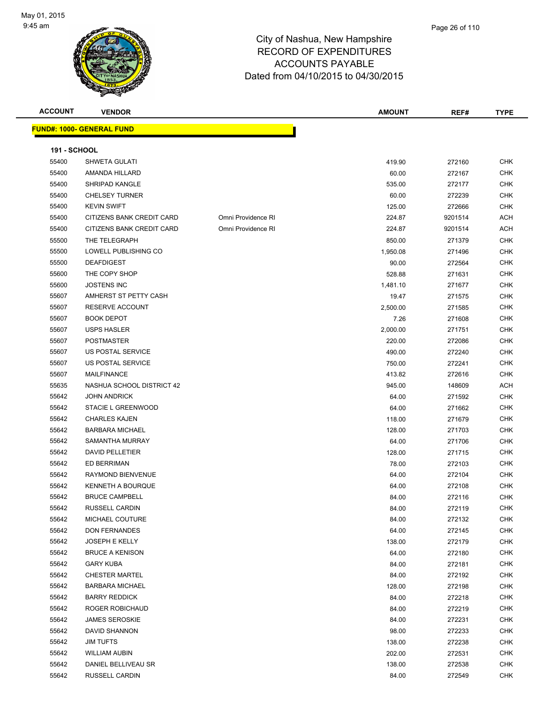

Page 26 of 110

| <b>ACCOUNT</b>      | <b>VENDOR</b>                     |                    | <b>AMOUNT</b> | REF#    | <b>TYPE</b> |
|---------------------|-----------------------------------|--------------------|---------------|---------|-------------|
|                     | <u> FUND#: 1000- GENERAL FUND</u> |                    |               |         |             |
| <b>191 - SCHOOL</b> |                                   |                    |               |         |             |
| 55400               | SHWETA GULATI                     |                    | 419.90        | 272160  | CHK         |
| 55400               | AMANDA HILLARD                    |                    | 60.00         | 272167  | CHK         |
| 55400               | SHRIPAD KANGLE                    |                    | 535.00        | 272177  | <b>CHK</b>  |
| 55400               | <b>CHELSEY TURNER</b>             |                    | 60.00         | 272239  | <b>CHK</b>  |
| 55400               | <b>KEVIN SWIFT</b>                |                    | 125.00        | 272666  | CHK         |
| 55400               | CITIZENS BANK CREDIT CARD         | Omni Providence RI | 224.87        | 9201514 | <b>ACH</b>  |
| 55400               | CITIZENS BANK CREDIT CARD         | Omni Providence RI | 224.87        | 9201514 | <b>ACH</b>  |
| 55500               | THE TELEGRAPH                     |                    | 850.00        | 271379  | <b>CHK</b>  |
| 55500               | LOWELL PUBLISHING CO              |                    | 1,950.08      | 271496  | <b>CHK</b>  |
| 55500               | <b>DEAFDIGEST</b>                 |                    | 90.00         | 272564  | <b>CHK</b>  |
| 55600               | THE COPY SHOP                     |                    | 528.88        | 271631  | <b>CHK</b>  |
| 55600               | <b>JOSTENS INC</b>                |                    | 1,481.10      | 271677  | <b>CHK</b>  |
| 55607               | AMHERST ST PETTY CASH             |                    | 19.47         | 271575  | <b>CHK</b>  |
| 55607               | RESERVE ACCOUNT                   |                    | 2,500.00      | 271585  | CHK         |
| 55607               | <b>BOOK DEPOT</b>                 |                    | 7.26          | 271608  | CHK         |
| 55607               | <b>USPS HASLER</b>                |                    | 2,000.00      | 271751  | <b>CHK</b>  |
| 55607               | POSTMASTER                        |                    | 220.00        | 272086  | CHK         |
| 55607               | US POSTAL SERVICE                 |                    | 490.00        | 272240  | CHK         |
| 55607               | US POSTAL SERVICE                 |                    | 750.00        | 272241  | <b>CHK</b>  |
| 55607               | <b>MAILFINANCE</b>                |                    | 413.82        | 272616  | <b>CHK</b>  |
| 55635               | NASHUA SCHOOL DISTRICT 42         |                    | 945.00        | 148609  | <b>ACH</b>  |
| 55642               | <b>JOHN ANDRICK</b>               |                    | 64.00         | 271592  | <b>CHK</b>  |
| 55642               | STACIE L GREENWOOD                |                    | 64.00         | 271662  | <b>CHK</b>  |
| 55642               | <b>CHARLES KAJEN</b>              |                    | 118.00        | 271679  | <b>CHK</b>  |
| 55642               | <b>BARBARA MICHAEL</b>            |                    | 128.00        | 271703  | CHK         |
| 55642               | SAMANTHA MURRAY                   |                    | 64.00         | 271706  | CHK         |
| 55642               | <b>DAVID PELLETIER</b>            |                    | 128.00        | 271715  | <b>CHK</b>  |
| 55642               | ED BERRIMAN                       |                    | 78.00         | 272103  | CHK         |
| 55642               | RAYMOND BIENVENUE                 |                    | 64.00         | 272104  | CHK         |
| 55642               | <b>KENNETH A BOURQUE</b>          |                    | 64.00         | 272108  | <b>CHK</b>  |
| 55642               | <b>BRUCE CAMPBELL</b>             |                    | 84.00         | 272116  | <b>CHK</b>  |
| 55642               | RUSSELL CARDIN                    |                    | 84.00         | 272119  | <b>CHK</b>  |
| 55642               | MICHAEL COUTURE                   |                    | 84.00         | 272132  | <b>CHK</b>  |
| 55642               | <b>DON FERNANDES</b>              |                    | 64.00         | 272145  | <b>CHK</b>  |
| 55642               | JOSEPH E KELLY                    |                    | 138.00        | 272179  | <b>CHK</b>  |
| 55642               | <b>BRUCE A KENISON</b>            |                    | 64.00         | 272180  | CHK         |
| 55642               | <b>GARY KUBA</b>                  |                    | 84.00         | 272181  | CHK         |
| 55642               | <b>CHESTER MARTEL</b>             |                    | 84.00         | 272192  | <b>CHK</b>  |
| 55642               | <b>BARBARA MICHAEL</b>            |                    | 128.00        | 272198  | CHK         |
| 55642               | <b>BARRY REDDICK</b>              |                    | 84.00         | 272218  | CHK         |
| 55642               | ROGER ROBICHAUD                   |                    | 84.00         | 272219  | CHK         |
| 55642               | <b>JAMES SEROSKIE</b>             |                    | 84.00         | 272231  | <b>CHK</b>  |

 DAVID SHANNON 98.00 272233 CHK JIM TUFTS 138.00 272238 CHK WILLIAM AUBIN 202.00 272531 CHK DANIEL BELLIVEAU SR 138.00 272538 CHK RUSSELL CARDIN 84.00 272549 CHK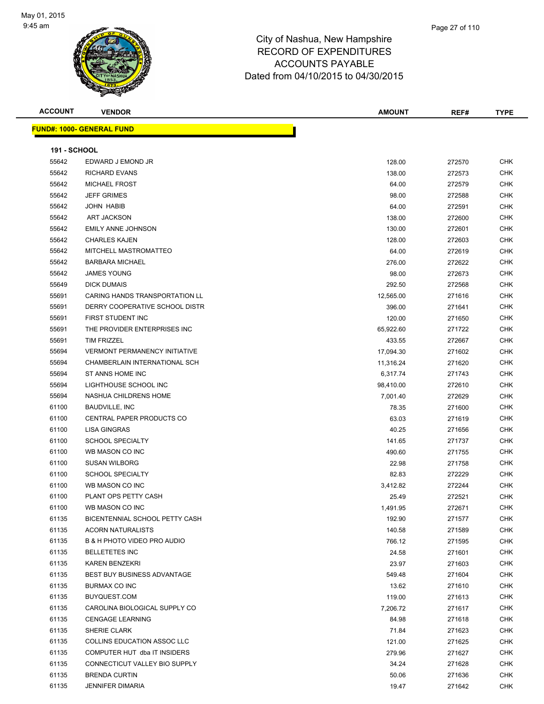

| <b>ACCOUNT</b>      | <b>VENDOR</b>                         | <b>AMOUNT</b> | REF#   | <b>TYPE</b> |
|---------------------|---------------------------------------|---------------|--------|-------------|
|                     | <u> FUND#: 1000- GENERAL FUND</u>     |               |        |             |
|                     |                                       |               |        |             |
| <b>191 - SCHOOL</b> |                                       |               |        |             |
| 55642               | EDWARD J EMOND JR                     | 128.00        | 272570 | CHK         |
| 55642               | <b>RICHARD EVANS</b>                  | 138.00        | 272573 | <b>CHK</b>  |
| 55642               | <b>MICHAEL FROST</b>                  | 64.00         | 272579 | <b>CHK</b>  |
| 55642               | <b>JEFF GRIMES</b>                    | 98.00         | 272588 | <b>CHK</b>  |
| 55642               | <b>JOHN HABIB</b>                     | 64.00         | 272591 | CHK         |
| 55642               | <b>ART JACKSON</b>                    | 138.00        | 272600 | CHK         |
| 55642               | <b>EMILY ANNE JOHNSON</b>             | 130.00        | 272601 | <b>CHK</b>  |
| 55642               | <b>CHARLES KAJEN</b>                  | 128.00        | 272603 | <b>CHK</b>  |
| 55642               | MITCHELL MASTROMATTEO                 | 64.00         | 272619 | <b>CHK</b>  |
| 55642               | <b>BARBARA MICHAEL</b>                | 276.00        | 272622 | <b>CHK</b>  |
| 55642               | <b>JAMES YOUNG</b>                    | 98.00         | 272673 | CHK         |
| 55649               | <b>DICK DUMAIS</b>                    | 292.50        | 272568 | <b>CHK</b>  |
| 55691               | <b>CARING HANDS TRANSPORTATION LL</b> | 12,565.00     | 271616 | <b>CHK</b>  |
| 55691               | DERRY COOPERATIVE SCHOOL DISTR        | 396.00        | 271641 | <b>CHK</b>  |
| 55691               | FIRST STUDENT INC                     | 120.00        | 271650 | <b>CHK</b>  |
| 55691               | THE PROVIDER ENTERPRISES INC          | 65,922.60     | 271722 | CHK         |
| 55691               | TIM FRIZZEL                           | 433.55        | 272667 | CHK         |
| 55694               | <b>VERMONT PERMANENCY INITIATIVE</b>  | 17,094.30     | 271602 | CHK         |
| 55694               | CHAMBERLAIN INTERNATIONAL SCH         | 11,316.24     | 271620 | CHK         |
| 55694               | ST ANNS HOME INC                      | 6,317.74      | 271743 | <b>CHK</b>  |
| 55694               | LIGHTHOUSE SCHOOL INC                 | 98,410.00     | 272610 | <b>CHK</b>  |
| 55694               | NASHUA CHILDRENS HOME                 | 7,001.40      | 272629 | <b>CHK</b>  |
| 61100               | <b>BAUDVILLE, INC</b>                 | 78.35         | 271600 | <b>CHK</b>  |
| 61100               | CENTRAL PAPER PRODUCTS CO             | 63.03         | 271619 | <b>CHK</b>  |
| 61100               | <b>LISA GINGRAS</b>                   | 40.25         | 271656 | <b>CHK</b>  |
| 61100               | <b>SCHOOL SPECIALTY</b>               | 141.65        | 271737 | <b>CHK</b>  |
| 61100               | WB MASON CO INC                       | 490.60        | 271755 | <b>CHK</b>  |
| 61100               | <b>SUSAN WILBORG</b>                  | 22.98         | 271758 | CHK         |
| 61100               | <b>SCHOOL SPECIALTY</b>               | 82.83         | 272229 | <b>CHK</b>  |
| 61100               | WB MASON CO INC                       | 3,412.82      | 272244 | <b>CHK</b>  |
| 61100               | PLANT OPS PETTY CASH                  | 25.49         | 272521 | CHK         |
| 61100               | WB MASON CO INC                       | 1,491.95      | 272671 | CHK         |
| 61135               | BICENTENNIAL SCHOOL PETTY CASH        | 192.90        | 271577 | <b>CHK</b>  |
| 61135               | <b>ACORN NATURALISTS</b>              | 140.58        | 271589 | CHK         |
| 61135               | B & H PHOTO VIDEO PRO AUDIO           | 766.12        | 271595 | <b>CHK</b>  |
| 61135               | <b>BELLETETES INC</b>                 | 24.58         | 271601 | CHK         |
| 61135               | KAREN BENZEKRI                        | 23.97         | 271603 | <b>CHK</b>  |
| 61135               | <b>BEST BUY BUSINESS ADVANTAGE</b>    | 549.48        | 271604 | CHK         |
| 61135               | <b>BURMAX CO INC</b>                  | 13.62         | 271610 | <b>CHK</b>  |
| 61135               | BUYQUEST.COM                          | 119.00        | 271613 | <b>CHK</b>  |
| 61135               | CAROLINA BIOLOGICAL SUPPLY CO         | 7,206.72      | 271617 | <b>CHK</b>  |
| 61135               | <b>CENGAGE LEARNING</b>               | 84.98         | 271618 | <b>CHK</b>  |
| 61135               | SHERIE CLARK                          | 71.84         | 271623 | CHK         |
| 61135               | COLLINS EDUCATION ASSOC LLC           | 121.00        | 271625 | CHK         |
| 61135               | COMPUTER HUT dba IT INSIDERS          | 279.96        | 271627 | CHK         |
| 61135               | CONNECTICUT VALLEY BIO SUPPLY         | 34.24         | 271628 | CHK         |
| 61135               | <b>BRENDA CURTIN</b>                  | 50.06         | 271636 | CHK         |
| 61135               | <b>JENNIFER DIMARIA</b>               | 19.47         | 271642 | CHK         |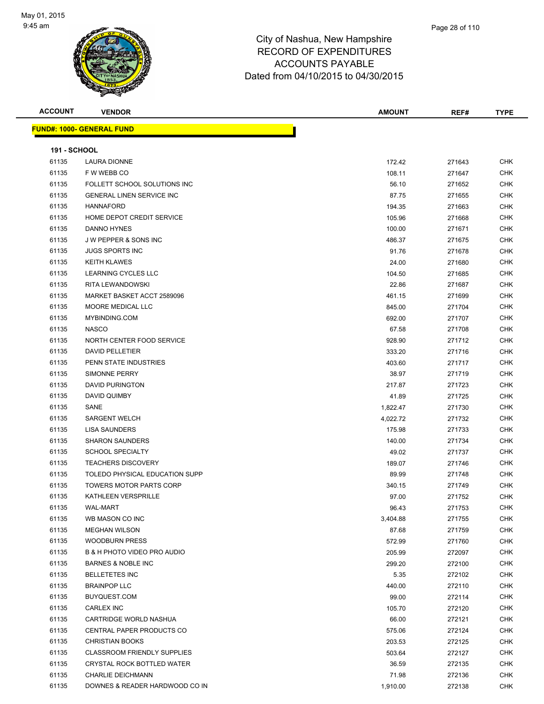

| <b>ACCOUNT</b>      | <b>VENDOR</b>                      | AMOUNT   | REF#   | <b>TYPE</b> |
|---------------------|------------------------------------|----------|--------|-------------|
|                     | <u> FUND#: 1000- GENERAL FUND</u>  |          |        |             |
|                     |                                    |          |        |             |
| <b>191 - SCHOOL</b> |                                    |          |        |             |
| 61135               | <b>LAURA DIONNE</b>                | 172.42   | 271643 | <b>CHK</b>  |
| 61135               | F W WEBB CO                        | 108.11   | 271647 | <b>CHK</b>  |
| 61135               | FOLLETT SCHOOL SOLUTIONS INC       | 56.10    | 271652 | <b>CHK</b>  |
| 61135               | <b>GENERAL LINEN SERVICE INC</b>   | 87.75    | 271655 | <b>CHK</b>  |
| 61135               | <b>HANNAFORD</b>                   | 194.35   | 271663 | <b>CHK</b>  |
| 61135               | HOME DEPOT CREDIT SERVICE          | 105.96   | 271668 | <b>CHK</b>  |
| 61135               | DANNO HYNES                        | 100.00   | 271671 | <b>CHK</b>  |
| 61135               | J W PEPPER & SONS INC              | 486.37   | 271675 | <b>CHK</b>  |
| 61135               | <b>JUGS SPORTS INC</b>             | 91.76    | 271678 | <b>CHK</b>  |
| 61135               | <b>KEITH KLAWES</b>                | 24.00    | 271680 | <b>CHK</b>  |
| 61135               | LEARNING CYCLES LLC                | 104.50   | 271685 | <b>CHK</b>  |
| 61135               | RITA LEWANDOWSKI                   | 22.86    | 271687 | <b>CHK</b>  |
| 61135               | MARKET BASKET ACCT 2589096         | 461.15   | 271699 | <b>CHK</b>  |
| 61135               | <b>MOORE MEDICAL LLC</b>           | 845.00   | 271704 | <b>CHK</b>  |
| 61135               | MYBINDING.COM                      | 692.00   | 271707 | <b>CHK</b>  |
| 61135               | <b>NASCO</b>                       | 67.58    | 271708 | CHK         |
| 61135               | NORTH CENTER FOOD SERVICE          | 928.90   | 271712 | <b>CHK</b>  |
| 61135               | <b>DAVID PELLETIER</b>             | 333.20   | 271716 | <b>CHK</b>  |
| 61135               | PENN STATE INDUSTRIES              | 403.60   | 271717 | <b>CHK</b>  |
| 61135               | <b>SIMONNE PERRY</b>               | 38.97    | 271719 | <b>CHK</b>  |
| 61135               | <b>DAVID PURINGTON</b>             | 217.87   | 271723 | <b>CHK</b>  |
| 61135               | DAVID QUIMBY                       | 41.89    | 271725 | <b>CHK</b>  |
| 61135               | SANE                               | 1,822.47 | 271730 | <b>CHK</b>  |
| 61135               | <b>SARGENT WELCH</b>               | 4,022.72 | 271732 | <b>CHK</b>  |
| 61135               | <b>LISA SAUNDERS</b>               | 175.98   | 271733 | <b>CHK</b>  |
| 61135               | <b>SHARON SAUNDERS</b>             | 140.00   | 271734 | <b>CHK</b>  |
| 61135               | <b>SCHOOL SPECIALTY</b>            | 49.02    | 271737 | <b>CHK</b>  |
| 61135               | <b>TEACHERS DISCOVERY</b>          | 189.07   | 271746 | <b>CHK</b>  |
| 61135               | TOLEDO PHYSICAL EDUCATION SUPP     | 89.99    | 271748 | <b>CHK</b>  |
| 61135               | <b>TOWERS MOTOR PARTS CORP</b>     | 340.15   | 271749 | <b>CHK</b>  |
| 61135               | KATHLEEN VERSPRILLE                | 97.00    | 271752 | CHK         |
| 61135               | <b>WAL-MART</b>                    | 96.43    | 271753 | <b>CHK</b>  |
| 61135               | WB MASON CO INC                    | 3,404.88 | 271755 | <b>CHK</b>  |
| 61135               | <b>MEGHAN WILSON</b>               | 87.68    | 271759 | <b>CHK</b>  |
| 61135               | <b>WOODBURN PRESS</b>              | 572.99   | 271760 | <b>CHK</b>  |
| 61135               | B & H PHOTO VIDEO PRO AUDIO        | 205.99   | 272097 | <b>CHK</b>  |
| 61135               | <b>BARNES &amp; NOBLE INC</b>      | 299.20   | 272100 | <b>CHK</b>  |
| 61135               | <b>BELLETETES INC</b>              | 5.35     | 272102 | <b>CHK</b>  |
| 61135               | <b>BRAINPOP LLC</b>                | 440.00   | 272110 | <b>CHK</b>  |
| 61135               | BUYQUEST.COM                       | 99.00    | 272114 | <b>CHK</b>  |
| 61135               | <b>CARLEX INC</b>                  | 105.70   | 272120 | <b>CHK</b>  |
| 61135               | CARTRIDGE WORLD NASHUA             | 66.00    | 272121 | <b>CHK</b>  |
| 61135               | CENTRAL PAPER PRODUCTS CO          | 575.06   | 272124 | <b>CHK</b>  |
| 61135               | <b>CHRISTIAN BOOKS</b>             | 203.53   | 272125 | <b>CHK</b>  |
| 61135               | <b>CLASSROOM FRIENDLY SUPPLIES</b> | 503.64   | 272127 | <b>CHK</b>  |
| 61135               | CRYSTAL ROCK BOTTLED WATER         | 36.59    | 272135 | <b>CHK</b>  |
| 61135               | <b>CHARLIE DEICHMANN</b>           | 71.98    | 272136 | <b>CHK</b>  |
| 61135               | DOWNES & READER HARDWOOD CO IN     | 1,910.00 | 272138 | <b>CHK</b>  |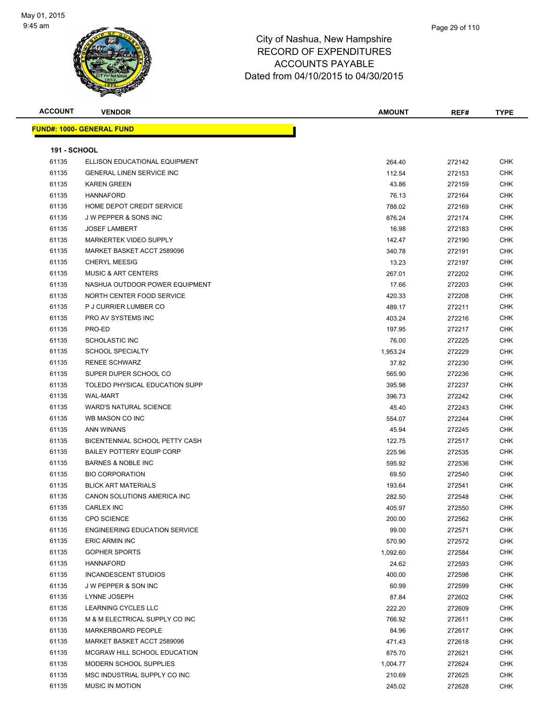

| <b>ACCOUNT</b>      | <b>VENDOR</b>                                    | <b>AMOUNT</b>    | REF#             | <b>TYPE</b>              |
|---------------------|--------------------------------------------------|------------------|------------------|--------------------------|
|                     | <u> FUND#: 1000- GENERAL FUND</u>                |                  |                  |                          |
| <b>191 - SCHOOL</b> |                                                  |                  |                  |                          |
| 61135               | ELLISON EDUCATIONAL EQUIPMENT                    | 264.40           | 272142           | <b>CHK</b>               |
| 61135               | <b>GENERAL LINEN SERVICE INC</b>                 | 112.54           | 272153           | <b>CHK</b>               |
| 61135               | <b>KAREN GREEN</b>                               | 43.86            | 272159           | <b>CHK</b>               |
| 61135               | <b>HANNAFORD</b>                                 | 76.13            | 272164           | <b>CHK</b>               |
| 61135               | HOME DEPOT CREDIT SERVICE                        | 788.02           | 272169           | <b>CHK</b>               |
| 61135               | <b>JW PEPPER &amp; SONS INC</b>                  | 876.24           | 272174           | <b>CHK</b>               |
| 61135               | <b>JOSEF LAMBERT</b>                             | 16.98            | 272183           | <b>CHK</b>               |
| 61135               | <b>MARKERTEK VIDEO SUPPLY</b>                    | 142.47           | 272190           | CHK                      |
| 61135               | MARKET BASKET ACCT 2589096                       | 340.78           | 272191           | <b>CHK</b>               |
| 61135               | <b>CHERYL MEESIG</b>                             | 13.23            | 272197           | <b>CHK</b>               |
| 61135               | <b>MUSIC &amp; ART CENTERS</b>                   | 267.01           | 272202           | CHK                      |
| 61135               | NASHUA OUTDOOR POWER EQUIPMENT                   | 17.66            | 272203           | <b>CHK</b>               |
| 61135               | NORTH CENTER FOOD SERVICE                        |                  |                  | <b>CHK</b>               |
|                     |                                                  | 420.33<br>489.17 | 272208<br>272211 | <b>CHK</b>               |
| 61135<br>61135      | P J CURRIER LUMBER CO<br>PRO AV SYSTEMS INC      |                  |                  | <b>CHK</b>               |
|                     |                                                  | 403.24           | 272216           |                          |
| 61135               | PRO-ED                                           | 197.95           | 272217           | <b>CHK</b>               |
| 61135<br>61135      | <b>SCHOLASTIC INC</b><br><b>SCHOOL SPECIALTY</b> | 76.00            | 272225           | CHK                      |
|                     | <b>RENEE SCHWARZ</b>                             | 1,953.24         | 272229           | <b>CHK</b>               |
| 61135<br>61135      | SUPER DUPER SCHOOL CO                            | 37.82            | 272230           | CHK                      |
|                     |                                                  | 565.90           | 272236           | <b>CHK</b>               |
| 61135               | TOLEDO PHYSICAL EDUCATION SUPP                   | 395.98           | 272237           | <b>CHK</b>               |
| 61135               | <b>WAL-MART</b>                                  | 396.73           | 272242           | CHK                      |
| 61135               | <b>WARD'S NATURAL SCIENCE</b>                    | 45.40            | 272243           | <b>CHK</b>               |
| 61135               | WB MASON CO INC                                  | 554.07           | 272244           | <b>CHK</b>               |
| 61135               | ANN WINANS                                       | 45.94            | 272245           | <b>CHK</b>               |
| 61135               | BICENTENNIAL SCHOOL PETTY CASH                   | 122.75           | 272517           | <b>CHK</b>               |
| 61135               | <b>BAILEY POTTERY EQUIP CORP</b>                 | 225.96           | 272535           | <b>CHK</b><br><b>CHK</b> |
| 61135               | <b>BARNES &amp; NOBLE INC</b>                    | 595.92           | 272536           |                          |
| 61135               | <b>BIO CORPORATION</b>                           | 69.50            | 272540           | <b>CHK</b>               |
| 61135               | <b>BLICK ART MATERIALS</b>                       | 193.64           | 272541           | <b>CHK</b>               |
| 61135               | CANON SOLUTIONS AMERICA INC                      | 282.50           | 272548           | <b>CHK</b>               |
| 61135               | CARLEX INC                                       | 405.97           | 272550           | <b>CHK</b>               |
| 61135               | <b>CPO SCIENCE</b>                               | 200.00           | 272562           | CHK                      |
| 61135               | <b>ENGINEERING EDUCATION SERVICE</b>             | 99.00            | 272571           | <b>CHK</b>               |
| 61135               | ERIC ARMIN INC                                   | 570.90           | 272572           | <b>CHK</b>               |
| 61135               | <b>GOPHER SPORTS</b>                             | 1,092.60         | 272584           | <b>CHK</b>               |
| 61135               | <b>HANNAFORD</b>                                 | 24.62            | 272593           | <b>CHK</b>               |
| 61135               | INCANDESCENT STUDIOS                             | 400.00           | 272598           | <b>CHK</b>               |
| 61135               | J W PEPPER & SON INC                             | 60.99            | 272599           | <b>CHK</b>               |
| 61135               | LYNNE JOSEPH                                     | 87.84            | 272602           | <b>CHK</b>               |
| 61135               | LEARNING CYCLES LLC                              | 222.20           | 272609           | <b>CHK</b>               |
| 61135               | M & M ELECTRICAL SUPPLY CO INC                   | 766.92           | 272611           | <b>CHK</b>               |
| 61135               | MARKERBOARD PEOPLE                               | 84.96            | 272617           | <b>CHK</b>               |
| 61135               | MARKET BASKET ACCT 2589096                       | 471.43           | 272618           | <b>CHK</b>               |
| 61135               | MCGRAW HILL SCHOOL EDUCATION                     | 875.70           | 272621           | <b>CHK</b>               |
| 61135               | MODERN SCHOOL SUPPLIES                           | 1,004.77         | 272624           | <b>CHK</b>               |
| 61135               | MSC INDUSTRIAL SUPPLY CO INC                     | 210.69           | 272625           | <b>CHK</b>               |
| 61135               | MUSIC IN MOTION                                  | 245.02           | 272628           | <b>CHK</b>               |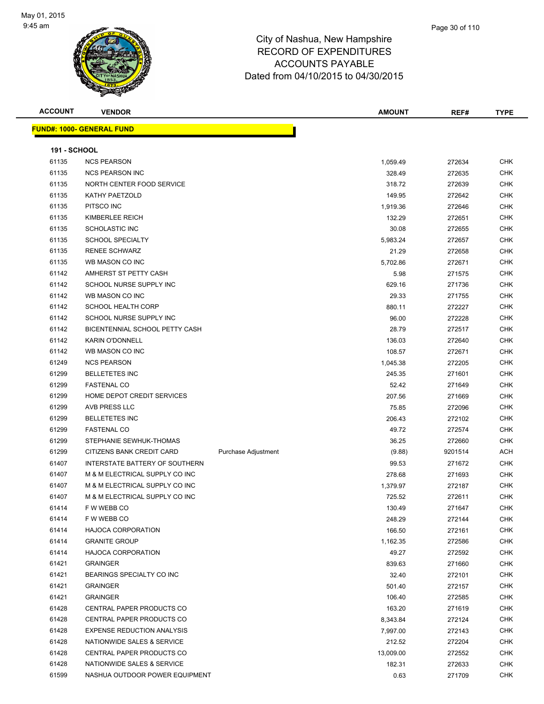

| <b>ACCOUNT</b>      | <b>VENDOR</b>                     |                            | <b>AMOUNT</b> | REF#    | <b>TYPE</b> |
|---------------------|-----------------------------------|----------------------------|---------------|---------|-------------|
|                     | <u> FUND#: 1000- GENERAL FUND</u> |                            |               |         |             |
|                     |                                   |                            |               |         |             |
| <b>191 - SCHOOL</b> |                                   |                            |               |         |             |
| 61135               | <b>NCS PEARSON</b>                |                            | 1,059.49      | 272634  | <b>CHK</b>  |
| 61135               | <b>NCS PEARSON INC</b>            |                            | 328.49        | 272635  | <b>CHK</b>  |
| 61135               | NORTH CENTER FOOD SERVICE         |                            | 318.72        | 272639  | <b>CHK</b>  |
| 61135               | KATHY PAETZOLD                    |                            | 149.95        | 272642  | <b>CHK</b>  |
| 61135               | PITSCO INC                        |                            | 1,919.36      | 272646  | <b>CHK</b>  |
| 61135               | KIMBERLEE REICH                   |                            | 132.29        | 272651  | <b>CHK</b>  |
| 61135               | <b>SCHOLASTIC INC</b>             |                            | 30.08         | 272655  | <b>CHK</b>  |
| 61135               | <b>SCHOOL SPECIALTY</b>           |                            | 5,983.24      | 272657  | <b>CHK</b>  |
| 61135               | <b>RENEE SCHWARZ</b>              |                            | 21.29         | 272658  | <b>CHK</b>  |
| 61135               | WB MASON CO INC                   |                            | 5,702.86      | 272671  | <b>CHK</b>  |
| 61142               | AMHERST ST PETTY CASH             |                            | 5.98          | 271575  | <b>CHK</b>  |
| 61142               | SCHOOL NURSE SUPPLY INC           |                            | 629.16        | 271736  | <b>CHK</b>  |
| 61142               | WB MASON CO INC                   |                            | 29.33         | 271755  | <b>CHK</b>  |
| 61142               | <b>SCHOOL HEALTH CORP</b>         |                            | 880.11        | 272227  | <b>CHK</b>  |
| 61142               | SCHOOL NURSE SUPPLY INC           |                            | 96.00         | 272228  | <b>CHK</b>  |
| 61142               | BICENTENNIAL SCHOOL PETTY CASH    |                            | 28.79         | 272517  | <b>CHK</b>  |
| 61142               | <b>KARIN O'DONNELL</b>            |                            | 136.03        | 272640  | <b>CHK</b>  |
| 61142               | WB MASON CO INC                   |                            | 108.57        | 272671  | <b>CHK</b>  |
| 61249               | <b>NCS PEARSON</b>                |                            | 1,045.38      | 272205  | <b>CHK</b>  |
| 61299               | <b>BELLETETES INC</b>             |                            | 245.35        | 271601  | <b>CHK</b>  |
| 61299               | <b>FASTENAL CO</b>                |                            | 52.42         | 271649  | <b>CHK</b>  |
| 61299               | HOME DEPOT CREDIT SERVICES        |                            | 207.56        | 271669  | <b>CHK</b>  |
| 61299               | AVB PRESS LLC                     |                            | 75.85         | 272096  | <b>CHK</b>  |
| 61299               | <b>BELLETETES INC</b>             |                            | 206.43        | 272102  | <b>CHK</b>  |
| 61299               | <b>FASTENAL CO</b>                |                            | 49.72         | 272574  | <b>CHK</b>  |
| 61299               | STEPHANIE SEWHUK-THOMAS           |                            | 36.25         | 272660  | <b>CHK</b>  |
| 61299               | CITIZENS BANK CREDIT CARD         | <b>Purchase Adjustment</b> | (9.88)        | 9201514 | <b>ACH</b>  |
| 61407               | INTERSTATE BATTERY OF SOUTHERN    |                            | 99.53         | 271672  | <b>CHK</b>  |
| 61407               | M & M ELECTRICAL SUPPLY CO INC    |                            | 278.68        | 271693  | <b>CHK</b>  |
| 61407               | M & M ELECTRICAL SUPPLY CO INC    |                            | 1,379.97      | 272187  | <b>CHK</b>  |
| 61407               | M & M ELECTRICAL SUPPLY CO INC    |                            | 725.52        | 272611  | <b>CHK</b>  |
| 61414               | F W WEBB CO                       |                            | 130.49        | 271647  | <b>CHK</b>  |
| 61414               | F W WEBB CO                       |                            | 248.29        | 272144  | <b>CHK</b>  |
| 61414               | <b>HAJOCA CORPORATION</b>         |                            | 166.50        | 272161  | <b>CHK</b>  |
| 61414               | <b>GRANITE GROUP</b>              |                            | 1,162.35      | 272586  | <b>CHK</b>  |
| 61414               | <b>HAJOCA CORPORATION</b>         |                            | 49.27         | 272592  | <b>CHK</b>  |
| 61421               | <b>GRAINGER</b>                   |                            | 839.63        | 271660  | <b>CHK</b>  |
| 61421               | BEARINGS SPECIALTY CO INC         |                            | 32.40         | 272101  | <b>CHK</b>  |
| 61421               | <b>GRAINGER</b>                   |                            | 501.40        | 272157  | <b>CHK</b>  |
| 61421               | <b>GRAINGER</b>                   |                            | 106.40        | 272585  | <b>CHK</b>  |
| 61428               | CENTRAL PAPER PRODUCTS CO         |                            | 163.20        | 271619  | <b>CHK</b>  |
| 61428               | CENTRAL PAPER PRODUCTS CO         |                            | 8,343.84      | 272124  | <b>CHK</b>  |
| 61428               | <b>EXPENSE REDUCTION ANALYSIS</b> |                            | 7,997.00      | 272143  | <b>CHK</b>  |
| 61428               | NATIONWIDE SALES & SERVICE        |                            | 212.52        | 272204  | <b>CHK</b>  |
| 61428               | CENTRAL PAPER PRODUCTS CO         |                            | 13,009.00     | 272552  | <b>CHK</b>  |
| 61428               | NATIONWIDE SALES & SERVICE        |                            | 182.31        | 272633  | <b>CHK</b>  |
| 61599               | NASHUA OUTDOOR POWER EQUIPMENT    |                            | 0.63          | 271709  | <b>CHK</b>  |
|                     |                                   |                            |               |         |             |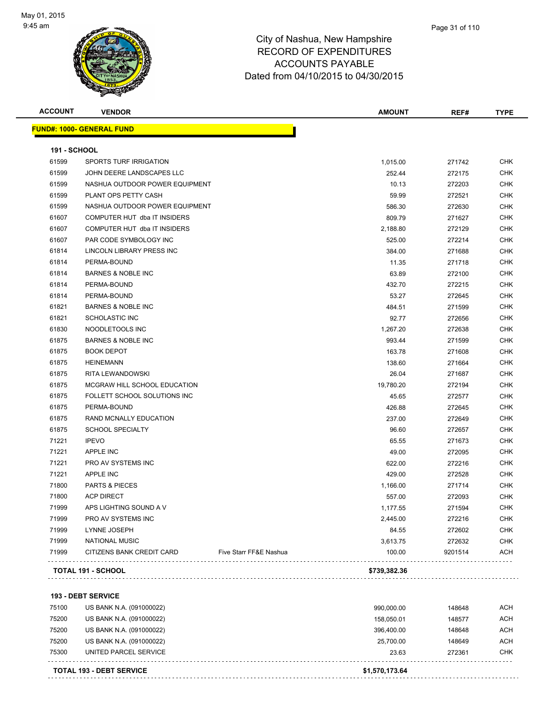

| 191 - SCHOOL<br>61599<br>61599<br>61599 | <u> FUND#: 1000- GENERAL FUND</u><br>SPORTS TURF IRRIGATION<br>JOHN DEERE LANDSCAPES LLC |                        |              |         |            |
|-----------------------------------------|------------------------------------------------------------------------------------------|------------------------|--------------|---------|------------|
|                                         |                                                                                          |                        |              |         |            |
|                                         |                                                                                          |                        |              |         |            |
|                                         |                                                                                          |                        | 1,015.00     | 271742  | <b>CHK</b> |
|                                         |                                                                                          |                        | 252.44       | 272175  | <b>CHK</b> |
|                                         | NASHUA OUTDOOR POWER EQUIPMENT                                                           |                        | 10.13        | 272203  | <b>CHK</b> |
| 61599                                   | PLANT OPS PETTY CASH                                                                     |                        | 59.99        | 272521  | <b>CHK</b> |
| 61599                                   | NASHUA OUTDOOR POWER EQUIPMENT                                                           |                        | 586.30       | 272630  | CHK        |
| 61607                                   | COMPUTER HUT dba IT INSIDERS                                                             |                        | 809.79       | 271627  | CHK        |
| 61607                                   | COMPUTER HUT dba IT INSIDERS                                                             |                        | 2,188.80     | 272129  | CHK        |
| 61607                                   | PAR CODE SYMBOLOGY INC                                                                   |                        | 525.00       | 272214  | <b>CHK</b> |
| 61814                                   | LINCOLN LIBRARY PRESS INC                                                                |                        | 384.00       | 271688  | <b>CHK</b> |
| 61814                                   | PERMA-BOUND                                                                              |                        | 11.35        | 271718  | <b>CHK</b> |
| 61814                                   | <b>BARNES &amp; NOBLE INC</b>                                                            |                        | 63.89        | 272100  | <b>CHK</b> |
| 61814                                   | PERMA-BOUND                                                                              |                        | 432.70       | 272215  | <b>CHK</b> |
| 61814                                   | PERMA-BOUND                                                                              |                        | 53.27        | 272645  | CHK        |
| 61821                                   | <b>BARNES &amp; NOBLE INC</b>                                                            |                        | 484.51       | 271599  | CHK        |
| 61821                                   | <b>SCHOLASTIC INC</b>                                                                    |                        | 92.77        | 272656  | CHK        |
| 61830                                   | NOODLETOOLS INC                                                                          |                        | 1,267.20     | 272638  | CHK        |
| 61875                                   | <b>BARNES &amp; NOBLE INC</b>                                                            |                        | 993.44       | 271599  | CHK        |
| 61875                                   | <b>BOOK DEPOT</b>                                                                        |                        | 163.78       | 271608  | CHK        |
| 61875                                   | <b>HEINEMANN</b>                                                                         |                        | 138.60       | 271664  | CHK        |
| 61875                                   | RITA LEWANDOWSKI                                                                         |                        | 26.04        | 271687  | CHK        |
| 61875                                   | MCGRAW HILL SCHOOL EDUCATION                                                             |                        | 19,780.20    | 272194  | CHK        |
| 61875                                   | FOLLETT SCHOOL SOLUTIONS INC                                                             |                        | 45.65        | 272577  | <b>CHK</b> |
| 61875                                   | PERMA-BOUND                                                                              |                        | 426.88       | 272645  | <b>CHK</b> |
| 61875                                   | RAND MCNALLY EDUCATION                                                                   |                        | 237.00       | 272649  | CHK        |
| 61875                                   | <b>SCHOOL SPECIALTY</b>                                                                  |                        | 96.60        | 272657  | CHK        |
| 71221                                   | <b>IPEVO</b>                                                                             |                        | 65.55        | 271673  | CHK        |
| 71221                                   | <b>APPLE INC</b>                                                                         |                        | 49.00        | 272095  | CHK        |
| 71221                                   | PRO AV SYSTEMS INC                                                                       |                        | 622.00       | 272216  | CHK        |
| 71221                                   | APPLE INC                                                                                |                        | 429.00       | 272528  | CHK        |
| 71800                                   | <b>PARTS &amp; PIECES</b>                                                                |                        | 1,166.00     | 271714  | CHK        |
| 71800                                   | <b>ACP DIRECT</b>                                                                        |                        | 557.00       | 272093  | <b>CHK</b> |
| 71999                                   | APS LIGHTING SOUND A V                                                                   |                        | 1,177.55     | 271594  | <b>CHK</b> |
| 71999                                   | PRO AV SYSTEMS INC                                                                       |                        | 2,445.00     | 272216  | CHK        |
| 71999                                   | LYNNE JOSEPH                                                                             |                        | 84.55        | 272602  | <b>CHK</b> |
| 71999                                   | <b>NATIONAL MUSIC</b>                                                                    |                        | 3,613.75     | 272632  | CHK        |
| 71999                                   | CITIZENS BANK CREDIT CARD                                                                | Five Starr FF&E Nashua | 100.00       | 9201514 | <b>ACH</b> |
|                                         | TOTAL 191 - SCHOOL                                                                       |                        | \$739,382.36 |         |            |
|                                         |                                                                                          |                        |              |         |            |

|       | <b>TOTAL 193 - DEBT SERVICE</b> | \$1,570,173.64 |        |     |
|-------|---------------------------------|----------------|--------|-----|
| 75300 | UNITED PARCEL SERVICE           | 23.63          | 272361 | CHK |
| 75200 | US BANK N.A. (091000022)        | 25.700.00      | 148649 | ACH |
| 75200 | US BANK N.A. (091000022)        | 396.400.00     | 148648 | ACH |
| 75200 | US BANK N.A. (091000022)        | 158.050.01     | 148577 | ACH |
| 75100 | US BANK N.A. (091000022)        | 990.000.00     | 148648 | ACH |
|       |                                 |                |        |     |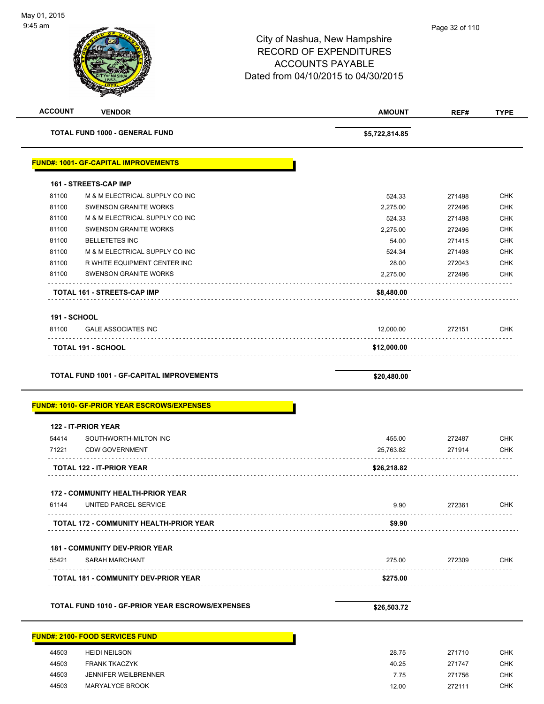|                     | <b>VENDOR</b>                                                                                          | <b>AMOUNT</b>       | REF#             |                                                             |
|---------------------|--------------------------------------------------------------------------------------------------------|---------------------|------------------|-------------------------------------------------------------|
|                     | TOTAL FUND 1000 - GENERAL FUND                                                                         | \$5,722,814.85      |                  |                                                             |
|                     | <b>FUND#: 1001- GF-CAPITAL IMPROVEMENTS</b>                                                            |                     |                  |                                                             |
|                     | 161 - STREETS-CAP IMP                                                                                  |                     |                  |                                                             |
| 81100               | M & M ELECTRICAL SUPPLY CO INC                                                                         | 524.33              | 271498           | <b>CHK</b>                                                  |
| 81100               | <b>SWENSON GRANITE WORKS</b>                                                                           | 2,275.00            | 272496           | CHK                                                         |
| 81100               | M & M ELECTRICAL SUPPLY CO INC                                                                         | 524.33              | 271498           | <b>CHK</b>                                                  |
| 81100               | <b>SWENSON GRANITE WORKS</b>                                                                           | 2,275.00            | 272496           | <b>CHK</b>                                                  |
| 81100               | <b>BELLETETES INC</b>                                                                                  | 54.00               | 271415           | <b>CHK</b>                                                  |
| 81100               | M & M ELECTRICAL SUPPLY CO INC                                                                         | 524.34              | 271498           | <b>CHK</b>                                                  |
| 81100               | R WHITE EQUIPMENT CENTER INC                                                                           | 28.00               | 272043           | <b>CHK</b>                                                  |
| 81100               | SWENSON GRANITE WORKS<br>.                                                                             | 2,275.00            | 272496           | <b>CHK</b>                                                  |
|                     | TOTAL 161 - STREETS-CAP IMP                                                                            | \$8,480.00          |                  |                                                             |
| <b>191 - SCHOOL</b> |                                                                                                        |                     |                  |                                                             |
| 81100               | <b>GALE ASSOCIATES INC</b>                                                                             | 12,000.00           | 272151           | CHK                                                         |
|                     | <b>TOTAL 191 - SCHOOL</b>                                                                              | \$12,000.00         |                  |                                                             |
|                     |                                                                                                        |                     |                  |                                                             |
|                     |                                                                                                        |                     |                  |                                                             |
|                     | <b>TOTAL FUND 1001 - GF-CAPITAL IMPROVEMENTS</b><br><b>FUND#: 1010- GF-PRIOR YEAR ESCROWS/EXPENSES</b> | \$20,480.00         |                  |                                                             |
|                     | 122 - IT-PRIOR YEAR                                                                                    |                     |                  |                                                             |
|                     |                                                                                                        |                     |                  |                                                             |
| 54414<br>71221      | SOUTHWORTH-MILTON INC<br><b>CDW GOVERNMENT</b>                                                         | 455.00<br>25,763.82 | 272487<br>271914 |                                                             |
|                     |                                                                                                        |                     |                  |                                                             |
|                     | <b>TOTAL 122 - IT-PRIOR YEAR</b>                                                                       | \$26,218.82         |                  |                                                             |
| 61144               | <b>172 - COMMUNITY HEALTH-PRIOR YEAR</b><br>UNITED PARCEL SERVICE                                      | 9.90                | 272361           |                                                             |
|                     | <b>TOTAL 172 - COMMUNITY HEALTH-PRIOR YEAR</b>                                                         | \$9.90              |                  |                                                             |
|                     |                                                                                                        |                     |                  |                                                             |
|                     | <b>181 - COMMUNITY DEV-PRIOR YEAR</b>                                                                  |                     |                  |                                                             |
| 55421               | SARAH MARCHANT                                                                                         | 275.00              | 272309           |                                                             |
|                     | <b>TOTAL 181 - COMMUNITY DEV-PRIOR YEAR</b>                                                            | \$275.00            |                  |                                                             |
|                     | TOTAL FUND 1010 - GF-PRIOR YEAR ESCROWS/EXPENSES                                                       | \$26,503.72         |                  |                                                             |
|                     |                                                                                                        |                     |                  |                                                             |
|                     | <b>FUND#: 2100- FOOD SERVICES FUND</b>                                                                 |                     |                  |                                                             |
| 44503               | <b>HEIDI NEILSON</b>                                                                                   | 28.75               | 271710           | <b>CHK</b><br><b>CHK</b><br>CHK<br><b>CHK</b><br><b>CHK</b> |
| 44503<br>44503      | <b>FRANK TKACZYK</b><br><b>JENNIFER WEILBRENNER</b>                                                    | 40.25<br>7.75       | 271747<br>271756 | CHK<br><b>CHK</b>                                           |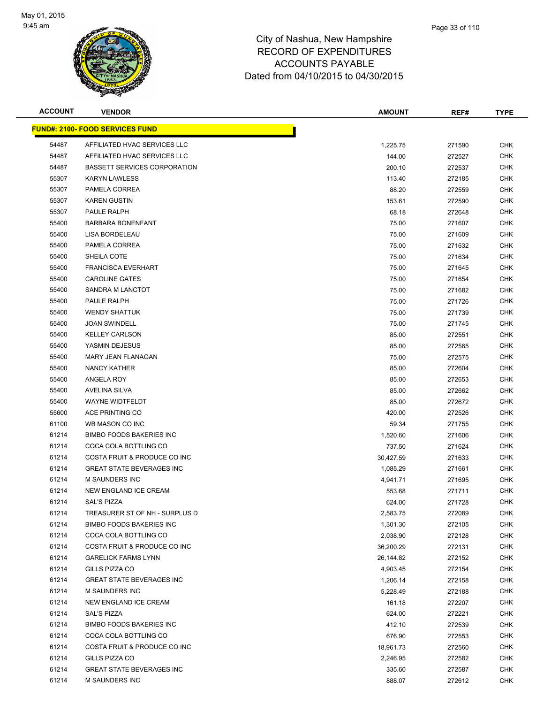

| <b>ACCOUNT</b> | <b>VENDOR</b>                          | <b>AMOUNT</b> | REF#   | <b>TYPE</b> |
|----------------|----------------------------------------|---------------|--------|-------------|
|                | <b>FUND#: 2100- FOOD SERVICES FUND</b> |               |        |             |
| 54487          | AFFILIATED HVAC SERVICES LLC           | 1,225.75      | 271590 | <b>CHK</b>  |
| 54487          | AFFILIATED HVAC SERVICES LLC           | 144.00        | 272527 | <b>CHK</b>  |
| 54487          | <b>BASSETT SERVICES CORPORATION</b>    | 200.10        | 272537 | <b>CHK</b>  |
| 55307          | <b>KARYN LAWLESS</b>                   | 113.40        | 272185 | <b>CHK</b>  |
| 55307          | PAMELA CORREA                          | 88.20         | 272559 | <b>CHK</b>  |
| 55307          | <b>KAREN GUSTIN</b>                    | 153.61        | 272590 | <b>CHK</b>  |
| 55307          | PAULE RALPH                            | 68.18         | 272648 | CHK         |
| 55400          | <b>BARBARA BONENFANT</b>               | 75.00         | 271607 | <b>CHK</b>  |
| 55400          | LISA BORDELEAU                         | 75.00         | 271609 | <b>CHK</b>  |
| 55400          | PAMELA CORREA                          | 75.00         | 271632 | CHK         |
| 55400          | SHEILA COTE                            | 75.00         | 271634 | CHK         |
| 55400          | <b>FRANCISCA EVERHART</b>              | 75.00         | 271645 | <b>CHK</b>  |
| 55400          | <b>CAROLINE GATES</b>                  | 75.00         | 271654 | <b>CHK</b>  |
| 55400          | SANDRA M LANCTOT                       | 75.00         | 271682 | <b>CHK</b>  |
| 55400          | PAULE RALPH                            | 75.00         | 271726 | <b>CHK</b>  |
| 55400          | <b>WENDY SHATTUK</b>                   | 75.00         | 271739 | CHK         |
| 55400          | <b>JOAN SWINDELL</b>                   | 75.00         | 271745 | <b>CHK</b>  |
| 55400          | <b>KELLEY CARLSON</b>                  | 85.00         | 272551 | CHK         |
| 55400          | YASMIN DEJESUS                         | 85.00         | 272565 | <b>CHK</b>  |
| 55400          | <b>MARY JEAN FLANAGAN</b>              | 75.00         | 272575 | <b>CHK</b>  |
| 55400          | NANCY KATHER                           | 85.00         | 272604 | <b>CHK</b>  |
| 55400          | ANGELA ROY                             | 85.00         | 272653 | CHK         |
| 55400          | AVELINA SILVA                          | 85.00         | 272662 | <b>CHK</b>  |
| 55400          | <b>WAYNE WIDTFELDT</b>                 | 85.00         | 272672 | <b>CHK</b>  |
| 55600          | ACE PRINTING CO                        | 420.00        | 272526 | <b>CHK</b>  |
| 61100          | WB MASON CO INC                        | 59.34         | 271755 | <b>CHK</b>  |
| 61214          | <b>BIMBO FOODS BAKERIES INC</b>        | 1,520.60      | 271606 | <b>CHK</b>  |
| 61214          | COCA COLA BOTTLING CO                  | 737.50        | 271624 | <b>CHK</b>  |
| 61214          | COSTA FRUIT & PRODUCE CO INC           | 30,427.59     | 271633 | CHK         |
| 61214          | <b>GREAT STATE BEVERAGES INC</b>       | 1,085.29      | 271661 | <b>CHK</b>  |
| 61214          | <b>M SAUNDERS INC</b>                  | 4,941.71      | 271695 | <b>CHK</b>  |
| 61214          | NEW ENGLAND ICE CREAM                  | 553.68        | 271711 | <b>CHK</b>  |
| 61214          | <b>SAL'S PIZZA</b>                     | 624.00        | 271728 | <b>CHK</b>  |
| 61214          | TREASURER ST OF NH - SURPLUS D         | 2,583.75      | 272089 | CHK         |
| 61214          | <b>BIMBO FOODS BAKERIES INC</b>        | 1,301.30      | 272105 | <b>CHK</b>  |
| 61214          | COCA COLA BOTTLING CO                  | 2,038.90      | 272128 | <b>CHK</b>  |
| 61214          | COSTA FRUIT & PRODUCE CO INC           | 36,200.29     | 272131 | <b>CHK</b>  |
| 61214          | <b>GARELICK FARMS LYNN</b>             | 26,144.82     | 272152 | <b>CHK</b>  |
| 61214          | GILLS PIZZA CO                         | 4,903.45      | 272154 | <b>CHK</b>  |
| 61214          | GREAT STATE BEVERAGES INC              | 1,206.14      | 272158 | <b>CHK</b>  |
| 61214          | <b>M SAUNDERS INC</b>                  | 5,228.49      | 272188 | <b>CHK</b>  |
| 61214          | NEW ENGLAND ICE CREAM                  | 161.18        | 272207 | <b>CHK</b>  |
| 61214          | SAL'S PIZZA                            | 624.00        | 272221 | <b>CHK</b>  |
| 61214          | <b>BIMBO FOODS BAKERIES INC</b>        | 412.10        | 272539 | <b>CHK</b>  |
| 61214          | COCA COLA BOTTLING CO                  | 676.90        | 272553 | <b>CHK</b>  |
| 61214          | COSTA FRUIT & PRODUCE CO INC           | 18,961.73     | 272560 | CHK         |
| 61214          | GILLS PIZZA CO                         | 2,246.95      | 272582 | CHK         |
| 61214          | <b>GREAT STATE BEVERAGES INC</b>       | 335.60        | 272587 | <b>CHK</b>  |
| 61214          | <b>M SAUNDERS INC</b>                  | 888.07        | 272612 | <b>CHK</b>  |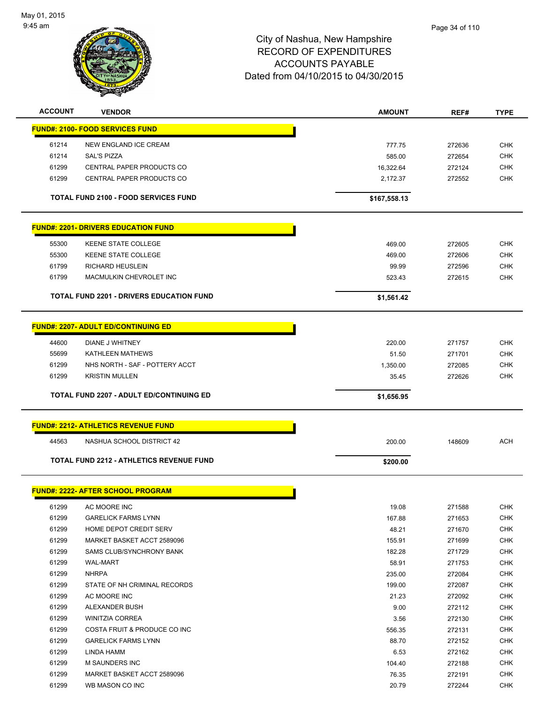

| <b>ACCOUNT</b> | <b>VENDOR</b>                                   | <b>AMOUNT</b>   | REF#             | <b>TYPE</b>              |
|----------------|-------------------------------------------------|-----------------|------------------|--------------------------|
|                | <b>FUND#: 2100- FOOD SERVICES FUND</b>          |                 |                  |                          |
| 61214          | NEW ENGLAND ICE CREAM                           | 777.75          | 272636           | <b>CHK</b>               |
| 61214          | <b>SAL'S PIZZA</b>                              | 585.00          | 272654           | <b>CHK</b>               |
| 61299          | CENTRAL PAPER PRODUCTS CO                       | 16,322.64       | 272124           | <b>CHK</b>               |
| 61299          | CENTRAL PAPER PRODUCTS CO                       | 2,172.37        | 272552           | <b>CHK</b>               |
|                | <b>TOTAL FUND 2100 - FOOD SERVICES FUND</b>     | \$167,558.13    |                  |                          |
|                |                                                 |                 |                  |                          |
|                | <b>FUND#: 2201- DRIVERS EDUCATION FUND</b>      |                 |                  |                          |
| 55300          | <b>KEENE STATE COLLEGE</b>                      | 469.00          | 272605           | <b>CHK</b>               |
| 55300          | <b>KEENE STATE COLLEGE</b>                      | 469.00          | 272606           | <b>CHK</b>               |
| 61799          | <b>RICHARD HEUSLEIN</b>                         | 99.99           | 272596           | <b>CHK</b>               |
| 61799          | MACMULKIN CHEVROLET INC                         | 523.43          | 272615           | <b>CHK</b>               |
|                | <b>TOTAL FUND 2201 - DRIVERS EDUCATION FUND</b> | \$1,561.42      |                  |                          |
|                |                                                 |                 |                  |                          |
|                | <b>FUND#: 2207- ADULT ED/CONTINUING ED</b>      |                 |                  |                          |
| 44600          | DIANE J WHITNEY                                 | 220.00          | 271757           | <b>CHK</b>               |
| 55699          | <b>KATHLEEN MATHEWS</b>                         | 51.50           | 271701           | <b>CHK</b>               |
| 61299          | NHS NORTH - SAF - POTTERY ACCT                  | 1,350.00        | 272085           | <b>CHK</b>               |
| 61299          | <b>KRISTIN MULLEN</b>                           | 35.45           | 272626           | <b>CHK</b>               |
|                | <b>TOTAL FUND 2207 - ADULT ED/CONTINUING ED</b> | \$1,656.95      |                  |                          |
|                |                                                 |                 |                  |                          |
|                | <b>FUND#: 2212- ATHLETICS REVENUE FUND</b>      |                 |                  |                          |
| 44563          | NASHUA SCHOOL DISTRICT 42                       | 200.00          | 148609           | <b>ACH</b>               |
|                | TOTAL FUND 2212 - ATHLETICS REVENUE FUND        | \$200.00        |                  |                          |
|                | <b>FUND#: 2222- AFTER SCHOOL PROGRAM</b>        |                 |                  |                          |
| 61299          | AC MOORE INC                                    | 19.08           | 271588           | <b>CHK</b>               |
| 61299          | <b>GARELICK FARMS LYNN</b>                      | 167.88          | 271653           | <b>CHK</b>               |
| 61299          | HOME DEPOT CREDIT SERV                          | 48.21           | 271670           | <b>CHK</b>               |
| 61299          | MARKET BASKET ACCT 2589096                      | 155.91          | 271699           | <b>CHK</b>               |
| 61299          |                                                 |                 |                  |                          |
|                |                                                 |                 |                  |                          |
|                | SAMS CLUB/SYNCHRONY BANK                        | 182.28          | 271729           | <b>CHK</b>               |
| 61299          | <b>WAL-MART</b>                                 | 58.91           | 271753           | <b>CHK</b>               |
| 61299          | <b>NHRPA</b>                                    | 235.00          | 272084           | <b>CHK</b>               |
| 61299          | STATE OF NH CRIMINAL RECORDS                    | 199.00          | 272087           | <b>CHK</b>               |
| 61299          | AC MOORE INC                                    | 21.23           | 272092           | <b>CHK</b>               |
| 61299          | ALEXANDER BUSH                                  | 9.00            | 272112           | <b>CHK</b>               |
| 61299          | <b>WINITZIA CORREA</b>                          | 3.56            | 272130           | <b>CHK</b>               |
| 61299          | COSTA FRUIT & PRODUCE CO INC                    | 556.35          | 272131           | <b>CHK</b>               |
| 61299          | <b>GARELICK FARMS LYNN</b>                      | 88.70           | 272152           | <b>CHK</b>               |
| 61299<br>61299 | LINDA HAMM<br>M SAUNDERS INC                    | 6.53            | 272162           | <b>CHK</b>               |
| 61299          | MARKET BASKET ACCT 2589096                      | 104.40<br>76.35 | 272188<br>272191 | <b>CHK</b><br><b>CHK</b> |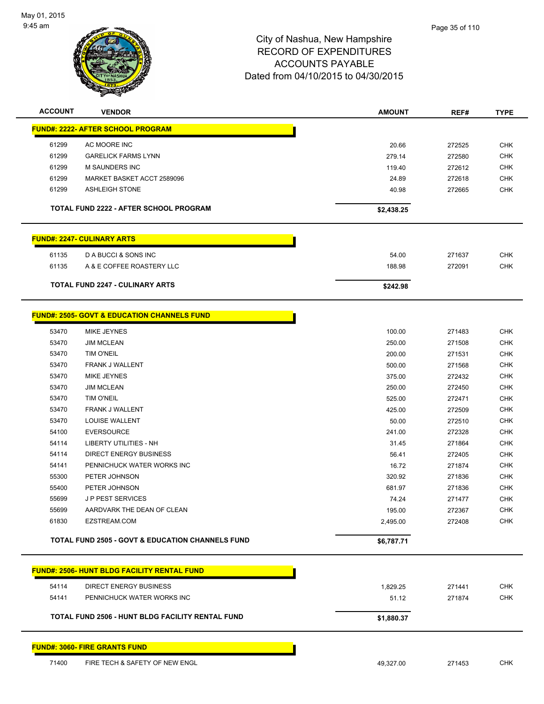

| <b>ACCOUNT</b> | <b>VENDOR</b>                                               | <b>AMOUNT</b> | REF#   | <b>TYPE</b>              |
|----------------|-------------------------------------------------------------|---------------|--------|--------------------------|
|                | <b>FUND#: 2222- AFTER SCHOOL PROGRAM</b>                    |               |        |                          |
| 61299          | AC MOORE INC                                                | 20.66         | 272525 | <b>CHK</b>               |
| 61299          | <b>GARELICK FARMS LYNN</b>                                  | 279.14        | 272580 | <b>CHK</b>               |
| 61299          | <b>M SAUNDERS INC</b>                                       | 119.40        | 272612 | <b>CHK</b>               |
| 61299          | MARKET BASKET ACCT 2589096                                  | 24.89         | 272618 | CHK                      |
| 61299          | <b>ASHLEIGH STONE</b>                                       | 40.98         | 272665 | <b>CHK</b>               |
|                | <b>TOTAL FUND 2222 - AFTER SCHOOL PROGRAM</b>               | \$2,438.25    |        |                          |
|                | <b>FUND#: 2247- CULINARY ARTS</b>                           |               |        |                          |
|                |                                                             |               |        |                          |
| 61135          | D A BUCCI & SONS INC                                        | 54.00         | 271637 | <b>CHK</b>               |
| 61135          | A & E COFFEE ROASTERY LLC                                   | 188.98        | 272091 | <b>CHK</b>               |
|                | <b>TOTAL FUND 2247 - CULINARY ARTS</b>                      | \$242.98      |        |                          |
|                | <b>FUND#: 2505- GOVT &amp; EDUCATION CHANNELS FUND</b>      |               |        |                          |
|                |                                                             |               |        |                          |
| 53470          | <b>MIKE JEYNES</b>                                          | 100.00        | 271483 | <b>CHK</b>               |
| 53470          | <b>JIM MCLEAN</b>                                           | 250.00        | 271508 | <b>CHK</b>               |
| 53470          | <b>TIM O'NEIL</b>                                           | 200.00        | 271531 | <b>CHK</b>               |
| 53470          | FRANK J WALLENT<br><b>MIKE JEYNES</b>                       | 500.00        | 271568 | <b>CHK</b>               |
| 53470<br>53470 | <b>JIM MCLEAN</b>                                           | 375.00        | 272432 | <b>CHK</b><br><b>CHK</b> |
| 53470          | <b>TIM O'NEIL</b>                                           | 250.00        | 272450 | <b>CHK</b>               |
| 53470          | FRANK J WALLENT                                             | 525.00        | 272471 | <b>CHK</b>               |
| 53470          | LOUISE WALLENT                                              | 425.00        | 272509 |                          |
|                |                                                             | 50.00         | 272510 | CHK                      |
| 54100<br>54114 | <b>EVERSOURCE</b>                                           | 241.00        | 272328 | <b>CHK</b>               |
|                | LIBERTY UTILITIES - NH                                      | 31.45         | 271864 | <b>CHK</b>               |
| 54114          | <b>DIRECT ENERGY BUSINESS</b>                               | 56.41         | 272405 | <b>CHK</b>               |
| 54141          | PENNICHUCK WATER WORKS INC                                  | 16.72         | 271874 | <b>CHK</b>               |
| 55300          | PETER JOHNSON                                               | 320.92        | 271836 | <b>CHK</b>               |
| 55400          | PETER JOHNSON                                               | 681.97        | 271836 | <b>CHK</b>               |
| 55699          | <b>JP PEST SERVICES</b>                                     | 74.24         | 271477 | <b>CHK</b>               |
| 55699          | AARDVARK THE DEAN OF CLEAN                                  | 195.00        | 272367 | <b>CHK</b>               |
| 61830          | EZSTREAM.COM                                                | 2,495.00      | 272408 | CHK                      |
|                | <b>TOTAL FUND 2505 - GOVT &amp; EDUCATION CHANNELS FUND</b> | \$6,787.71    |        |                          |
|                | <u> FUND#: 2506- HUNT BLDG FACILITY RENTAL FUND</u>         |               |        |                          |
| 54114          | DIRECT ENERGY BUSINESS                                      | 1,829.25      | 271441 | <b>CHK</b>               |
| 54141          | PENNICHUCK WATER WORKS INC                                  | 51.12         | 271874 | <b>CHK</b>               |
|                | TOTAL FUND 2506 - HUNT BLDG FACILITY RENTAL FUND            | \$1,880.37    |        |                          |
|                |                                                             |               |        |                          |
|                | <b>FUND#: 3060- FIRE GRANTS FUND</b>                        |               |        |                          |
| 71400          | FIRE TECH & SAFETY OF NEW ENGL                              | 49,327.00     | 271453 | <b>CHK</b>               |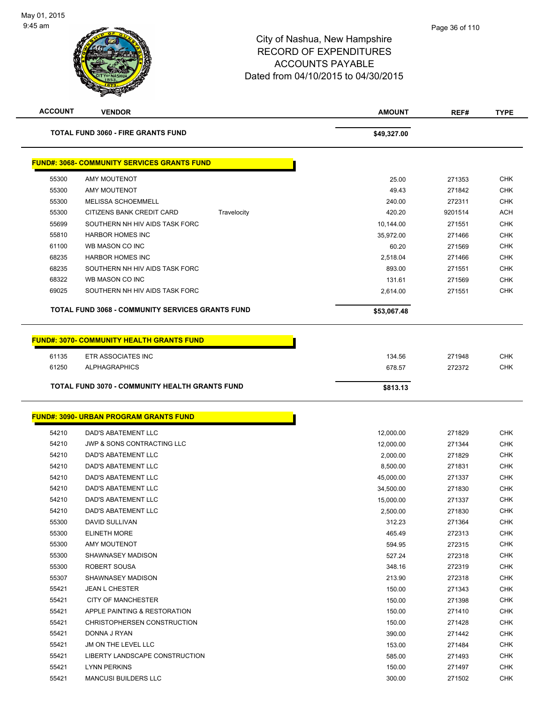

| <b>ACCOUNT</b> | <b>VENDOR</b>                                           | <b>AMOUNT</b> | REF#    | <b>TYPE</b> |
|----------------|---------------------------------------------------------|---------------|---------|-------------|
|                | <b>TOTAL FUND 3060 - FIRE GRANTS FUND</b>               | \$49,327.00   |         |             |
|                | <b>FUND#: 3068- COMMUNITY SERVICES GRANTS FUND</b>      |               |         |             |
| 55300          | <b>AMY MOUTENOT</b>                                     | 25.00         | 271353  | <b>CHK</b>  |
| 55300          | AMY MOUTENOT                                            | 49.43         | 271842  | <b>CHK</b>  |
| 55300          | <b>MELISSA SCHOEMMELL</b>                               | 240.00        | 272311  | <b>CHK</b>  |
| 55300          | CITIZENS BANK CREDIT CARD<br>Travelocity                | 420.20        | 9201514 | <b>ACH</b>  |
| 55699          | SOUTHERN NH HIV AIDS TASK FORC                          | 10,144.00     | 271551  | <b>CHK</b>  |
| 55810          | <b>HARBOR HOMES INC</b>                                 | 35,972.00     | 271466  | <b>CHK</b>  |
| 61100          | WB MASON CO INC                                         | 60.20         | 271569  | <b>CHK</b>  |
| 68235          | <b>HARBOR HOMES INC</b>                                 | 2,518.04      | 271466  | <b>CHK</b>  |
| 68235          | SOUTHERN NH HIV AIDS TASK FORC                          | 893.00        | 271551  | <b>CHK</b>  |
| 68322          | WB MASON CO INC                                         | 131.61        | 271569  | <b>CHK</b>  |
| 69025          | SOUTHERN NH HIV AIDS TASK FORC                          | 2,614.00      | 271551  | <b>CHK</b>  |
|                | <b>TOTAL FUND 3068 - COMMUNITY SERVICES GRANTS FUND</b> | \$53,067.48   |         |             |
|                | <u> FUND#: 3070- COMMUNITY HEALTH GRANTS FUND</u>       |               |         |             |
| 61135          | ETR ASSOCIATES INC                                      | 134.56        | 271948  | <b>CHK</b>  |
| 61250          | <b>ALPHAGRAPHICS</b>                                    | 678.57        | 272372  | <b>CHK</b>  |
|                | <b>TOTAL FUND 3070 - COMMUNITY HEALTH GRANTS FUND</b>   | \$813.13      |         |             |
|                |                                                         |               |         |             |
|                | <u>FUND#: 3090- URBAN PROGRAM GRANTS FUND</u>           |               |         |             |
| 54210          | DAD'S ABATEMENT LLC                                     | 12,000.00     | 271829  | <b>CHK</b>  |
| 54210          | <b>JWP &amp; SONS CONTRACTING LLC</b>                   | 12,000.00     | 271344  | <b>CHK</b>  |
| 54210          | <b>DAD'S ABATEMENT LLC</b>                              | 2,000.00      | 271829  | <b>CHK</b>  |
| 54210          | DAD'S ABATEMENT LLC                                     | 8,500.00      | 271831  | <b>CHK</b>  |
| 54210          | DAD'S ABATEMENT LLC                                     | 45,000.00     | 271337  | <b>CHK</b>  |
| 54210          | <b>DAD'S ABATEMENT LLC</b>                              | 34,500.00     | 271830  | <b>CHK</b>  |
| 54210          | DAD'S ABATEMENT LLC                                     | 15,000.00     | 271337  | <b>CHK</b>  |
| 54210          | DAD'S ABATEMENT LLC                                     | 2,500.00      | 271830  | <b>CHK</b>  |
| 55300          | <b>DAVID SULLIVAN</b>                                   | 312.23        | 271364  | <b>CHK</b>  |
| 55300          | <b>ELINETH MORE</b>                                     | 465.49        | 272313  | <b>CHK</b>  |
| 55300          | AMY MOUTENOT                                            | 594.95        | 272315  | <b>CHK</b>  |
| 55300          | SHAWNASEY MADISON                                       | 527.24        | 272318  | <b>CHK</b>  |
| 55300          | ROBERT SOUSA                                            | 348.16        | 272319  | <b>CHK</b>  |
| 55307          | SHAWNASEY MADISON                                       | 213.90        | 272318  | <b>CHK</b>  |
| 55421          | <b>JEAN L CHESTER</b>                                   | 150.00        | 271343  | <b>CHK</b>  |
| 55421          | <b>CITY OF MANCHESTER</b>                               | 150.00        | 271398  | <b>CHK</b>  |
| 55421          | APPLE PAINTING & RESTORATION                            | 150.00        | 271410  | <b>CHK</b>  |
| 55421          | CHRISTOPHERSEN CONSTRUCTION                             | 150.00        | 271428  | <b>CHK</b>  |
| 55421          | DONNA J RYAN                                            | 390.00        | 271442  | <b>CHK</b>  |
| 55421          | JM ON THE LEVEL LLC                                     | 153.00        | 271484  | <b>CHK</b>  |
| 55421          | LIBERTY LANDSCAPE CONSTRUCTION                          | 585.00        | 271493  | <b>CHK</b>  |
| 55421          | <b>LYNN PERKINS</b>                                     | 150.00        | 271497  | CHK         |
| 55421          | <b>MANCUSI BUILDERS LLC</b>                             | 300.00        | 271502  | <b>CHK</b>  |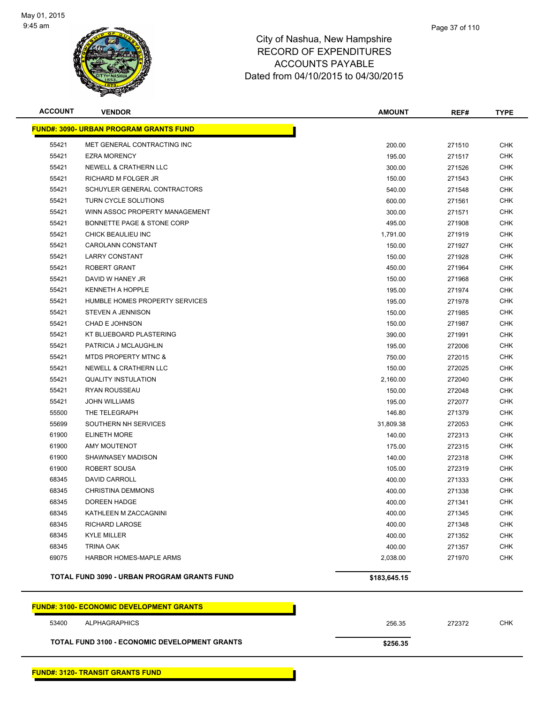

| <b>ACCOUNT</b> | <b>VENDOR</b>                                        | <b>AMOUNT</b> | REF#   | <b>TYPE</b> |
|----------------|------------------------------------------------------|---------------|--------|-------------|
|                | <b>FUND#: 3090- URBAN PROGRAM GRANTS FUND</b>        |               |        |             |
| 55421          | MET GENERAL CONTRACTING INC                          | 200.00        | 271510 | <b>CHK</b>  |
| 55421          | <b>EZRA MORENCY</b>                                  | 195.00        | 271517 | <b>CHK</b>  |
| 55421          | NEWELL & CRATHERN LLC                                | 300.00        | 271526 | <b>CHK</b>  |
| 55421          | RICHARD M FOLGER JR                                  | 150.00        | 271543 | <b>CHK</b>  |
| 55421          | SCHUYLER GENERAL CONTRACTORS                         | 540.00        | 271548 | <b>CHK</b>  |
| 55421          | TURN CYCLE SOLUTIONS                                 | 600.00        | 271561 | <b>CHK</b>  |
| 55421          | WINN ASSOC PROPERTY MANAGEMENT                       | 300.00        | 271571 | <b>CHK</b>  |
| 55421          | BONNETTE PAGE & STONE CORP                           | 495.00        | 271908 | <b>CHK</b>  |
| 55421          | CHICK BEAULIEU INC                                   | 1,791.00      | 271919 | <b>CHK</b>  |
| 55421          | <b>CAROLANN CONSTANT</b>                             | 150.00        | 271927 | <b>CHK</b>  |
| 55421          | <b>LARRY CONSTANT</b>                                | 150.00        | 271928 | CHK         |
| 55421          | ROBERT GRANT                                         | 450.00        | 271964 | <b>CHK</b>  |
| 55421          | DAVID W HANEY JR                                     | 150.00        | 271968 | <b>CHK</b>  |
| 55421          | <b>KENNETH A HOPPLE</b>                              | 195.00        | 271974 | <b>CHK</b>  |
| 55421          | HUMBLE HOMES PROPERTY SERVICES                       | 195.00        | 271978 | <b>CHK</b>  |
| 55421          | <b>STEVEN A JENNISON</b>                             | 150.00        | 271985 | <b>CHK</b>  |
| 55421          | CHAD E JOHNSON                                       | 150.00        | 271987 | <b>CHK</b>  |
| 55421          | KT BLUEBOARD PLASTERING                              | 390.00        | 271991 | <b>CHK</b>  |
| 55421          | PATRICIA J MCLAUGHLIN                                | 195.00        | 272006 | <b>CHK</b>  |
| 55421          | <b>MTDS PROPERTY MTNC &amp;</b>                      | 750.00        | 272015 | <b>CHK</b>  |
| 55421          | NEWELL & CRATHERN LLC                                | 150.00        | 272025 | <b>CHK</b>  |
| 55421          | <b>QUALITY INSTULATION</b>                           | 2,160.00      | 272040 | <b>CHK</b>  |
| 55421          | RYAN ROUSSEAU                                        | 150.00        | 272048 | <b>CHK</b>  |
| 55421          | <b>JOHN WILLIAMS</b>                                 | 195.00        | 272077 | <b>CHK</b>  |
| 55500          | THE TELEGRAPH                                        | 146.80        | 271379 | <b>CHK</b>  |
| 55699          | SOUTHERN NH SERVICES                                 | 31,809.38     | 272053 | <b>CHK</b>  |
| 61900          | <b>ELINETH MORE</b>                                  | 140.00        | 272313 | <b>CHK</b>  |
| 61900          | <b>AMY MOUTENOT</b>                                  | 175.00        | 272315 | <b>CHK</b>  |
| 61900          | SHAWNASEY MADISON                                    | 140.00        | 272318 | <b>CHK</b>  |
| 61900          | ROBERT SOUSA                                         | 105.00        | 272319 | CHK         |
| 68345          | <b>DAVID CARROLL</b>                                 | 400.00        | 271333 | <b>CHK</b>  |
| 68345          | <b>CHRISTINA DEMMONS</b>                             | 400.00        | 271338 | <b>CHK</b>  |
| 68345          | DOREEN HADGE                                         | 400.00        | 271341 | <b>CHK</b>  |
| 68345          | KATHLEEN M ZACCAGNINI                                | 400.00        | 271345 | <b>CHK</b>  |
| 68345          | <b>RICHARD LAROSE</b>                                | 400.00        | 271348 | <b>CHK</b>  |
| 68345          | <b>KYLE MILLER</b>                                   | 400.00        | 271352 | <b>CHK</b>  |
| 68345          | TRINA OAK                                            | 400.00        | 271357 | <b>CHK</b>  |
| 69075          | HARBOR HOMES-MAPLE ARMS                              | 2,038.00      | 271970 | <b>CHK</b>  |
|                | TOTAL FUND 3090 - URBAN PROGRAM GRANTS FUND          | \$183,645.15  |        |             |
|                | <b>FUND#: 3100- ECONOMIC DEVELOPMENT GRANTS</b>      |               |        |             |
| 53400          | <b>ALPHAGRAPHICS</b>                                 | 256.35        | 272372 | <b>CHK</b>  |
|                | <b>TOTAL FUND 3100 - ECONOMIC DEVELOPMENT GRANTS</b> | \$256.35      |        |             |

**FUND#: 3120- TRANSIT GRANTS FUND**

Page 37 of 110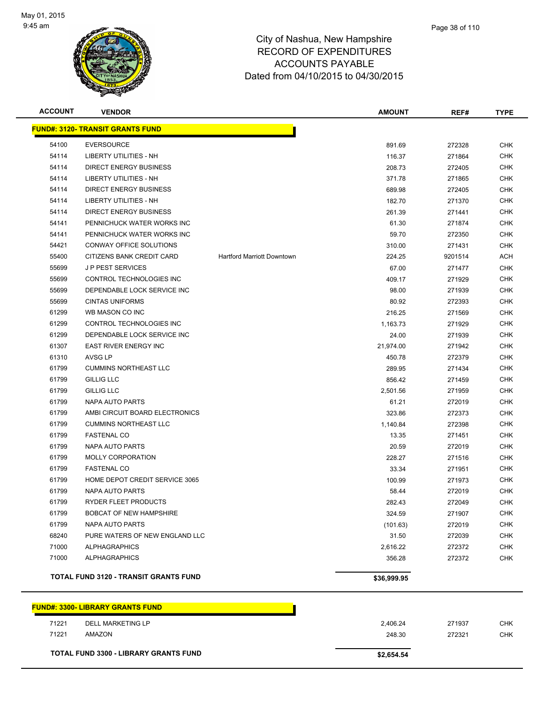

| <b>ACCOUNT</b> | <b>VENDOR</b>                                |                                   | <b>AMOUNT</b> | REF#    | <b>TYPE</b> |
|----------------|----------------------------------------------|-----------------------------------|---------------|---------|-------------|
|                | <b>FUND#: 3120- TRANSIT GRANTS FUND</b>      |                                   |               |         |             |
| 54100          | <b>EVERSOURCE</b>                            |                                   | 891.69        | 272328  | <b>CHK</b>  |
| 54114          | LIBERTY UTILITIES - NH                       |                                   | 116.37        | 271864  | CHK         |
| 54114          | <b>DIRECT ENERGY BUSINESS</b>                |                                   | 208.73        | 272405  | <b>CHK</b>  |
| 54114          | <b>LIBERTY UTILITIES - NH</b>                |                                   | 371.78        | 271865  | <b>CHK</b>  |
| 54114          | <b>DIRECT ENERGY BUSINESS</b>                |                                   | 689.98        | 272405  | CHK         |
| 54114          | <b>LIBERTY UTILITIES - NH</b>                |                                   | 182.70        | 271370  | <b>CHK</b>  |
| 54114          | <b>DIRECT ENERGY BUSINESS</b>                |                                   | 261.39        | 271441  | <b>CHK</b>  |
| 54141          | PENNICHUCK WATER WORKS INC                   |                                   | 61.30         | 271874  | <b>CHK</b>  |
| 54141          | PENNICHUCK WATER WORKS INC                   |                                   | 59.70         | 272350  | <b>CHK</b>  |
| 54421          | CONWAY OFFICE SOLUTIONS                      |                                   | 310.00        | 271431  | <b>CHK</b>  |
| 55400          | CITIZENS BANK CREDIT CARD                    | <b>Hartford Marriott Downtown</b> | 224.25        | 9201514 | ACH         |
| 55699          | <b>JP PEST SERVICES</b>                      |                                   | 67.00         | 271477  | <b>CHK</b>  |
| 55699          | CONTROL TECHNOLOGIES INC                     |                                   | 409.17        | 271929  | <b>CHK</b>  |
| 55699          | DEPENDABLE LOCK SERVICE INC                  |                                   | 98.00         | 271939  | <b>CHK</b>  |
| 55699          | <b>CINTAS UNIFORMS</b>                       |                                   | 80.92         | 272393  | <b>CHK</b>  |
| 61299          | WB MASON CO INC                              |                                   | 216.25        | 271569  | <b>CHK</b>  |
| 61299          | CONTROL TECHNOLOGIES INC                     |                                   | 1,163.73      | 271929  | <b>CHK</b>  |
| 61299          | DEPENDABLE LOCK SERVICE INC                  |                                   | 24.00         | 271939  | CHK         |
| 61307          | <b>EAST RIVER ENERGY INC</b>                 |                                   | 21,974.00     | 271942  | <b>CHK</b>  |
| 61310          | AVSG LP                                      |                                   | 450.78        | 272379  | <b>CHK</b>  |
| 61799          | <b>CUMMINS NORTHEAST LLC</b>                 |                                   | 289.95        | 271434  | CHK         |
| 61799          | <b>GILLIG LLC</b>                            |                                   | 856.42        | 271459  | <b>CHK</b>  |
| 61799          | <b>GILLIG LLC</b>                            |                                   | 2,501.56      | 271959  | <b>CHK</b>  |
| 61799          | NAPA AUTO PARTS                              |                                   | 61.21         | 272019  | <b>CHK</b>  |
| 61799          | AMBI CIRCUIT BOARD ELECTRONICS               |                                   | 323.86        | 272373  | <b>CHK</b>  |
| 61799          | <b>CUMMINS NORTHEAST LLC</b>                 |                                   | 1,140.84      | 272398  | CHK         |
| 61799          | <b>FASTENAL CO</b>                           |                                   | 13.35         | 271451  | <b>CHK</b>  |
| 61799          | NAPA AUTO PARTS                              |                                   | 20.59         | 272019  | <b>CHK</b>  |
| 61799          | <b>MOLLY CORPORATION</b>                     |                                   | 228.27        | 271516  | CHK         |
| 61799          | <b>FASTENAL CO</b>                           |                                   | 33.34         | 271951  | <b>CHK</b>  |
| 61799          | HOME DEPOT CREDIT SERVICE 3065               |                                   | 100.99        | 271973  | <b>CHK</b>  |
| 61799          | NAPA AUTO PARTS                              |                                   | 58.44         | 272019  | CHK         |
| 61799          | RYDER FLEET PRODUCTS                         |                                   | 282.43        | 272049  | <b>CHK</b>  |
| 61799          | <b>BOBCAT OF NEW HAMPSHIRE</b>               |                                   | 324.59        | 271907  | <b>CHK</b>  |
| 61799          | NAPA AUTO PARTS                              |                                   | (101.63)      | 272019  | <b>CHK</b>  |
| 68240          | PURE WATERS OF NEW ENGLAND LLC               |                                   | 31.50         | 272039  | <b>CHK</b>  |
| 71000          | <b>ALPHAGRAPHICS</b>                         |                                   | 2,616.22      | 272372  | <b>CHK</b>  |
| 71000          | <b>ALPHAGRAPHICS</b>                         |                                   | 356.28        | 272372  | <b>CHK</b>  |
|                | <b>TOTAL FUND 3120 - TRANSIT GRANTS FUND</b> |                                   | \$36,999.95   |         |             |
|                | <b>FUND#: 3300- LIBRARY GRANTS FUND</b>      |                                   |               |         |             |
|                |                                              |                                   |               |         |             |

|       | <b>TOTAL FUND 3300 - LIBRARY GRANTS FUND</b> | \$2,654.54 |        |     |
|-------|----------------------------------------------|------------|--------|-----|
| 71221 | AMAZON                                       | 248.30     | 272321 | CHK |
| 71221 | DELL MARKETING LP                            | 2.406.24   | 271937 | снк |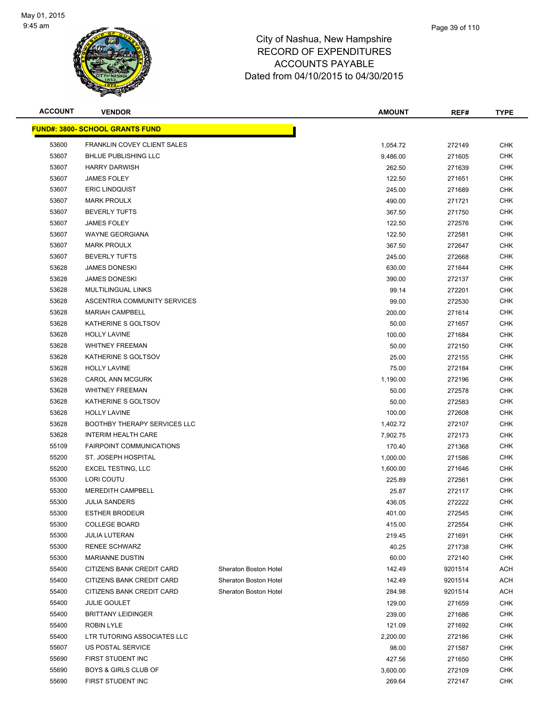

| <b>ACCOUNT</b> | <b>VENDOR</b>                           |                       | <b>AMOUNT</b> | REF#    | <b>TYPE</b> |
|----------------|-----------------------------------------|-----------------------|---------------|---------|-------------|
|                | <u> FUND#: 3800- SCHOOL GRANTS FUND</u> |                       |               |         |             |
| 53600          | FRANKLIN COVEY CLIENT SALES             |                       | 1,054.72      | 272149  | <b>CHK</b>  |
| 53607          | <b>BHLUE PUBLISHING LLC</b>             |                       | 9,486.00      | 271605  | <b>CHK</b>  |
| 53607          | <b>HARRY DARWISH</b>                    |                       | 262.50        | 271639  | <b>CHK</b>  |
| 53607          | <b>JAMES FOLEY</b>                      |                       | 122.50        | 271651  | <b>CHK</b>  |
| 53607          | <b>ERIC LINDQUIST</b>                   |                       | 245.00        | 271689  | <b>CHK</b>  |
| 53607          | <b>MARK PROULX</b>                      |                       | 490.00        | 271721  | <b>CHK</b>  |
| 53607          | <b>BEVERLY TUFTS</b>                    |                       | 367.50        | 271750  | <b>CHK</b>  |
| 53607          | <b>JAMES FOLEY</b>                      |                       | 122.50        | 272576  | <b>CHK</b>  |
| 53607          | <b>WAYNE GEORGIANA</b>                  |                       | 122.50        | 272581  | <b>CHK</b>  |
| 53607          | <b>MARK PROULX</b>                      |                       | 367.50        | 272647  | CHK         |
| 53607          | <b>BEVERLY TUFTS</b>                    |                       | 245.00        | 272668  | CHK         |
| 53628          | <b>JAMES DONESKI</b>                    |                       | 630.00        | 271644  | <b>CHK</b>  |
| 53628          | <b>JAMES DONESKI</b>                    |                       | 390.00        | 272137  | CHK         |
| 53628          | MULTILINGUAL LINKS                      |                       | 99.14         | 272201  | CHK         |
| 53628          | ASCENTRIA COMMUNITY SERVICES            |                       | 99.00         | 272530  | <b>CHK</b>  |
| 53628          | <b>MARIAH CAMPBELL</b>                  |                       | 200.00        | 271614  | CHK         |
| 53628          | KATHERINE S GOLTSOV                     |                       | 50.00         | 271657  | <b>CHK</b>  |
| 53628          | <b>HOLLY LAVINE</b>                     |                       | 100.00        | 271684  | <b>CHK</b>  |
| 53628          | <b>WHITNEY FREEMAN</b>                  |                       | 50.00         | 272150  | <b>CHK</b>  |
| 53628          | KATHERINE S GOLTSOV                     |                       | 25.00         | 272155  | <b>CHK</b>  |
| 53628          | <b>HOLLY LAVINE</b>                     |                       | 75.00         | 272184  | CHK         |
| 53628          | <b>CAROL ANN MCGURK</b>                 |                       | 1,190.00      | 272196  | CHK         |
| 53628          | <b>WHITNEY FREEMAN</b>                  |                       | 50.00         | 272578  | <b>CHK</b>  |
| 53628          | KATHERINE S GOLTSOV                     |                       | 50.00         | 272583  | CHK         |
| 53628          | <b>HOLLY LAVINE</b>                     |                       | 100.00        | 272608  | CHK         |
| 53628          | <b>BOOTHBY THERAPY SERVICES LLC</b>     |                       | 1,402.72      | 272107  | <b>CHK</b>  |
| 53628          | <b>INTERIM HEALTH CARE</b>              |                       | 7,902.75      | 272173  | CHK         |
| 55109          | <b>FAIRPOINT COMMUNICATIONS</b>         |                       | 170.40        | 271368  | <b>CHK</b>  |
| 55200          | ST. JOSEPH HOSPITAL                     |                       | 1,000.00      | 271586  | <b>CHK</b>  |
| 55200          | <b>EXCEL TESTING, LLC</b>               |                       | 1,600.00      | 271646  | CHK         |
| 55300          | LORI COUTU                              |                       | 225.89        | 272561  | CHK         |
| 55300          | <b>MEREDITH CAMPBELL</b>                |                       | 25.87         | 272117  | CHK         |
| 55300          | <b>JULIA SANDERS</b>                    |                       | 436.05        | 272222  | <b>CHK</b>  |
| 55300          | <b>ESTHER BRODEUR</b>                   |                       | 401.00        | 272545  | CHK         |
| 55300          | <b>COLLEGE BOARD</b>                    |                       | 415.00        | 272554  | CHK         |
| 55300          | <b>JULIA LUTERAN</b>                    |                       | 219.45        | 271691  | <b>CHK</b>  |
| 55300          | RENEE SCHWARZ                           |                       | 40.25         | 271738  | <b>CHK</b>  |
| 55300          | <b>MARIANNE DUSTIN</b>                  |                       | 60.00         | 272140  | <b>CHK</b>  |
| 55400          | CITIZENS BANK CREDIT CARD               | Sheraton Boston Hotel | 142.49        | 9201514 | <b>ACH</b>  |
| 55400          | CITIZENS BANK CREDIT CARD               | Sheraton Boston Hotel | 142.49        | 9201514 | ACH         |
| 55400          | CITIZENS BANK CREDIT CARD               | Sheraton Boston Hotel | 284.98        | 9201514 | <b>ACH</b>  |
| 55400          | <b>JULIE GOULET</b>                     |                       | 129.00        | 271659  | CHK         |
| 55400          | <b>BRITTANY LEIDINGER</b>               |                       | 239.00        | 271686  | CHK         |
| 55400          | <b>ROBIN LYLE</b>                       |                       | 121.09        | 271692  | CHK         |
| 55400          | LTR TUTORING ASSOCIATES LLC             |                       | 2,200.00      | 272186  | CHK         |
| 55607          | US POSTAL SERVICE                       |                       | 98.00         | 271587  | CHK         |
| 55690          | FIRST STUDENT INC                       |                       | 427.56        | 271650  | CHK         |
| 55690          | BOYS & GIRLS CLUB OF                    |                       | 3,600.00      | 272109  | <b>CHK</b>  |
| 55690          | FIRST STUDENT INC                       |                       | 269.64        | 272147  | <b>CHK</b>  |
|                |                                         |                       |               |         |             |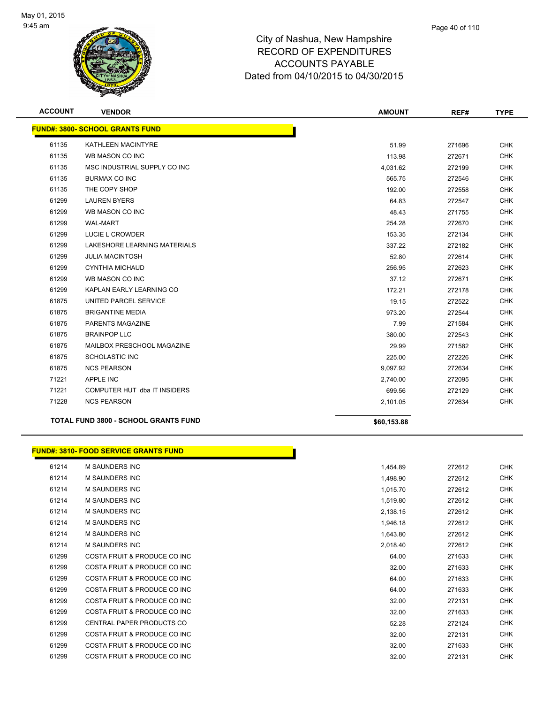

| <b>ACCOUNT</b> | <b>VENDOR</b>                               | <b>AMOUNT</b> | REF#   | <b>TYPE</b> |
|----------------|---------------------------------------------|---------------|--------|-------------|
|                | <b>FUND#: 3800- SCHOOL GRANTS FUND</b>      |               |        |             |
| 61135          | KATHLEEN MACINTYRE                          | 51.99         | 271696 | <b>CHK</b>  |
| 61135          | WB MASON CO INC                             | 113.98        | 272671 | <b>CHK</b>  |
| 61135          | MSC INDUSTRIAL SUPPLY CO INC                | 4,031.62      | 272199 | <b>CHK</b>  |
| 61135          | <b>BURMAX CO INC</b>                        | 565.75        | 272546 | <b>CHK</b>  |
| 61135          | THE COPY SHOP                               | 192.00        | 272558 | <b>CHK</b>  |
| 61299          | <b>LAUREN BYERS</b>                         | 64.83         | 272547 | <b>CHK</b>  |
| 61299          | WB MASON CO INC                             | 48.43         | 271755 | <b>CHK</b>  |
| 61299          | <b>WAL-MART</b>                             | 254.28        | 272670 | <b>CHK</b>  |
| 61299          | LUCIE L CROWDER                             | 153.35        | 272134 | <b>CHK</b>  |
| 61299          | LAKESHORE LEARNING MATERIALS                | 337.22        | 272182 | <b>CHK</b>  |
| 61299          | <b>JULIA MACINTOSH</b>                      | 52.80         | 272614 | <b>CHK</b>  |
| 61299          | <b>CYNTHIA MICHAUD</b>                      | 256.95        | 272623 | <b>CHK</b>  |
| 61299          | WB MASON CO INC                             | 37.12         | 272671 | <b>CHK</b>  |
| 61299          | KAPLAN EARLY LEARNING CO                    | 172.21        | 272178 | <b>CHK</b>  |
| 61875          | UNITED PARCEL SERVICE                       | 19.15         | 272522 | <b>CHK</b>  |
| 61875          | <b>BRIGANTINE MEDIA</b>                     | 973.20        | 272544 | <b>CHK</b>  |
| 61875          | PARENTS MAGAZINE                            | 7.99          | 271584 | <b>CHK</b>  |
| 61875          | <b>BRAINPOP LLC</b>                         | 380.00        | 272543 | <b>CHK</b>  |
| 61875          | MAILBOX PRESCHOOL MAGAZINE                  | 29.99         | 271582 | <b>CHK</b>  |
| 61875          | <b>SCHOLASTIC INC</b>                       | 225.00        | 272226 | <b>CHK</b>  |
| 61875          | <b>NCS PEARSON</b>                          | 9,097.92      | 272634 | <b>CHK</b>  |
| 71221          | <b>APPLE INC</b>                            | 2,740.00      | 272095 | <b>CHK</b>  |
| 71221          | COMPUTER HUT dba IT INSIDERS                | 699.56        | 272129 | <b>CHK</b>  |
| 71228          | <b>NCS PEARSON</b>                          | 2,101.05      | 272634 | <b>CHK</b>  |
|                | <b>TOTAL FUND 3800 - SCHOOL GRANTS FUND</b> | \$60,153.88   |        |             |

# **FUND#: 3810- FOOD SERVICE GRANTS FUND**

h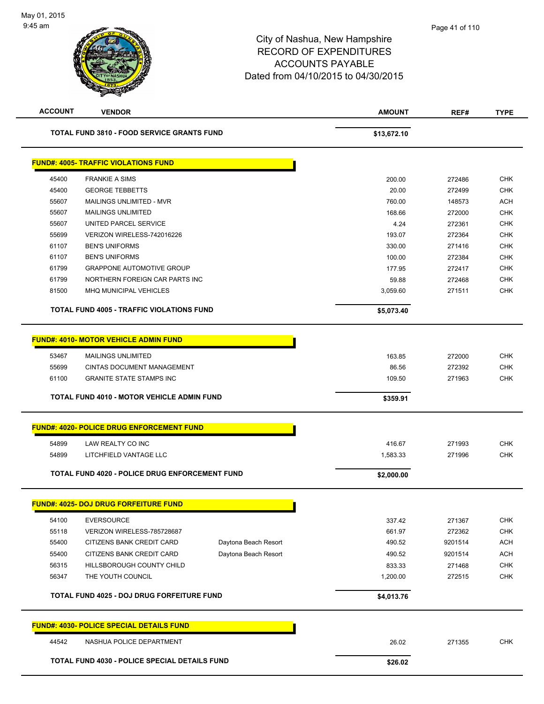| <b>ACCOUNT</b> | <b>VENDOR</b>                                         |                      | <b>AMOUNT</b> | REF#    | <b>TYPE</b> |
|----------------|-------------------------------------------------------|----------------------|---------------|---------|-------------|
|                | <b>TOTAL FUND 3810 - FOOD SERVICE GRANTS FUND</b>     |                      | \$13,672.10   |         |             |
|                | <b>FUND#: 4005- TRAFFIC VIOLATIONS FUND</b>           |                      |               |         |             |
| 45400          | <b>FRANKIE A SIMS</b>                                 |                      | 200.00        | 272486  | <b>CHK</b>  |
| 45400          | <b>GEORGE TEBBETTS</b>                                |                      | 20.00         | 272499  | <b>CHK</b>  |
| 55607          | MAILINGS UNLIMITED - MVR                              |                      | 760.00        | 148573  | ACH         |
| 55607          | <b>MAILINGS UNLIMITED</b>                             |                      | 168.66        | 272000  | <b>CHK</b>  |
| 55607          | UNITED PARCEL SERVICE                                 |                      | 4.24          | 272361  | <b>CHK</b>  |
| 55699          | VERIZON WIRELESS-742016226                            |                      | 193.07        | 272364  | <b>CHK</b>  |
| 61107          | <b>BEN'S UNIFORMS</b>                                 |                      | 330.00        | 271416  | <b>CHK</b>  |
| 61107          | <b>BEN'S UNIFORMS</b>                                 |                      | 100.00        | 272384  | <b>CHK</b>  |
| 61799          | <b>GRAPPONE AUTOMOTIVE GROUP</b>                      |                      | 177.95        | 272417  | <b>CHK</b>  |
| 61799          | NORTHERN FOREIGN CAR PARTS INC                        |                      | 59.88         | 272468  | <b>CHK</b>  |
| 81500          | <b>MHQ MUNICIPAL VEHICLES</b>                         |                      | 3,059.60      | 271511  | <b>CHK</b>  |
|                | <b>TOTAL FUND 4005 - TRAFFIC VIOLATIONS FUND</b>      |                      | \$5,073.40    |         |             |
|                | <b>FUND#: 4010- MOTOR VEHICLE ADMIN FUND</b>          |                      |               |         |             |
| 53467          | <b>MAILINGS UNLIMITED</b>                             |                      | 163.85        | 272000  | <b>CHK</b>  |
| 55699          | <b>CINTAS DOCUMENT MANAGEMENT</b>                     |                      | 86.56         | 272392  | <b>CHK</b>  |
| 61100          | <b>GRANITE STATE STAMPS INC</b>                       |                      | 109.50        | 271963  | <b>CHK</b>  |
|                |                                                       |                      |               |         |             |
|                | TOTAL FUND 4010 - MOTOR VEHICLE ADMIN FUND            |                      | \$359.91      |         |             |
|                | <b>FUND#: 4020- POLICE DRUG ENFORCEMENT FUND</b>      |                      |               |         |             |
| 54899          | LAW REALTY CO INC                                     |                      | 416.67        | 271993  | <b>CHK</b>  |
| 54899          | LITCHFIELD VANTAGE LLC                                |                      | 1,583.33      | 271996  | <b>CHK</b>  |
|                |                                                       |                      |               |         |             |
|                | <b>TOTAL FUND 4020 - POLICE DRUG ENFORCEMENT FUND</b> |                      | \$2,000.00    |         |             |
|                | <b>FUND#: 4025- DOJ DRUG FORFEITURE FUND</b>          |                      |               |         |             |
| 54100          | <b>EVERSOURCE</b>                                     |                      | 337.42        | 271367  | <b>CHK</b>  |
| 55118          | VERIZON WIRELESS-785728687                            |                      | 661.97        | 272362  | CHK         |
| 55400          | CITIZENS BANK CREDIT CARD                             | Daytona Beach Resort | 490.52        | 9201514 | <b>ACH</b>  |
| 55400          | CITIZENS BANK CREDIT CARD                             | Daytona Beach Resort | 490.52        | 9201514 | <b>ACH</b>  |
| 56315          | HILLSBOROUGH COUNTY CHILD                             |                      | 833.33        | 271468  | CHK         |
| 56347          | THE YOUTH COUNCIL                                     |                      | 1,200.00      | 272515  | CHK         |
|                | TOTAL FUND 4025 - DOJ DRUG FORFEITURE FUND            |                      | \$4,013.76    |         |             |
|                | <b>FUND#: 4030- POLICE SPECIAL DETAILS FUND</b>       |                      |               |         |             |
| 44542          | NASHUA POLICE DEPARTMENT                              |                      | 26.02         | 271355  | CHK         |
|                |                                                       |                      |               |         |             |
|                | TOTAL FUND 4030 - POLICE SPECIAL DETAILS FUND         |                      | \$26.02       |         |             |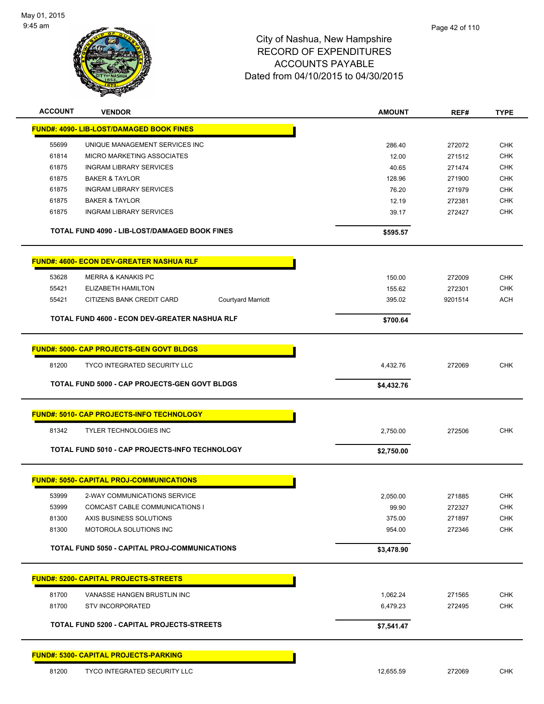

| <b>ACCOUNT</b> | <b>VENDOR</b>                                          | <b>AMOUNT</b> | REF#    | <b>TYPE</b> |
|----------------|--------------------------------------------------------|---------------|---------|-------------|
|                | <b>FUND#: 4090- LIB-LOST/DAMAGED BOOK FINES</b>        |               |         |             |
| 55699          | UNIQUE MANAGEMENT SERVICES INC                         | 286.40        | 272072  | <b>CHK</b>  |
| 61814          | MICRO MARKETING ASSOCIATES                             | 12.00         | 271512  | <b>CHK</b>  |
| 61875          | <b>INGRAM LIBRARY SERVICES</b>                         | 40.65         | 271474  | <b>CHK</b>  |
| 61875          | <b>BAKER &amp; TAYLOR</b>                              | 128.96        | 271900  | <b>CHK</b>  |
| 61875          | <b>INGRAM LIBRARY SERVICES</b>                         | 76.20         | 271979  | <b>CHK</b>  |
| 61875          | <b>BAKER &amp; TAYLOR</b>                              | 12.19         | 272381  | <b>CHK</b>  |
| 61875          | <b>INGRAM LIBRARY SERVICES</b>                         | 39.17         | 272427  | <b>CHK</b>  |
|                | TOTAL FUND 4090 - LIB-LOST/DAMAGED BOOK FINES          | \$595.57      |         |             |
|                | <b>FUND#: 4600- ECON DEV-GREATER NASHUA RLF</b>        |               |         |             |
| 53628          | <b>MERRA &amp; KANAKIS PC</b>                          | 150.00        | 272009  | <b>CHK</b>  |
| 55421          | ELIZABETH HAMILTON                                     | 155.62        | 272301  | <b>CHK</b>  |
| 55421          | CITIZENS BANK CREDIT CARD<br><b>Courtyard Marriott</b> | 395.02        | 9201514 | <b>ACH</b>  |
|                | TOTAL FUND 4600 - ECON DEV-GREATER NASHUA RLF          | \$700.64      |         |             |
|                |                                                        |               |         |             |
|                | <b>FUND#: 5000- CAP PROJECTS-GEN GOVT BLDGS</b>        |               |         |             |
| 81200          | <b>TYCO INTEGRATED SECURITY LLC</b>                    | 4,432.76      | 272069  | <b>CHK</b>  |
|                | <b>TOTAL FUND 5000 - CAP PROJECTS-GEN GOVT BLDGS</b>   | \$4,432.76    |         |             |
|                | <b>FUND#: 5010- CAP PROJECTS-INFO TECHNOLOGY</b>       |               |         |             |
| 81342          | <b>TYLER TECHNOLOGIES INC</b>                          | 2,750.00      | 272506  | <b>CHK</b>  |
|                | TOTAL FUND 5010 - CAP PROJECTS-INFO TECHNOLOGY         | \$2,750.00    |         |             |
|                |                                                        |               |         |             |
|                | <b>FUND#: 5050- CAPITAL PROJ-COMMUNICATIONS</b>        |               |         |             |
| 53999          | 2-WAY COMMUNICATIONS SERVICE                           | 2,050.00      | 271885  | <b>CHK</b>  |
| 53999          | COMCAST CABLE COMMUNICATIONS I                         | 99.90         | 272327  | CHK         |
| 81300          | AXIS BUSINESS SOLUTIONS                                | 375.00        | 271897  | <b>CHK</b>  |
| 81300          | MOTOROLA SOLUTIONS INC                                 | 954.00        | 272346  | <b>CHK</b>  |
|                | <b>TOTAL FUND 5050 - CAPITAL PROJ-COMMUNICATIONS</b>   | \$3,478.90    |         |             |
|                | <b>FUND#: 5200- CAPITAL PROJECTS-STREETS</b>           |               |         |             |
|                |                                                        |               |         |             |
| 81700          | VANASSE HANGEN BRUSTLIN INC                            | 1,062.24      | 271565  | CHK         |
| 81700          | <b>STV INCORPORATED</b>                                | 6,479.23      | 272495  | <b>CHK</b>  |
|                | TOTAL FUND 5200 - CAPITAL PROJECTS-STREETS             | \$7,541.47    |         |             |
|                | <b>FUND#: 5300- CAPITAL PROJECTS-PARKING</b>           |               |         |             |
| 81200          | TYCO INTEGRATED SECURITY LLC                           | 12,655.59     | 272069  | <b>CHK</b>  |
|                |                                                        |               |         |             |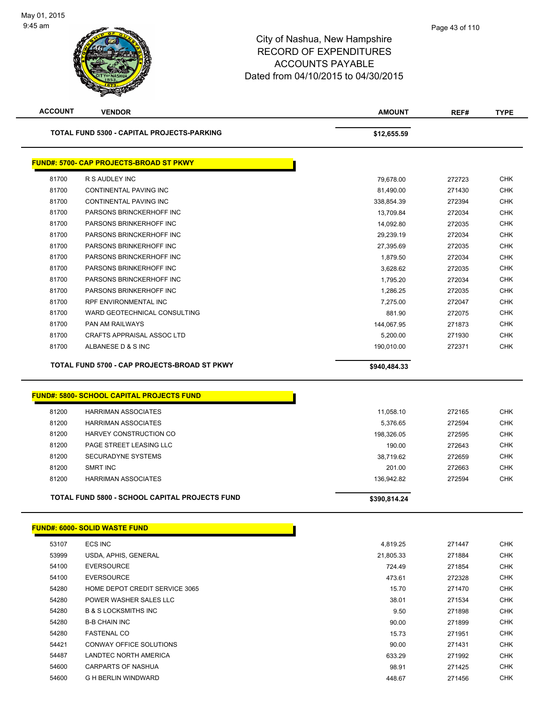| <b>ACCOUNT</b> | <b>VENDOR</b>                                     | <b>AMOUNT</b> | REF#                               | <b>TYPE</b>   |
|----------------|---------------------------------------------------|---------------|------------------------------------|---------------|
|                | <b>TOTAL FUND 5300 - CAPITAL PROJECTS-PARKING</b> | \$12,655.59   |                                    |               |
|                | <b>FUND#: 5700- CAP PROJECTS-BROAD ST PKWY</b>    |               |                                    |               |
| 81700          | R S AUDLEY INC                                    | 79,678.00     | 272723                             | <b>CHK</b>    |
| 81700          | <b>CONTINENTAL PAVING INC</b>                     | 81,490.00     | 271430                             | <b>CHK</b>    |
| 81700          | <b>CONTINENTAL PAVING INC</b>                     | 338,854.39    | 272394                             | <b>CHK</b>    |
| 81700          | PARSONS BRINCKERHOFF INC                          | 13,709.84     | 272034                             | <b>CHK</b>    |
| 81700          | PARSONS BRINKERHOFF INC                           | 14,092.80     | 272035                             | <b>CHK</b>    |
| 81700          | PARSONS BRINCKERHOFF INC                          | 29,239.19     | 272034                             | <b>CHK</b>    |
| 81700          | PARSONS BRINKERHOFF INC                           | 27,395.69     | 272035                             | <b>CHK</b>    |
| 81700          | PARSONS BRINCKERHOFF INC                          | 1,879.50      | 272034                             | <b>CHK</b>    |
| 81700          | PARSONS BRINKERHOFF INC                           | 3,628.62      | 272035                             | <b>CHK</b>    |
| 81700          | PARSONS BRINCKERHOFF INC                          | 1,795.20      | 272034                             | <b>CHK</b>    |
| 81700          | PARSONS BRINKERHOFF INC                           | 1,286.25      | 272035                             | <b>CHK</b>    |
| 81700          | <b>RPF ENVIRONMENTAL INC</b>                      | 7,275.00      | 272047                             | <b>CHK</b>    |
| 81700          | WARD GEOTECHNICAL CONSULTING                      | 881.90        | 272075                             | <b>CHK</b>    |
| 81700          | PAN AM RAILWAYS                                   | 144,067.95    | 271873                             | <b>CHK</b>    |
| 81700          | <b>CRAFTS APPRAISAL ASSOC LTD</b>                 | 5,200.00      | 271930                             | <b>CHK</b>    |
| 81700          | ALBANESE D & S INC                                | 190,010.00    | 272371                             | <b>CHK</b>    |
|                | TOTAL FUND 5700 - CAP PROJECTS-BROAD ST PKWY      | \$940,484.33  |                                    |               |
|                | <b>FUND#: 5800- SCHOOL CAPITAL PROJECTS FUND</b>  |               |                                    |               |
| 81200          | <b>HARRIMAN ASSOCIATES</b>                        | 11,058.10     | 272165                             | <b>CHK</b>    |
| 81200          | <b>HARRIMAN ASSOCIATES</b>                        | 5,376.65      | 272594                             | <b>CHK</b>    |
| 0.4000         | $\left  \right $                                  | 10000000      | $\sim$ $\sim$ $\sim$ $\sim$ $\sim$ | $\sim$ $\sim$ |

|       | <b>TOTAL FUND 5800 - SCHOOL CAPITAL PROJECTS FUND</b> | \$390.814.24 |        |            |
|-------|-------------------------------------------------------|--------------|--------|------------|
| 81200 | HARRIMAN ASSOCIATES                                   | 136.942.82   | 272594 | CHK        |
| 81200 | SMRT INC                                              | 201.00       | 272663 | <b>CHK</b> |
| 81200 | SECURADYNE SYSTEMS                                    | 38.719.62    | 272659 | <b>CHK</b> |
| 81200 | PAGE STREET LEASING LLC                               | 190.00       | 272643 | <b>CHK</b> |
| 81200 | HARVEY CONSTRUCTION CO                                | 198.326.05   | 272595 | <b>CHK</b> |
|       |                                                       |              |        |            |

|       | <b>FUND#: 6000- SOLID WASTE FUND</b> |           |        |            |
|-------|--------------------------------------|-----------|--------|------------|
| 53107 | ECS INC                              | 4,819.25  | 271447 | <b>CHK</b> |
| 53999 | USDA, APHIS, GENERAL                 | 21,805.33 | 271884 | <b>CHK</b> |
| 54100 | <b>EVERSOURCE</b>                    | 724.49    | 271854 | <b>CHK</b> |
| 54100 | <b>EVERSOURCE</b>                    | 473.61    | 272328 | <b>CHK</b> |
| 54280 | HOME DEPOT CREDIT SERVICE 3065       | 15.70     | 271470 | <b>CHK</b> |
| 54280 | POWER WASHER SALES LLC               | 38.01     | 271534 | <b>CHK</b> |
| 54280 | <b>B &amp; S LOCKSMITHS INC</b>      | 9.50      | 271898 | <b>CHK</b> |
| 54280 | <b>B-B CHAIN INC</b>                 | 90.00     | 271899 | <b>CHK</b> |
| 54280 | <b>FASTENAL CO</b>                   | 15.73     | 271951 | <b>CHK</b> |
| 54421 | CONWAY OFFICE SOLUTIONS              | 90.00     | 271431 | <b>CHK</b> |
| 54487 | LANDTEC NORTH AMERICA                | 633.29    | 271992 | <b>CHK</b> |
| 54600 | <b>CARPARTS OF NASHUA</b>            | 98.91     | 271425 | <b>CHK</b> |
| 54600 | G H BERLIN WINDWARD                  | 448.67    | 271456 | <b>CHK</b> |
|       |                                      |           |        |            |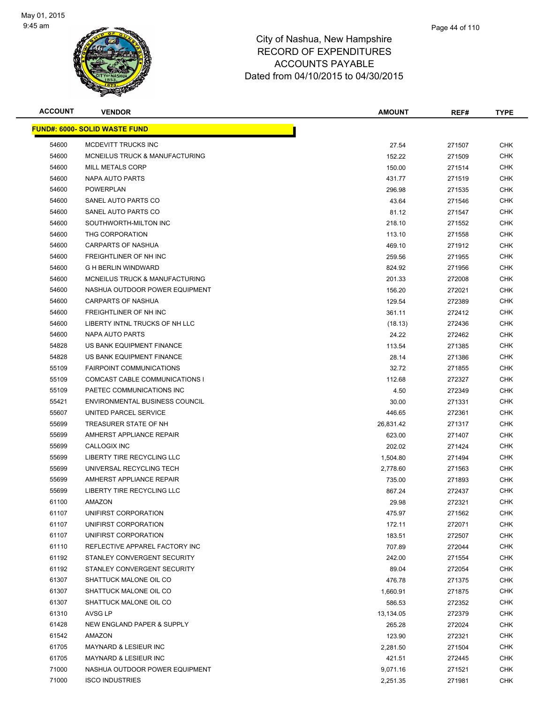

| <b>ACCOUNT</b> | <b>VENDOR</b>                         | <b>AMOUNT</b> | REF#   | <b>TYPE</b> |
|----------------|---------------------------------------|---------------|--------|-------------|
|                | <u> FUND#: 6000- SOLID WASTE FUND</u> |               |        |             |
| 54600          | MCDEVITT TRUCKS INC                   | 27.54         | 271507 | <b>CHK</b>  |
| 54600          | MCNEILUS TRUCK & MANUFACTURING        | 152.22        | 271509 | CHK         |
| 54600          | MILL METALS CORP                      | 150.00        | 271514 | CHK         |
| 54600          | NAPA AUTO PARTS                       | 431.77        | 271519 | CHK         |
| 54600          | <b>POWERPLAN</b>                      | 296.98        | 271535 | CHK         |
| 54600          | SANEL AUTO PARTS CO                   | 43.64         | 271546 | <b>CHK</b>  |
| 54600          | SANEL AUTO PARTS CO                   | 81.12         | 271547 | CHK         |
| 54600          | SOUTHWORTH-MILTON INC                 | 218.10        | 271552 | CHK         |
| 54600          | THG CORPORATION                       | 113.10        | 271558 | CHK         |
| 54600          | <b>CARPARTS OF NASHUA</b>             | 469.10        | 271912 | <b>CHK</b>  |
| 54600          | FREIGHTLINER OF NH INC                | 259.56        | 271955 | CHK         |
| 54600          | <b>G H BERLIN WINDWARD</b>            | 824.92        | 271956 | CHK         |
| 54600          | MCNEILUS TRUCK & MANUFACTURING        | 201.33        | 272008 | CHK         |
| 54600          | NASHUA OUTDOOR POWER EQUIPMENT        | 156.20        | 272021 | CHK         |
| 54600          | <b>CARPARTS OF NASHUA</b>             | 129.54        | 272389 | <b>CHK</b>  |
| 54600          | FREIGHTLINER OF NH INC                | 361.11        | 272412 | <b>CHK</b>  |
| 54600          | LIBERTY INTNL TRUCKS OF NH LLC        | (18.13)       | 272436 | <b>CHK</b>  |
| 54600          | NAPA AUTO PARTS                       | 24.22         | 272462 | <b>CHK</b>  |
| 54828          | US BANK EQUIPMENT FINANCE             | 113.54        | 271385 | CHK         |
| 54828          | US BANK EQUIPMENT FINANCE             | 28.14         | 271386 | <b>CHK</b>  |
| 55109          | <b>FAIRPOINT COMMUNICATIONS</b>       | 32.72         | 271855 | CHK         |
| 55109          | COMCAST CABLE COMMUNICATIONS I        | 112.68        | 272327 | CHK         |
| 55109          | PAETEC COMMUNICATIONS INC             | 4.50          | 272349 | CHK         |
| 55421          | <b>ENVIRONMENTAL BUSINESS COUNCIL</b> | 30.00         | 271331 | CHK         |
| 55607          | UNITED PARCEL SERVICE                 | 446.65        | 272361 | CHK         |
| 55699          | TREASURER STATE OF NH                 | 26,831.42     | 271317 | CHK         |
| 55699          | AMHERST APPLIANCE REPAIR              | 623.00        | 271407 | CHK         |
| 55699          | CALLOGIX INC                          | 202.02        | 271424 | CHK         |
| 55699          | LIBERTY TIRE RECYCLING LLC            | 1,504.80      | 271494 | <b>CHK</b>  |
| 55699          | UNIVERSAL RECYCLING TECH              | 2,778.60      | 271563 | CHK         |
| 55699          | AMHERST APPLIANCE REPAIR              | 735.00        | 271893 | CHK         |
| 55699          | LIBERTY TIRE RECYCLING LLC            | 867.24        | 272437 | CHK         |
| 61100          | AMAZON                                | 29.98         | 272321 | <b>CHK</b>  |
| 61107          | UNIFIRST CORPORATION                  | 475.97        | 271562 | <b>CHK</b>  |
| 61107          | UNIFIRST CORPORATION                  | 172.11        | 272071 | CHK         |
| 61107          | UNIFIRST CORPORATION                  | 183.51        | 272507 | <b>CHK</b>  |
| 61110          | REFLECTIVE APPAREL FACTORY INC        | 707.89        | 272044 | <b>CHK</b>  |
| 61192          | STANLEY CONVERGENT SECURITY           | 242.00        | 271554 | <b>CHK</b>  |
| 61192          | STANLEY CONVERGENT SECURITY           | 89.04         | 272054 | <b>CHK</b>  |
| 61307          | SHATTUCK MALONE OIL CO                | 476.78        | 271375 | <b>CHK</b>  |
| 61307          | SHATTUCK MALONE OIL CO                | 1,660.91      | 271875 | <b>CHK</b>  |
| 61307          | SHATTUCK MALONE OIL CO                | 586.53        | 272352 | <b>CHK</b>  |
| 61310          | AVSG LP                               | 13,134.05     | 272379 | CHK         |
| 61428          | NEW ENGLAND PAPER & SUPPLY            | 265.28        | 272024 | <b>CHK</b>  |
| 61542          | AMAZON                                | 123.90        | 272321 | <b>CHK</b>  |
| 61705          | MAYNARD & LESIEUR INC                 | 2,281.50      | 271504 | CHK         |
| 61705          | MAYNARD & LESIEUR INC                 | 421.51        | 272445 | CHK         |
| 71000          | NASHUA OUTDOOR POWER EQUIPMENT        | 9,071.16      | 271521 | <b>CHK</b>  |
| 71000          | <b>ISCO INDUSTRIES</b>                | 2,251.35      | 271981 | <b>CHK</b>  |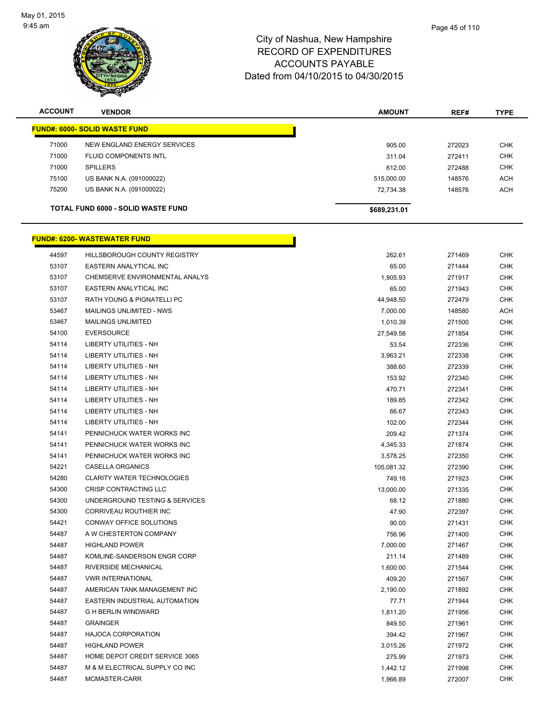

| <b>ACCOUNT</b> | <b>VENDOR</b>                             | <b>AMOUNT</b> | REF#   | <b>TYPE</b> |
|----------------|-------------------------------------------|---------------|--------|-------------|
|                | <b>FUND#: 6000- SOLID WASTE FUND</b>      |               |        |             |
| 71000          | NEW ENGLAND ENERGY SERVICES               | 905.00        | 272023 | <b>CHK</b>  |
| 71000          | FLUID COMPONENTS INTL                     | 311.04        | 272411 | <b>CHK</b>  |
| 71000          | <b>SPILLERS</b>                           | 612.00        | 272488 | <b>CHK</b>  |
| 75100          | US BANK N.A. (091000022)                  | 515,000.00    | 148576 | <b>ACH</b>  |
| 75200          | US BANK N.A. (091000022)                  | 72,734.38     | 148576 | <b>ACH</b>  |
|                | <b>TOTAL FUND 6000 - SOLID WASTE FUND</b> | \$689,231.01  |        |             |
|                | <b>FUND#: 6200- WASTEWATER FUND</b>       |               |        |             |
| 44597          | HILLSBOROUGH COUNTY REGISTRY              | 262.61        | 271469 | <b>CHK</b>  |
| 53107          | EASTERN ANALYTICAL INC                    | 65.00         | 271444 | <b>CHK</b>  |
| 53107          | CHEMSERVE ENVIRONMENTAL ANALYS            | 1,905.93      | 271917 | <b>CHK</b>  |
| 53107          | <b>EASTERN ANALYTICAL INC</b>             | 65.00         | 271943 | <b>CHK</b>  |
| 53107          | <b>RATH YOUNG &amp; PIGNATELLI PC</b>     | 44,948.50     | 272479 | <b>CHK</b>  |
| 53467          | MAILINGS UNLIMITED - NWS                  | 7,000.00      | 148580 | <b>ACH</b>  |
| 53467          | <b>MAILINGS UNLIMITED</b>                 | 1,010.39      | 271500 | <b>CHK</b>  |
| 54100          | <b>EVERSOURCE</b>                         | 27,549.58     | 271854 | <b>CHK</b>  |
| 54114          | <b>LIBERTY UTILITIES - NH</b>             | 53.54         | 272336 | <b>CHK</b>  |
| 54114          | <b>LIBERTY UTILITIES - NH</b>             | 3,963.21      | 272338 | <b>CHK</b>  |
| 54114          | <b>LIBERTY UTILITIES - NH</b>             | 388.60        | 272339 | <b>CHK</b>  |
| 54114          | <b>LIBERTY UTILITIES - NH</b>             | 153.92        | 272340 | <b>CHK</b>  |
| 54114          | <b>LIBERTY UTILITIES - NH</b>             | 470.71        | 272341 | <b>CHK</b>  |
| 54114          | LIBERTY UTILITIES - NH                    | 189.85        | 272342 | <b>CHK</b>  |
| 54114          | LIBERTY UTILITIES - NH                    | 66.67         | 272343 | <b>CHK</b>  |
| 54114          | <b>LIBERTY UTILITIES - NH</b>             | 102.00        | 272344 | <b>CHK</b>  |
| 54141          | PENNICHUCK WATER WORKS INC                | 209.42        | 271374 | <b>CHK</b>  |
| 54141          | PENNICHUCK WATER WORKS INC                | 4,345.33      | 271874 | <b>CHK</b>  |
| 54141          | PENNICHUCK WATER WORKS INC                | 3,578.25      | 272350 | <b>CHK</b>  |
| 54221          | <b>CASELLA ORGANICS</b>                   | 105,081.32    | 272390 | <b>CHK</b>  |
| 54280          | <b>CLARITY WATER TECHNOLOGIES</b>         | 749.16        | 271923 | <b>CHK</b>  |
| 54300          | <b>CRISP CONTRACTING LLC</b>              | 13,000.00     | 271335 | <b>CHK</b>  |
| 54300          | UNDERGROUND TESTING & SERVICES            | 68.12         | 271880 | <b>CHK</b>  |

 CORRIVEAU ROUTHIER INC 47.90 272397 CHK CONWAY OFFICE SOLUTIONS 90.00 271431 CHK A W CHESTERTON COMPANY 756.96 271400 CHK HIGHLAND POWER 7,000.00 271467 CHK KOMLINE-SANDERSON ENGR CORP 211.14 271489 CHK RIVERSIDE MECHANICAL 1,600.00 271544 CHK VWR INTERNATIONAL 409.20 271567 CHK AMERICAN TANK MANAGEMENT INC 2,190.00 271892 CHK EASTERN INDUSTRIAL AUTOMATION 77.71 271944 CHK G H BERLIN WINDWARD 1,811.20 271956 CHK GRAINGER 849.50 271961 CHK HAJOCA CORPORATION 394.42 271967 CHK HIGHLAND POWER 3,015.26 271972 CHK HOME DEPOT CREDIT SERVICE 3065 275.99 271973 CHK 54487 M & M ELECTRICAL SUPPLY CO INC **1,442.12** 271998 CHK MCMASTER-CARR 1,966.89 272007 CHK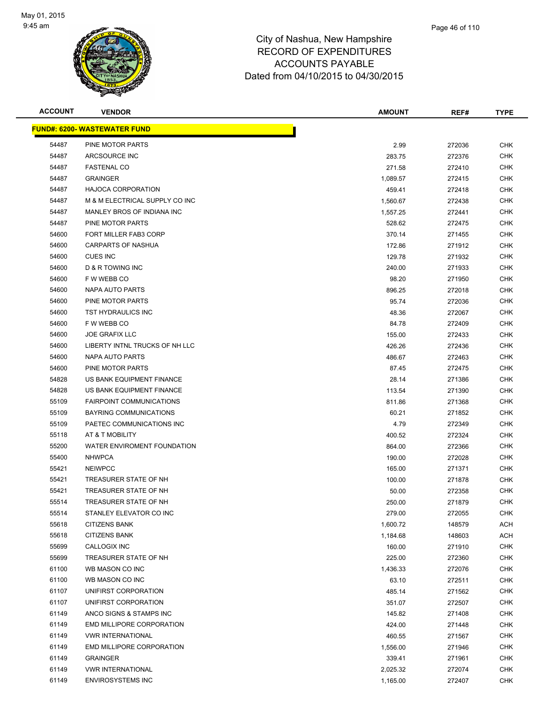

| <b>ACCOUNT</b> | <b>VENDOR</b>                        | <b>AMOUNT</b> | REF#   | <b>TYPE</b> |
|----------------|--------------------------------------|---------------|--------|-------------|
|                | <u> FUND#: 6200- WASTEWATER FUND</u> |               |        |             |
| 54487          | PINE MOTOR PARTS                     | 2.99          | 272036 | <b>CHK</b>  |
| 54487          | ARCSOURCE INC                        | 283.75        | 272376 | CHK         |
| 54487          | <b>FASTENAL CO</b>                   | 271.58        | 272410 | CHK         |
| 54487          | <b>GRAINGER</b>                      | 1,089.57      | 272415 | <b>CHK</b>  |
| 54487          | <b>HAJOCA CORPORATION</b>            | 459.41        | 272418 | CHK         |
| 54487          | M & M ELECTRICAL SUPPLY CO INC       | 1,560.67      | 272438 | <b>CHK</b>  |
| 54487          | MANLEY BROS OF INDIANA INC           | 1,557.25      | 272441 | <b>CHK</b>  |
| 54487          | PINE MOTOR PARTS                     | 528.62        | 272475 | CHK         |
| 54600          | FORT MILLER FAB3 CORP                | 370.14        | 271455 | <b>CHK</b>  |
| 54600          | CARPARTS OF NASHUA                   | 172.86        | 271912 | CHK         |
| 54600          | <b>CUES INC</b>                      | 129.78        | 271932 | CHK         |
| 54600          | D & R TOWING INC                     | 240.00        | 271933 | CHK         |
| 54600          | F W WEBB CO                          | 98.20         | 271950 | CHK         |
| 54600          | NAPA AUTO PARTS                      | 896.25        | 272018 | CHK         |
| 54600          | PINE MOTOR PARTS                     | 95.74         | 272036 | <b>CHK</b>  |
| 54600          | TST HYDRAULICS INC                   | 48.36         | 272067 | <b>CHK</b>  |
| 54600          | F W WEBB CO                          | 84.78         | 272409 | <b>CHK</b>  |
| 54600          | <b>JOE GRAFIX LLC</b>                | 155.00        | 272433 | <b>CHK</b>  |
| 54600          | LIBERTY INTNL TRUCKS OF NH LLC       | 426.26        | 272436 | <b>CHK</b>  |
| 54600          | <b>NAPA AUTO PARTS</b>               | 486.67        | 272463 | <b>CHK</b>  |
| 54600          | PINE MOTOR PARTS                     | 87.45         | 272475 | CHK         |
| 54828          | US BANK EQUIPMENT FINANCE            | 28.14         | 271386 | CHK         |
| 54828          | US BANK EQUIPMENT FINANCE            | 113.54        | 271390 | CHK         |
| 55109          | <b>FAIRPOINT COMMUNICATIONS</b>      | 811.86        | 271368 | CHK         |
| 55109          | BAYRING COMMUNICATIONS               | 60.21         | 271852 | CHK         |
| 55109          | PAETEC COMMUNICATIONS INC            | 4.79          | 272349 | <b>CHK</b>  |
| 55118          | AT & T MOBILITY                      | 400.52        | 272324 | CHK         |
| 55200          | WATER ENVIROMENT FOUNDATION          | 864.00        | 272366 | <b>CHK</b>  |
| 55400          | <b>NHWPCA</b>                        | 190.00        | 272028 | <b>CHK</b>  |
| 55421          | <b>NEIWPCC</b>                       | 165.00        | 271371 | CHK         |
| 55421          | TREASURER STATE OF NH                | 100.00        | 271878 | CHK         |
| 55421          | TREASURER STATE OF NH                | 50.00         | 272358 | CHK         |
| 55514          | TREASURER STATE OF NH                | 250.00        | 271879 | <b>CHK</b>  |
| 55514          | STANLEY ELEVATOR CO INC              | 279.00        | 272055 | <b>CHK</b>  |
| 55618          | <b>CITIZENS BANK</b>                 | 1,600.72      | 148579 | ACH         |
| 55618          | <b>CITIZENS BANK</b>                 | 1,184.68      | 148603 | ACH         |
| 55699          | CALLOGIX INC                         | 160.00        | 271910 | <b>CHK</b>  |
| 55699          | TREASURER STATE OF NH                | 225.00        | 272360 | <b>CHK</b>  |
| 61100          | WB MASON CO INC                      | 1,436.33      | 272076 | <b>CHK</b>  |
| 61100          | WB MASON CO INC                      | 63.10         | 272511 | <b>CHK</b>  |
| 61107          | UNIFIRST CORPORATION                 | 485.14        | 271562 | <b>CHK</b>  |
| 61107          | UNIFIRST CORPORATION                 | 351.07        | 272507 | <b>CHK</b>  |
| 61149          | ANCO SIGNS & STAMPS INC              | 145.82        | 271408 | <b>CHK</b>  |
| 61149          | EMD MILLIPORE CORPORATION            | 424.00        | 271448 | <b>CHK</b>  |
| 61149          | <b>VWR INTERNATIONAL</b>             | 460.55        | 271567 | <b>CHK</b>  |
| 61149          | EMD MILLIPORE CORPORATION            | 1,556.00      | 271946 | <b>CHK</b>  |
| 61149          | <b>GRAINGER</b>                      | 339.41        | 271961 | <b>CHK</b>  |
| 61149          | <b>VWR INTERNATIONAL</b>             | 2,025.32      | 272074 | <b>CHK</b>  |
| 61149          | <b>ENVIROSYSTEMS INC</b>             | 1,165.00      | 272407 | <b>CHK</b>  |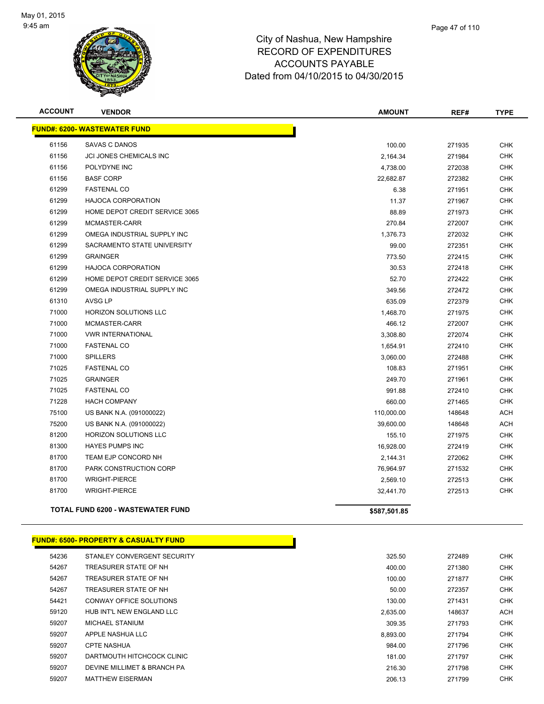

| <b>ACCOUNT</b> | <b>VENDOR</b>                            | <b>AMOUNT</b> | REF#   | <b>TYPE</b> |
|----------------|------------------------------------------|---------------|--------|-------------|
|                | <b>FUND#: 6200- WASTEWATER FUND</b>      |               |        |             |
| 61156          | <b>SAVAS C DANOS</b>                     | 100.00        | 271935 | <b>CHK</b>  |
| 61156          | JCI JONES CHEMICALS INC                  | 2,164.34      | 271984 | <b>CHK</b>  |
| 61156          | POLYDYNE INC                             | 4,738.00      | 272038 | <b>CHK</b>  |
| 61156          | <b>BASF CORP</b>                         | 22,682.87     | 272382 | <b>CHK</b>  |
| 61299          | <b>FASTENAL CO</b>                       | 6.38          | 271951 | <b>CHK</b>  |
| 61299          | <b>HAJOCA CORPORATION</b>                | 11.37         | 271967 | <b>CHK</b>  |
| 61299          | HOME DEPOT CREDIT SERVICE 3065           | 88.89         | 271973 | <b>CHK</b>  |
| 61299          | MCMASTER-CARR                            | 270.84        | 272007 | <b>CHK</b>  |
| 61299          | OMEGA INDUSTRIAL SUPPLY INC              | 1,376.73      | 272032 | <b>CHK</b>  |
| 61299          | SACRAMENTO STATE UNIVERSITY              | 99.00         | 272351 | <b>CHK</b>  |
| 61299          | <b>GRAINGER</b>                          | 773.50        | 272415 | <b>CHK</b>  |
| 61299          | <b>HAJOCA CORPORATION</b>                | 30.53         | 272418 | <b>CHK</b>  |
| 61299          | HOME DEPOT CREDIT SERVICE 3065           | 52.70         | 272422 | <b>CHK</b>  |
| 61299          | OMEGA INDUSTRIAL SUPPLY INC              | 349.56        | 272472 | <b>CHK</b>  |
| 61310          | <b>AVSG LP</b>                           | 635.09        | 272379 | <b>CHK</b>  |
| 71000          | <b>HORIZON SOLUTIONS LLC</b>             | 1,468.70      | 271975 | <b>CHK</b>  |
| 71000          | MCMASTER-CARR                            | 466.12        | 272007 | <b>CHK</b>  |
| 71000          | <b>VWR INTERNATIONAL</b>                 | 3,308.80      | 272074 | <b>CHK</b>  |
| 71000          | <b>FASTENAL CO</b>                       | 1,654.91      | 272410 | <b>CHK</b>  |
| 71000          | <b>SPILLERS</b>                          | 3,060.00      | 272488 | <b>CHK</b>  |
| 71025          | <b>FASTENAL CO</b>                       | 108.83        | 271951 | <b>CHK</b>  |
| 71025          | <b>GRAINGER</b>                          | 249.70        | 271961 | <b>CHK</b>  |
| 71025          | <b>FASTENAL CO</b>                       | 991.88        | 272410 | <b>CHK</b>  |
| 71228          | <b>HACH COMPANY</b>                      | 660.00        | 271465 | <b>CHK</b>  |
| 75100          | US BANK N.A. (091000022)                 | 110,000.00    | 148648 | <b>ACH</b>  |
| 75200          | US BANK N.A. (091000022)                 | 39,600.00     | 148648 | <b>ACH</b>  |
| 81200          | HORIZON SOLUTIONS LLC                    | 155.10        | 271975 | <b>CHK</b>  |
| 81300          | <b>HAYES PUMPS INC</b>                   | 16,928.00     | 272419 | <b>CHK</b>  |
| 81700          | TEAM EJP CONCORD NH                      | 2,144.31      | 272062 | <b>CHK</b>  |
| 81700          | PARK CONSTRUCTION CORP                   | 76,964.97     | 271532 | <b>CHK</b>  |
| 81700          | <b>WRIGHT-PIERCE</b>                     | 2,569.10      | 272513 | <b>CHK</b>  |
| 81700          | <b>WRIGHT-PIERCE</b>                     | 32,441.70     | 272513 | <b>CHK</b>  |
|                | <b>TOTAL FUND 6200 - WASTEWATER FUND</b> | \$587,501.85  |        |             |
|                |                                          |               |        |             |

### **FUND#: 6500- PROPERTY & CASUALTY FUND**

| 54236 | STANLEY CONVERGENT SECURITY | 325.50   | 272489 | CHK        |
|-------|-----------------------------|----------|--------|------------|
| 54267 | TREASURER STATE OF NH       | 400.00   | 271380 | <b>CHK</b> |
| 54267 | TREASURER STATE OF NH       | 100.00   | 271877 | <b>CHK</b> |
| 54267 | TREASURER STATE OF NH       | 50.00    | 272357 | <b>CHK</b> |
| 54421 | CONWAY OFFICE SOLUTIONS     | 130.00   | 271431 | <b>CHK</b> |
| 59120 | HUB INT'L NEW ENGLAND LLC   | 2.635.00 | 148637 | <b>ACH</b> |
| 59207 | MICHAEL STANIUM             | 309.35   | 271793 | <b>CHK</b> |
| 59207 | APPLE NASHUA LLC            | 8.893.00 | 271794 | <b>CHK</b> |
| 59207 | <b>CPTE NASHUA</b>          | 984.00   | 271796 | <b>CHK</b> |
| 59207 | DARTMOUTH HITCHCOCK CLINIC  | 181.00   | 271797 | <b>CHK</b> |
| 59207 | DEVINE MILLIMET & BRANCH PA | 216.30   | 271798 | <b>CHK</b> |
| 59207 | <b>MATTHEW EISERMAN</b>     | 206.13   | 271799 | <b>CHK</b> |

| 325.50   | 272489 | CHK        |
|----------|--------|------------|
| 400.00   | 271380 | CHK        |
| 100.00   | 271877 | CHK        |
| 50.00    | 272357 | <b>CHK</b> |
| 130.00   | 271431 | CHK        |
| 2,635.00 | 148637 | <b>ACH</b> |
| 309.35   | 271793 | CHK        |
| 3.893.00 | 271794 | CHK        |
| 984.00   | 271796 | CHK        |
| 181.00   | 271797 | CHK        |
| 216.30   | 271798 | CHK        |
| 206.13   | 271799 | CHK        |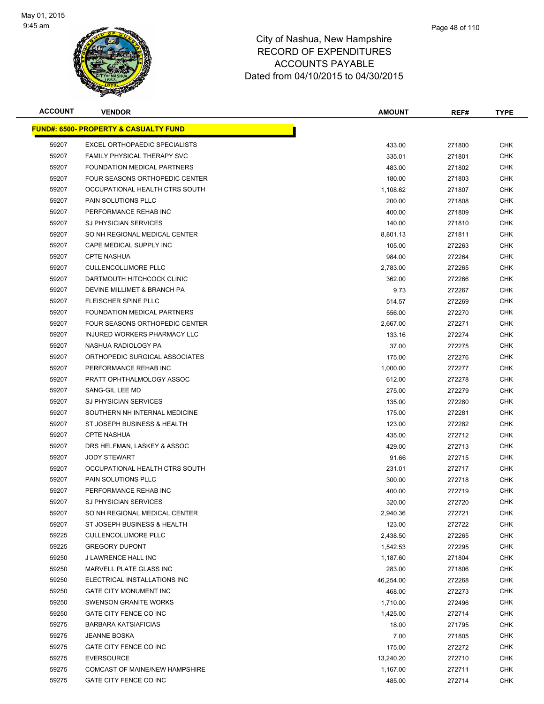

| <b>ACCOUNT</b> | <b>VENDOR</b>                                     | <b>AMOUNT</b> | REF#   | <b>TYPE</b> |
|----------------|---------------------------------------------------|---------------|--------|-------------|
|                | <u> FUND#: 6500- PROPERTY &amp; CASUALTY FUND</u> |               |        |             |
| 59207          | EXCEL ORTHOPAEDIC SPECIALISTS                     | 433.00        | 271800 | <b>CHK</b>  |
| 59207          | FAMILY PHYSICAL THERAPY SVC                       | 335.01        | 271801 | <b>CHK</b>  |
| 59207          | FOUNDATION MEDICAL PARTNERS                       | 483.00        | 271802 | <b>CHK</b>  |
| 59207          | FOUR SEASONS ORTHOPEDIC CENTER                    | 180.00        | 271803 | <b>CHK</b>  |
| 59207          | OCCUPATIONAL HEALTH CTRS SOUTH                    | 1,108.62      | 271807 | <b>CHK</b>  |
| 59207          | PAIN SOLUTIONS PLLC                               | 200.00        | 271808 | <b>CHK</b>  |
| 59207          | PERFORMANCE REHAB INC                             | 400.00        | 271809 | <b>CHK</b>  |
| 59207          | <b>SJ PHYSICIAN SERVICES</b>                      | 140.00        | 271810 | <b>CHK</b>  |
| 59207          | SO NH REGIONAL MEDICAL CENTER                     | 8,801.13      | 271811 | <b>CHK</b>  |
| 59207          | CAPE MEDICAL SUPPLY INC                           | 105.00        | 272263 | <b>CHK</b>  |
| 59207          | <b>CPTE NASHUA</b>                                | 984.00        | 272264 | <b>CHK</b>  |
| 59207          | <b>CULLENCOLLIMORE PLLC</b>                       | 2,783.00      | 272265 | <b>CHK</b>  |
| 59207          | DARTMOUTH HITCHCOCK CLINIC                        | 362.00        | 272266 | CHK         |
| 59207          | DEVINE MILLIMET & BRANCH PA                       | 9.73          | 272267 | <b>CHK</b>  |
| 59207          | FLEISCHER SPINE PLLC                              | 514.57        | 272269 | <b>CHK</b>  |
| 59207          | FOUNDATION MEDICAL PARTNERS                       | 556.00        | 272270 | <b>CHK</b>  |
| 59207          | FOUR SEASONS ORTHOPEDIC CENTER                    | 2,667.00      | 272271 | <b>CHK</b>  |
| 59207          | INJURED WORKERS PHARMACY LLC                      | 133.16        | 272274 | <b>CHK</b>  |
| 59207          | NASHUA RADIOLOGY PA                               | 37.00         | 272275 | <b>CHK</b>  |
| 59207          | ORTHOPEDIC SURGICAL ASSOCIATES                    | 175.00        | 272276 | <b>CHK</b>  |
| 59207          | PERFORMANCE REHAB INC                             | 1,000.00      | 272277 | <b>CHK</b>  |
| 59207          | PRATT OPHTHALMOLOGY ASSOC                         | 612.00        | 272278 | <b>CHK</b>  |
| 59207          | SANG-GIL LEE MD                                   | 275.00        | 272279 | <b>CHK</b>  |
| 59207          | <b>SJ PHYSICIAN SERVICES</b>                      | 135.00        | 272280 | <b>CHK</b>  |
| 59207          | SOUTHERN NH INTERNAL MEDICINE                     | 175.00        | 272281 | <b>CHK</b>  |
| 59207          | ST JOSEPH BUSINESS & HEALTH                       | 123.00        | 272282 | <b>CHK</b>  |
| 59207          | <b>CPTE NASHUA</b>                                | 435.00        | 272712 | <b>CHK</b>  |
| 59207          | DRS HELFMAN, LASKEY & ASSOC                       | 429.00        | 272713 | <b>CHK</b>  |
| 59207          | <b>JODY STEWART</b>                               | 91.66         | 272715 | <b>CHK</b>  |
| 59207          | OCCUPATIONAL HEALTH CTRS SOUTH                    | 231.01        | 272717 | <b>CHK</b>  |
| 59207          | PAIN SOLUTIONS PLLC                               | 300.00        | 272718 | <b>CHK</b>  |
| 59207          | PERFORMANCE REHAB INC                             | 400.00        | 272719 | <b>CHK</b>  |
| 59207          | <b>SJ PHYSICIAN SERVICES</b>                      | 320.00        | 272720 | <b>CHK</b>  |
| 59207          | SO NH REGIONAL MEDICAL CENTER                     | 2,940.36      | 272721 | <b>CHK</b>  |
| 59207          | ST JOSEPH BUSINESS & HEALTH                       | 123.00        | 272722 | <b>CHK</b>  |
| 59225          | <b>CULLENCOLLIMORE PLLC</b>                       | 2,438.50      | 272265 | <b>CHK</b>  |
| 59225          | <b>GREGORY DUPONT</b>                             | 1,542.53      | 272295 | <b>CHK</b>  |
| 59250          | J LAWRENCE HALL INC                               | 1,187.60      | 271804 | <b>CHK</b>  |
| 59250          | MARVELL PLATE GLASS INC                           | 283.00        | 271806 | <b>CHK</b>  |
| 59250          | ELECTRICAL INSTALLATIONS INC                      | 46,254.00     | 272268 | <b>CHK</b>  |
| 59250          | <b>GATE CITY MONUMENT INC</b>                     | 468.00        | 272273 | <b>CHK</b>  |
| 59250          | SWENSON GRANITE WORKS                             | 1,710.00      | 272496 | <b>CHK</b>  |
| 59250          | GATE CITY FENCE CO INC                            | 1,425.00      | 272714 | <b>CHK</b>  |
| 59275          | <b>BARBARA KATSIAFICIAS</b>                       | 18.00         | 271795 | <b>CHK</b>  |
| 59275          | <b>JEANNE BOSKA</b>                               | 7.00          | 271805 | <b>CHK</b>  |
| 59275          | GATE CITY FENCE CO INC                            | 175.00        | 272272 | <b>CHK</b>  |
| 59275          | <b>EVERSOURCE</b>                                 | 13,240.20     | 272710 | <b>CHK</b>  |
| 59275          | COMCAST OF MAINE/NEW HAMPSHIRE                    | 1,167.00      | 272711 | <b>CHK</b>  |
| 59275          | GATE CITY FENCE CO INC                            | 485.00        | 272714 | <b>CHK</b>  |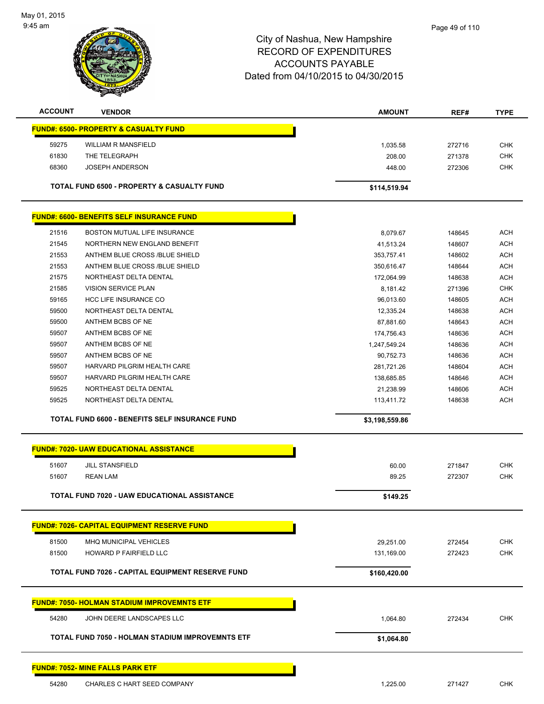

| <b>ACCOUNT</b> | <b>VENDOR</b>                                         | <b>AMOUNT</b> | REF#   | <b>TYPE</b> |
|----------------|-------------------------------------------------------|---------------|--------|-------------|
|                | <b>FUND#: 6500- PROPERTY &amp; CASUALTY FUND</b>      |               |        |             |
| 59275          | WILLIAM R MANSFIELD                                   | 1.035.58      | 272716 | <b>CHK</b>  |
| 61830          | THE TELEGRAPH                                         | 208.00        | 271378 | <b>CHK</b>  |
| 68360          | JOSEPH ANDERSON                                       | 448.00        | 272306 | <b>CHK</b>  |
|                | <b>TOTAL FUND 6500 - PROPERTY &amp; CASUALTY FUND</b> | \$114,519.94  |        |             |

|       | <b>FUND#: 6600- BENEFITS SELF INSURANCE FUND</b>      |                |        |            |
|-------|-------------------------------------------------------|----------------|--------|------------|
| 21516 | <b>BOSTON MUTUAL LIFE INSURANCE</b>                   | 8,079.67       | 148645 | ACH        |
| 21545 | NORTHERN NEW ENGLAND BENEFIT                          | 41,513.24      | 148607 | <b>ACH</b> |
| 21553 | ANTHEM BLUE CROSS /BLUE SHIELD                        | 353.757.41     | 148602 | <b>ACH</b> |
| 21553 | ANTHEM BLUE CROSS /BLUE SHIELD                        | 350,616.47     | 148644 | <b>ACH</b> |
| 21575 | NORTHEAST DELTA DENTAL                                | 172,064.99     | 148638 | <b>ACH</b> |
| 21585 | <b>VISION SERVICE PLAN</b>                            | 8,181.42       | 271396 | <b>CHK</b> |
| 59165 | <b>HCC LIFE INSURANCE CO</b>                          | 96,013.60      | 148605 | <b>ACH</b> |
| 59500 | NORTHEAST DELTA DENTAL                                | 12,335.24      | 148638 | <b>ACH</b> |
| 59500 | ANTHEM BCBS OF NE                                     | 87,881.60      | 148643 | ACH        |
| 59507 | ANTHEM BCBS OF NE                                     | 174.756.43     | 148636 | ACH        |
| 59507 | ANTHEM BCBS OF NE                                     | 1,247,549.24   | 148636 | <b>ACH</b> |
| 59507 | ANTHEM BCBS OF NE                                     | 90,752.73      | 148636 | <b>ACH</b> |
| 59507 | HARVARD PILGRIM HEALTH CARE                           | 281,721.26     | 148604 | <b>ACH</b> |
| 59507 | HARVARD PILGRIM HEALTH CARE                           | 138,685.85     | 148646 | ACH        |
| 59525 | NORTHEAST DELTA DENTAL                                | 21,238.99      | 148606 | ACH        |
| 59525 | NORTHEAST DELTA DENTAL                                | 113,411.72     | 148638 | ACH        |
|       | <b>TOTAL FUND 6600 - BENEFITS SELF INSURANCE FUND</b> | \$3,198,559.86 |        |            |

|       | <b>FUND#: 7020- UAW EDUCATIONAL ASSISTANCE</b>          |              |        |            |
|-------|---------------------------------------------------------|--------------|--------|------------|
| 51607 | <b>JILL STANSFIELD</b>                                  | 60.00        | 271847 | <b>CHK</b> |
| 51607 | <b>REAN LAM</b>                                         | 89.25        | 272307 | <b>CHK</b> |
|       | <b>TOTAL FUND 7020 - UAW EDUCATIONAL ASSISTANCE</b>     | \$149.25     |        |            |
|       | <b>FUND#: 7026- CAPITAL EQUIPMENT RESERVE FUND</b>      |              |        |            |
| 81500 | MHO MUNICIPAL VEHICLES                                  | 29,251.00    | 272454 | <b>CHK</b> |
| 81500 | <b>HOWARD P FAIRFIELD LLC</b>                           | 131,169.00   | 272423 | <b>CHK</b> |
|       | <b>TOTAL FUND 7026 - CAPITAL EQUIPMENT RESERVE FUND</b> | \$160,420.00 |        |            |
|       | <b>FUND#: 7050- HOLMAN STADIUM IMPROVEMNTS ETF</b>      |              |        |            |
| 54280 | JOHN DEERE LANDSCAPES LLC                               | 1,064.80     | 272434 | <b>CHK</b> |
|       | <b>TOTAL FUND 7050 - HOLMAN STADIUM IMPROVEMNTS ETF</b> | \$1,064.80   |        |            |
|       | <b>FUND#: 7052- MINE FALLS PARK ETF</b>                 |              |        |            |

54280 CHARLES C HART SEED COMPANY **1,225.00** 271427 CHK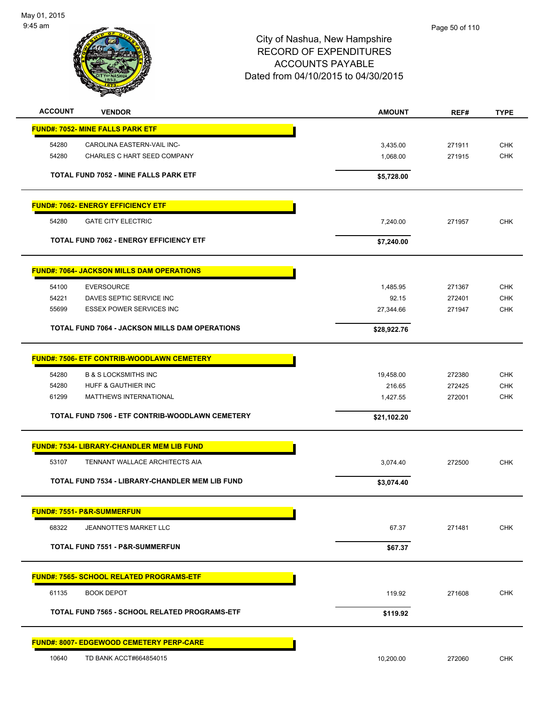

| <b>ACCOUNT</b> | <b>VENDOR</b>                                          | <b>AMOUNT</b> | REF#   | <b>TYPE</b> |
|----------------|--------------------------------------------------------|---------------|--------|-------------|
|                | <b>FUND#: 7052- MINE FALLS PARK ETF</b>                |               |        |             |
| 54280          | CAROLINA EASTERN-VAIL INC-                             | 3,435.00      | 271911 | <b>CHK</b>  |
| 54280          | CHARLES C HART SEED COMPANY                            | 1,068.00      | 271915 | <b>CHK</b>  |
|                |                                                        |               |        |             |
|                | <b>TOTAL FUND 7052 - MINE FALLS PARK ETF</b>           | \$5,728.00    |        |             |
|                | <b>FUND#: 7062- ENERGY EFFICIENCY ETF</b>              |               |        |             |
| 54280          | <b>GATE CITY ELECTRIC</b>                              | 7,240.00      | 271957 | <b>CHK</b>  |
|                | <b>TOTAL FUND 7062 - ENERGY EFFICIENCY ETF</b>         | \$7,240.00    |        |             |
|                |                                                        |               |        |             |
|                | <b>FUND#: 7064- JACKSON MILLS DAM OPERATIONS</b>       |               |        |             |
| 54100          | <b>EVERSOURCE</b>                                      | 1,485.95      | 271367 | <b>CHK</b>  |
| 54221          | DAVES SEPTIC SERVICE INC                               | 92.15         | 272401 | <b>CHK</b>  |
| 55699          | <b>ESSEX POWER SERVICES INC</b>                        | 27,344.66     | 271947 | <b>CHK</b>  |
|                | <b>TOTAL FUND 7064 - JACKSON MILLS DAM OPERATIONS</b>  | \$28,922.76   |        |             |
|                | <b>FUND#: 7506- ETF CONTRIB-WOODLAWN CEMETERY</b>      |               |        |             |
|                |                                                        |               |        |             |
| 54280          | <b>B &amp; S LOCKSMITHS INC</b>                        | 19,458.00     | 272380 | <b>CHK</b>  |
| 54280          | HUFF & GAUTHIER INC                                    | 216.65        | 272425 | <b>CHK</b>  |
| 61299          | MATTHEWS INTERNATIONAL                                 | 1,427.55      | 272001 | <b>CHK</b>  |
|                | TOTAL FUND 7506 - ETF CONTRIB-WOODLAWN CEMETERY        | \$21,102.20   |        |             |
|                | <b>FUND#: 7534- LIBRARY-CHANDLER MEM LIB FUND</b>      |               |        |             |
|                |                                                        |               |        |             |
| 53107          | TENNANT WALLACE ARCHITECTS AIA                         | 3,074.40      | 272500 | <b>CHK</b>  |
|                | <b>TOTAL FUND 7534 - LIBRARY-CHANDLER MEM LIB FUND</b> | \$3,074.40    |        |             |
|                | <b>FUND#: 7551- P&amp;R-SUMMERFUN</b>                  |               |        |             |
| 68322          | JEANNOTTE'S MARKET LLC                                 | 67.37         | 271481 | <b>CHK</b>  |
|                | <b>TOTAL FUND 7551 - P&amp;R-SUMMERFUN</b>             | \$67.37       |        |             |
|                |                                                        |               |        |             |
|                | <b>FUND#: 7565- SCHOOL RELATED PROGRAMS-ETF</b>        |               |        |             |
| 61135          | <b>BOOK DEPOT</b>                                      | 119.92        | 271608 | <b>CHK</b>  |
|                | <b>TOTAL FUND 7565 - SCHOOL RELATED PROGRAMS-ETF</b>   | \$119.92      |        |             |
|                | <b>FUND#: 8007- EDGEWOOD CEMETERY PERP-CARE</b>        |               |        |             |
| 10640          | TD BANK ACCT#664854015                                 |               |        |             |
|                |                                                        | 10,200.00     | 272060 | <b>CHK</b>  |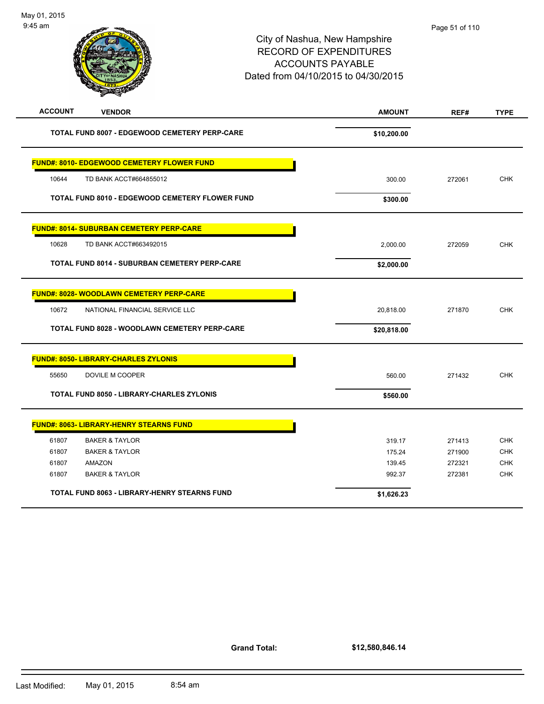| <b>ACCOUNT</b> | <b>VENDOR</b>                                        | <b>AMOUNT</b> | REF#   | <b>TYPE</b> |
|----------------|------------------------------------------------------|---------------|--------|-------------|
|                | <b>TOTAL FUND 8007 - EDGEWOOD CEMETERY PERP-CARE</b> | \$10,200.00   |        |             |
|                | <b>FUND#: 8010- EDGEWOOD CEMETERY FLOWER FUND</b>    |               |        |             |
| 10644          | TD BANK ACCT#664855012                               | 300.00        | 272061 | <b>CHK</b>  |
|                | TOTAL FUND 8010 - EDGEWOOD CEMETERY FLOWER FUND      | \$300.00      |        |             |
|                | <b>FUND#: 8014- SUBURBAN CEMETERY PERP-CARE</b>      |               |        |             |
| 10628          | TD BANK ACCT#663492015                               | 2,000.00      | 272059 | <b>CHK</b>  |
|                | <b>TOTAL FUND 8014 - SUBURBAN CEMETERY PERP-CARE</b> | \$2,000.00    |        |             |
|                | <b>FUND#: 8028- WOODLAWN CEMETERY PERP-CARE</b>      |               |        |             |
| 10672          | NATIONAL FINANCIAL SERVICE LLC                       | 20,818.00     | 271870 | <b>CHK</b>  |
|                | TOTAL FUND 8028 - WOODLAWN CEMETERY PERP-CARE        | \$20,818.00   |        |             |
|                | <b>FUND#: 8050- LIBRARY-CHARLES ZYLONIS</b>          |               |        |             |
| 55650          | DOVILE M COOPER                                      | 560.00        | 271432 | <b>CHK</b>  |
|                | TOTAL FUND 8050 - LIBRARY-CHARLES ZYLONIS            | \$560.00      |        |             |
|                | <b>FUND#: 8063- LIBRARY-HENRY STEARNS FUND</b>       |               |        |             |
| 61807          | <b>BAKER &amp; TAYLOR</b>                            | 319.17        | 271413 | <b>CHK</b>  |
| 61807          | <b>BAKER &amp; TAYLOR</b>                            | 175.24        | 271900 | <b>CHK</b>  |
| 61807          | AMAZON                                               | 139.45        | 272321 | <b>CHK</b>  |
| 61807          | <b>BAKER &amp; TAYLOR</b>                            | 992.37        | 272381 | <b>CHK</b>  |
|                | <b>TOTAL FUND 8063 - LIBRARY-HENRY STEARNS FUND</b>  | \$1,626.23    |        |             |

**Grand Total:**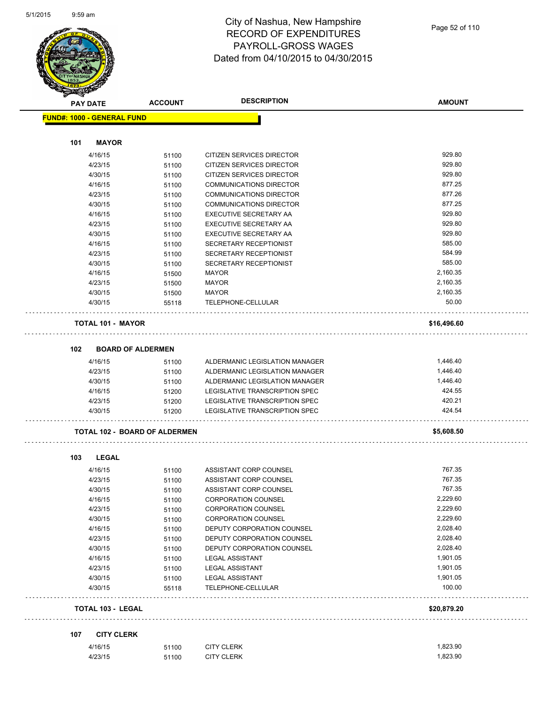

| <b>PAY DATE</b>                   | <b>ACCOUNT</b>                       | <b>DESCRIPTION</b>                               | <b>AMOUNT</b> |
|-----------------------------------|--------------------------------------|--------------------------------------------------|---------------|
| <b>FUND#: 1000 - GENERAL FUND</b> |                                      |                                                  |               |
|                                   |                                      |                                                  |               |
| 101<br><b>MAYOR</b>               |                                      |                                                  |               |
| 4/16/15                           | 51100                                | CITIZEN SERVICES DIRECTOR                        | 929.80        |
| 4/23/15                           | 51100                                | CITIZEN SERVICES DIRECTOR                        | 929.80        |
| 4/30/15                           | 51100                                | CITIZEN SERVICES DIRECTOR                        | 929.80        |
| 4/16/15                           | 51100                                | <b>COMMUNICATIONS DIRECTOR</b>                   | 877.25        |
| 4/23/15                           | 51100                                | COMMUNICATIONS DIRECTOR                          | 877.26        |
| 4/30/15                           | 51100                                | <b>COMMUNICATIONS DIRECTOR</b>                   | 877.25        |
| 4/16/15                           | 51100                                | <b>EXECUTIVE SECRETARY AA</b>                    | 929.80        |
| 4/23/15                           | 51100                                | EXECUTIVE SECRETARY AA                           | 929.80        |
| 4/30/15                           | 51100                                | EXECUTIVE SECRETARY AA                           | 929.80        |
| 4/16/15                           | 51100                                | SECRETARY RECEPTIONIST                           | 585.00        |
| 4/23/15                           | 51100                                | SECRETARY RECEPTIONIST                           | 584.99        |
| 4/30/15                           | 51100                                | SECRETARY RECEPTIONIST                           | 585.00        |
| 4/16/15                           | 51500                                | <b>MAYOR</b>                                     | 2,160.35      |
| 4/23/15                           | 51500                                | <b>MAYOR</b>                                     | 2,160.35      |
| 4/30/15                           | 51500                                | <b>MAYOR</b>                                     | 2,160.35      |
| 4/30/15                           | 55118                                | TELEPHONE-CELLULAR                               | 50.00         |
|                                   |                                      |                                                  |               |
| <b>TOTAL 101 - MAYOR</b>          |                                      |                                                  | \$16,496.60   |
|                                   |                                      |                                                  |               |
| 102                               | <b>BOARD OF ALDERMEN</b>             |                                                  |               |
| 4/16/15                           | 51100                                | ALDERMANIC LEGISLATION MANAGER                   | 1,446.40      |
| 4/23/15                           | 51100                                | ALDERMANIC LEGISLATION MANAGER                   | 1,446.40      |
| 4/30/15                           | 51100                                | ALDERMANIC LEGISLATION MANAGER                   | 1,446.40      |
| 4/16/15                           | 51200                                | LEGISLATIVE TRANSCRIPTION SPEC                   | 424.55        |
| 4/23/15                           | 51200                                | LEGISLATIVE TRANSCRIPTION SPEC                   | 420.21        |
| 4/30/15                           | 51200                                | LEGISLATIVE TRANSCRIPTION SPEC                   | 424.54        |
|                                   | <b>TOTAL 102 - BOARD OF ALDERMEN</b> |                                                  | \$5,608.50    |
| 103<br><b>LEGAL</b>               |                                      |                                                  |               |
| 4/16/15                           |                                      |                                                  | 767.35        |
| 4/23/15                           | 51100                                | ASSISTANT CORP COUNSEL<br>ASSISTANT CORP COUNSEL | 767.35        |
| 4/30/15                           | 51100<br>51100                       | ASSISTANT CORP COUNSEL                           | 767.35        |
| 4/16/15                           |                                      | <b>CORPORATION COUNSEL</b>                       | 2,229.60      |
| 4/23/15                           | 51100                                | <b>CORPORATION COUNSEL</b>                       | 2,229.60      |
| 4/30/15                           | 51100                                | <b>CORPORATION COUNSEL</b>                       | 2,229.60      |
| 4/16/15                           | 51100                                | DEPUTY CORPORATION COUNSEL                       | 2,028.40      |
| 4/23/15                           | 51100                                | DEPUTY CORPORATION COUNSEL                       | 2,028.40      |
| 4/30/15                           | 51100                                | DEPUTY CORPORATION COUNSEL                       | 2,028.40      |
| 4/16/15                           | 51100                                | <b>LEGAL ASSISTANT</b>                           | 1,901.05      |
| 4/23/15                           | 51100                                | <b>LEGAL ASSISTANT</b>                           | 1,901.05      |
| 4/30/15                           | 51100                                | <b>LEGAL ASSISTANT</b>                           | 1,901.05      |
| 4/30/15                           | 51100<br>55118                       | TELEPHONE-CELLULAR                               | 100.00        |
| TOTAL 103 - LEGAL                 |                                      |                                                  | \$20,879.20   |
|                                   |                                      |                                                  |               |
|                                   |                                      |                                                  |               |
| <b>CITY CLERK</b><br>107          |                                      |                                                  |               |
| 4/16/15                           | 51100                                | <b>CITY CLERK</b>                                | 1,823.90      |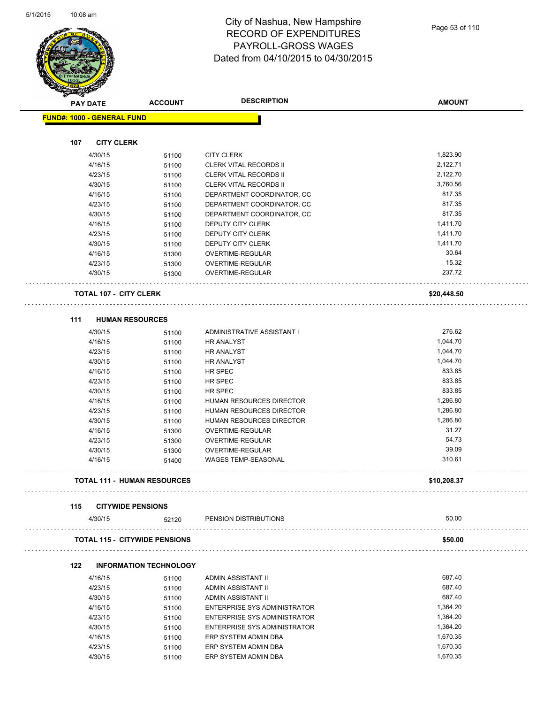

| Sandon (<br><b>PAY DATE</b>       |                               | <b>ACCOUNT</b>                       | <b>DESCRIPTION</b>                  | <b>AMOUNT</b> |
|-----------------------------------|-------------------------------|--------------------------------------|-------------------------------------|---------------|
| <b>FUND#: 1000 - GENERAL FUND</b> |                               |                                      |                                     |               |
|                                   |                               |                                      |                                     |               |
| 107                               | <b>CITY CLERK</b>             |                                      |                                     |               |
|                                   | 4/30/15                       | 51100                                | <b>CITY CLERK</b>                   | 1,823.90      |
|                                   | 4/16/15                       | 51100                                | <b>CLERK VITAL RECORDS II</b>       | 2,122.71      |
|                                   | 4/23/15                       | 51100                                | <b>CLERK VITAL RECORDS II</b>       | 2,122.70      |
|                                   | 4/30/15                       | 51100                                | <b>CLERK VITAL RECORDS II</b>       | 3,760.56      |
|                                   | 4/16/15                       | 51100                                | DEPARTMENT COORDINATOR, CC          | 817.35        |
|                                   | 4/23/15                       | 51100                                | DEPARTMENT COORDINATOR, CC          | 817.35        |
|                                   | 4/30/15                       | 51100                                | DEPARTMENT COORDINATOR, CC          | 817.35        |
|                                   | 4/16/15                       | 51100                                | DEPUTY CITY CLERK                   | 1,411.70      |
|                                   | 4/23/15                       | 51100                                | DEPUTY CITY CLERK                   | 1,411.70      |
|                                   | 4/30/15                       | 51100                                | DEPUTY CITY CLERK                   | 1,411.70      |
|                                   | 4/16/15                       | 51300                                | OVERTIME-REGULAR                    | 30.64         |
|                                   | 4/23/15                       | 51300                                | OVERTIME-REGULAR                    | 15.32         |
|                                   | 4/30/15                       | 51300                                | OVERTIME-REGULAR                    | 237.72        |
|                                   | <b>TOTAL 107 - CITY CLERK</b> |                                      |                                     | \$20,448.50   |
| 111                               | <b>HUMAN RESOURCES</b>        |                                      |                                     |               |
|                                   | 4/30/15                       | 51100                                | ADMINISTRATIVE ASSISTANT I          | 276.62        |
|                                   | 4/16/15                       | 51100                                | HR ANALYST                          | 1,044.70      |
|                                   | 4/23/15                       | 51100                                | <b>HR ANALYST</b>                   | 1,044.70      |
|                                   | 4/30/15                       | 51100                                | HR ANALYST                          | 1,044.70      |
|                                   | 4/16/15                       | 51100                                | HR SPEC                             | 833.85        |
|                                   | 4/23/15                       | 51100                                | HR SPEC                             | 833.85        |
|                                   | 4/30/15                       | 51100                                | HR SPEC                             | 833.85        |
|                                   | 4/16/15                       | 51100                                | HUMAN RESOURCES DIRECTOR            | 1,286.80      |
|                                   | 4/23/15                       | 51100                                | HUMAN RESOURCES DIRECTOR            | 1,286.80      |
|                                   | 4/30/15                       | 51100                                | HUMAN RESOURCES DIRECTOR            | 1,286.80      |
|                                   | 4/16/15                       | 51300                                | OVERTIME-REGULAR                    | 31.27         |
|                                   | 4/23/15                       | 51300                                | OVERTIME-REGULAR                    | 54.73         |
|                                   | 4/30/15                       | 51300                                | OVERTIME-REGULAR                    | 39.09         |
|                                   | 4/16/15                       | 51400                                | <b>WAGES TEMP-SEASONAL</b>          | 310.61        |
|                                   |                               | <b>TOTAL 111 - HUMAN RESOURCES</b>   |                                     | \$10,208.37   |
| 115                               | <b>CITYWIDE PENSIONS</b>      |                                      |                                     |               |
|                                   | 4/30/15                       | 52120                                | PENSION DISTRIBUTIONS               | 50.00         |
|                                   |                               | <b>TOTAL 115 - CITYWIDE PENSIONS</b> |                                     | \$50.00       |
| 122                               |                               | <b>INFORMATION TECHNOLOGY</b>        |                                     |               |
|                                   | 4/16/15                       | 51100                                | ADMIN ASSISTANT II                  | 687.40        |
|                                   | 4/23/15                       | 51100                                | ADMIN ASSISTANT II                  | 687.40        |
|                                   | 4/30/15                       | 51100                                | ADMIN ASSISTANT II                  | 687.40        |
|                                   | 4/16/15                       | 51100                                | ENTERPRISE SYS ADMINISTRATOR        | 1,364.20      |
|                                   | 4/23/15                       | 51100                                | <b>ENTERPRISE SYS ADMINISTRATOR</b> | 1,364.20      |
|                                   | 4/30/15                       | 51100                                | ENTERPRISE SYS ADMINISTRATOR        | 1,364.20      |
|                                   | 4/16/15                       | 51100                                | ERP SYSTEM ADMIN DBA                | 1,670.35      |
|                                   | 4/23/15                       | 51100                                | ERP SYSTEM ADMIN DBA                | 1,670.35      |

4/30/15 51100 ERP SYSTEM ADMIN DBA 1,670.35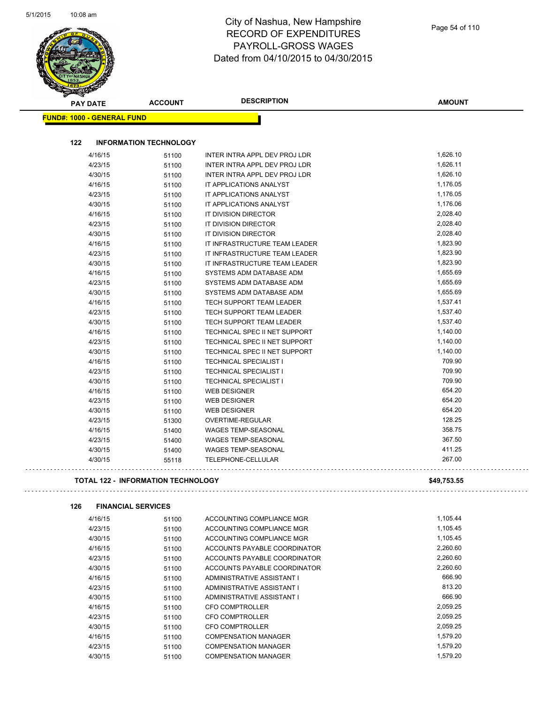| <b>PAY DATE</b>                   | <b>ACCOUNT</b>                            | <b>DESCRIPTION</b>                                         | <b>AMOUNT</b>        |
|-----------------------------------|-------------------------------------------|------------------------------------------------------------|----------------------|
| <b>FUND#: 1000 - GENERAL FUND</b> |                                           |                                                            |                      |
|                                   |                                           |                                                            |                      |
| 122                               | <b>INFORMATION TECHNOLOGY</b>             |                                                            |                      |
| 4/16/15                           | 51100                                     | INTER INTRA APPL DEV PROJ LDR                              | 1,626.10             |
| 4/23/15                           | 51100                                     | INTER INTRA APPL DEV PROJ LDR                              | 1,626.11             |
| 4/30/15                           | 51100                                     | INTER INTRA APPL DEV PROJ LDR                              | 1,626.10             |
| 4/16/15                           | 51100                                     | IT APPLICATIONS ANALYST                                    | 1,176.05             |
| 4/23/15                           | 51100                                     | IT APPLICATIONS ANALYST                                    | 1,176.05             |
| 4/30/15                           | 51100                                     | IT APPLICATIONS ANALYST                                    | 1,176.06             |
| 4/16/15                           | 51100                                     | IT DIVISION DIRECTOR                                       | 2,028.40             |
| 4/23/15                           | 51100                                     | IT DIVISION DIRECTOR                                       | 2,028.40             |
| 4/30/15                           | 51100                                     | IT DIVISION DIRECTOR                                       | 2,028.40             |
| 4/16/15                           | 51100                                     | IT INFRASTRUCTURE TEAM LEADER                              | 1,823.90             |
| 4/23/15                           | 51100                                     | IT INFRASTRUCTURE TEAM LEADER                              | 1,823.90             |
| 4/30/15                           | 51100                                     | IT INFRASTRUCTURE TEAM LEADER                              | 1,823.90             |
| 4/16/15                           | 51100                                     | SYSTEMS ADM DATABASE ADM                                   | 1,655.69             |
| 4/23/15                           | 51100                                     | SYSTEMS ADM DATABASE ADM                                   | 1,655.69             |
| 4/30/15                           | 51100                                     | SYSTEMS ADM DATABASE ADM                                   | 1,655.69             |
| 4/16/15                           | 51100                                     | <b>TECH SUPPORT TEAM LEADER</b>                            | 1,537.41             |
| 4/23/15                           | 51100                                     | <b>TECH SUPPORT TEAM LEADER</b>                            | 1,537.40             |
| 4/30/15                           | 51100                                     | TECH SUPPORT TEAM LEADER                                   | 1,537.40             |
| 4/16/15                           | 51100                                     | TECHNICAL SPEC II NET SUPPORT                              | 1,140.00             |
| 4/23/15                           | 51100                                     | TECHNICAL SPEC II NET SUPPORT                              | 1,140.00             |
| 4/30/15                           | 51100                                     | TECHNICAL SPEC II NET SUPPORT                              | 1,140.00             |
| 4/16/15                           | 51100                                     | <b>TECHNICAL SPECIALIST I</b>                              | 709.90               |
| 4/23/15                           | 51100                                     | <b>TECHNICAL SPECIALIST I</b>                              | 709.90               |
| 4/30/15                           | 51100                                     | <b>TECHNICAL SPECIALIST I</b>                              | 709.90               |
| 4/16/15                           | 51100                                     | <b>WEB DESIGNER</b>                                        | 654.20               |
| 4/23/15                           | 51100                                     | <b>WEB DESIGNER</b>                                        | 654.20               |
| 4/30/15                           | 51100                                     | <b>WEB DESIGNER</b>                                        | 654.20               |
| 4/23/15                           | 51300                                     | OVERTIME-REGULAR                                           | 128.25               |
| 4/16/15                           | 51400                                     | <b>WAGES TEMP-SEASONAL</b>                                 | 358.75               |
| 4/23/15                           | 51400                                     | <b>WAGES TEMP-SEASONAL</b>                                 | 367.50               |
| 4/30/15                           | 51400                                     | WAGES TEMP-SEASONAL                                        | 411.25               |
| 4/30/15                           | 55118                                     | TELEPHONE-CELLULAR                                         | 267.00               |
|                                   | <b>TOTAL 122 - INFORMATION TECHNOLOGY</b> |                                                            | \$49,753.55          |
| 126                               | <b>FINANCIAL SERVICES</b>                 |                                                            |                      |
| 4/16/15                           | 51100                                     | ACCOUNTING COMPLIANCE MGR                                  | 1,105.44             |
| 4/23/15                           | 51100                                     | ACCOUNTING COMPLIANCE MGR                                  | 1,105.45             |
| 4/30/15                           | 51100                                     | ACCOUNTING COMPLIANCE MGR                                  | 1,105.45             |
| 4/16/15                           | 51100                                     | ACCOUNTS PAYABLE COORDINATOR                               | 2,260.60             |
| 4/23/15                           | 51100                                     | ACCOUNTS PAYABLE COORDINATOR                               | 2,260.60             |
| 4/30/15                           | 51100                                     | ACCOUNTS PAYABLE COORDINATOR                               | 2,260.60             |
| 4/16/15                           | 51100                                     | ADMINISTRATIVE ASSISTANT I                                 | 666.90               |
| 4/23/15                           | 51100                                     | ADMINISTRATIVE ASSISTANT I                                 | 813.20               |
| 4/30/15                           | 51100                                     | ADMINISTRATIVE ASSISTANT I                                 | 666.90               |
| 4/16/15                           | 51100                                     | <b>CFO COMPTROLLER</b>                                     | 2,059.25             |
| 4/23/15                           | 51100                                     | <b>CFO COMPTROLLER</b>                                     | 2,059.25             |
| 4/30/15                           | 51100                                     | <b>CFO COMPTROLLER</b>                                     | 2,059.25             |
|                                   |                                           |                                                            |                      |
|                                   |                                           |                                                            |                      |
| 4/16/15<br>4/23/15                | 51100<br>51100                            | <b>COMPENSATION MANAGER</b><br><b>COMPENSATION MANAGER</b> | 1,579.20<br>1,579.20 |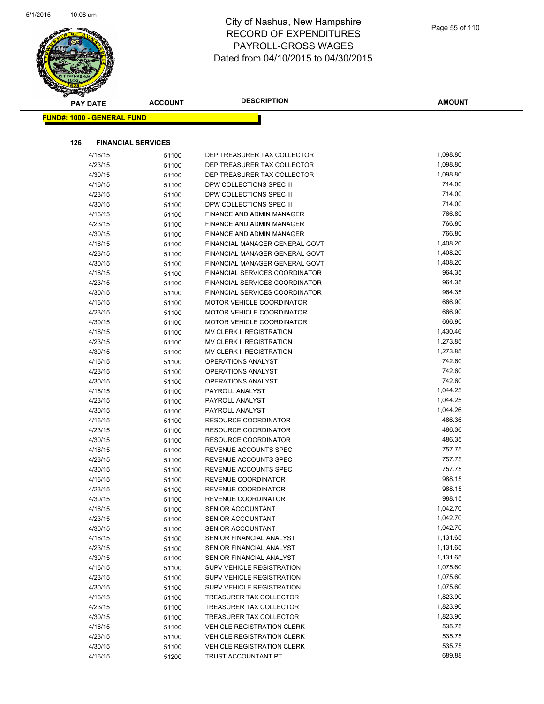|     | <b>PAY DATE</b>                   | <b>ACCOUNT</b> | <b>DESCRIPTION</b>                 | <b>AMOUNT</b>    |
|-----|-----------------------------------|----------------|------------------------------------|------------------|
|     | <b>FUND#: 1000 - GENERAL FUND</b> |                |                                    |                  |
|     |                                   |                |                                    |                  |
| 126 | <b>FINANCIAL SERVICES</b>         |                |                                    |                  |
|     | 4/16/15                           | 51100          | DEP TREASURER TAX COLLECTOR        | 1,098.80         |
|     | 4/23/15                           | 51100          | DEP TREASURER TAX COLLECTOR        | 1,098.80         |
|     | 4/30/15                           | 51100          | DEP TREASURER TAX COLLECTOR        | 1,098.80         |
|     | 4/16/15                           | 51100          | DPW COLLECTIONS SPEC III           | 714.00           |
|     | 4/23/15                           | 51100          | DPW COLLECTIONS SPEC III           | 714.00           |
|     | 4/30/15                           | 51100          | DPW COLLECTIONS SPEC III           | 714.00           |
|     | 4/16/15                           | 51100          | FINANCE AND ADMIN MANAGER          | 766.80           |
|     | 4/23/15                           | 51100          | FINANCE AND ADMIN MANAGER          | 766.80           |
|     | 4/30/15                           | 51100          | FINANCE AND ADMIN MANAGER          | 766.80           |
|     | 4/16/15                           | 51100          | FINANCIAL MANAGER GENERAL GOVT     | 1,408.20         |
|     | 4/23/15                           | 51100          | FINANCIAL MANAGER GENERAL GOVT     | 1,408.20         |
|     | 4/30/15                           | 51100          | FINANCIAL MANAGER GENERAL GOVT     | 1,408.20         |
|     | 4/16/15                           | 51100          | FINANCIAL SERVICES COORDINATOR     | 964.35           |
|     | 4/23/15                           | 51100          | FINANCIAL SERVICES COORDINATOR     | 964.35           |
|     | 4/30/15                           | 51100          | FINANCIAL SERVICES COORDINATOR     | 964.35           |
|     | 4/16/15                           | 51100          | <b>MOTOR VEHICLE COORDINATOR</b>   | 666.90           |
|     | 4/23/15                           | 51100          | MOTOR VEHICLE COORDINATOR          | 666.90           |
|     | 4/30/15                           | 51100          | MOTOR VEHICLE COORDINATOR          | 666.90           |
|     | 4/16/15                           | 51100          | MV CLERK II REGISTRATION           | 1,430.46         |
|     | 4/23/15                           | 51100          | MV CLERK II REGISTRATION           | 1,273.85         |
|     | 4/30/15                           | 51100          | MV CLERK II REGISTRATION           | 1,273.85         |
|     | 4/16/15                           | 51100          | OPERATIONS ANALYST                 | 742.60<br>742.60 |
|     | 4/23/15                           | 51100          | OPERATIONS ANALYST                 | 742.60           |
|     | 4/30/15                           | 51100          | <b>OPERATIONS ANALYST</b>          | 1,044.25         |
|     | 4/16/15<br>4/23/15                | 51100          | PAYROLL ANALYST<br>PAYROLL ANALYST | 1,044.25         |
|     | 4/30/15                           | 51100          | PAYROLL ANALYST                    | 1,044.26         |
|     | 4/16/15                           | 51100<br>51100 | <b>RESOURCE COORDINATOR</b>        | 486.36           |
|     | 4/23/15                           | 51100          | RESOURCE COORDINATOR               | 486.36           |
|     | 4/30/15                           | 51100          | RESOURCE COORDINATOR               | 486.35           |
|     | 4/16/15                           | 51100          | REVENUE ACCOUNTS SPEC              | 757.75           |
|     | 4/23/15                           | 51100          | REVENUE ACCOUNTS SPEC              | 757.75           |
|     | 4/30/15                           | 51100          | REVENUE ACCOUNTS SPEC              | 757.75           |
|     | 4/16/15                           | 51100          | REVENUE COORDINATOR                | 988.15           |
|     | 4/23/15                           | 51100          | REVENUE COORDINATOR                | 988.15           |
|     | 4/30/15                           | 51100          | REVENUE COORDINATOR                | 988.15           |
|     | 4/16/15                           | 51100          | SENIOR ACCOUNTANT                  | 1,042.70         |
|     | 4/23/15                           | 51100          | SENIOR ACCOUNTANT                  | 1,042.70         |
|     | 4/30/15                           | 51100          | SENIOR ACCOUNTANT                  | 1,042.70         |
|     | 4/16/15                           | 51100          | SENIOR FINANCIAL ANALYST           | 1,131.65         |
|     | 4/23/15                           | 51100          | SENIOR FINANCIAL ANALYST           | 1,131.65         |
|     | 4/30/15                           | 51100          | SENIOR FINANCIAL ANALYST           | 1,131.65         |
|     | 4/16/15                           | 51100          | SUPV VEHICLE REGISTRATION          | 1,075.60         |
|     | 4/23/15                           | 51100          | SUPV VEHICLE REGISTRATION          | 1,075.60         |
|     | 4/30/15                           | 51100          | SUPV VEHICLE REGISTRATION          | 1,075.60         |
|     | 4/16/15                           | 51100          | TREASURER TAX COLLECTOR            | 1,823.90         |
|     | 4/23/15                           | 51100          | TREASURER TAX COLLECTOR            | 1,823.90         |
|     | 4/30/15                           | 51100          | TREASURER TAX COLLECTOR            | 1,823.90         |
|     | 4/16/15                           | 51100          | <b>VEHICLE REGISTRATION CLERK</b>  | 535.75           |
|     | 4/23/15                           | 51100          | <b>VEHICLE REGISTRATION CLERK</b>  | 535.75           |
|     | 4/30/15                           | 51100          | <b>VEHICLE REGISTRATION CLERK</b>  | 535.75           |
|     | 4/16/15                           | 51200          | TRUST ACCOUNTANT PT                | 689.88           |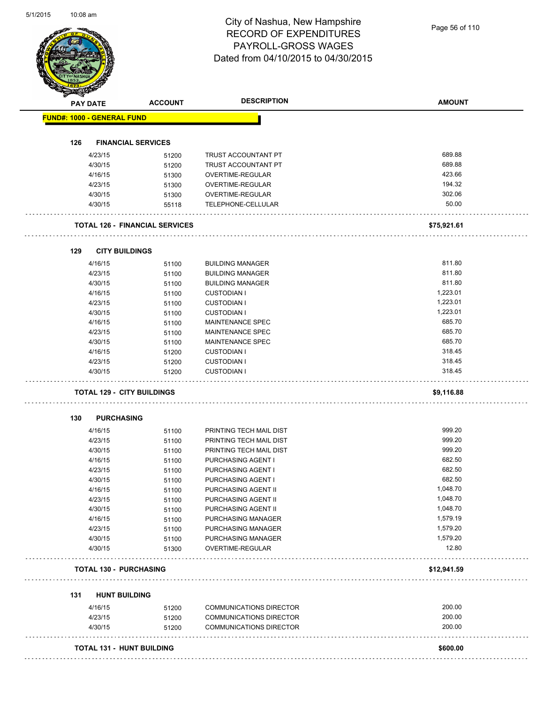| <b>PAY DATE</b>                   | <b>ACCOUNT</b>                        | <b>DESCRIPTION</b>             | <b>AMOUNT</b> |
|-----------------------------------|---------------------------------------|--------------------------------|---------------|
| <b>FUND#: 1000 - GENERAL FUND</b> |                                       |                                |               |
|                                   |                                       |                                |               |
| 126                               | <b>FINANCIAL SERVICES</b>             |                                |               |
| 4/23/15                           | 51200                                 | <b>TRUST ACCOUNTANT PT</b>     | 689.88        |
| 4/30/15                           | 51200                                 | TRUST ACCOUNTANT PT            | 689.88        |
| 4/16/15                           | 51300                                 | OVERTIME-REGULAR               | 423.66        |
| 4/23/15                           | 51300                                 | OVERTIME-REGULAR               | 194.32        |
| 4/30/15                           | 51300                                 | OVERTIME-REGULAR               | 302.06        |
| 4/30/15                           | 55118                                 | TELEPHONE-CELLULAR             | 50.00         |
|                                   | <b>TOTAL 126 - FINANCIAL SERVICES</b> |                                | \$75,921.61   |
| <b>CITY BUILDINGS</b><br>129      |                                       |                                |               |
| 4/16/15                           | 51100                                 | <b>BUILDING MANAGER</b>        | 811.80        |
| 4/23/15                           | 51100                                 | <b>BUILDING MANAGER</b>        | 811.80        |
| 4/30/15                           | 51100                                 | <b>BUILDING MANAGER</b>        | 811.80        |
| 4/16/15                           | 51100                                 | <b>CUSTODIAN I</b>             | 1,223.01      |
| 4/23/15                           | 51100                                 | <b>CUSTODIAN I</b>             | 1,223.01      |
| 4/30/15                           | 51100                                 | <b>CUSTODIAN I</b>             | 1,223.01      |
| 4/16/15                           | 51100                                 | MAINTENANCE SPEC               | 685.70        |
| 4/23/15                           | 51100                                 | <b>MAINTENANCE SPEC</b>        | 685.70        |
| 4/30/15                           | 51100                                 | <b>MAINTENANCE SPEC</b>        | 685.70        |
| 4/16/15                           | 51200                                 | <b>CUSTODIAN I</b>             | 318.45        |
| 4/23/15                           | 51200                                 | <b>CUSTODIAN I</b>             | 318.45        |
| 4/30/15                           | 51200                                 | <b>CUSTODIAN I</b>             | 318.45        |
| <b>TOTAL 129 - CITY BUILDINGS</b> |                                       |                                | \$9,116.88    |
| <b>PURCHASING</b><br>130          |                                       |                                |               |
| 4/16/15                           | 51100                                 | PRINTING TECH MAIL DIST        | 999.20        |
| 4/23/15                           | 51100                                 | PRINTING TECH MAIL DIST        | 999.20        |
| 4/30/15                           | 51100                                 | PRINTING TECH MAIL DIST        | 999.20        |
| 4/16/15                           | 51100                                 | PURCHASING AGENT I             | 682.50        |
| 4/23/15                           | 51100                                 | PURCHASING AGENT I             | 682.50        |
| 4/30/15                           | 51100                                 | PURCHASING AGENT I             | 682.50        |
| 4/16/15                           | 51100                                 | PURCHASING AGENT II            | 1,048.70      |
| 4/23/15                           | 51100                                 | PURCHASING AGENT II            | 1,048.70      |
| 4/30/15                           | 51100                                 | PURCHASING AGENT II            | 1,048.70      |
| 4/16/15                           | 51100                                 | PURCHASING MANAGER             | 1,579.19      |
| 4/23/15                           | 51100                                 | PURCHASING MANAGER             | 1,579.20      |
| 4/30/15                           | 51100                                 | PURCHASING MANAGER             | 1,579.20      |
| 4/30/15                           | 51300                                 | OVERTIME-REGULAR               | 12.80         |
| <b>TOTAL 130 - PURCHASING</b>     |                                       |                                | \$12,941.59   |
|                                   |                                       |                                |               |
| <b>HUNT BUILDING</b><br>131       |                                       |                                |               |
| 4/16/15                           | 51200                                 | <b>COMMUNICATIONS DIRECTOR</b> | 200.00        |
| 4/23/15                           | 51200                                 | COMMUNICATIONS DIRECTOR        | 200.00        |
| 4/30/15                           | 51200                                 | <b>COMMUNICATIONS DIRECTOR</b> | 200.00        |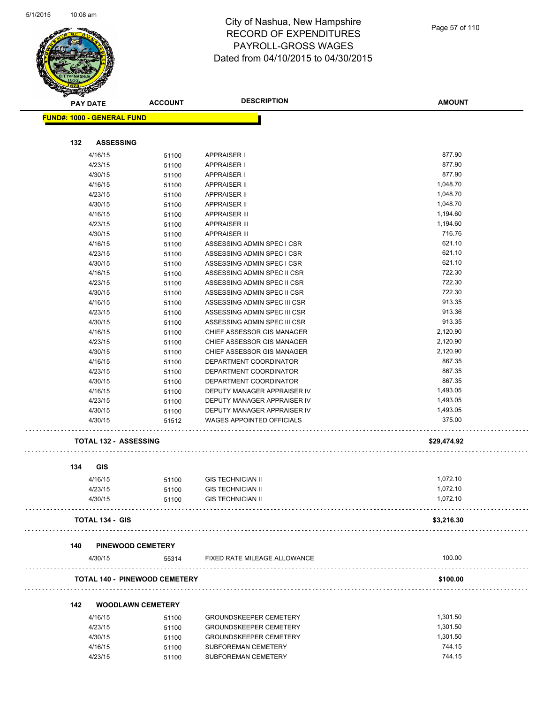

| <b>STARSHAP</b>                      |                          |                               |               |
|--------------------------------------|--------------------------|-------------------------------|---------------|
| <b>PAY DATE</b>                      | <b>ACCOUNT</b>           | <b>DESCRIPTION</b>            | <b>AMOUNT</b> |
| <b>FUND#: 1000 - GENERAL FUND</b>    |                          |                               |               |
|                                      |                          |                               |               |
| <b>ASSESSING</b><br>132              |                          |                               |               |
|                                      |                          |                               |               |
| 4/16/15                              | 51100                    | <b>APPRAISER I</b>            | 877.90        |
| 4/23/15                              | 51100                    | <b>APPRAISER I</b>            | 877.90        |
| 4/30/15                              | 51100                    | <b>APPRAISER I</b>            | 877.90        |
| 4/16/15                              | 51100                    | <b>APPRAISER II</b>           | 1,048.70      |
| 4/23/15                              | 51100                    | <b>APPRAISER II</b>           | 1,048.70      |
| 4/30/15                              | 51100                    | <b>APPRAISER II</b>           | 1,048.70      |
| 4/16/15                              | 51100                    | <b>APPRAISER III</b>          | 1,194.60      |
| 4/23/15                              | 51100                    | <b>APPRAISER III</b>          | 1,194.60      |
| 4/30/15                              | 51100                    | <b>APPRAISER III</b>          | 716.76        |
| 4/16/15                              | 51100                    | ASSESSING ADMIN SPEC I CSR    | 621.10        |
| 4/23/15                              | 51100                    | ASSESSING ADMIN SPEC I CSR    | 621.10        |
| 4/30/15                              | 51100                    | ASSESSING ADMIN SPEC I CSR    | 621.10        |
| 4/16/15                              | 51100                    | ASSESSING ADMIN SPEC II CSR   | 722.30        |
| 4/23/15                              | 51100                    | ASSESSING ADMIN SPEC II CSR   | 722.30        |
| 4/30/15                              | 51100                    | ASSESSING ADMIN SPEC II CSR   | 722.30        |
| 4/16/15                              | 51100                    | ASSESSING ADMIN SPEC III CSR  | 913.35        |
| 4/23/15                              | 51100                    | ASSESSING ADMIN SPEC III CSR  | 913.36        |
| 4/30/15                              | 51100                    | ASSESSING ADMIN SPEC III CSR  | 913.35        |
|                                      |                          |                               | 2,120.90      |
| 4/16/15                              | 51100                    | CHIEF ASSESSOR GIS MANAGER    | 2,120.90      |
| 4/23/15                              | 51100                    | CHIEF ASSESSOR GIS MANAGER    |               |
| 4/30/15                              | 51100                    | CHIEF ASSESSOR GIS MANAGER    | 2,120.90      |
| 4/16/15                              | 51100                    | DEPARTMENT COORDINATOR        | 867.35        |
| 4/23/15                              | 51100                    | DEPARTMENT COORDINATOR        | 867.35        |
| 4/30/15                              | 51100                    | DEPARTMENT COORDINATOR        | 867.35        |
| 4/16/15                              | 51100                    | DEPUTY MANAGER APPRAISER IV   | 1,493.05      |
| 4/23/15                              | 51100                    | DEPUTY MANAGER APPRAISER IV   | 1,493.05      |
| 4/30/15                              | 51100                    | DEPUTY MANAGER APPRAISER IV   | 1,493.05      |
| 4/30/15                              | 51512                    | WAGES APPOINTED OFFICIALS     | 375.00        |
| <b>TOTAL 132 - ASSESSING</b>         |                          |                               | \$29,474.92   |
|                                      |                          |                               |               |
| 134<br>GIS                           |                          |                               |               |
| 4/16/15                              | 51100                    | <b>GIS TECHNICIAN II</b>      | 1,072.10      |
| 4/23/15                              | 51100                    | <b>GIS TECHNICIAN II</b>      | 1,072.10      |
| 4/30/15                              | 51100                    | <b>GIS TECHNICIAN II</b>      | 1,072.10      |
| <b>TOTAL 134 - GIS</b>               |                          |                               | \$3,216.30    |
| 140                                  | <b>PINEWOOD CEMETERY</b> |                               |               |
| 4/30/15                              | 55314                    | FIXED RATE MILEAGE ALLOWANCE  | 100.00        |
|                                      |                          |                               |               |
| <b>TOTAL 140 - PINEWOOD CEMETERY</b> |                          |                               | \$100.00      |
| 142                                  | <b>WOODLAWN CEMETERY</b> |                               |               |
| 4/16/15                              | 51100                    | <b>GROUNDSKEEPER CEMETERY</b> | 1,301.50      |
| 4/23/15                              | 51100                    | <b>GROUNDSKEEPER CEMETERY</b> | 1,301.50      |
| 4/30/15                              | 51100                    | <b>GROUNDSKEEPER CEMETERY</b> | 1,301.50      |
|                                      |                          |                               |               |
| 4/16/15                              | 51100                    | SUBFOREMAN CEMETERY           | 744.15        |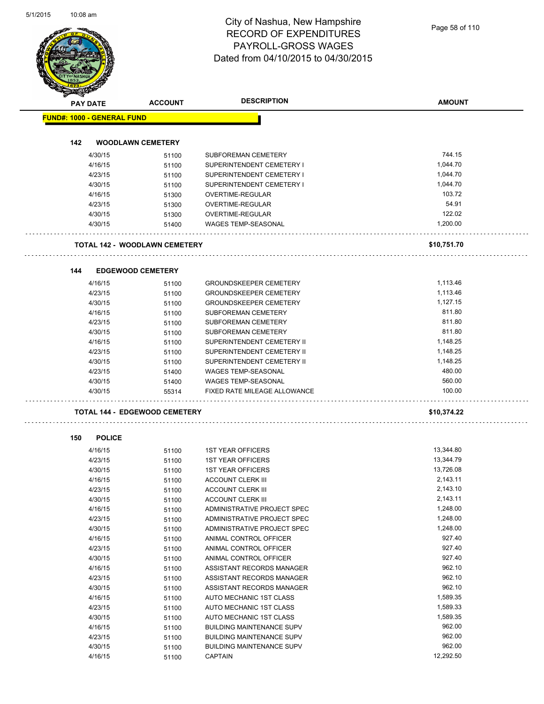# City of Nashua, New Hampshire RECORD OF EXPENDITURES PAYROLL-GROSS WAGES

|                 |                                      |                | <b>RECORD OF EXPENDITURES</b><br>PAYROLL-GROSS WAGES<br>Dated from 04/10/2015 to 04/30/2015 | Page 58 of 110 |
|-----------------|--------------------------------------|----------------|---------------------------------------------------------------------------------------------|----------------|
| <b>PAY DATE</b> |                                      | <b>ACCOUNT</b> | <b>DESCRIPTION</b>                                                                          | <b>AMOUNT</b>  |
|                 | <b>FUND#: 1000 - GENERAL FUND</b>    |                |                                                                                             |                |
| 142             | <b>WOODLAWN CEMETERY</b>             |                |                                                                                             |                |
|                 | 4/30/15                              | 51100          | SUBFOREMAN CEMETERY                                                                         | 744.15         |
|                 | 4/16/15                              | 51100          | SUPERINTENDENT CEMETERY I                                                                   | 1,044.70       |
|                 | 4/23/15                              | 51100          | SUPERINTENDENT CEMETERY I                                                                   | 1,044.70       |
|                 | 4/30/15                              | 51100          | SUPERINTENDENT CEMETERY I                                                                   | 1,044.70       |
|                 | 4/16/15                              | 51300          | OVERTIME-REGULAR                                                                            | 103.72         |
|                 | 4/23/15                              | 51300          | OVERTIME-REGULAR                                                                            | 54.91          |
|                 | 4/30/15                              | 51300          | OVERTIME-REGULAR                                                                            | 122.02         |
|                 | 4/30/15                              | 51400          | WAGES TEMP-SEASONAL                                                                         | 1,200.00       |
|                 | <b>TOTAL 142 - WOODLAWN CEMETERY</b> |                |                                                                                             | \$10,751.70    |
| 144             | <b>EDGEWOOD CEMETERY</b>             |                |                                                                                             |                |
|                 |                                      |                |                                                                                             |                |
|                 | 4/16/15                              | 51100          | <b>GROUNDSKEEPER CEMETERY</b>                                                               | 1,113.46       |
|                 | 4/23/15                              | 51100          | <b>GROUNDSKEEPER CEMETERY</b>                                                               | 1,113.46       |
|                 | 4/30/15                              | 51100          | <b>GROUNDSKEEPER CEMETERY</b>                                                               | 1,127.15       |
|                 | 4/16/15                              | 51100          | SUBFOREMAN CEMETERY                                                                         | 811.80         |
|                 | 4/23/15                              | 51100          | SUBFOREMAN CEMETERY                                                                         | 811.80         |
|                 | 4/30/15                              | 51100          | SUBFOREMAN CEMETERY                                                                         | 811.80         |
|                 | 4/16/15                              | 51100          | SUPERINTENDENT CEMETERY II                                                                  | 1,148.25       |
|                 | 4/23/15                              | 51100          | SUPERINTENDENT CEMETERY II                                                                  | 1,148.25       |
|                 | 4/30/15                              | 51100          | SUPERINTENDENT CEMETERY II                                                                  | 1,148.25       |
|                 | 4/23/15                              | 51400          | WAGES TEMP-SEASONAL                                                                         | 480.00         |
|                 | 4/30/15                              | 51400          | <b>WAGES TEMP-SEASONAL</b>                                                                  | 560.00         |
|                 | 4/30/15                              | 55314          | FIXED RATE MILEAGE ALLOWANCE                                                                | 100.00         |
|                 | <b>TOTAL 144 - EDGEWOOD CEMETERY</b> |                |                                                                                             | \$10,374.22    |
| 150             | <b>POLICE</b>                        |                |                                                                                             |                |
|                 | 4/16/15                              | 51100          | <b>1ST YEAR OFFICERS</b>                                                                    | 13,344.80      |
|                 | 4/23/15                              | 51100          | <b>1ST YEAR OFFICERS</b>                                                                    | 13,344.79      |
|                 | 4/30/15                              | 51100          | <b>1ST YEAR OFFICERS</b>                                                                    | 13,726.08      |
|                 | 4/16/15                              | 51100          | <b>ACCOUNT CLERK III</b>                                                                    | 2,143.11       |
|                 | 4/23/15                              | 51100          | <b>ACCOUNT CLERK III</b>                                                                    | 2,143.10       |
|                 | 4/30/15                              | 51100          | <b>ACCOUNT CLERK III</b>                                                                    | 2,143.11       |
|                 | 4/16/15                              | 51100          | ADMINISTRATIVE PROJECT SPEC                                                                 | 1,248.00       |
|                 | 4/23/15                              | 51100          | ADMINISTRATIVE PROJECT SPEC                                                                 | 1,248.00       |
|                 | 4/30/15                              | 51100          | ADMINISTRATIVE PROJECT SPEC                                                                 | 1,248.00       |
|                 | 4/16/15                              | 51100          | ANIMAL CONTROL OFFICER                                                                      | 927.40         |
|                 | 4/23/15                              | 51100          | ANIMAL CONTROL OFFICER                                                                      | 927.40         |
|                 | 4/30/15                              | 51100          | ANIMAL CONTROL OFFICER                                                                      | 927.40         |
|                 | 4/16/15                              | 51100          | ASSISTANT RECORDS MANAGER                                                                   | 962.10         |
|                 | 4/23/15                              | 51100          | ASSISTANT RECORDS MANAGER                                                                   | 962.10         |
|                 | 4/30/15                              | 51100          | ASSISTANT RECORDS MANAGER                                                                   | 962.10         |
|                 | 4/16/15                              | 51100          | AUTO MECHANIC 1ST CLASS                                                                     | 1,589.35       |
|                 | 4/23/15                              | 51100          | AUTO MECHANIC 1ST CLASS                                                                     | 1,589.33       |
|                 | 4/30/15                              | 51100          | AUTO MECHANIC 1ST CLASS                                                                     | 1,589.35       |
|                 | 4/16/15                              | 51100          | <b>BUILDING MAINTENANCE SUPV</b>                                                            | 962.00         |
|                 | 4/23/15                              | 51100          | <b>BUILDING MAINTENANCE SUPV</b>                                                            | 962.00         |
|                 | 4/30/15                              | 51100          | <b>BUILDING MAINTENANCE SUPV</b>                                                            | 962.00         |
|                 | 4/16/15                              | 51100          | <b>CAPTAIN</b>                                                                              | 12,292.50      |
|                 |                                      |                |                                                                                             |                |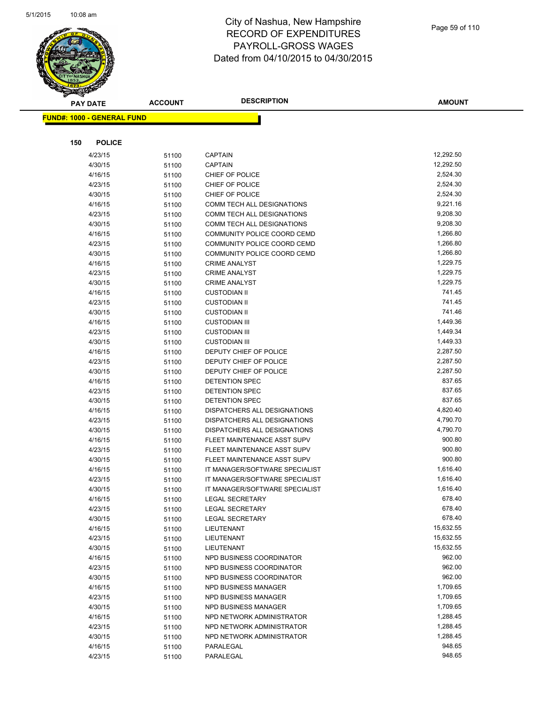

| <b>PAY DATE</b>                   | <b>ACCOUNT</b> | <b>DESCRIPTION</b>             | <b>AMOUNT</b> |
|-----------------------------------|----------------|--------------------------------|---------------|
| <b>FUND#: 1000 - GENERAL FUND</b> |                |                                |               |
|                                   |                |                                |               |
|                                   |                |                                |               |
| 150<br><b>POLICE</b>              |                |                                |               |
| 4/23/15                           | 51100          | <b>CAPTAIN</b>                 | 12,292.50     |
| 4/30/15                           | 51100          | CAPTAIN                        | 12,292.50     |
| 4/16/15                           | 51100          | CHIEF OF POLICE                | 2,524.30      |
| 4/23/15                           | 51100          | CHIEF OF POLICE                | 2,524.30      |
| 4/30/15                           | 51100          | CHIEF OF POLICE                | 2,524.30      |
| 4/16/15                           | 51100          | COMM TECH ALL DESIGNATIONS     | 9,221.16      |
| 4/23/15                           | 51100          | COMM TECH ALL DESIGNATIONS     | 9,208.30      |
| 4/30/15                           | 51100          | COMM TECH ALL DESIGNATIONS     | 9,208.30      |
| 4/16/15                           | 51100          | COMMUNITY POLICE COORD CEMD    | 1,266.80      |
| 4/23/15                           | 51100          | COMMUNITY POLICE COORD CEMD    | 1,266.80      |
| 4/30/15                           | 51100          | COMMUNITY POLICE COORD CEMD    | 1,266.80      |
| 4/16/15                           | 51100          | <b>CRIME ANALYST</b>           | 1,229.75      |
| 4/23/15                           | 51100          | <b>CRIME ANALYST</b>           | 1,229.75      |
| 4/30/15                           | 51100          | <b>CRIME ANALYST</b>           | 1,229.75      |
| 4/16/15                           | 51100          | <b>CUSTODIAN II</b>            | 741.45        |
| 4/23/15                           | 51100          | <b>CUSTODIAN II</b>            | 741.45        |
| 4/30/15                           | 51100          | <b>CUSTODIAN II</b>            | 741.46        |
| 4/16/15                           | 51100          | <b>CUSTODIAN III</b>           | 1,449.36      |
| 4/23/15                           | 51100          | <b>CUSTODIAN III</b>           | 1,449.34      |
| 4/30/15                           | 51100          | <b>CUSTODIAN III</b>           | 1,449.33      |
| 4/16/15                           | 51100          | DEPUTY CHIEF OF POLICE         | 2,287.50      |
| 4/23/15                           | 51100          | DEPUTY CHIEF OF POLICE         | 2,287.50      |
| 4/30/15                           | 51100          | DEPUTY CHIEF OF POLICE         | 2,287.50      |
| 4/16/15                           | 51100          | DETENTION SPEC                 | 837.65        |
| 4/23/15                           | 51100          | DETENTION SPEC                 | 837.65        |
| 4/30/15                           | 51100          | DETENTION SPEC                 | 837.65        |
| 4/16/15                           | 51100          | DISPATCHERS ALL DESIGNATIONS   | 4,820.40      |
| 4/23/15                           | 51100          | DISPATCHERS ALL DESIGNATIONS   | 4,790.70      |
| 4/30/15                           | 51100          | DISPATCHERS ALL DESIGNATIONS   | 4,790.70      |
| 4/16/15                           | 51100          | FLEET MAINTENANCE ASST SUPV    | 900.80        |
| 4/23/15                           | 51100          | FLEET MAINTENANCE ASST SUPV    | 900.80        |
| 4/30/15                           | 51100          | FLEET MAINTENANCE ASST SUPV    | 900.80        |
| 4/16/15                           | 51100          | IT MANAGER/SOFTWARE SPECIALIST | 1,616.40      |
| 4/23/15                           | 51100          | IT MANAGER/SOFTWARE SPECIALIST | 1,616.40      |
| 4/30/15                           | 51100          | IT MANAGER/SOFTWARE SPECIALIST | 1,616.40      |
| 4/16/15                           | 51100          | LEGAL SECRETARY                | 678.40        |
| 4/23/15                           | 51100          | <b>LEGAL SECRETARY</b>         | 678.40        |
| 4/30/15                           | 51100          | <b>LEGAL SECRETARY</b>         | 678.40        |
| 4/16/15                           | 51100          | LIEUTENANT                     | 15,632.55     |
| 4/23/15                           | 51100          | LIEUTENANT                     | 15,632.55     |
| 4/30/15                           | 51100          | LIEUTENANT                     | 15,632.55     |
| 4/16/15                           | 51100          | NPD BUSINESS COORDINATOR       | 962.00        |
| 4/23/15                           | 51100          | NPD BUSINESS COORDINATOR       | 962.00        |
| 4/30/15                           | 51100          | NPD BUSINESS COORDINATOR       | 962.00        |
| 4/16/15                           | 51100          | NPD BUSINESS MANAGER           | 1,709.65      |
| 4/23/15                           | 51100          | NPD BUSINESS MANAGER           | 1,709.65      |
| 4/30/15                           | 51100          | NPD BUSINESS MANAGER           | 1,709.65      |
| 4/16/15                           | 51100          | NPD NETWORK ADMINISTRATOR      | 1,288.45      |
| 4/23/15                           | 51100          | NPD NETWORK ADMINISTRATOR      | 1,288.45      |
| 4/30/15                           | 51100          | NPD NETWORK ADMINISTRATOR      | 1,288.45      |
| 4/16/15                           | 51100          | PARALEGAL                      | 948.65        |
| 4/23/15                           | 51100          | PARALEGAL                      | 948.65        |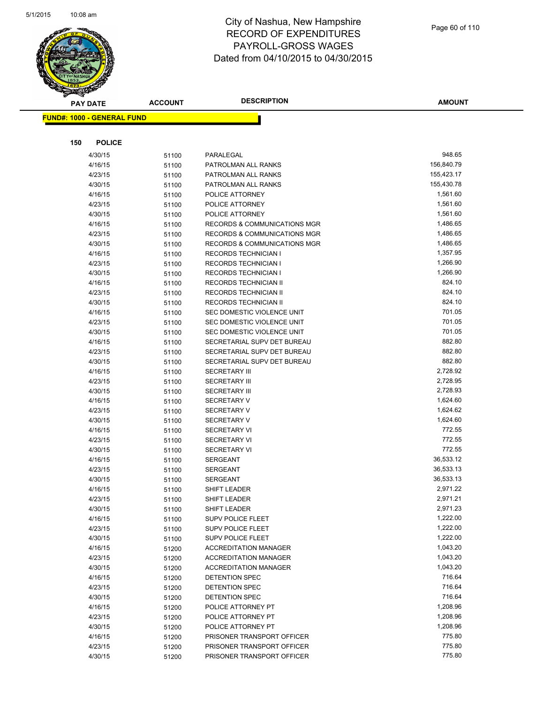

|     | <b>PAY DATE</b>                   | <b>ACCOUNT</b> | <b>DESCRIPTION</b>                                           | <b>AMOUNT</b>        |
|-----|-----------------------------------|----------------|--------------------------------------------------------------|----------------------|
|     | <b>FUND#: 1000 - GENERAL FUND</b> |                |                                                              |                      |
|     |                                   |                |                                                              |                      |
| 150 | <b>POLICE</b>                     |                |                                                              |                      |
|     |                                   |                |                                                              |                      |
|     | 4/30/15                           | 51100          | PARALEGAL                                                    | 948.65               |
|     | 4/16/15                           | 51100          | PATROLMAN ALL RANKS                                          | 156,840.79           |
|     | 4/23/15                           | 51100          | PATROLMAN ALL RANKS                                          | 155,423.17           |
|     | 4/30/15                           | 51100          | PATROLMAN ALL RANKS                                          | 155,430.78           |
|     | 4/16/15                           | 51100          | POLICE ATTORNEY                                              | 1,561.60             |
|     | 4/23/15                           | 51100          | POLICE ATTORNEY                                              | 1,561.60             |
|     | 4/30/15                           | 51100          | POLICE ATTORNEY                                              | 1,561.60<br>1,486.65 |
|     | 4/16/15                           | 51100          | <b>RECORDS &amp; COMMUNICATIONS MGR</b>                      | 1,486.65             |
|     | 4/23/15<br>4/30/15                | 51100          | RECORDS & COMMUNICATIONS MGR<br>RECORDS & COMMUNICATIONS MGR | 1,486.65             |
|     | 4/16/15                           | 51100          | <b>RECORDS TECHNICIAN I</b>                                  | 1,357.95             |
|     | 4/23/15                           | 51100<br>51100 | <b>RECORDS TECHNICIAN I</b>                                  | 1,266.90             |
|     | 4/30/15                           | 51100          | <b>RECORDS TECHNICIAN I</b>                                  | 1,266.90             |
|     | 4/16/15                           | 51100          | <b>RECORDS TECHNICIAN II</b>                                 | 824.10               |
|     | 4/23/15                           | 51100          | RECORDS TECHNICIAN II                                        | 824.10               |
|     | 4/30/15                           | 51100          | RECORDS TECHNICIAN II                                        | 824.10               |
|     | 4/16/15                           | 51100          | SEC DOMESTIC VIOLENCE UNIT                                   | 701.05               |
|     | 4/23/15                           | 51100          | SEC DOMESTIC VIOLENCE UNIT                                   | 701.05               |
|     | 4/30/15                           | 51100          | SEC DOMESTIC VIOLENCE UNIT                                   | 701.05               |
|     | 4/16/15                           | 51100          | SECRETARIAL SUPV DET BUREAU                                  | 882.80               |
|     | 4/23/15                           | 51100          | SECRETARIAL SUPV DET BUREAU                                  | 882.80               |
|     | 4/30/15                           | 51100          | SECRETARIAL SUPV DET BUREAU                                  | 882.80               |
|     | 4/16/15                           | 51100          | <b>SECRETARY III</b>                                         | 2,728.92             |
|     | 4/23/15                           | 51100          | <b>SECRETARY III</b>                                         | 2,728.95             |
|     | 4/30/15                           | 51100          | <b>SECRETARY III</b>                                         | 2,728.93             |
|     | 4/16/15                           | 51100          | <b>SECRETARY V</b>                                           | 1,624.60             |
|     | 4/23/15                           | 51100          | <b>SECRETARY V</b>                                           | 1,624.62             |
|     | 4/30/15                           | 51100          | <b>SECRETARY V</b>                                           | 1,624.60             |
|     | 4/16/15                           | 51100          | <b>SECRETARY VI</b>                                          | 772.55               |
|     | 4/23/15                           | 51100          | <b>SECRETARY VI</b>                                          | 772.55               |
|     | 4/30/15                           | 51100          | <b>SECRETARY VI</b>                                          | 772.55               |
|     | 4/16/15                           | 51100          | <b>SERGEANT</b>                                              | 36,533.12            |
|     | 4/23/15                           | 51100          | <b>SERGEANT</b>                                              | 36,533.13            |
|     | 4/30/15                           | 51100          | <b>SERGEANT</b>                                              | 36,533.13            |
|     | 4/16/15                           | 51100          | SHIFT LEADER                                                 | 2,971.22             |
|     | 4/23/15                           | 51100          | SHIFT LEADER                                                 | 2,971.21             |
|     | 4/30/15                           | 51100          | SHIFT LEADER                                                 | 2,971.23             |
|     | 4/16/15                           | 51100          | SUPV POLICE FLEET                                            | 1,222.00             |
|     | 4/23/15                           | 51100          | <b>SUPV POLICE FLEET</b>                                     | 1,222.00             |
|     | 4/30/15                           | 51100          | <b>SUPV POLICE FLEET</b>                                     | 1,222.00             |
|     | 4/16/15                           | 51200          | <b>ACCREDITATION MANAGER</b>                                 | 1,043.20             |
|     | 4/23/15                           | 51200          | <b>ACCREDITATION MANAGER</b>                                 | 1,043.20             |
|     | 4/30/15                           | 51200          | <b>ACCREDITATION MANAGER</b>                                 | 1,043.20             |
|     | 4/16/15                           | 51200          | <b>DETENTION SPEC</b>                                        | 716.64               |
|     | 4/23/15                           | 51200          | DETENTION SPEC                                               | 716.64               |
|     | 4/30/15                           | 51200          | DETENTION SPEC                                               | 716.64               |
|     | 4/16/15                           | 51200          | POLICE ATTORNEY PT                                           | 1,208.96             |
|     | 4/23/15                           | 51200          | POLICE ATTORNEY PT                                           | 1,208.96             |
|     | 4/30/15                           | 51200          | POLICE ATTORNEY PT                                           | 1,208.96             |
|     | 4/16/15                           | 51200          | PRISONER TRANSPORT OFFICER                                   | 775.80               |
|     | 4/23/15                           | 51200          | PRISONER TRANSPORT OFFICER                                   | 775.80               |
|     | 4/30/15                           | 51200          | PRISONER TRANSPORT OFFICER                                   | 775.80               |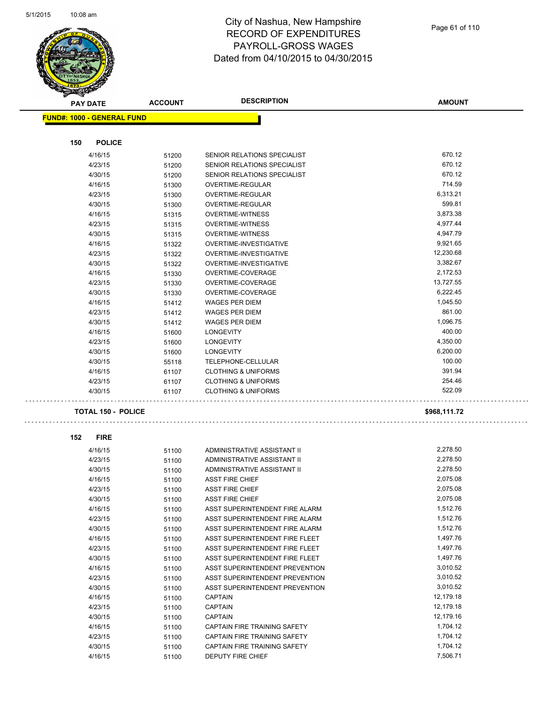

| <b>PAY DATE</b>                   | <b>ACCOUNT</b> | <b>DESCRIPTION</b>                    | <b>AMOUNT</b> |
|-----------------------------------|----------------|---------------------------------------|---------------|
| <b>FUND#: 1000 - GENERAL FUND</b> |                |                                       |               |
|                                   |                |                                       |               |
| 150<br><b>POLICE</b>              |                |                                       |               |
| 4/16/15                           | 51200          | SENIOR RELATIONS SPECIALIST           | 670.12        |
| 4/23/15                           | 51200          | SENIOR RELATIONS SPECIALIST           | 670.12        |
| 4/30/15                           | 51200          | SENIOR RELATIONS SPECIALIST           | 670.12        |
| 4/16/15                           | 51300          | OVERTIME-REGULAR                      | 714.59        |
| 4/23/15                           | 51300          | OVERTIME-REGULAR                      | 6,313.21      |
| 4/30/15                           | 51300          | OVERTIME-REGULAR                      | 599.81        |
| 4/16/15                           | 51315          | <b>OVERTIME-WITNESS</b>               | 3,873.38      |
| 4/23/15                           | 51315          | <b>OVERTIME-WITNESS</b>               | 4,977.44      |
| 4/30/15                           | 51315          | <b>OVERTIME-WITNESS</b>               | 4,947.79      |
| 4/16/15                           | 51322          | OVERTIME-INVESTIGATIVE                | 9,921.65      |
| 4/23/15                           | 51322          | OVERTIME-INVESTIGATIVE                | 12,230.68     |
| 4/30/15                           | 51322          | OVERTIME-INVESTIGATIVE                | 3,382.67      |
| 4/16/15                           | 51330          | OVERTIME-COVERAGE                     | 2,172.53      |
| 4/23/15                           | 51330          | OVERTIME-COVERAGE                     | 13,727.55     |
| 4/30/15                           | 51330          | OVERTIME-COVERAGE                     | 6,222.45      |
| 4/16/15                           | 51412          | <b>WAGES PER DIEM</b>                 | 1,045.50      |
| 4/23/15                           | 51412          | <b>WAGES PER DIEM</b>                 | 861.00        |
| 4/30/15                           | 51412          | <b>WAGES PER DIEM</b>                 | 1,096.75      |
| 4/16/15                           | 51600          | <b>LONGEVITY</b>                      | 400.00        |
| 4/23/15                           | 51600          | LONGEVITY                             | 4,350.00      |
| 4/30/15                           | 51600          | <b>LONGEVITY</b>                      | 6,200.00      |
| 4/30/15                           | 55118          | TELEPHONE-CELLULAR                    | 100.00        |
| 4/16/15                           | 61107          | <b>CLOTHING &amp; UNIFORMS</b>        | 391.94        |
| 4/23/15                           | 61107          | <b>CLOTHING &amp; UNIFORMS</b>        | 254.46        |
| 4/30/15                           | 61107          | <b>CLOTHING &amp; UNIFORMS</b>        | 522.09        |
| <b>TOTAL 150 - POLICE</b>         |                |                                       | \$968,111.72  |
| 152<br><b>FIRE</b>                |                |                                       |               |
| 4/16/15                           |                | ADMINISTRATIVE ASSISTANT II           | 2,278.50      |
| 4/23/15                           | 51100<br>51100 | ADMINISTRATIVE ASSISTANT II           | 2,278.50      |
| 4/30/15                           |                | ADMINISTRATIVE ASSISTANT II           | 2,278.50      |
| 4/16/15                           | 51100<br>51100 | <b>ASST FIRE CHIEF</b>                | 2,075.08      |
| 4/23/15                           | 51100          | <b>ASST FIRE CHIEF</b>                | 2,075.08      |
| 4/30/15                           | 51100          | <b>ASST FIRE CHIEF</b>                | 2,075.08      |
| 4/16/15                           | 51100          | ASST SUPERINTENDENT FIRE ALARM        | 1,512.76      |
| 4/23/15                           | 51100          | ASST SUPERINTENDENT FIRE ALARM        | 1,512.76      |
| 4/30/15                           | 51100          | ASST SUPERINTENDENT FIRE ALARM        | 1,512.76      |
| 4/16/15                           | 51100          | ASST SUPERINTENDENT FIRE FLEET        | 1,497.76      |
| 4/23/15                           | 51100          | ASST SUPERINTENDENT FIRE FLEET        | 1,497.76      |
| 4/30/15                           | 51100          | ASST SUPERINTENDENT FIRE FLEET        | 1,497.76      |
| 4/16/15                           |                | <b>ASST SUPERINTENDENT PREVENTION</b> | 3,010.52      |
| 4/23/15                           | 51100<br>51100 | ASST SUPERINTENDENT PREVENTION        | 3,010.52      |
| 4/30/15                           | 51100          | ASST SUPERINTENDENT PREVENTION        | 3,010.52      |
| 4/16/15                           | 51100          | <b>CAPTAIN</b>                        | 12,179.18     |
| 4/23/15                           | 51100          | CAPTAIN                               | 12,179.18     |
| 4/30/15                           |                | CAPTAIN                               | 12,179.16     |
| 4/16/15                           | 51100          | CAPTAIN FIRE TRAINING SAFETY          | 1,704.12      |
| 4/23/15                           | 51100          | CAPTAIN FIRE TRAINING SAFETY          | 1,704.12      |
| 4/30/15                           | 51100          | CAPTAIN FIRE TRAINING SAFETY          | 1,704.12      |
| 4/16/15                           | 51100<br>51100 | DEPUTY FIRE CHIEF                     | 7,506.71      |
|                                   |                |                                       |               |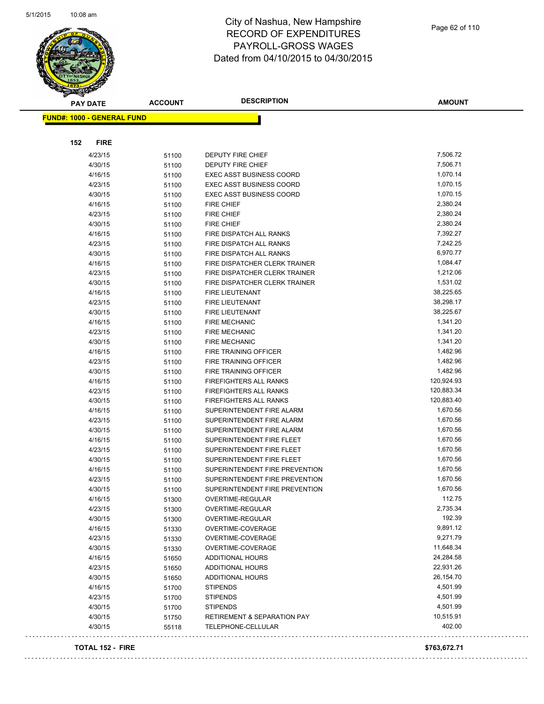

| <b>PAY DATE</b>                   | <b>ACCOUNT</b> | <b>DESCRIPTION</b>                     | <b>AMOUNT</b> |
|-----------------------------------|----------------|----------------------------------------|---------------|
| <b>FUND#: 1000 - GENERAL FUND</b> |                |                                        |               |
|                                   |                |                                        |               |
| 152<br><b>FIRE</b>                |                |                                        |               |
| 4/23/15                           | 51100          | DEPUTY FIRE CHIEF                      | 7,506.72      |
| 4/30/15                           | 51100          | DEPUTY FIRE CHIEF                      | 7,506.71      |
| 4/16/15                           | 51100          | <b>EXEC ASST BUSINESS COORD</b>        | 1,070.14      |
| 4/23/15                           | 51100          | <b>EXEC ASST BUSINESS COORD</b>        | 1,070.15      |
| 4/30/15                           | 51100          | <b>EXEC ASST BUSINESS COORD</b>        | 1,070.15      |
| 4/16/15                           | 51100          | <b>FIRE CHIEF</b>                      | 2,380.24      |
| 4/23/15                           | 51100          | <b>FIRE CHIEF</b>                      | 2,380.24      |
| 4/30/15                           | 51100          | FIRE CHIEF                             | 2,380.24      |
| 4/16/15                           | 51100          | FIRE DISPATCH ALL RANKS                | 7,392.27      |
| 4/23/15                           | 51100          | FIRE DISPATCH ALL RANKS                | 7,242.25      |
| 4/30/15                           | 51100          | FIRE DISPATCH ALL RANKS                | 6,970.77      |
| 4/16/15                           | 51100          | FIRE DISPATCHER CLERK TRAINER          | 1,084.47      |
| 4/23/15                           | 51100          | FIRE DISPATCHER CLERK TRAINER          | 1,212.06      |
| 4/30/15                           | 51100          | FIRE DISPATCHER CLERK TRAINER          | 1,531.02      |
| 4/16/15                           | 51100          | FIRE LIEUTENANT                        | 38,225.65     |
| 4/23/15                           | 51100          | <b>FIRE LIEUTENANT</b>                 | 38,298.17     |
| 4/30/15                           | 51100          | <b>FIRE LIEUTENANT</b>                 | 38,225.67     |
| 4/16/15                           | 51100          | <b>FIRE MECHANIC</b>                   | 1,341.20      |
| 4/23/15                           | 51100          | <b>FIRE MECHANIC</b>                   | 1,341.20      |
| 4/30/15                           | 51100          | <b>FIRE MECHANIC</b>                   | 1,341.20      |
| 4/16/15                           | 51100          | <b>FIRE TRAINING OFFICER</b>           | 1,482.96      |
| 4/23/15                           | 51100          | FIRE TRAINING OFFICER                  | 1,482.96      |
| 4/30/15                           | 51100          | FIRE TRAINING OFFICER                  | 1,482.96      |
| 4/16/15                           | 51100          | <b>FIREFIGHTERS ALL RANKS</b>          | 120,924.93    |
| 4/23/15                           | 51100          | FIREFIGHTERS ALL RANKS                 | 120,883.34    |
| 4/30/15                           | 51100          | FIREFIGHTERS ALL RANKS                 | 120,883.40    |
| 4/16/15                           | 51100          | SUPERINTENDENT FIRE ALARM              | 1,670.56      |
| 4/23/15                           | 51100          | SUPERINTENDENT FIRE ALARM              | 1,670.56      |
| 4/30/15                           | 51100          | SUPERINTENDENT FIRE ALARM              | 1,670.56      |
| 4/16/15                           | 51100          | SUPERINTENDENT FIRE FLEET              | 1,670.56      |
| 4/23/15                           | 51100          | SUPERINTENDENT FIRE FLEET              | 1,670.56      |
| 4/30/15                           | 51100          | SUPERINTENDENT FIRE FLEET              | 1,670.56      |
| 4/16/15                           | 51100          | SUPERINTENDENT FIRE PREVENTION         | 1,670.56      |
| 4/23/15                           | 51100          | SUPERINTENDENT FIRE PREVENTION         | 1,670.56      |
| 4/30/15                           | 51100          | SUPERINTENDENT FIRE PREVENTION         | 1,670.56      |
| 4/16/15                           | 51300          | OVERTIME-REGULAR                       | 112.75        |
| 4/23/15                           | 51300          | OVERTIME-REGULAR                       | 2,735.34      |
| 4/30/15                           | 51300          | OVERTIME-REGULAR                       | 192.39        |
| 4/16/15                           | 51330          | OVERTIME-COVERAGE                      | 9,891.12      |
| 4/23/15                           | 51330          | OVERTIME-COVERAGE                      | 9,271.79      |
| 4/30/15                           | 51330          | OVERTIME-COVERAGE                      | 11,648.34     |
| 4/16/15                           | 51650          | ADDITIONAL HOURS                       | 24,284.58     |
| 4/23/15                           | 51650          | ADDITIONAL HOURS                       | 22,931.26     |
| 4/30/15                           | 51650          | ADDITIONAL HOURS                       | 26,154.70     |
| 4/16/15                           | 51700          | <b>STIPENDS</b>                        | 4,501.99      |
| 4/23/15                           | 51700          | <b>STIPENDS</b>                        | 4,501.99      |
| 4/30/15                           | 51700          | <b>STIPENDS</b>                        | 4,501.99      |
| 4/30/15                           | 51750          | <b>RETIREMENT &amp; SEPARATION PAY</b> | 10,515.91     |
| 4/30/15                           | 55118          | TELEPHONE-CELLULAR                     | 402.00        |

### **TOTAL 152 - FIRE \$763,672.71**

 $\ldots$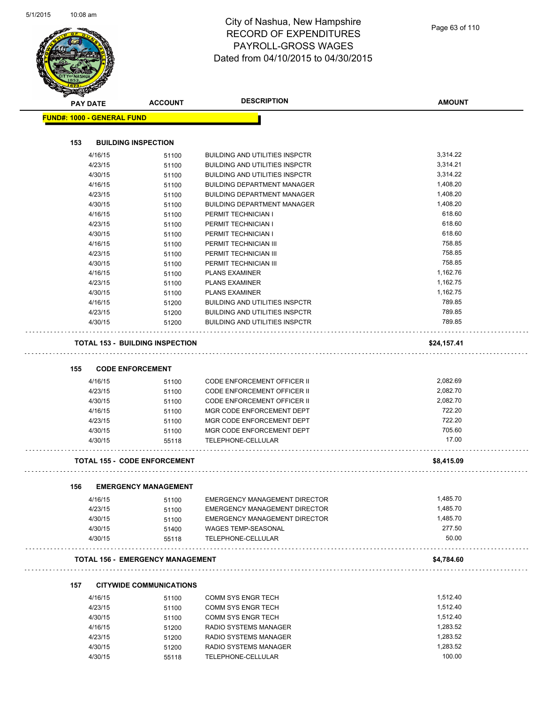|     | <b>PAY DATE</b>                   | <b>ACCOUNT</b>                          | <b>DESCRIPTION</b>                          | <b>AMOUNT</b>      |
|-----|-----------------------------------|-----------------------------------------|---------------------------------------------|--------------------|
|     | <b>FUND#: 1000 - GENERAL FUND</b> |                                         |                                             |                    |
|     |                                   |                                         |                                             |                    |
| 153 | <b>BUILDING INSPECTION</b>        |                                         |                                             |                    |
|     | 4/16/15                           | 51100                                   | <b>BUILDING AND UTILITIES INSPCTR</b>       | 3,314.22           |
|     | 4/23/15                           | 51100                                   | <b>BUILDING AND UTILITIES INSPCTR</b>       | 3,314.21           |
|     | 4/30/15                           | 51100                                   | <b>BUILDING AND UTILITIES INSPCTR</b>       | 3,314.22           |
|     | 4/16/15                           | 51100                                   | <b>BUILDING DEPARTMENT MANAGER</b>          | 1,408.20           |
|     | 4/23/15                           | 51100                                   | <b>BUILDING DEPARTMENT MANAGER</b>          | 1,408.20           |
|     | 4/30/15                           | 51100                                   | <b>BUILDING DEPARTMENT MANAGER</b>          | 1,408.20           |
|     | 4/16/15                           | 51100                                   | PERMIT TECHNICIAN I                         | 618.60             |
|     | 4/23/15                           | 51100                                   | PERMIT TECHNICIAN I                         | 618.60             |
|     | 4/30/15                           | 51100                                   | PERMIT TECHNICIAN I                         | 618.60             |
|     | 4/16/15                           | 51100                                   | PERMIT TECHNICIAN III                       | 758.85             |
|     | 4/23/15                           | 51100                                   | PERMIT TECHNICIAN III                       | 758.85             |
|     | 4/30/15                           | 51100                                   | PERMIT TECHNICIAN III                       | 758.85             |
|     | 4/16/15                           | 51100                                   | <b>PLANS EXAMINER</b>                       | 1,162.76           |
|     | 4/23/15                           | 51100                                   | <b>PLANS EXAMINER</b>                       | 1,162.75           |
|     | 4/30/15                           | 51100                                   | <b>PLANS EXAMINER</b>                       | 1,162.75           |
|     | 4/16/15                           | 51200                                   | <b>BUILDING AND UTILITIES INSPCTR</b>       | 789.85             |
|     | 4/23/15                           | 51200                                   | <b>BUILDING AND UTILITIES INSPCTR</b>       | 789.85             |
|     | 4/30/15                           | 51200                                   | <b>BUILDING AND UTILITIES INSPCTR</b>       | 789.85             |
|     |                                   | <b>TOTAL 153 - BUILDING INSPECTION</b>  |                                             | \$24,157.41        |
|     |                                   |                                         |                                             |                    |
| 155 | <b>CODE ENFORCEMENT</b>           |                                         |                                             |                    |
|     | 4/16/15                           | 51100                                   | CODE ENFORCEMENT OFFICER II                 | 2,082.69           |
|     | 4/23/15                           | 51100                                   | <b>CODE ENFORCEMENT OFFICER II</b>          | 2,082.70           |
|     | 4/30/15                           | 51100                                   | <b>CODE ENFORCEMENT OFFICER II</b>          | 2,082.70           |
|     | 4/16/15                           | 51100                                   | MGR CODE ENFORCEMENT DEPT                   | 722.20             |
|     | 4/23/15                           | 51100                                   | MGR CODE ENFORCEMENT DEPT                   | 722.20             |
|     | 4/30/15                           | 51100                                   | MGR CODE ENFORCEMENT DEPT                   | 705.60             |
|     | 4/30/15                           | 55118                                   | TELEPHONE-CELLULAR                          | 17.00              |
|     |                                   | <b>TOTAL 155 - CODE ENFORCEMENT</b>     |                                             | \$8,415.09         |
| 156 |                                   | <b>EMERGENCY MANAGEMENT</b>             |                                             |                    |
|     | 4/16/15                           | 51100                                   | EMERGENCY MANAGEMENT DIRECTOR               | 1,485.70           |
|     | 4/23/15                           | 51100                                   | EMERGENCY MANAGEMENT DIRECTOR               | 1,485.70           |
|     | 4/30/15                           | 51100                                   | EMERGENCY MANAGEMENT DIRECTOR               | 1,485.70           |
|     | 4/30/15                           | 51400                                   | <b>WAGES TEMP-SEASONAL</b>                  | 277.50             |
|     | 4/30/15                           | 55118                                   | TELEPHONE-CELLULAR                          | 50.00              |
|     |                                   | <b>TOTAL 156 - EMERGENCY MANAGEMENT</b> |                                             | \$4,784.60         |
|     |                                   |                                         |                                             |                    |
| 157 | 4/16/15                           | <b>CITYWIDE COMMUNICATIONS</b>          | COMM SYS ENGR TECH                          | 1,512.40           |
|     | 4/23/15                           | 51100<br>51100                          | COMM SYS ENGR TECH                          | 1,512.40           |
|     |                                   |                                         |                                             | 1,512.40           |
|     | 4/30/15                           | 51100                                   | COMM SYS ENGR TECH                          |                    |
|     | 4/16/15                           | 51200                                   | RADIO SYSTEMS MANAGER                       | 1,283.52           |
|     | 4/23/15                           | 51200                                   | RADIO SYSTEMS MANAGER                       | 1,283.52           |
|     | 4/30/15                           | 51200                                   | RADIO SYSTEMS MANAGER<br>TELEPHONE-CELLULAR | 1,283.52<br>100.00 |
|     | 4/30/15                           | 55118                                   |                                             |                    |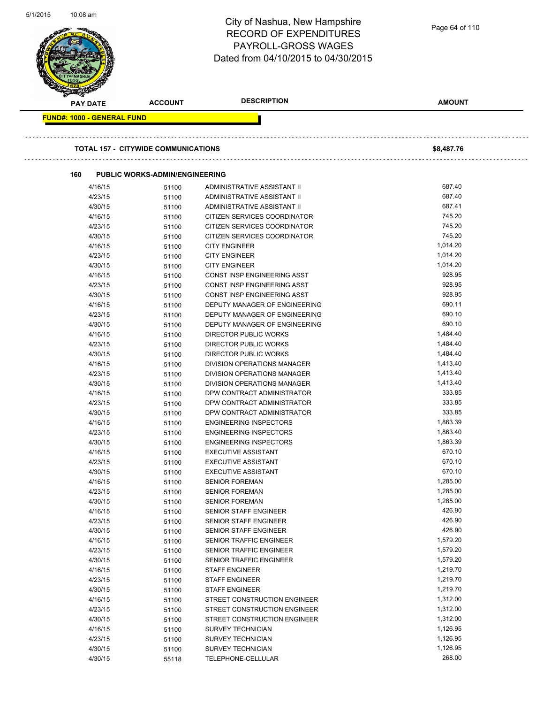| כו ט∠ <i>ו</i> ו וכ | TU:U8 am                          |                                            | City of Nashua, New Hampshire<br><b>RECORD OF EXPENDITURES</b><br>PAYROLL-GROSS WAGES<br>Dated from 04/10/2015 to 04/30/2015 | Page 64 of 110       |
|---------------------|-----------------------------------|--------------------------------------------|------------------------------------------------------------------------------------------------------------------------------|----------------------|
|                     |                                   |                                            |                                                                                                                              |                      |
|                     | <b>PAY DATE</b>                   | <b>ACCOUNT</b>                             | <b>DESCRIPTION</b>                                                                                                           | <b>AMOUNT</b>        |
|                     | <b>FUND#: 1000 - GENERAL FUND</b> |                                            |                                                                                                                              |                      |
|                     |                                   |                                            |                                                                                                                              |                      |
|                     |                                   | <b>TOTAL 157 - CITYWIDE COMMUNICATIONS</b> |                                                                                                                              | \$8,487.76           |
|                     |                                   |                                            |                                                                                                                              |                      |
|                     | 160                               | <b>PUBLIC WORKS-ADMIN/ENGINEERING</b>      |                                                                                                                              |                      |
|                     | 4/16/15                           | 51100                                      | ADMINISTRATIVE ASSISTANT II                                                                                                  | 687.40<br>687.40     |
|                     | 4/23/15<br>4/30/15                | 51100                                      | ADMINISTRATIVE ASSISTANT II<br>ADMINISTRATIVE ASSISTANT II                                                                   | 687.41               |
|                     | 4/16/15                           | 51100<br>51100                             | CITIZEN SERVICES COORDINATOR                                                                                                 | 745.20               |
|                     | 4/23/15                           | 51100                                      | CITIZEN SERVICES COORDINATOR                                                                                                 | 745.20               |
|                     | 4/30/15                           | 51100                                      | CITIZEN SERVICES COORDINATOR                                                                                                 | 745.20               |
|                     | 4/16/15                           | 51100                                      | <b>CITY ENGINEER</b>                                                                                                         | 1,014.20             |
|                     | 4/23/15                           | 51100                                      | <b>CITY ENGINEER</b>                                                                                                         | 1,014.20             |
|                     | 4/30/15                           | 51100                                      | <b>CITY ENGINEER</b>                                                                                                         | 1,014.20             |
|                     | 4/16/15                           | 51100                                      | CONST INSP ENGINEERING ASST                                                                                                  | 928.95               |
|                     | 4/23/15                           | 51100                                      | CONST INSP ENGINEERING ASST                                                                                                  | 928.95               |
|                     | 4/30/15                           | 51100                                      | CONST INSP ENGINEERING ASST                                                                                                  | 928.95               |
|                     | 4/16/15                           | 51100                                      | DEPUTY MANAGER OF ENGINEERING                                                                                                | 690.11               |
|                     | 4/23/15                           | 51100                                      | DEPUTY MANAGER OF ENGINEERING                                                                                                | 690.10               |
|                     | 4/30/15                           | 51100                                      | DEPUTY MANAGER OF ENGINEERING                                                                                                | 690.10               |
|                     | 4/16/15                           | 51100                                      | DIRECTOR PUBLIC WORKS                                                                                                        | 1,484.40             |
|                     | 4/23/15                           | 51100                                      | <b>DIRECTOR PUBLIC WORKS</b>                                                                                                 | 1,484.40             |
|                     | 4/30/15                           | 51100                                      | DIRECTOR PUBLIC WORKS                                                                                                        | 1,484.40             |
|                     | 4/16/15<br>4/23/15                | 51100                                      | DIVISION OPERATIONS MANAGER<br>DIVISION OPERATIONS MANAGER                                                                   | 1,413.40<br>1,413.40 |
|                     | 4/30/15                           | 51100<br>51100                             | DIVISION OPERATIONS MANAGER                                                                                                  | 1,413.40             |
|                     | 4/16/15                           | 51100                                      | DPW CONTRACT ADMINISTRATOR                                                                                                   | 333.85               |
|                     | 4/23/15                           | 51100                                      | DPW CONTRACT ADMINISTRATOR                                                                                                   | 333.85               |
|                     | 4/30/15                           | 51100                                      | DPW CONTRACT ADMINISTRATOR                                                                                                   | 333.85               |
|                     | 4/16/15                           | 51100                                      | <b>ENGINEERING INSPECTORS</b>                                                                                                | 1,863.39             |
|                     | 4/23/15                           | 51100                                      | <b>ENGINEERING INSPECTORS</b>                                                                                                | 1,863.40             |
|                     | 4/30/15                           | 51100                                      | <b>ENGINEERING INSPECTORS</b>                                                                                                | 1,863.39             |
|                     | 4/16/15                           | 51100                                      | <b>EXECUTIVE ASSISTANT</b>                                                                                                   | 670.10               |
|                     | 4/23/15                           | 51100                                      | <b>EXECUTIVE ASSISTANT</b>                                                                                                   | 670.10               |
|                     | 4/30/15                           | 51100                                      | <b>EXECUTIVE ASSISTANT</b>                                                                                                   | 670.10               |
|                     | 4/16/15                           | 51100                                      | <b>SENIOR FOREMAN</b>                                                                                                        | 1,285.00             |
|                     | 4/23/15                           | 51100                                      | <b>SENIOR FOREMAN</b>                                                                                                        | 1,285.00             |
|                     | 4/30/15                           | 51100                                      | <b>SENIOR FOREMAN</b>                                                                                                        | 1,285.00             |
|                     | 4/16/15                           | 51100                                      | SENIOR STAFF ENGINEER                                                                                                        | 426.90               |
|                     | 4/23/15                           | 51100                                      | SENIOR STAFF ENGINEER                                                                                                        | 426.90               |
|                     | 4/30/15                           | 51100                                      | SENIOR STAFF ENGINEER                                                                                                        | 426.90               |
|                     | 4/16/15                           | 51100                                      | SENIOR TRAFFIC ENGINEER                                                                                                      | 1,579.20             |
|                     | 4/23/15                           | 51100                                      | SENIOR TRAFFIC ENGINEER                                                                                                      | 1,579.20             |
|                     | 4/30/15                           | 51100                                      | SENIOR TRAFFIC ENGINEER                                                                                                      | 1,579.20             |
|                     | 4/16/15                           | 51100                                      | <b>STAFF ENGINEER</b>                                                                                                        | 1,219.70             |
|                     | 4/23/15                           | 51100                                      | <b>STAFF ENGINEER</b>                                                                                                        | 1,219.70             |
|                     | 4/30/15                           | 51100                                      | <b>STAFF ENGINEER</b>                                                                                                        | 1,219.70<br>1,312.00 |
|                     | 4/16/15<br>4/23/15                | 51100                                      | STREET CONSTRUCTION ENGINEER<br>STREET CONSTRUCTION ENGINEER                                                                 | 1,312.00             |
|                     | 4/30/15                           | 51100                                      | STREET CONSTRUCTION ENGINEER                                                                                                 | 1,312.00             |
|                     | 4/16/15                           | 51100                                      | <b>SURVEY TECHNICIAN</b>                                                                                                     | 1,126.95             |
|                     | 4/23/15                           | 51100<br>51100                             | <b>SURVEY TECHNICIAN</b>                                                                                                     | 1,126.95             |
|                     |                                   |                                            |                                                                                                                              |                      |
|                     | 4/30/15                           | 51100                                      | <b>SURVEY TECHNICIAN</b>                                                                                                     | 1,126.95             |

5/1/2015 10:08 am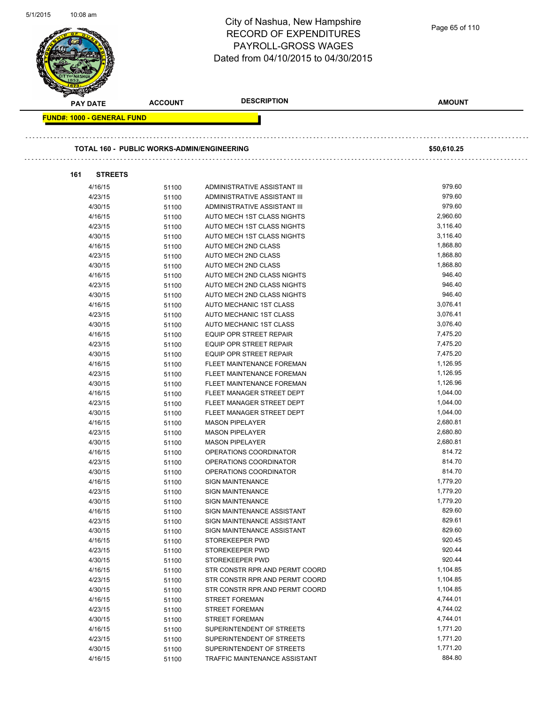| 5/1/2015 | 10:08 am                                          |                | City of Nashua, New Hampshire<br><b>RECORD OF EXPENDITURES</b><br><b>PAYROLL-GROSS WAGES</b><br>Dated from 04/10/2015 to 04/30/2015 | Page 65 of 110       |
|----------|---------------------------------------------------|----------------|-------------------------------------------------------------------------------------------------------------------------------------|----------------------|
|          | PAY DATE                                          | <b>ACCOUNT</b> | <b>DESCRIPTION</b>                                                                                                                  | <b>AMOUNT</b>        |
|          | <b>FUND#: 1000 - GENERAL FUND</b>                 |                |                                                                                                                                     |                      |
|          |                                                   |                |                                                                                                                                     |                      |
|          | <b>TOTAL 160 - PUBLIC WORKS-ADMIN/ENGINEERING</b> |                |                                                                                                                                     | \$50,610.25          |
|          | 161<br><b>STREETS</b>                             |                |                                                                                                                                     |                      |
|          | 4/16/15                                           | 51100          | ADMINISTRATIVE ASSISTANT III                                                                                                        | 979.60               |
|          | 4/23/15                                           | 51100          | ADMINISTRATIVE ASSISTANT III                                                                                                        | 979.60               |
|          | 4/30/15                                           | 51100          | ADMINISTRATIVE ASSISTANT III                                                                                                        | 979.60               |
|          | 4/16/15                                           | 51100          | AUTO MECH 1ST CLASS NIGHTS                                                                                                          | 2,960.60             |
|          | 4/23/15                                           | 51100          | AUTO MECH 1ST CLASS NIGHTS                                                                                                          | 3,116.40             |
|          | 4/30/15                                           | 51100          | AUTO MECH 1ST CLASS NIGHTS                                                                                                          | 3,116.40             |
|          | 4/16/15                                           | 51100          | AUTO MECH 2ND CLASS                                                                                                                 | 1,868.80             |
|          | 4/23/15                                           | 51100          | AUTO MECH 2ND CLASS                                                                                                                 | 1,868.80             |
|          | 4/30/15                                           | 51100          | AUTO MECH 2ND CLASS                                                                                                                 | 1,868.80             |
|          | 4/16/15                                           | 51100          | AUTO MECH 2ND CLASS NIGHTS                                                                                                          | 946.40               |
|          | 4/23/15                                           | 51100          | AUTO MECH 2ND CLASS NIGHTS                                                                                                          | 946.40               |
|          | 4/30/15                                           | 51100          | AUTO MECH 2ND CLASS NIGHTS                                                                                                          | 946.40               |
|          | 4/16/15                                           | 51100          | AUTO MECHANIC 1ST CLASS                                                                                                             | 3,076.41             |
|          | 4/23/15                                           | 51100          | AUTO MECHANIC 1ST CLASS                                                                                                             | 3,076.41             |
|          | 4/30/15<br>4/16/15                                | 51100          | AUTO MECHANIC 1ST CLASS<br><b>EQUIP OPR STREET REPAIR</b>                                                                           | 3,076.40<br>7,475.20 |
|          | 4/23/15                                           | 51100<br>51100 | EQUIP OPR STREET REPAIR                                                                                                             | 7,475.20             |
|          | 4/30/15                                           | 51100          | EQUIP OPR STREET REPAIR                                                                                                             | 7,475.20             |
|          | 4/16/15                                           | 51100          | FLEET MAINTENANCE FOREMAN                                                                                                           | 1,126.95             |
|          | 4/23/15                                           | 51100          | FLEET MAINTENANCE FOREMAN                                                                                                           | 1,126.95             |
|          | 4/30/15                                           | 51100          | FLEET MAINTENANCE FOREMAN                                                                                                           | 1,126.96             |
|          | 4/16/15                                           | 51100          | FLEET MANAGER STREET DEPT                                                                                                           | 1,044.00             |
|          | 4/23/15                                           | 51100          | FLEET MANAGER STREET DEPT                                                                                                           | 1,044.00             |
|          | 4/30/15                                           | 51100          | FLEET MANAGER STREET DEPT                                                                                                           | 1,044.00             |
|          | 4/16/15                                           | 51100          | <b>MASON PIPELAYER</b>                                                                                                              | 2,680.81             |
|          | 4/23/15                                           | 51100          | <b>MASON PIPELAYER</b>                                                                                                              | 2,680.80             |
|          | 4/30/15                                           | 51100          | <b>MASON PIPELAYER</b>                                                                                                              | 2,680.81             |
|          | 4/16/15                                           | 51100          | OPERATIONS COORDINATOR                                                                                                              | 814.72               |
|          | 4/23/15                                           | 51100          | OPERATIONS COORDINATOR                                                                                                              | 814.70               |
|          | 4/30/15                                           | 51100          | OPERATIONS COORDINATOR                                                                                                              | 814.70               |
|          | 4/16/15                                           | 51100          | <b>SIGN MAINTENANCE</b>                                                                                                             | 1,779.20             |
|          | 4/23/15                                           | 51100          | <b>SIGN MAINTENANCE</b>                                                                                                             | 1,779.20             |
|          | 4/30/15                                           | 51100          | <b>SIGN MAINTENANCE</b>                                                                                                             | 1,779.20             |
|          | 4/16/15                                           | 51100          | SIGN MAINTENANCE ASSISTANT                                                                                                          | 829.60               |
|          | 4/23/15                                           | 51100          | SIGN MAINTENANCE ASSISTANT                                                                                                          | 829.61               |
|          | 4/30/15                                           | 51100          | SIGN MAINTENANCE ASSISTANT                                                                                                          | 829.60<br>920.45     |
|          | 4/16/15<br>4/23/15                                | 51100          | STOREKEEPER PWD<br>STOREKEEPER PWD                                                                                                  | 920.44               |
|          | 4/30/15                                           | 51100<br>51100 | STOREKEEPER PWD                                                                                                                     | 920.44               |
|          | 4/16/15                                           | 51100          | STR CONSTR RPR AND PERMT COORD                                                                                                      | 1,104.85             |
|          | 4/23/15                                           | 51100          | STR CONSTR RPR AND PERMT COORD                                                                                                      | 1,104.85             |
|          | 4/30/15                                           | 51100          | STR CONSTR RPR AND PERMT COORD                                                                                                      | 1,104.85             |
|          | 4/16/15                                           | 51100          | <b>STREET FOREMAN</b>                                                                                                               | 4,744.01             |
|          | 4/23/15                                           | 51100          | <b>STREET FOREMAN</b>                                                                                                               | 4,744.02             |
|          | 4/30/15                                           | 51100          | <b>STREET FOREMAN</b>                                                                                                               | 4,744.01             |
|          | 4/16/15                                           | 51100          | SUPERINTENDENT OF STREETS                                                                                                           | 1,771.20             |
|          | 4/23/15                                           | 51100          | SUPERINTENDENT OF STREETS                                                                                                           | 1,771.20             |
|          | 4/30/15                                           | 51100          | SUPERINTENDENT OF STREETS                                                                                                           | 1,771.20             |
|          | 4/16/15                                           | 51100          | TRAFFIC MAINTENANCE ASSISTANT                                                                                                       | 884.80               |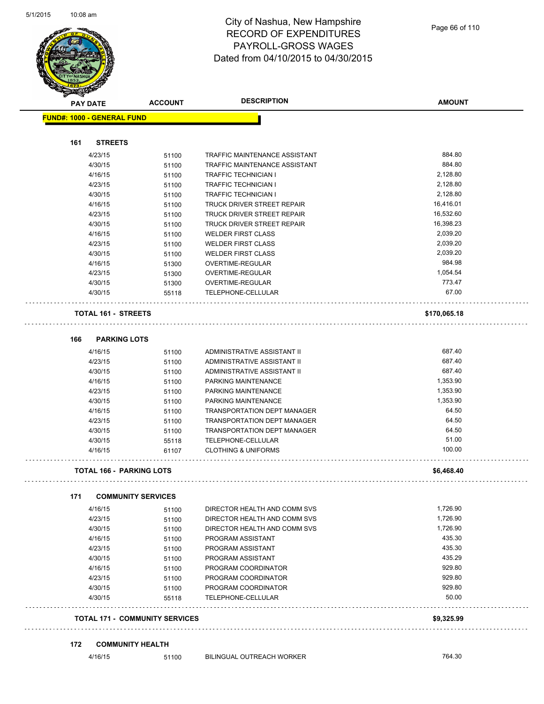

| <b>PAY DATE</b>                   | <b>ACCOUNT</b>                        | <b>DESCRIPTION</b>                   | <b>AMOUNT</b>      |
|-----------------------------------|---------------------------------------|--------------------------------------|--------------------|
| <b>FUND#: 1000 - GENERAL FUND</b> |                                       |                                      |                    |
|                                   |                                       |                                      |                    |
| <b>STREETS</b><br>161             |                                       |                                      |                    |
| 4/23/15                           | 51100                                 | <b>TRAFFIC MAINTENANCE ASSISTANT</b> | 884.80             |
| 4/30/15                           | 51100                                 | TRAFFIC MAINTENANCE ASSISTANT        | 884.80             |
| 4/16/15                           | 51100                                 | <b>TRAFFIC TECHNICIAN I</b>          | 2,128.80           |
| 4/23/15                           | 51100                                 | TRAFFIC TECHNICIAN I                 | 2,128.80           |
| 4/30/15                           | 51100                                 | TRAFFIC TECHNICIAN I                 | 2,128.80           |
| 4/16/15                           | 51100                                 | TRUCK DRIVER STREET REPAIR           | 16,416.01          |
| 4/23/15                           | 51100                                 | TRUCK DRIVER STREET REPAIR           | 16,532.60          |
| 4/30/15                           | 51100                                 | <b>TRUCK DRIVER STREET REPAIR</b>    | 16,398.23          |
| 4/16/15                           | 51100                                 | <b>WELDER FIRST CLASS</b>            | 2,039.20           |
| 4/23/15                           | 51100                                 | <b>WELDER FIRST CLASS</b>            | 2,039.20           |
| 4/30/15                           | 51100                                 | <b>WELDER FIRST CLASS</b>            | 2,039.20           |
| 4/16/15                           | 51300                                 | OVERTIME-REGULAR                     | 984.98             |
| 4/23/15                           | 51300                                 | OVERTIME-REGULAR                     | 1,054.54           |
| 4/30/15                           | 51300                                 | OVERTIME-REGULAR                     | 773.47             |
| 4/30/15                           | 55118                                 | TELEPHONE-CELLULAR                   | 67.00              |
| <b>TOTAL 161 - STREETS</b>        |                                       |                                      | \$170,065.18       |
| <b>PARKING LOTS</b><br>166        |                                       |                                      |                    |
| 4/16/15                           | 51100                                 | ADMINISTRATIVE ASSISTANT II          | 687.40             |
| 4/23/15                           | 51100                                 | ADMINISTRATIVE ASSISTANT II          | 687.40             |
| 4/30/15                           | 51100                                 | ADMINISTRATIVE ASSISTANT II          | 687.40             |
| 4/16/15                           | 51100                                 | PARKING MAINTENANCE                  | 1,353.90           |
| 4/23/15                           | 51100                                 | PARKING MAINTENANCE                  | 1,353.90           |
| 4/30/15                           | 51100                                 | PARKING MAINTENANCE                  | 1,353.90           |
| 4/16/15                           | 51100                                 | <b>TRANSPORTATION DEPT MANAGER</b>   | 64.50              |
| 4/23/15                           | 51100                                 | <b>TRANSPORTATION DEPT MANAGER</b>   | 64.50              |
| 4/30/15                           | 51100                                 | <b>TRANSPORTATION DEPT MANAGER</b>   | 64.50              |
| 4/30/15                           | 55118                                 | TELEPHONE-CELLULAR                   | 51.00              |
| 4/16/15                           | 61107                                 | <b>CLOTHING &amp; UNIFORMS</b>       | 100.00             |
| <b>TOTAL 166 - PARKING LOTS</b>   |                                       |                                      | \$6,468.40         |
|                                   |                                       |                                      |                    |
| 171                               | <b>COMMUNITY SERVICES</b>             |                                      |                    |
| 4/16/15                           | 51100                                 | DIRECTOR HEALTH AND COMM SVS         | 1,726.90           |
| 4/23/15                           | 51100                                 | DIRECTOR HEALTH AND COMM SVS         | 1,726.90           |
| 4/30/15                           | 51100                                 | DIRECTOR HEALTH AND COMM SVS         | 1,726.90<br>435.30 |
| 4/16/15                           | 51100                                 | PROGRAM ASSISTANT                    |                    |
| 4/23/15                           | 51100                                 | PROGRAM ASSISTANT                    | 435.30             |
| 4/30/15                           | 51100                                 | PROGRAM ASSISTANT                    | 435.29             |
| 4/16/15                           | 51100                                 | PROGRAM COORDINATOR                  | 929.80             |
| 4/23/15                           | 51100                                 | PROGRAM COORDINATOR                  | 929.80             |
| 4/30/15                           | 51100                                 | PROGRAM COORDINATOR                  | 929.80             |
| 4/30/15                           | 55118                                 | TELEPHONE-CELLULAR                   | 50.00              |
|                                   | <b>TOTAL 171 - COMMUNITY SERVICES</b> |                                      | \$9,325.99         |

### **172 COMMUNITY HEALTH**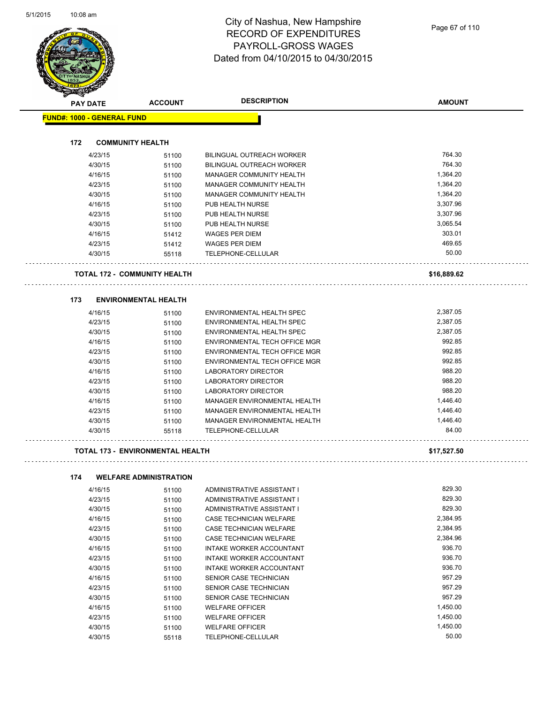| <b>PAY DATE</b>                   | <b>ACCOUNT</b>                         | <b>DESCRIPTION</b>                  | <b>AMOUNT</b> |
|-----------------------------------|----------------------------------------|-------------------------------------|---------------|
| <b>FUND#: 1000 - GENERAL FUND</b> |                                        |                                     |               |
|                                   |                                        |                                     |               |
| 172                               | <b>COMMUNITY HEALTH</b>                |                                     |               |
| 4/23/15                           | 51100                                  | <b>BILINGUAL OUTREACH WORKER</b>    | 764.30        |
| 4/30/15                           | 51100                                  | <b>BILINGUAL OUTREACH WORKER</b>    | 764.30        |
| 4/16/15                           | 51100                                  | MANAGER COMMUNITY HEALTH            | 1,364.20      |
| 4/23/15                           | 51100                                  | <b>MANAGER COMMUNITY HEALTH</b>     | 1,364.20      |
| 4/30/15                           | 51100                                  | <b>MANAGER COMMUNITY HEALTH</b>     | 1,364.20      |
| 4/16/15                           | 51100                                  | PUB HEALTH NURSE                    | 3,307.96      |
| 4/23/15                           | 51100                                  | PUB HEALTH NURSE                    | 3,307.96      |
| 4/30/15                           | 51100                                  | PUB HEALTH NURSE                    | 3,065.54      |
| 4/16/15                           | 51412                                  | <b>WAGES PER DIEM</b>               | 303.01        |
| 4/23/15                           | 51412                                  | <b>WAGES PER DIEM</b>               | 469.65        |
| 4/30/15                           | 55118                                  | TELEPHONE-CELLULAR                  | 50.00         |
|                                   | <b>TOTAL 172 - COMMUNITY HEALTH</b>    |                                     | \$16,889.62   |
| 173                               | <b>ENVIRONMENTAL HEALTH</b>            |                                     |               |
| 4/16/15                           | 51100                                  | ENVIRONMENTAL HEALTH SPEC           | 2.387.05      |
| 4/23/15                           | 51100                                  | ENVIRONMENTAL HEALTH SPEC           | 2,387.05      |
| 4/30/15                           | 51100                                  | ENVIRONMENTAL HEALTH SPEC           | 2,387.05      |
| 4/16/15                           | 51100                                  | ENVIRONMENTAL TECH OFFICE MGR       | 992.85        |
| 4/23/15                           | 51100                                  | ENVIRONMENTAL TECH OFFICE MGR       | 992.85        |
| 4/30/15                           | 51100                                  | ENVIRONMENTAL TECH OFFICE MGR       | 992.85        |
| 4/16/15                           | 51100                                  | LABORATORY DIRECTOR                 | 988.20        |
| 4/23/15                           | 51100                                  | <b>LABORATORY DIRECTOR</b>          | 988.20        |
| 4/30/15                           | 51100                                  | <b>LABORATORY DIRECTOR</b>          | 988.20        |
| 4/16/15                           | 51100                                  | <b>MANAGER ENVIRONMENTAL HEALTH</b> | 1,446.40      |
| 4/23/15                           | 51100                                  | MANAGER ENVIRONMENTAL HEALTH        | 1,446.40      |
| 4/30/15                           | 51100                                  | <b>MANAGER ENVIRONMENTAL HEALTH</b> | 1,446.40      |
| 4/30/15                           | 55118                                  | TELEPHONE-CELLULAR                  | 84.00         |
|                                   | TOTAL 173 - ENVIRONMENTAL HEALTH       |                                     | \$17,527.50   |
|                                   |                                        |                                     |               |
| 174<br>4/16/15                    | <b>WELFARE ADMINISTRATION</b><br>51100 | ADMINISTRATIVE ASSISTANT I          | 829.30        |
| 4/23/15                           | 51100                                  | ADMINISTRATIVE ASSISTANT I          | 829.30        |
| 4/30/15                           | 51100                                  | ADMINISTRATIVE ASSISTANT I          | 829.30        |
| 4/16/15                           | 51100                                  | CASE TECHNICIAN WELFARE             | 2,384.95      |
| 4/23/15                           | 51100                                  | CASE TECHNICIAN WELFARE             | 2,384.95      |
| 4/30/15                           | 51100                                  | CASE TECHNICIAN WELFARE             | 2,384.96      |
| 4/16/15                           | 51100                                  | INTAKE WORKER ACCOUNTANT            | 936.70        |
| 4/23/15                           | 51100                                  | INTAKE WORKER ACCOUNTANT            | 936.70        |
| 4/30/15                           | 51100                                  | INTAKE WORKER ACCOUNTANT            | 936.70        |
| 4/16/15                           | 51100                                  | SENIOR CASE TECHNICIAN              | 957.29        |
| 4/23/15                           | 51100                                  | SENIOR CASE TECHNICIAN              | 957.29        |
| 4/30/15                           | 51100                                  | SENIOR CASE TECHNICIAN              | 957.29        |
| 4/16/15                           | 51100                                  | <b>WELFARE OFFICER</b>              | 1,450.00      |

4/23/15 51100 WELFARE OFFICER 1,450.00

4/30/15 55118 TELEPHONE-CELLULAR 50.00

4/30/15 51100 WELFARE OFFICER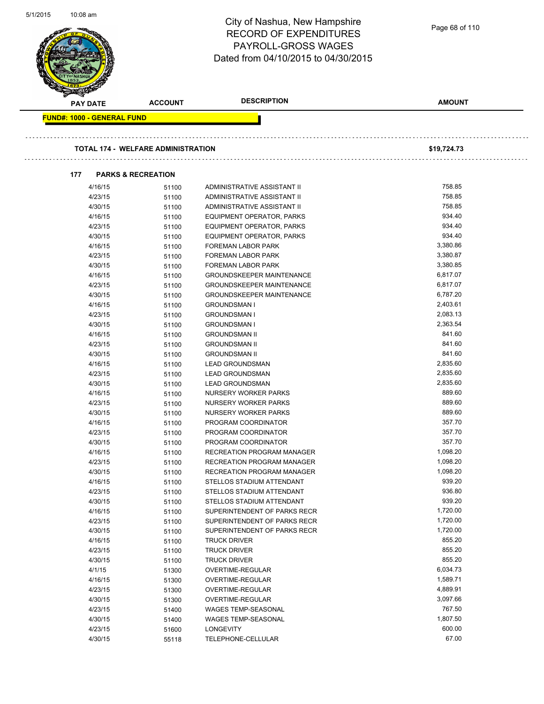| 5/1/2015 | 10:08 am        |                                   |                                           | City of Nashua, New Hampshire<br><b>RECORD OF EXPENDITURES</b><br><b>PAYROLL-GROSS WAGES</b><br>Dated from 04/10/2015 to 04/30/2015 | Page 68 of 110       |  |
|----------|-----------------|-----------------------------------|-------------------------------------------|-------------------------------------------------------------------------------------------------------------------------------------|----------------------|--|
|          | <b>PAY DATE</b> |                                   | <b>ACCOUNT</b>                            | <b>DESCRIPTION</b>                                                                                                                  | <b>AMOUNT</b>        |  |
|          |                 | <b>FUND#: 1000 - GENERAL FUND</b> |                                           |                                                                                                                                     |                      |  |
|          |                 |                                   | <b>TOTAL 174 - WELFARE ADMINISTRATION</b> |                                                                                                                                     | \$19,724.73          |  |
|          | 177             |                                   | <b>PARKS &amp; RECREATION</b>             |                                                                                                                                     |                      |  |
|          |                 | 4/16/15                           | 51100                                     | ADMINISTRATIVE ASSISTANT II                                                                                                         | 758.85               |  |
|          |                 | 4/23/15                           | 51100                                     | ADMINISTRATIVE ASSISTANT II                                                                                                         | 758.85               |  |
|          |                 | 4/30/15                           | 51100                                     | ADMINISTRATIVE ASSISTANT II                                                                                                         | 758.85               |  |
|          |                 | 4/16/15                           | 51100                                     | EQUIPMENT OPERATOR, PARKS                                                                                                           | 934.40               |  |
|          |                 | 4/23/15                           | 51100                                     | EQUIPMENT OPERATOR, PARKS                                                                                                           | 934.40               |  |
|          |                 | 4/30/15                           | 51100                                     | EQUIPMENT OPERATOR, PARKS                                                                                                           | 934.40               |  |
|          |                 | 4/16/15                           | 51100                                     | FOREMAN LABOR PARK                                                                                                                  | 3,380.86             |  |
|          |                 | 4/23/15                           | 51100                                     | FOREMAN LABOR PARK                                                                                                                  | 3,380.87             |  |
|          |                 | 4/30/15                           | 51100                                     | FOREMAN LABOR PARK                                                                                                                  | 3,380.85             |  |
|          |                 | 4/16/15                           | 51100                                     | <b>GROUNDSKEEPER MAINTENANCE</b>                                                                                                    | 6,817.07             |  |
|          |                 | 4/23/15                           | 51100                                     | <b>GROUNDSKEEPER MAINTENANCE</b>                                                                                                    | 6,817.07             |  |
|          |                 | 4/30/15                           | 51100                                     | <b>GROUNDSKEEPER MAINTENANCE</b>                                                                                                    | 6,787.20             |  |
|          |                 | 4/16/15                           | 51100                                     | <b>GROUNDSMAN I</b>                                                                                                                 | 2,403.61             |  |
|          |                 | 4/23/15                           | 51100                                     | <b>GROUNDSMAN I</b>                                                                                                                 | 2,083.13             |  |
|          |                 | 4/30/15                           | 51100                                     | <b>GROUNDSMAN I</b>                                                                                                                 | 2,363.54             |  |
|          |                 | 4/16/15                           | 51100                                     | <b>GROUNDSMAN II</b>                                                                                                                | 841.60               |  |
|          |                 | 4/23/15                           | 51100                                     | <b>GROUNDSMAN II</b>                                                                                                                | 841.60               |  |
|          |                 | 4/30/15                           | 51100                                     | <b>GROUNDSMAN II</b>                                                                                                                | 841.60               |  |
|          |                 | 4/16/15                           | 51100                                     | <b>LEAD GROUNDSMAN</b>                                                                                                              | 2,835.60             |  |
|          |                 | 4/23/15<br>4/30/15                | 51100                                     | <b>LEAD GROUNDSMAN</b>                                                                                                              | 2,835.60<br>2,835.60 |  |
|          |                 |                                   | 51100                                     | <b>LEAD GROUNDSMAN</b><br><b>NURSERY WORKER PARKS</b>                                                                               | 889.60               |  |
|          |                 | 4/16/15<br>4/23/15                | 51100                                     | NURSERY WORKER PARKS                                                                                                                | 889.60               |  |
|          |                 | 4/30/15                           | 51100                                     | <b>NURSERY WORKER PARKS</b>                                                                                                         | 889.60               |  |
|          |                 | 4/16/15                           | 51100<br>51100                            | PROGRAM COORDINATOR                                                                                                                 | 357.70               |  |
|          |                 | 4/23/15                           | 51100                                     | PROGRAM COORDINATOR                                                                                                                 | 357.70               |  |
|          |                 | 4/30/15                           | 51100                                     | PROGRAM COORDINATOR                                                                                                                 | 357.70               |  |
|          |                 | 4/16/15                           | 51100                                     | <b>RECREATION PROGRAM MANAGER</b>                                                                                                   | 1,098.20             |  |
|          |                 | 4/23/15                           | 51100                                     | <b>RECREATION PROGRAM MANAGER</b>                                                                                                   | 1,098.20             |  |
|          |                 | 4/30/15                           | 51100                                     | RECREATION PROGRAM MANAGER                                                                                                          | 1,098.20             |  |
|          |                 | 4/16/15                           | 51100                                     | STELLOS STADIUM ATTENDANT                                                                                                           | 939.20               |  |
|          |                 | 4/23/15                           | 51100                                     | STELLOS STADIUM ATTENDANT                                                                                                           | 936.80               |  |
|          |                 | 4/30/15                           | 51100                                     | STELLOS STADIUM ATTENDANT                                                                                                           | 939.20               |  |
|          |                 | 4/16/15                           | 51100                                     | SUPERINTENDENT OF PARKS RECR                                                                                                        | 1,720.00             |  |
|          |                 | 4/23/15                           | 51100                                     | SUPERINTENDENT OF PARKS RECR                                                                                                        | 1,720.00             |  |
|          |                 | 4/30/15                           | 51100                                     | SUPERINTENDENT OF PARKS RECR                                                                                                        | 1,720.00             |  |
|          |                 | 4/16/15                           | 51100                                     | <b>TRUCK DRIVER</b>                                                                                                                 | 855.20               |  |
|          |                 | 4/23/15                           | 51100                                     | <b>TRUCK DRIVER</b>                                                                                                                 | 855.20               |  |
|          |                 | 4/30/15                           | 51100                                     | <b>TRUCK DRIVER</b>                                                                                                                 | 855.20               |  |
|          |                 | 4/1/15                            | 51300                                     | OVERTIME-REGULAR                                                                                                                    | 6,034.73             |  |
|          |                 | 4/16/15                           | 51300                                     | OVERTIME-REGULAR                                                                                                                    | 1,589.71             |  |
|          |                 | 4/23/15                           | 51300                                     | OVERTIME-REGULAR                                                                                                                    | 4,889.91             |  |
|          |                 | 4/30/15                           | 51300                                     | OVERTIME-REGULAR                                                                                                                    | 3,097.66             |  |
|          |                 | 4/23/15                           | 51400                                     | WAGES TEMP-SEASONAL                                                                                                                 | 767.50               |  |
|          |                 | 4/30/15                           | 51400                                     | WAGES TEMP-SEASONAL                                                                                                                 | 1,807.50             |  |
|          |                 | 4/23/15                           | 51600                                     | <b>LONGEVITY</b>                                                                                                                    | 600.00               |  |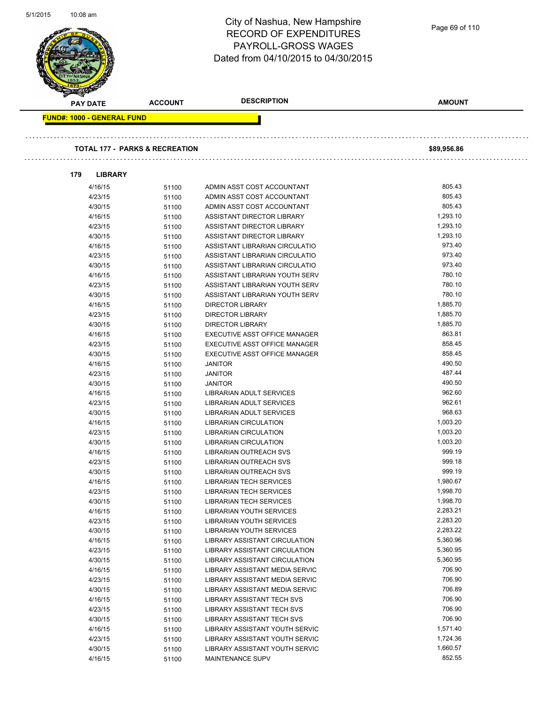| כו ט <i>צו</i> דוכ | 10:08 am                                  |                | City of Nashua, New Hampshire<br><b>RECORD OF EXPENDITURES</b><br><b>PAYROLL-GROSS WAGES</b> | Page 69 of 110 |  |
|--------------------|-------------------------------------------|----------------|----------------------------------------------------------------------------------------------|----------------|--|
|                    |                                           |                | Dated from 04/10/2015 to 04/30/2015                                                          |                |  |
|                    | <b>PAY DATE</b>                           | <b>ACCOUNT</b> | <b>DESCRIPTION</b>                                                                           | <b>AMOUNT</b>  |  |
|                    | <b>FUND#: 1000 - GENERAL FUND</b>         |                |                                                                                              |                |  |
|                    | <b>TOTAL 177 - PARKS &amp; RECREATION</b> |                |                                                                                              | \$89,956.86    |  |
|                    | <b>LIBRARY</b><br>179                     |                |                                                                                              |                |  |
|                    | 4/16/15                                   | 51100          | ADMIN ASST COST ACCOUNTANT                                                                   | 805.43         |  |
|                    | 4/23/15                                   | 51100          | ADMIN ASST COST ACCOUNTANT                                                                   | 805.43         |  |
|                    | 4/30/15                                   | 51100          | ADMIN ASST COST ACCOUNTANT                                                                   | 805.43         |  |
|                    | 4/16/15                                   | 51100          | <b>ASSISTANT DIRECTOR LIBRARY</b>                                                            | 1,293.10       |  |
|                    | 4/23/15                                   | 51100          | ASSISTANT DIRECTOR LIBRARY                                                                   | 1,293.10       |  |
|                    | 4/30/15                                   | 51100          | ASSISTANT DIRECTOR LIBRARY                                                                   | 1,293.10       |  |
|                    | 4/16/15                                   | 51100          | ASSISTANT LIBRARIAN CIRCULATIO                                                               | 973.40         |  |
|                    | 4/23/15                                   | 51100          | ASSISTANT LIBRARIAN CIRCULATIO                                                               | 973.40         |  |
|                    | 4/30/15                                   | 51100          | ASSISTANT LIBRARIAN CIRCULATIO                                                               | 973.40         |  |
|                    | 4/16/15                                   | 51100          | ASSISTANT LIBRARIAN YOUTH SERV                                                               | 780.10         |  |
|                    | 4/23/15                                   | 51100          | ASSISTANT LIBRARIAN YOUTH SERV                                                               | 780.10         |  |
|                    | 4/30/15                                   | 51100          | ASSISTANT LIBRARIAN YOUTH SERV                                                               | 780.10         |  |
|                    | 4/16/15                                   | 51100          | <b>DIRECTOR LIBRARY</b>                                                                      | 1,885.70       |  |
|                    | 4/23/15                                   | 51100          | <b>DIRECTOR LIBRARY</b>                                                                      | 1,885.70       |  |
|                    | 4/30/15                                   | 51100          | <b>DIRECTOR LIBRARY</b>                                                                      | 1,885.70       |  |
|                    | 4/16/15                                   | 51100          | EXECUTIVE ASST OFFICE MANAGER                                                                | 863.81         |  |
|                    | 4/23/15                                   | 51100          | EXECUTIVE ASST OFFICE MANAGER                                                                | 858.45         |  |
|                    | 4/30/15                                   | 51100          | EXECUTIVE ASST OFFICE MANAGER                                                                | 858.45         |  |
|                    | 4/16/15                                   | 51100          | <b>JANITOR</b>                                                                               | 490.50         |  |
|                    | 4/23/15                                   | 51100          | <b>JANITOR</b>                                                                               | 487.44         |  |
|                    | 4/30/15                                   | 51100          | <b>JANITOR</b>                                                                               | 490.50         |  |
|                    | 4/16/15                                   | 51100          | <b>LIBRARIAN ADULT SERVICES</b>                                                              | 962.60         |  |
|                    | 4/23/15                                   | 51100          | LIBRARIAN ADULT SERVICES                                                                     | 962.61         |  |
|                    | 4/30/15                                   | 51100          | LIBRARIAN ADULT SERVICES                                                                     | 968.63         |  |
|                    | 4/16/15                                   | 51100          | <b>LIBRARIAN CIRCULATION</b>                                                                 | 1,003.20       |  |
|                    | 4/23/15                                   | 51100          | <b>LIBRARIAN CIRCULATION</b>                                                                 | 1,003.20       |  |
|                    | 4/30/15                                   | 51100          | LIBRARIAN CIRCULATION                                                                        | 1,003.20       |  |
|                    | 4/16/15                                   | 51100          | <b>LIBRARIAN OUTREACH SVS</b>                                                                | 999.19         |  |
|                    | 4/23/15                                   | 51100          | LIBRARIAN OUTREACH SVS                                                                       | 999.18         |  |
|                    | 4/30/15                                   | 51100          | <b>LIBRARIAN OUTREACH SVS</b>                                                                | 999.19         |  |
|                    | 4/16/15                                   | 51100          | <b>LIBRARIAN TECH SERVICES</b>                                                               | 1,980.67       |  |
|                    | 4/23/15                                   | 51100          | <b>LIBRARIAN TECH SERVICES</b>                                                               | 1,998.70       |  |
|                    | 4/30/15                                   | 51100          | <b>LIBRARIAN TECH SERVICES</b>                                                               | 1,998.70       |  |
|                    | 4/16/15                                   | 51100          | LIBRARIAN YOUTH SERVICES                                                                     | 2,283.21       |  |
|                    | 4/23/15                                   | 51100          | <b>LIBRARIAN YOUTH SERVICES</b>                                                              | 2,283.20       |  |
|                    | 4/30/15                                   | 51100          | LIBRARIAN YOUTH SERVICES                                                                     | 2,283.22       |  |
|                    | 4/16/15                                   | 51100          | LIBRARY ASSISTANT CIRCULATION                                                                | 5,360.96       |  |
|                    | 4/23/15                                   | 51100          | LIBRARY ASSISTANT CIRCULATION                                                                | 5,360.95       |  |
|                    | 4/30/15                                   | 51100          | LIBRARY ASSISTANT CIRCULATION                                                                | 5,360.95       |  |
|                    | 4/16/15                                   | 51100          | LIBRARY ASSISTANT MEDIA SERVIC                                                               | 706.90         |  |
|                    | 4/23/15                                   | 51100          | LIBRARY ASSISTANT MEDIA SERVIC                                                               | 706.90         |  |
|                    | 4/30/15                                   | 51100          | LIBRARY ASSISTANT MEDIA SERVIC                                                               | 706.89         |  |
|                    | 4/16/15                                   | 51100          | LIBRARY ASSISTANT TECH SVS                                                                   | 706.90         |  |
|                    | 4/23/15                                   | 51100          | LIBRARY ASSISTANT TECH SVS                                                                   | 706.90         |  |
|                    | 4/30/15                                   | 51100          | LIBRARY ASSISTANT TECH SVS                                                                   | 706.90         |  |
|                    | 4/16/15                                   | 51100          | LIBRARY ASSISTANT YOUTH SERVIC                                                               | 1,571.40       |  |
|                    | 4/23/15                                   | 51100          | LIBRARY ASSISTANT YOUTH SERVIC                                                               | 1,724.36       |  |
|                    | 4/30/15                                   | 51100          | LIBRARY ASSISTANT YOUTH SERVIC                                                               | 1,660.57       |  |
|                    | 4/16/15                                   | 51100          | MAINTENANCE SUPV                                                                             | 852.55         |  |

5/1/2015 10:08 am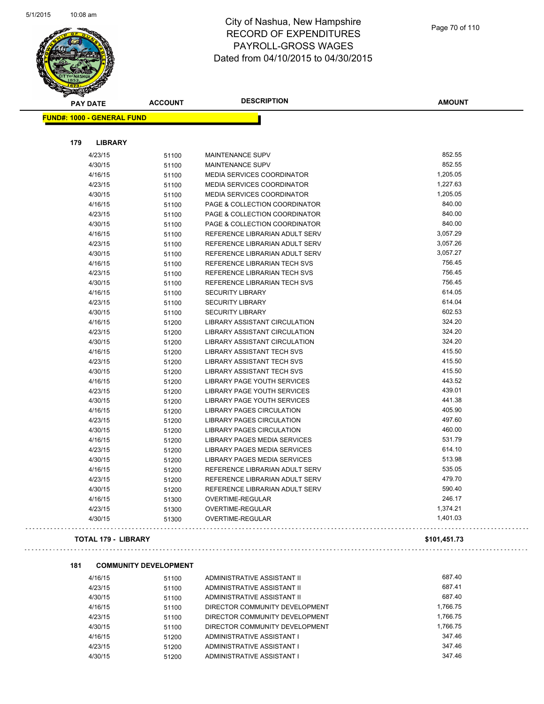

. . . . .

| <b>PAY DATE</b>                   | <b>ACCOUNT</b> | <b>DESCRIPTION</b>                   | <b>AMOUNT</b> |
|-----------------------------------|----------------|--------------------------------------|---------------|
| <b>FUND#: 1000 - GENERAL FUND</b> |                |                                      |               |
|                                   |                |                                      |               |
| 179<br><b>LIBRARY</b>             |                |                                      |               |
| 4/23/15                           | 51100          | <b>MAINTENANCE SUPV</b>              | 852.55        |
| 4/30/15                           | 51100          | <b>MAINTENANCE SUPV</b>              | 852.55        |
| 4/16/15                           | 51100          | MEDIA SERVICES COORDINATOR           | 1,205.05      |
| 4/23/15                           | 51100          | MEDIA SERVICES COORDINATOR           | 1,227.63      |
| 4/30/15                           | 51100          | MEDIA SERVICES COORDINATOR           | 1,205.05      |
| 4/16/15                           | 51100          | PAGE & COLLECTION COORDINATOR        | 840.00        |
| 4/23/15                           | 51100          | PAGE & COLLECTION COORDINATOR        | 840.00        |
| 4/30/15                           | 51100          | PAGE & COLLECTION COORDINATOR        | 840.00        |
| 4/16/15                           | 51100          | REFERENCE LIBRARIAN ADULT SERV       | 3,057.29      |
| 4/23/15                           | 51100          | REFERENCE LIBRARIAN ADULT SERV       | 3,057.26      |
| 4/30/15                           | 51100          | REFERENCE LIBRARIAN ADULT SERV       | 3,057.27      |
| 4/16/15                           | 51100          | REFERENCE LIBRARIAN TECH SVS         | 756.45        |
| 4/23/15                           | 51100          | REFERENCE LIBRARIAN TECH SVS         | 756.45        |
| 4/30/15                           | 51100          | REFERENCE LIBRARIAN TECH SVS         | 756.45        |
| 4/16/15                           | 51100          | <b>SECURITY LIBRARY</b>              | 614.05        |
| 4/23/15                           | 51100          | <b>SECURITY LIBRARY</b>              | 614.04        |
| 4/30/15                           | 51100          | <b>SECURITY LIBRARY</b>              | 602.53        |
| 4/16/15                           | 51200          | <b>LIBRARY ASSISTANT CIRCULATION</b> | 324.20        |
| 4/23/15                           | 51200          | <b>LIBRARY ASSISTANT CIRCULATION</b> | 324.20        |
| 4/30/15                           | 51200          | LIBRARY ASSISTANT CIRCULATION        | 324.20        |
| 4/16/15                           | 51200          | <b>LIBRARY ASSISTANT TECH SVS</b>    | 415.50        |
| 4/23/15                           | 51200          | <b>LIBRARY ASSISTANT TECH SVS</b>    | 415.50        |
| 4/30/15                           | 51200          | LIBRARY ASSISTANT TECH SVS           | 415.50        |
| 4/16/15                           | 51200          | <b>LIBRARY PAGE YOUTH SERVICES</b>   | 443.52        |
| 4/23/15                           | 51200          | LIBRARY PAGE YOUTH SERVICES          | 439.01        |
| 4/30/15                           | 51200          | LIBRARY PAGE YOUTH SERVICES          | 441.38        |
| 4/16/15                           | 51200          | <b>LIBRARY PAGES CIRCULATION</b>     | 405.90        |
| 4/23/15                           | 51200          | <b>LIBRARY PAGES CIRCULATION</b>     | 497.60        |
| 4/30/15                           | 51200          | <b>LIBRARY PAGES CIRCULATION</b>     | 460.00        |
| 4/16/15                           | 51200          | LIBRARY PAGES MEDIA SERVICES         | 531.79        |
| 4/23/15                           | 51200          | <b>LIBRARY PAGES MEDIA SERVICES</b>  | 614.10        |
| 4/30/15                           | 51200          | <b>LIBRARY PAGES MEDIA SERVICES</b>  | 513.98        |
| 4/16/15                           | 51200          | REFERENCE LIBRARIAN ADULT SERV       | 535.05        |
| 4/23/15                           | 51200          | REFERENCE LIBRARIAN ADULT SERV       | 479.70        |
| 4/30/15                           | 51200          | REFERENCE LIBRARIAN ADULT SERV       | 590.40        |
| 4/16/15                           | 51300          | OVERTIME-REGULAR                     | 246.17        |
| 4/23/15                           | 51300          | <b>OVERTIME-REGULAR</b>              | 1,374.21      |
| 4/30/15                           | 51300          | OVERTIME-REGULAR                     | 1,401.03      |
| <b>TOTAL 179 - LIBRARY</b>        |                |                                      | \$101,451.73  |

4/16/15 51100 ADMINISTRATIVE ASSISTANT II 687.40 4/23/15 51100 ADMINISTRATIVE ASSISTANT II 687.41 4/30/15 51100 ADMINISTRATIVE ASSISTANT II 687.40 4/16/15 51100 DIRECTOR COMMUNITY DEVELOPMENT 1,766.75 4/23/15 51100 DIRECTOR COMMUNITY DEVELOPMENT 1,766.75 4/30/15 51100 DIRECTOR COMMUNITY DEVELOPMENT 6760.75 4/16/15 51200 ADMINISTRATIVE ASSISTANT I 347.46 4/23/15 51200 ADMINISTRATIVE ASSISTANT I 347.46 4/30/15 51200 ADMINISTRATIVE ASSISTANT I 347.46

**181 COMMUNITY DEVELOPMENT**

 $\bar{z}$  ,  $\bar{z}$  ,

 $\bar{z}$  ,  $\bar{z}$  ,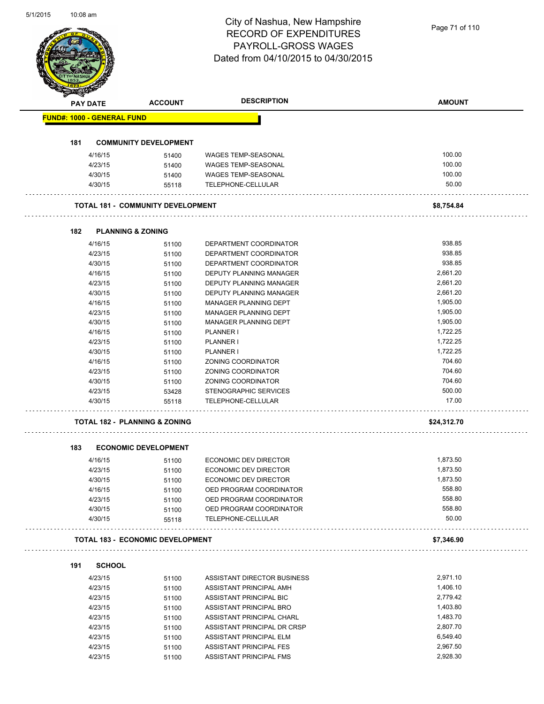# City of Nashua, New Hampshire RECORD OF EXPENDITURES PAYROLL-GROSS WAGES

|                                   |                                          |                | Dated from 04/10/2015 to 04/30/2015 |               |
|-----------------------------------|------------------------------------------|----------------|-------------------------------------|---------------|
|                                   |                                          |                |                                     |               |
| PAY DATE                          |                                          | <b>ACCOUNT</b> | <b>DESCRIPTION</b>                  | <b>AMOUNT</b> |
| <b>FUND#: 1000 - GENERAL FUND</b> |                                          |                |                                     |               |
| 181                               | <b>COMMUNITY DEVELOPMENT</b>             |                |                                     |               |
|                                   | 4/16/15                                  | 51400          | WAGES TEMP-SEASONAL                 | 100.00        |
|                                   | 4/23/15                                  | 51400          | <b>WAGES TEMP-SEASONAL</b>          | 100.00        |
|                                   | 4/30/15                                  | 51400          | WAGES TEMP-SEASONAL                 | 100.00        |
|                                   | 4/30/15                                  | 55118          | TELEPHONE-CELLULAR                  | 50.00         |
|                                   | <b>TOTAL 181 - COMMUNITY DEVELOPMENT</b> |                |                                     | \$8,754.84    |
|                                   |                                          |                |                                     |               |
| 182                               | <b>PLANNING &amp; ZONING</b>             |                |                                     |               |
|                                   | 4/16/15                                  | 51100          | DEPARTMENT COORDINATOR              | 938.85        |
|                                   | 4/23/15                                  | 51100          | DEPARTMENT COORDINATOR              | 938.85        |
|                                   | 4/30/15                                  | 51100          | DEPARTMENT COORDINATOR              | 938.85        |
|                                   | 4/16/15                                  | 51100          | DEPUTY PLANNING MANAGER             | 2,661.20      |
|                                   | 4/23/15                                  | 51100          | DEPUTY PLANNING MANAGER             | 2,661.20      |
|                                   | 4/30/15                                  | 51100          | DEPUTY PLANNING MANAGER             | 2,661.20      |
|                                   | 4/16/15                                  | 51100          | <b>MANAGER PLANNING DEPT</b>        | 1,905.00      |
|                                   | 4/23/15                                  | 51100          | MANAGER PLANNING DEPT               | 1,905.00      |
|                                   | 4/30/15                                  | 51100          | <b>MANAGER PLANNING DEPT</b>        | 1,905.00      |
|                                   | 4/16/15                                  | 51100          | <b>PLANNER I</b>                    | 1,722.25      |
|                                   | 4/23/15                                  | 51100          | <b>PLANNER I</b>                    | 1,722.25      |
|                                   | 4/30/15                                  | 51100          | <b>PLANNER I</b>                    | 1,722.25      |
|                                   | 4/16/15                                  | 51100          | ZONING COORDINATOR                  | 704.60        |
|                                   | 4/23/15                                  | 51100          | ZONING COORDINATOR                  | 704.60        |
|                                   | 4/30/15                                  | 51100          | ZONING COORDINATOR                  | 704.60        |
|                                   | 4/23/15                                  | 53428          | STENOGRAPHIC SERVICES               | 500.00        |
|                                   | 4/30/15                                  | 55118          | TELEPHONE-CELLULAR                  | 17.00         |
|                                   | <b>TOTAL 182 - PLANNING &amp; ZONING</b> |                |                                     | \$24,312.70   |
|                                   |                                          |                |                                     |               |
| 183                               | <b>ECONOMIC DEVELOPMENT</b>              |                |                                     |               |
|                                   | 4/16/15                                  | 51100          | ECONOMIC DEV DIRECTOR               | 1,873.50      |
|                                   | 4/23/15                                  | 51100          | ECONOMIC DEV DIRECTOR               | 1,873.50      |
|                                   | 4/30/15                                  | 51100          | ECONOMIC DEV DIRECTOR               | 1,873.50      |
|                                   | 4/16/15                                  | 51100          | OED PROGRAM COORDINATOR             | 558.80        |
|                                   | 4/23/15                                  | 51100          | OED PROGRAM COORDINATOR             | 558.80        |
|                                   | 4/30/15                                  | 51100          | OED PROGRAM COORDINATOR             | 558.80        |
|                                   | 4/30/15                                  | 55118          | TELEPHONE-CELLULAR                  | 50.00         |
|                                   | <b>TOTAL 183 - ECONOMIC DEVELOPMENT</b>  |                |                                     | \$7,346.90    |
| 191                               | <b>SCHOOL</b>                            |                |                                     |               |
|                                   | 4/23/15                                  | 51100          | ASSISTANT DIRECTOR BUSINESS         | 2,971.10      |
|                                   | 4/23/15                                  | 51100          | ASSISTANT PRINCIPAL AMH             | 1,406.10      |
|                                   | 4/23/15                                  | 51100          | ASSISTANT PRINCIPAL BIC             | 2,779.42      |
|                                   | 4/23/15                                  | 51100          | ASSISTANT PRINCIPAL BRO             | 1,403.80      |
|                                   | 4/23/15                                  | 51100          | ASSISTANT PRINCIPAL CHARL           | 1,483.70      |
|                                   | 4/23/15                                  | 51100          | ASSISTANT PRINCIPAL DR CRSP         | 2,807.70      |
|                                   | 4/23/15                                  | 51100          | ASSISTANT PRINCIPAL ELM             | 6,549.40      |
|                                   | 4/23/15                                  | 51100          | ASSISTANT PRINCIPAL FES             | 2,967.50      |
|                                   | 4/23/15                                  | 51100          | ASSISTANT PRINCIPAL FMS             | 2,928.30      |
|                                   |                                          |                |                                     |               |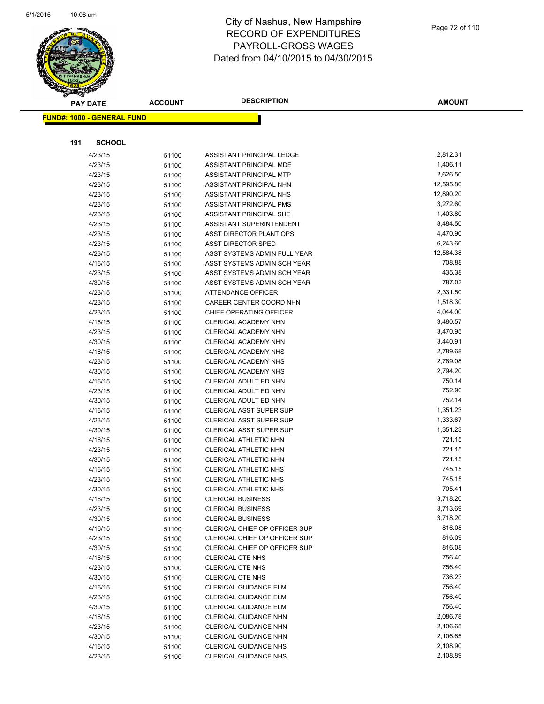

|     | <b>PAY DATE</b>                    | <b>ACCOUNT</b> | <b>DESCRIPTION</b>                                         | <b>AMOUNT</b>       |
|-----|------------------------------------|----------------|------------------------------------------------------------|---------------------|
|     | <u> FUND#: 1000 - GENERAL FUND</u> |                |                                                            |                     |
|     |                                    |                |                                                            |                     |
|     |                                    |                |                                                            |                     |
| 191 | <b>SCHOOL</b>                      |                |                                                            |                     |
|     | 4/23/15                            | 51100          | ASSISTANT PRINCIPAL LEDGE                                  | 2,812.31            |
|     | 4/23/15                            | 51100          | ASSISTANT PRINCIPAL MDE                                    | 1,406.11            |
|     | 4/23/15                            | 51100          | ASSISTANT PRINCIPAL MTP                                    | 2,626.50            |
|     | 4/23/15                            | 51100          | ASSISTANT PRINCIPAL NHN                                    | 12,595.80           |
|     | 4/23/15                            | 51100          | <b>ASSISTANT PRINCIPAL NHS</b>                             | 12,890.20           |
|     | 4/23/15                            | 51100          | ASSISTANT PRINCIPAL PMS                                    | 3,272.60            |
|     | 4/23/15                            | 51100          | <b>ASSISTANT PRINCIPAL SHE</b>                             | 1,403.80            |
|     | 4/23/15                            | 51100          | ASSISTANT SUPERINTENDENT                                   | 8,484.50            |
|     | 4/23/15                            | 51100          | ASST DIRECTOR PLANT OPS                                    | 4,470.90            |
|     | 4/23/15                            | 51100          | <b>ASST DIRECTOR SPED</b>                                  | 6,243.60            |
|     | 4/23/15                            | 51100          | ASST SYSTEMS ADMIN FULL YEAR                               | 12,584.38<br>708.88 |
|     | 4/16/15                            | 51100          | ASST SYSTEMS ADMIN SCH YEAR<br>ASST SYSTEMS ADMIN SCH YEAR | 435.38              |
|     | 4/23/15                            | 51100          | ASST SYSTEMS ADMIN SCH YEAR                                | 787.03              |
|     | 4/30/15<br>4/23/15                 | 51100          | <b>ATTENDANCE OFFICER</b>                                  | 2,331.50            |
|     | 4/23/15                            | 51100          | CAREER CENTER COORD NHN                                    | 1,518.30            |
|     | 4/23/15                            | 51100<br>51100 | CHIEF OPERATING OFFICER                                    | 4,044.00            |
|     | 4/16/15                            | 51100          | CLERICAL ACADEMY NHN                                       | 3,480.57            |
|     | 4/23/15                            | 51100          | CLERICAL ACADEMY NHN                                       | 3,470.95            |
|     | 4/30/15                            | 51100          | CLERICAL ACADEMY NHN                                       | 3,440.91            |
|     | 4/16/15                            | 51100          | <b>CLERICAL ACADEMY NHS</b>                                | 2,789.68            |
|     | 4/23/15                            | 51100          | <b>CLERICAL ACADEMY NHS</b>                                | 2,789.08            |
|     | 4/30/15                            | 51100          | <b>CLERICAL ACADEMY NHS</b>                                | 2,794.20            |
|     | 4/16/15                            | 51100          | CLERICAL ADULT ED NHN                                      | 750.14              |
|     | 4/23/15                            | 51100          | CLERICAL ADULT ED NHN                                      | 752.90              |
|     | 4/30/15                            | 51100          | CLERICAL ADULT ED NHN                                      | 752.14              |
|     | 4/16/15                            | 51100          | <b>CLERICAL ASST SUPER SUP</b>                             | 1,351.23            |
|     | 4/23/15                            | 51100          | <b>CLERICAL ASST SUPER SUP</b>                             | 1,333.67            |
|     | 4/30/15                            | 51100          | <b>CLERICAL ASST SUPER SUP</b>                             | 1,351.23            |
|     | 4/16/15                            | 51100          | <b>CLERICAL ATHLETIC NHN</b>                               | 721.15              |
|     | 4/23/15                            | 51100          | CLERICAL ATHLETIC NHN                                      | 721.15              |
|     | 4/30/15                            | 51100          | CLERICAL ATHLETIC NHN                                      | 721.15              |
|     | 4/16/15                            | 51100          | CLERICAL ATHLETIC NHS                                      | 745.15              |
|     | 4/23/15                            | 51100          | <b>CLERICAL ATHLETIC NHS</b>                               | 745.15              |
|     | 4/30/15                            | 51100          | CLERICAL ATHLETIC NHS                                      | 705.41              |
|     | 4/16/15                            | 51100          | <b>CLERICAL BUSINESS</b>                                   | 3,718.20            |
|     | 4/23/15                            | 51100          | <b>CLERICAL BUSINESS</b>                                   | 3,713.69            |
|     | 4/30/15                            | 51100          | <b>CLERICAL BUSINESS</b>                                   | 3,718.20            |
|     | 4/16/15                            | 51100          | CLERICAL CHIEF OP OFFICER SUP                              | 816.08              |
|     | 4/23/15                            | 51100          | CLERICAL CHIEF OP OFFICER SUP                              | 816.09              |
|     | 4/30/15                            | 51100          | CLERICAL CHIEF OP OFFICER SUP                              | 816.08              |
|     | 4/16/15                            | 51100          | <b>CLERICAL CTE NHS</b>                                    | 756.40              |
|     | 4/23/15                            | 51100          | <b>CLERICAL CTE NHS</b>                                    | 756.40              |
|     | 4/30/15                            | 51100          | <b>CLERICAL CTE NHS</b>                                    | 736.23              |
|     | 4/16/15                            | 51100          | <b>CLERICAL GUIDANCE ELM</b>                               | 756.40              |
|     | 4/23/15                            | 51100          | <b>CLERICAL GUIDANCE ELM</b>                               | 756.40              |
|     | 4/30/15                            | 51100          | <b>CLERICAL GUIDANCE ELM</b>                               | 756.40              |
|     | 4/16/15                            | 51100          | CLERICAL GUIDANCE NHN                                      | 2,086.78            |
|     | 4/23/15                            | 51100          | <b>CLERICAL GUIDANCE NHN</b>                               | 2,106.65            |
|     | 4/30/15                            | 51100          | <b>CLERICAL GUIDANCE NHN</b>                               | 2,106.65            |
|     | 4/16/15                            | 51100          | CLERICAL GUIDANCE NHS                                      | 2,108.90            |
|     | 4/23/15                            | 51100          | CLERICAL GUIDANCE NHS                                      | 2,108.89            |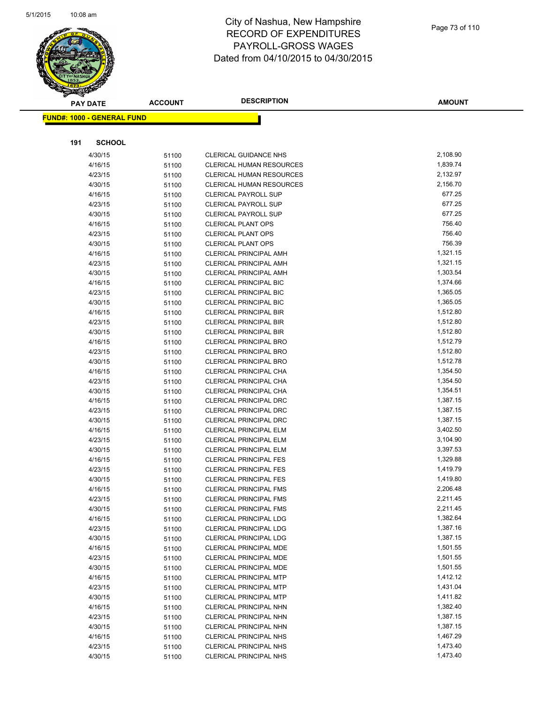

|     | <b>PAY DATE</b>                   | <b>ACCOUNT</b> | <b>DESCRIPTION</b>                                      | <b>AMOUNT</b>        |
|-----|-----------------------------------|----------------|---------------------------------------------------------|----------------------|
|     | <b>FUND#: 1000 - GENERAL FUND</b> |                |                                                         |                      |
|     |                                   |                |                                                         |                      |
|     |                                   |                |                                                         |                      |
| 191 | <b>SCHOOL</b>                     |                |                                                         |                      |
|     | 4/30/15                           | 51100          | <b>CLERICAL GUIDANCE NHS</b>                            | 2,108.90             |
|     | 4/16/15                           | 51100          | <b>CLERICAL HUMAN RESOURCES</b>                         | 1,839.74             |
|     | 4/23/15                           | 51100          | <b>CLERICAL HUMAN RESOURCES</b>                         | 2,132.97             |
|     | 4/30/15                           | 51100          | <b>CLERICAL HUMAN RESOURCES</b>                         | 2,156.70             |
|     | 4/16/15                           | 51100          | <b>CLERICAL PAYROLL SUP</b>                             | 677.25               |
|     | 4/23/15                           | 51100          | <b>CLERICAL PAYROLL SUP</b>                             | 677.25               |
|     | 4/30/15                           | 51100          | <b>CLERICAL PAYROLL SUP</b>                             | 677.25               |
|     | 4/16/15                           | 51100          | <b>CLERICAL PLANT OPS</b>                               | 756.40               |
|     | 4/23/15                           | 51100          | <b>CLERICAL PLANT OPS</b>                               | 756.40               |
|     | 4/30/15                           | 51100          | <b>CLERICAL PLANT OPS</b>                               | 756.39               |
|     | 4/16/15                           | 51100          | <b>CLERICAL PRINCIPAL AMH</b>                           | 1,321.15             |
|     | 4/23/15                           | 51100          | <b>CLERICAL PRINCIPAL AMH</b>                           | 1,321.15             |
|     | 4/30/15                           | 51100          | <b>CLERICAL PRINCIPAL AMH</b>                           | 1,303.54             |
|     | 4/16/15                           | 51100          | <b>CLERICAL PRINCIPAL BIC</b>                           | 1,374.66             |
|     | 4/23/15                           | 51100          | <b>CLERICAL PRINCIPAL BIC</b>                           | 1,365.05             |
|     | 4/30/15                           | 51100          | <b>CLERICAL PRINCIPAL BIC</b>                           | 1,365.05             |
|     | 4/16/15                           | 51100          | <b>CLERICAL PRINCIPAL BIR</b>                           | 1,512.80             |
|     | 4/23/15                           | 51100          | <b>CLERICAL PRINCIPAL BIR</b>                           | 1,512.80             |
|     | 4/30/15                           | 51100          | <b>CLERICAL PRINCIPAL BIR</b><br>CLERICAL PRINCIPAL BRO | 1,512.80<br>1,512.79 |
|     | 4/16/15<br>4/23/15                | 51100          | <b>CLERICAL PRINCIPAL BRO</b>                           | 1,512.80             |
|     | 4/30/15                           | 51100          | <b>CLERICAL PRINCIPAL BRO</b>                           | 1,512.78             |
|     | 4/16/15                           | 51100          | CLERICAL PRINCIPAL CHA                                  | 1,354.50             |
|     | 4/23/15                           | 51100<br>51100 | CLERICAL PRINCIPAL CHA                                  | 1,354.50             |
|     | 4/30/15                           | 51100          | CLERICAL PRINCIPAL CHA                                  | 1,354.51             |
|     | 4/16/15                           | 51100          | <b>CLERICAL PRINCIPAL DRC</b>                           | 1,387.15             |
|     | 4/23/15                           | 51100          | <b>CLERICAL PRINCIPAL DRC</b>                           | 1,387.15             |
|     | 4/30/15                           | 51100          | <b>CLERICAL PRINCIPAL DRC</b>                           | 1,387.15             |
|     | 4/16/15                           | 51100          | <b>CLERICAL PRINCIPAL ELM</b>                           | 3,402.50             |
|     | 4/23/15                           | 51100          | <b>CLERICAL PRINCIPAL ELM</b>                           | 3,104.90             |
|     | 4/30/15                           | 51100          | <b>CLERICAL PRINCIPAL ELM</b>                           | 3,397.53             |
|     | 4/16/15                           | 51100          | <b>CLERICAL PRINCIPAL FES</b>                           | 1,329.88             |
|     | 4/23/15                           | 51100          | <b>CLERICAL PRINCIPAL FES</b>                           | 1,419.79             |
|     | 4/30/15                           | 51100          | <b>CLERICAL PRINCIPAL FES</b>                           | 1,419.80             |
|     | 4/16/15                           | 51100          | <b>CLERICAL PRINCIPAL FMS</b>                           | 2,206.48             |
|     | 4/23/15                           | 51100          | <b>CLERICAL PRINCIPAL FMS</b>                           | 2,211.45             |
|     | 4/30/15                           | 51100          | <b>CLERICAL PRINCIPAL FMS</b>                           | 2,211.45             |
|     | 4/16/15                           | 51100          | <b>CLERICAL PRINCIPAL LDG</b>                           | 1,382.64             |
|     | 4/23/15                           | 51100          | <b>CLERICAL PRINCIPAL LDG</b>                           | 1,387.16             |
|     | 4/30/15                           | 51100          | <b>CLERICAL PRINCIPAL LDG</b>                           | 1,387.15             |
|     | 4/16/15                           | 51100          | CLERICAL PRINCIPAL MDE                                  | 1,501.55             |
|     | 4/23/15                           | 51100          | CLERICAL PRINCIPAL MDE                                  | 1,501.55             |
|     | 4/30/15                           | 51100          | CLERICAL PRINCIPAL MDE                                  | 1,501.55             |
|     | 4/16/15                           | 51100          | <b>CLERICAL PRINCIPAL MTP</b>                           | 1,412.12             |
|     | 4/23/15                           | 51100          | <b>CLERICAL PRINCIPAL MTP</b>                           | 1,431.04             |
|     | 4/30/15                           | 51100          | <b>CLERICAL PRINCIPAL MTP</b>                           | 1,411.82             |
|     | 4/16/15                           | 51100          | CLERICAL PRINCIPAL NHN                                  | 1,382.40             |
|     | 4/23/15                           | 51100          | CLERICAL PRINCIPAL NHN                                  | 1,387.15             |
|     | 4/30/15                           | 51100          | CLERICAL PRINCIPAL NHN                                  | 1,387.15             |
|     | 4/16/15                           | 51100          | CLERICAL PRINCIPAL NHS                                  | 1,467.29             |
|     | 4/23/15                           | 51100          | CLERICAL PRINCIPAL NHS                                  | 1,473.40             |
|     | 4/30/15                           | 51100          | CLERICAL PRINCIPAL NHS                                  | 1,473.40             |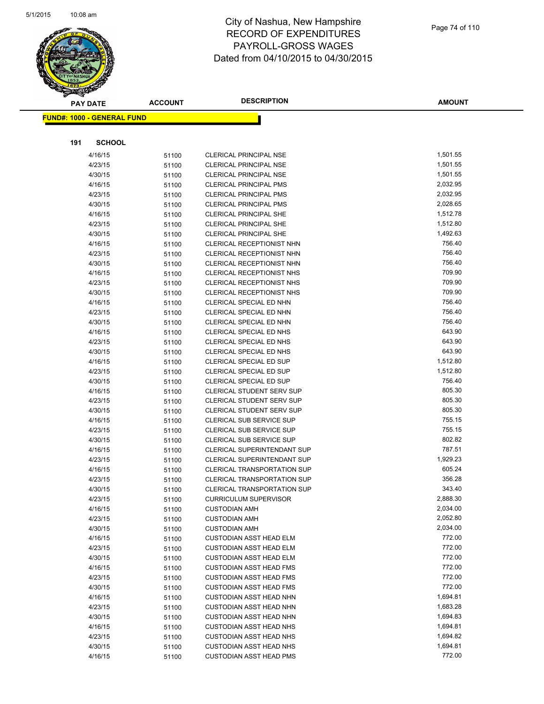

|     | <b>PAY DATE</b>                   | <b>ACCOUNT</b> | <b>DESCRIPTION</b>                                 | <b>AMOUNT</b>    |
|-----|-----------------------------------|----------------|----------------------------------------------------|------------------|
|     | <b>FUND#: 1000 - GENERAL FUND</b> |                |                                                    |                  |
|     |                                   |                |                                                    |                  |
|     |                                   |                |                                                    |                  |
| 191 | <b>SCHOOL</b>                     |                |                                                    |                  |
|     | 4/16/15                           | 51100          | CLERICAL PRINCIPAL NSE                             | 1,501.55         |
|     | 4/23/15                           | 51100          | <b>CLERICAL PRINCIPAL NSE</b>                      | 1,501.55         |
|     | 4/30/15                           | 51100          | <b>CLERICAL PRINCIPAL NSE</b>                      | 1,501.55         |
|     | 4/16/15                           | 51100          | <b>CLERICAL PRINCIPAL PMS</b>                      | 2,032.95         |
|     | 4/23/15                           | 51100          | <b>CLERICAL PRINCIPAL PMS</b>                      | 2,032.95         |
|     | 4/30/15                           | 51100          | <b>CLERICAL PRINCIPAL PMS</b>                      | 2,028.65         |
|     | 4/16/15                           | 51100          | <b>CLERICAL PRINCIPAL SHE</b>                      | 1,512.78         |
|     | 4/23/15                           | 51100          | <b>CLERICAL PRINCIPAL SHE</b>                      | 1,512.80         |
|     | 4/30/15                           | 51100          | <b>CLERICAL PRINCIPAL SHE</b>                      | 1,492.63         |
|     | 4/16/15                           | 51100          | CLERICAL RECEPTIONIST NHN                          | 756.40           |
|     | 4/23/15                           | 51100          | CLERICAL RECEPTIONIST NHN                          | 756.40           |
|     | 4/30/15                           | 51100          | CLERICAL RECEPTIONIST NHN                          | 756.40           |
|     | 4/16/15                           | 51100          | CLERICAL RECEPTIONIST NHS                          | 709.90           |
|     | 4/23/15                           | 51100          | <b>CLERICAL RECEPTIONIST NHS</b>                   | 709.90           |
|     | 4/30/15                           | 51100          | <b>CLERICAL RECEPTIONIST NHS</b>                   | 709.90           |
|     | 4/16/15                           | 51100          | CLERICAL SPECIAL ED NHN                            | 756.40           |
|     | 4/23/15                           | 51100          | CLERICAL SPECIAL ED NHN                            | 756.40           |
|     | 4/30/15                           | 51100          | CLERICAL SPECIAL ED NHN                            | 756.40           |
|     | 4/16/15                           | 51100          | CLERICAL SPECIAL ED NHS                            | 643.90<br>643.90 |
|     | 4/23/15                           | 51100          | CLERICAL SPECIAL ED NHS                            | 643.90           |
|     | 4/30/15                           | 51100          | CLERICAL SPECIAL ED NHS                            | 1,512.80         |
|     | 4/16/15                           | 51100          | CLERICAL SPECIAL ED SUP                            | 1,512.80         |
|     | 4/23/15                           | 51100          | CLERICAL SPECIAL ED SUP<br>CLERICAL SPECIAL ED SUP | 756.40           |
|     | 4/30/15<br>4/16/15                | 51100          | <b>CLERICAL STUDENT SERV SUP</b>                   | 805.30           |
|     | 4/23/15                           | 51100<br>51100 | <b>CLERICAL STUDENT SERV SUP</b>                   | 805.30           |
|     | 4/30/15                           | 51100          | <b>CLERICAL STUDENT SERV SUP</b>                   | 805.30           |
|     | 4/16/15                           | 51100          | <b>CLERICAL SUB SERVICE SUP</b>                    | 755.15           |
|     | 4/23/15                           | 51100          | <b>CLERICAL SUB SERVICE SUP</b>                    | 755.15           |
|     | 4/30/15                           | 51100          | <b>CLERICAL SUB SERVICE SUP</b>                    | 802.82           |
|     | 4/16/15                           | 51100          | <b>CLERICAL SUPERINTENDANT SUP</b>                 | 787.51           |
|     | 4/23/15                           | 51100          | CLERICAL SUPERINTENDANT SUP                        | 1,929.23         |
|     | 4/16/15                           | 51100          | <b>CLERICAL TRANSPORTATION SUP</b>                 | 605.24           |
|     | 4/23/15                           | 51100          | <b>CLERICAL TRANSPORTATION SUP</b>                 | 356.28           |
|     | 4/30/15                           | 51100          | <b>CLERICAL TRANSPORTATION SUP</b>                 | 343.40           |
|     | 4/23/15                           | 51100          | CURRICULUM SUPERVISOR                              | 2,888.30         |
|     | 4/16/15                           | 51100          | <b>CUSTODIAN AMH</b>                               | 2,034.00         |
|     | 4/23/15                           | 51100          | <b>CUSTODIAN AMH</b>                               | 2,052.80         |
|     | 4/30/15                           | 51100          | <b>CUSTODIAN AMH</b>                               | 2,034.00         |
|     | 4/16/15                           | 51100          | <b>CUSTODIAN ASST HEAD ELM</b>                     | 772.00           |
|     | 4/23/15                           | 51100          | <b>CUSTODIAN ASST HEAD ELM</b>                     | 772.00           |
|     | 4/30/15                           | 51100          | <b>CUSTODIAN ASST HEAD ELM</b>                     | 772.00           |
|     | 4/16/15                           | 51100          | <b>CUSTODIAN ASST HEAD FMS</b>                     | 772.00           |
|     | 4/23/15                           | 51100          | <b>CUSTODIAN ASST HEAD FMS</b>                     | 772.00           |
|     | 4/30/15                           | 51100          | <b>CUSTODIAN ASST HEAD FMS</b>                     | 772.00           |
|     | 4/16/15                           | 51100          | <b>CUSTODIAN ASST HEAD NHN</b>                     | 1,694.81         |
|     | 4/23/15                           | 51100          | <b>CUSTODIAN ASST HEAD NHN</b>                     | 1,683.28         |
|     | 4/30/15                           | 51100          | CUSTODIAN ASST HEAD NHN                            | 1,694.83         |
|     | 4/16/15                           | 51100          | <b>CUSTODIAN ASST HEAD NHS</b>                     | 1,694.81         |
|     | 4/23/15                           | 51100          | <b>CUSTODIAN ASST HEAD NHS</b>                     | 1,694.82         |
|     | 4/30/15                           | 51100          | <b>CUSTODIAN ASST HEAD NHS</b>                     | 1,694.81         |
|     | 4/16/15                           | 51100          | <b>CUSTODIAN ASST HEAD PMS</b>                     | 772.00           |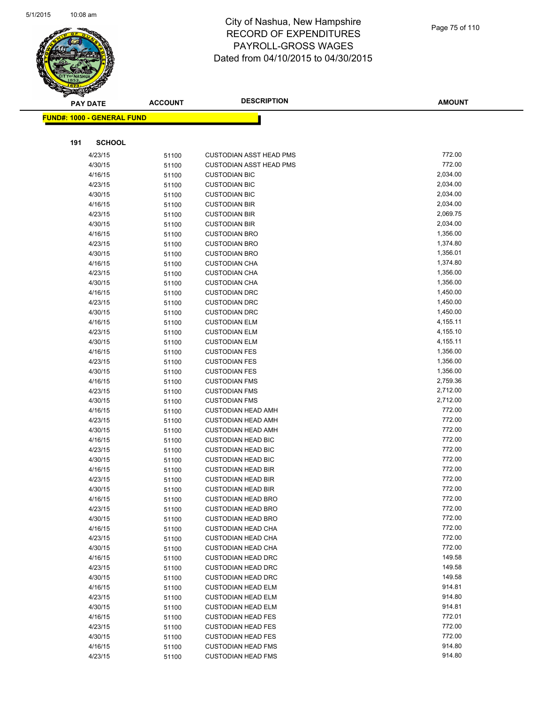

| <b>PAY DATE</b>                   | <b>ACCOUNT</b> | <b>DESCRIPTION</b>             | <b>AMOUNT</b> |
|-----------------------------------|----------------|--------------------------------|---------------|
| <b>FUND#: 1000 - GENERAL FUND</b> |                |                                |               |
|                                   |                |                                |               |
| 191<br><b>SCHOOL</b>              |                |                                |               |
| 4/23/15                           |                | <b>CUSTODIAN ASST HEAD PMS</b> | 772.00        |
| 4/30/15                           | 51100<br>51100 | <b>CUSTODIAN ASST HEAD PMS</b> | 772.00        |
| 4/16/15                           | 51100          | <b>CUSTODIAN BIC</b>           | 2,034.00      |
| 4/23/15                           | 51100          | <b>CUSTODIAN BIC</b>           | 2,034.00      |
| 4/30/15                           | 51100          | <b>CUSTODIAN BIC</b>           | 2,034.00      |
| 4/16/15                           | 51100          | <b>CUSTODIAN BIR</b>           | 2,034.00      |
| 4/23/15                           | 51100          | <b>CUSTODIAN BIR</b>           | 2,069.75      |
| 4/30/15                           | 51100          | <b>CUSTODIAN BIR</b>           | 2,034.00      |
| 4/16/15                           | 51100          | <b>CUSTODIAN BRO</b>           | 1,356.00      |
| 4/23/15                           | 51100          | <b>CUSTODIAN BRO</b>           | 1,374.80      |
| 4/30/15                           | 51100          | <b>CUSTODIAN BRO</b>           | 1,356.01      |
| 4/16/15                           | 51100          | <b>CUSTODIAN CHA</b>           | 1,374.80      |
| 4/23/15                           | 51100          | <b>CUSTODIAN CHA</b>           | 1,356.00      |
| 4/30/15                           | 51100          | <b>CUSTODIAN CHA</b>           | 1,356.00      |
| 4/16/15                           | 51100          | <b>CUSTODIAN DRC</b>           | 1,450.00      |
| 4/23/15                           | 51100          | <b>CUSTODIAN DRC</b>           | 1,450.00      |
| 4/30/15                           | 51100          | <b>CUSTODIAN DRC</b>           | 1,450.00      |
| 4/16/15                           | 51100          | <b>CUSTODIAN ELM</b>           | 4,155.11      |
| 4/23/15                           | 51100          | <b>CUSTODIAN ELM</b>           | 4,155.10      |
| 4/30/15                           | 51100          | <b>CUSTODIAN ELM</b>           | 4,155.11      |
| 4/16/15                           | 51100          | <b>CUSTODIAN FES</b>           | 1,356.00      |
| 4/23/15                           | 51100          | <b>CUSTODIAN FES</b>           | 1,356.00      |
| 4/30/15                           | 51100          | <b>CUSTODIAN FES</b>           | 1,356.00      |
| 4/16/15                           | 51100          | <b>CUSTODIAN FMS</b>           | 2,759.36      |
| 4/23/15                           | 51100          | <b>CUSTODIAN FMS</b>           | 2,712.00      |
| 4/30/15                           | 51100          | <b>CUSTODIAN FMS</b>           | 2,712.00      |
| 4/16/15                           | 51100          | <b>CUSTODIAN HEAD AMH</b>      | 772.00        |
| 4/23/15                           | 51100          | <b>CUSTODIAN HEAD AMH</b>      | 772.00        |
| 4/30/15                           | 51100          | <b>CUSTODIAN HEAD AMH</b>      | 772.00        |
| 4/16/15                           | 51100          | <b>CUSTODIAN HEAD BIC</b>      | 772.00        |
| 4/23/15                           | 51100          | <b>CUSTODIAN HEAD BIC</b>      | 772.00        |
| 4/30/15                           | 51100          | <b>CUSTODIAN HEAD BIC</b>      | 772.00        |
| 4/16/15                           | 51100          | <b>CUSTODIAN HEAD BIR</b>      | 772.00        |
| 4/23/15                           | 51100          | <b>CUSTODIAN HEAD BIR</b>      | 772.00        |
| 4/30/15                           | 51100          | <b>CUSTODIAN HEAD BIR</b>      | 772.00        |
| 4/16/15                           | 51100          | <b>CUSTODIAN HEAD BRO</b>      | 772.00        |
| 4/23/15                           | 51100          | <b>CUSTODIAN HEAD BRO</b>      | 772.00        |
| 4/30/15                           | 51100          | <b>CUSTODIAN HEAD BRO</b>      | 772.00        |
| 4/16/15                           | 51100          | <b>CUSTODIAN HEAD CHA</b>      | 772.00        |
| 4/23/15                           | 51100          | <b>CUSTODIAN HEAD CHA</b>      | 772.00        |
| 4/30/15                           | 51100          | <b>CUSTODIAN HEAD CHA</b>      | 772.00        |
| 4/16/15                           | 51100          | <b>CUSTODIAN HEAD DRC</b>      | 149.58        |
| 4/23/15                           | 51100          | <b>CUSTODIAN HEAD DRC</b>      | 149.58        |
| 4/30/15                           | 51100          | <b>CUSTODIAN HEAD DRC</b>      | 149.58        |
| 4/16/15                           | 51100          | <b>CUSTODIAN HEAD ELM</b>      | 914.81        |
| 4/23/15                           | 51100          | <b>CUSTODIAN HEAD ELM</b>      | 914.80        |
| 4/30/15                           | 51100          | <b>CUSTODIAN HEAD ELM</b>      | 914.81        |
| 4/16/15                           | 51100          | <b>CUSTODIAN HEAD FES</b>      | 772.01        |
| 4/23/15                           | 51100          | <b>CUSTODIAN HEAD FES</b>      | 772.00        |
| 4/30/15                           | 51100          | <b>CUSTODIAN HEAD FES</b>      | 772.00        |
| 4/16/15                           | 51100          | <b>CUSTODIAN HEAD FMS</b>      | 914.80        |
| 4/23/15                           | 51100          | <b>CUSTODIAN HEAD FMS</b>      | 914.80        |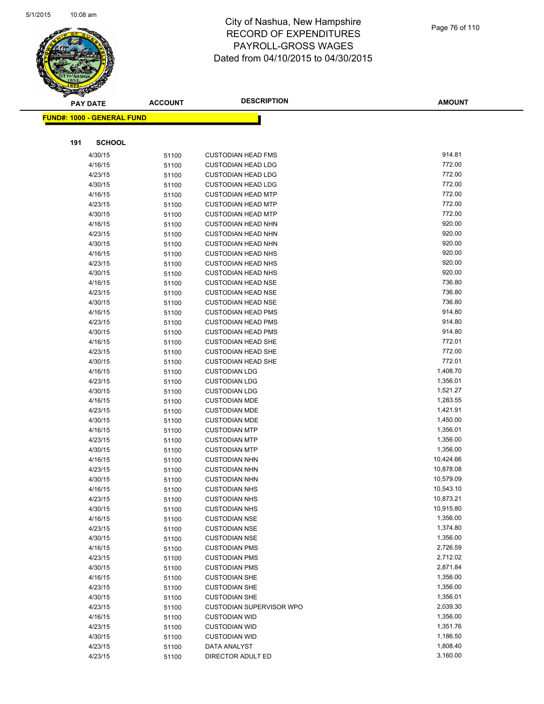

|     | <b>PAY DATE</b>                   | <b>ACCOUNT</b> | <b>DESCRIPTION</b>                                     | <b>AMOUNT</b> |
|-----|-----------------------------------|----------------|--------------------------------------------------------|---------------|
|     | <b>FUND#: 1000 - GENERAL FUND</b> |                |                                                        |               |
|     |                                   |                |                                                        |               |
| 191 | <b>SCHOOL</b>                     |                |                                                        |               |
|     |                                   |                |                                                        | 914.81        |
|     | 4/30/15<br>4/16/15                | 51100          | <b>CUSTODIAN HEAD FMS</b><br><b>CUSTODIAN HEAD LDG</b> | 772.00        |
|     |                                   | 51100          |                                                        | 772.00        |
|     | 4/23/15<br>4/30/15                | 51100          | <b>CUSTODIAN HEAD LDG</b><br><b>CUSTODIAN HEAD LDG</b> | 772.00        |
|     | 4/16/15                           | 51100          | <b>CUSTODIAN HEAD MTP</b>                              | 772.00        |
|     | 4/23/15                           | 51100<br>51100 | <b>CUSTODIAN HEAD MTP</b>                              | 772.00        |
|     | 4/30/15                           | 51100          | <b>CUSTODIAN HEAD MTP</b>                              | 772.00        |
|     | 4/16/15                           | 51100          | <b>CUSTODIAN HEAD NHN</b>                              | 920.00        |
|     | 4/23/15                           | 51100          | <b>CUSTODIAN HEAD NHN</b>                              | 920.00        |
|     | 4/30/15                           | 51100          | <b>CUSTODIAN HEAD NHN</b>                              | 920.00        |
|     | 4/16/15                           | 51100          | <b>CUSTODIAN HEAD NHS</b>                              | 920.00        |
|     | 4/23/15                           | 51100          | <b>CUSTODIAN HEAD NHS</b>                              | 920.00        |
|     | 4/30/15                           | 51100          | <b>CUSTODIAN HEAD NHS</b>                              | 920.00        |
|     | 4/16/15                           | 51100          | <b>CUSTODIAN HEAD NSE</b>                              | 736.80        |
|     | 4/23/15                           | 51100          | <b>CUSTODIAN HEAD NSE</b>                              | 736.80        |
|     | 4/30/15                           | 51100          | <b>CUSTODIAN HEAD NSE</b>                              | 736.80        |
|     | 4/16/15                           | 51100          | <b>CUSTODIAN HEAD PMS</b>                              | 914.80        |
|     | 4/23/15                           | 51100          | <b>CUSTODIAN HEAD PMS</b>                              | 914.80        |
|     | 4/30/15                           | 51100          | <b>CUSTODIAN HEAD PMS</b>                              | 914.80        |
|     | 4/16/15                           | 51100          | <b>CUSTODIAN HEAD SHE</b>                              | 772.01        |
|     | 4/23/15                           | 51100          | <b>CUSTODIAN HEAD SHE</b>                              | 772.00        |
|     | 4/30/15                           | 51100          | <b>CUSTODIAN HEAD SHE</b>                              | 772.01        |
|     | 4/16/15                           | 51100          | <b>CUSTODIAN LDG</b>                                   | 1,408.70      |
|     | 4/23/15                           | 51100          | <b>CUSTODIAN LDG</b>                                   | 1,356.01      |
|     | 4/30/15                           | 51100          | <b>CUSTODIAN LDG</b>                                   | 1,521.27      |
|     | 4/16/15                           | 51100          | <b>CUSTODIAN MDE</b>                                   | 1,283.55      |
|     | 4/23/15                           | 51100          | <b>CUSTODIAN MDE</b>                                   | 1,421.91      |
|     | 4/30/15                           | 51100          | <b>CUSTODIAN MDE</b>                                   | 1,450.00      |
|     | 4/16/15                           | 51100          | <b>CUSTODIAN MTP</b>                                   | 1,356.01      |
|     | 4/23/15                           | 51100          | <b>CUSTODIAN MTP</b>                                   | 1,356.00      |
|     | 4/30/15                           | 51100          | <b>CUSTODIAN MTP</b>                                   | 1,356.00      |
|     | 4/16/15                           | 51100          | <b>CUSTODIAN NHN</b>                                   | 10,424.66     |
|     | 4/23/15                           | 51100          | <b>CUSTODIAN NHN</b>                                   | 10,878.08     |
|     | 4/30/15                           | 51100          | <b>CUSTODIAN NHN</b>                                   | 10,579.09     |
|     | 4/16/15                           | 51100          | <b>CUSTODIAN NHS</b>                                   | 10,543.10     |
|     | 4/23/15                           | 51100          | <b>CUSTODIAN NHS</b>                                   | 10,873.21     |
|     | 4/30/15                           | 51100          | <b>CUSTODIAN NHS</b>                                   | 10,915.80     |
|     | 4/16/15                           | 51100          | <b>CUSTODIAN NSE</b>                                   | 1,356.00      |
|     | 4/23/15                           | 51100          | <b>CUSTODIAN NSE</b>                                   | 1,374.80      |
|     | 4/30/15                           | 51100          | <b>CUSTODIAN NSE</b>                                   | 1,356.00      |
|     | 4/16/15                           | 51100          | <b>CUSTODIAN PMS</b>                                   | 2,726.59      |
|     | 4/23/15                           | 51100          | <b>CUSTODIAN PMS</b>                                   | 2,712.02      |
|     | 4/30/15                           | 51100          | <b>CUSTODIAN PMS</b>                                   | 2,871.84      |
|     | 4/16/15                           | 51100          | <b>CUSTODIAN SHE</b>                                   | 1,356.00      |
|     | 4/23/15                           | 51100          | <b>CUSTODIAN SHE</b>                                   | 1,356.00      |
|     | 4/30/15                           | 51100          | <b>CUSTODIAN SHE</b>                                   | 1,356.01      |
|     | 4/23/15                           | 51100          | <b>CUSTODIAN SUPERVISOR WPO</b>                        | 2,039.30      |
|     | 4/16/15                           | 51100          | <b>CUSTODIAN WID</b>                                   | 1,356.00      |
|     | 4/23/15                           | 51100          | <b>CUSTODIAN WID</b>                                   | 1,351.76      |
|     | 4/30/15                           | 51100          | <b>CUSTODIAN WID</b>                                   | 1,186.50      |
|     | 4/23/15                           | 51100          | DATA ANALYST                                           | 1,808.40      |
|     | 4/23/15                           | 51100          | DIRECTOR ADULT ED                                      | 3,160.00      |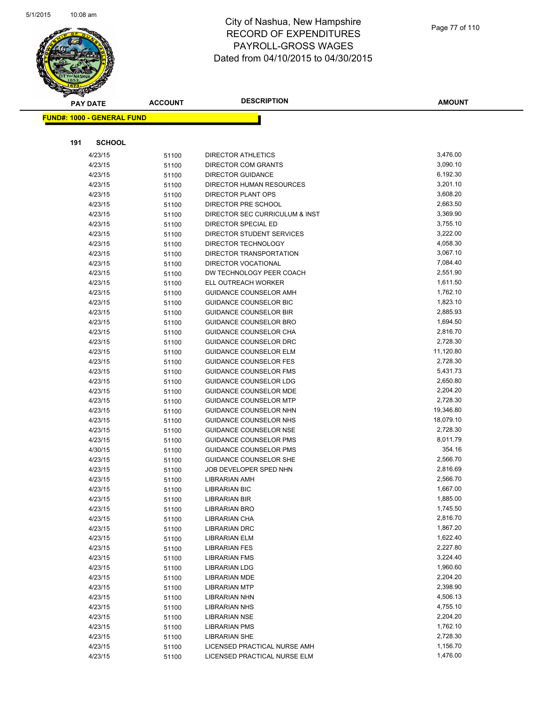

|     | <b>PAY DATE</b>                    | <b>ACCOUNT</b> | <b>DESCRIPTION</b>                               | <b>AMOUNT</b>        |
|-----|------------------------------------|----------------|--------------------------------------------------|----------------------|
|     | <u> FUND#: 1000 - GENERAL FUND</u> |                |                                                  |                      |
|     |                                    |                |                                                  |                      |
|     |                                    |                |                                                  |                      |
| 191 | <b>SCHOOL</b>                      |                |                                                  |                      |
|     | 4/23/15                            | 51100          | DIRECTOR ATHLETICS                               | 3,476.00             |
|     | 4/23/15                            | 51100          | DIRECTOR COM GRANTS                              | 3,090.10             |
|     | 4/23/15                            | 51100          | <b>DIRECTOR GUIDANCE</b>                         | 6,192.30             |
|     | 4/23/15                            | 51100          | DIRECTOR HUMAN RESOURCES                         | 3,201.10             |
|     | 4/23/15                            | 51100          | <b>DIRECTOR PLANT OPS</b>                        | 3,608.20             |
|     | 4/23/15                            | 51100          | DIRECTOR PRE SCHOOL                              | 2,663.50             |
|     | 4/23/15<br>4/23/15                 | 51100          | DIRECTOR SEC CURRICULUM & INST                   | 3,369.90<br>3,755.10 |
|     | 4/23/15                            | 51100          | DIRECTOR SPECIAL ED<br>DIRECTOR STUDENT SERVICES | 3,222.00             |
|     | 4/23/15                            | 51100          | DIRECTOR TECHNOLOGY                              | 4,058.30             |
|     | 4/23/15                            | 51100<br>51100 | DIRECTOR TRANSPORTATION                          | 3,067.10             |
|     | 4/23/15                            | 51100          | <b>DIRECTOR VOCATIONAL</b>                       | 7,084.40             |
|     | 4/23/15                            | 51100          | DW TECHNOLOGY PEER COACH                         | 2,551.90             |
|     | 4/23/15                            | 51100          | ELL OUTREACH WORKER                              | 1,611.50             |
|     | 4/23/15                            | 51100          | <b>GUIDANCE COUNSELOR AMH</b>                    | 1,762.10             |
|     | 4/23/15                            | 51100          | GUIDANCE COUNSELOR BIC                           | 1,823.10             |
|     | 4/23/15                            | 51100          | <b>GUIDANCE COUNSELOR BIR</b>                    | 2,885.93             |
|     | 4/23/15                            | 51100          | <b>GUIDANCE COUNSELOR BRO</b>                    | 1,694.50             |
|     | 4/23/15                            | 51100          | GUIDANCE COUNSELOR CHA                           | 2,816.70             |
|     | 4/23/15                            | 51100          | GUIDANCE COUNSELOR DRC                           | 2,728.30             |
|     | 4/23/15                            | 51100          | <b>GUIDANCE COUNSELOR ELM</b>                    | 11,120.80            |
|     | 4/23/15                            | 51100          | <b>GUIDANCE COUNSELOR FES</b>                    | 2,728.30             |
|     | 4/23/15                            | 51100          | <b>GUIDANCE COUNSELOR FMS</b>                    | 5,431.73             |
|     | 4/23/15                            | 51100          | GUIDANCE COUNSELOR LDG                           | 2,650.80             |
|     | 4/23/15                            | 51100          | <b>GUIDANCE COUNSELOR MDE</b>                    | 2,204.20             |
|     | 4/23/15                            | 51100          | <b>GUIDANCE COUNSELOR MTP</b>                    | 2,728.30             |
|     | 4/23/15                            | 51100          | GUIDANCE COUNSELOR NHN                           | 19,346.80            |
|     | 4/23/15                            | 51100          | GUIDANCE COUNSELOR NHS                           | 18,079.10            |
|     | 4/23/15                            | 51100          | GUIDANCE COUNSELOR NSE                           | 2,728.30             |
|     | 4/23/15                            | 51100          | GUIDANCE COUNSELOR PMS                           | 8,011.79             |
|     | 4/30/15                            | 51100          | <b>GUIDANCE COUNSELOR PMS</b>                    | 354.16               |
|     | 4/23/15                            | 51100          | <b>GUIDANCE COUNSELOR SHE</b>                    | 2,566.70             |
|     | 4/23/15                            | 51100          | JOB DEVELOPER SPED NHN                           | 2,816.69             |
|     | 4/23/15                            | 51100          | <b>LIBRARIAN AMH</b>                             | 2,566.70             |
|     | 4/23/15                            | 51100          | <b>LIBRARIAN BIC</b>                             | 1,667.00             |
|     | 4/23/15                            | 51100          | <b>LIBRARIAN BIR</b>                             | 1,885.00             |
|     | 4/23/15                            | 51100          | <b>LIBRARIAN BRO</b>                             | 1,745.50             |
|     | 4/23/15                            | 51100          | LIBRARIAN CHA                                    | 2,816.70             |
|     | 4/23/15                            | 51100          | <b>LIBRARIAN DRC</b>                             | 1,867.20             |
|     | 4/23/15                            | 51100          | <b>LIBRARIAN ELM</b>                             | 1,622.40             |
|     | 4/23/15                            | 51100          | <b>LIBRARIAN FES</b>                             | 2,227.80             |
|     | 4/23/15                            | 51100          | <b>LIBRARIAN FMS</b>                             | 3,224.40             |
|     | 4/23/15                            | 51100          | <b>LIBRARIAN LDG</b>                             | 1,960.60             |
|     | 4/23/15                            | 51100          | <b>LIBRARIAN MDE</b>                             | 2,204.20             |
|     | 4/23/15                            | 51100          | <b>LIBRARIAN MTP</b>                             | 2,398.90             |
|     | 4/23/15                            | 51100          | <b>LIBRARIAN NHN</b>                             | 4,506.13             |
|     | 4/23/15                            | 51100          | <b>LIBRARIAN NHS</b>                             | 4,755.10             |
|     | 4/23/15                            | 51100          | <b>LIBRARIAN NSE</b>                             | 2,204.20             |
|     | 4/23/15                            | 51100          | <b>LIBRARIAN PMS</b>                             | 1,762.10             |
|     | 4/23/15                            | 51100          | <b>LIBRARIAN SHE</b>                             | 2,728.30             |
|     | 4/23/15                            | 51100          | LICENSED PRACTICAL NURSE AMH                     | 1,156.70             |
|     | 4/23/15                            | 51100          | LICENSED PRACTICAL NURSE ELM                     | 1,476.00             |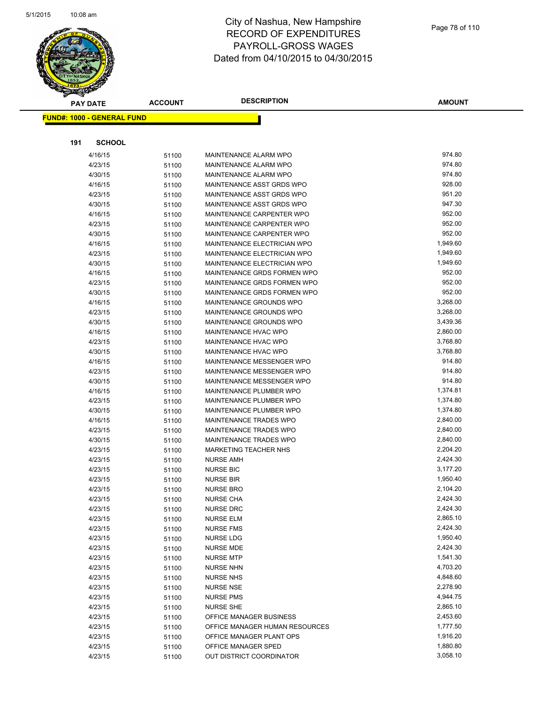

|     | <b>PAY DATE</b>                    | <b>ACCOUNT</b> | <b>DESCRIPTION</b>                                                | <b>AMOUNT</b>        |
|-----|------------------------------------|----------------|-------------------------------------------------------------------|----------------------|
|     | <u> FUND#: 1000 - GENERAL FUND</u> |                |                                                                   |                      |
|     |                                    |                |                                                                   |                      |
|     |                                    |                |                                                                   |                      |
| 191 | <b>SCHOOL</b>                      |                |                                                                   |                      |
|     | 4/16/15                            | 51100          | <b>MAINTENANCE ALARM WPO</b>                                      | 974.80               |
|     | 4/23/15                            | 51100          | <b>MAINTENANCE ALARM WPO</b>                                      | 974.80               |
|     | 4/30/15                            | 51100          | <b>MAINTENANCE ALARM WPO</b>                                      | 974.80               |
|     | 4/16/15                            | 51100          | MAINTENANCE ASST GRDS WPO                                         | 928.00               |
|     | 4/23/15                            | 51100          | MAINTENANCE ASST GRDS WPO                                         | 951.20               |
|     | 4/30/15                            | 51100          | MAINTENANCE ASST GRDS WPO                                         | 947.30               |
|     | 4/16/15                            | 51100          | MAINTENANCE CARPENTER WPO                                         | 952.00               |
|     | 4/23/15                            | 51100          | MAINTENANCE CARPENTER WPO                                         | 952.00               |
|     | 4/30/15                            | 51100          | MAINTENANCE CARPENTER WPO                                         | 952.00               |
|     | 4/16/15                            | 51100          | MAINTENANCE ELECTRICIAN WPO                                       | 1,949.60             |
|     | 4/23/15                            | 51100          | <b>MAINTENANCE ELECTRICIAN WPO</b><br>MAINTENANCE ELECTRICIAN WPO | 1,949.60<br>1,949.60 |
|     | 4/30/15<br>4/16/15                 | 51100          | MAINTENANCE GRDS FORMEN WPO                                       | 952.00               |
|     | 4/23/15                            | 51100          | MAINTENANCE GRDS FORMEN WPO                                       | 952.00               |
|     | 4/30/15                            | 51100          | MAINTENANCE GRDS FORMEN WPO                                       | 952.00               |
|     | 4/16/15                            | 51100          | MAINTENANCE GROUNDS WPO                                           | 3,268.00             |
|     | 4/23/15                            | 51100<br>51100 | MAINTENANCE GROUNDS WPO                                           | 3,268.00             |
|     | 4/30/15                            | 51100          | MAINTENANCE GROUNDS WPO                                           | 3,439.36             |
|     | 4/16/15                            | 51100          | MAINTENANCE HVAC WPO                                              | 2,860.00             |
|     | 4/23/15                            | 51100          | <b>MAINTENANCE HVAC WPO</b>                                       | 3,768.80             |
|     | 4/30/15                            | 51100          | <b>MAINTENANCE HVAC WPO</b>                                       | 3,768.80             |
|     | 4/16/15                            | 51100          | MAINTENANCE MESSENGER WPO                                         | 914.80               |
|     | 4/23/15                            | 51100          | MAINTENANCE MESSENGER WPO                                         | 914.80               |
|     | 4/30/15                            | 51100          | MAINTENANCE MESSENGER WPO                                         | 914.80               |
|     | 4/16/15                            | 51100          | MAINTENANCE PLUMBER WPO                                           | 1,374.81             |
|     | 4/23/15                            | 51100          | MAINTENANCE PLUMBER WPO                                           | 1,374.80             |
|     | 4/30/15                            | 51100          | MAINTENANCE PLUMBER WPO                                           | 1,374.80             |
|     | 4/16/15                            | 51100          | MAINTENANCE TRADES WPO                                            | 2,840.00             |
|     | 4/23/15                            | 51100          | MAINTENANCE TRADES WPO                                            | 2,840.00             |
|     | 4/30/15                            | 51100          | MAINTENANCE TRADES WPO                                            | 2,840.00             |
|     | 4/23/15                            | 51100          | <b>MARKETING TEACHER NHS</b>                                      | 2,204.20             |
|     | 4/23/15                            | 51100          | <b>NURSE AMH</b>                                                  | 2,424.30             |
|     | 4/23/15                            | 51100          | <b>NURSE BIC</b>                                                  | 3,177.20             |
|     | 4/23/15                            | 51100          | <b>NURSE BIR</b>                                                  | 1,950.40             |
|     | 4/23/15                            | 51100          | <b>NURSE BRO</b>                                                  | 2,104.20             |
|     | 4/23/15                            | 51100          | <b>NURSE CHA</b>                                                  | 2,424.30             |
|     | 4/23/15                            | 51100          | <b>NURSE DRC</b>                                                  | 2,424.30             |
|     | 4/23/15                            | 51100          | <b>NURSE ELM</b>                                                  | 2,865.10             |
|     | 4/23/15                            | 51100          | <b>NURSE FMS</b>                                                  | 2,424.30             |
|     | 4/23/15                            | 51100          | <b>NURSE LDG</b>                                                  | 1,950.40             |
|     | 4/23/15                            | 51100          | <b>NURSE MDE</b>                                                  | 2,424.30             |
|     | 4/23/15                            | 51100          | <b>NURSE MTP</b>                                                  | 1,541.30             |
|     | 4/23/15                            | 51100          | <b>NURSE NHN</b>                                                  | 4,703.20             |
|     | 4/23/15                            | 51100          | <b>NURSE NHS</b>                                                  | 4,848.60             |
|     | 4/23/15                            | 51100          | <b>NURSE NSE</b>                                                  | 2,278.90             |
|     | 4/23/15                            | 51100          | <b>NURSE PMS</b>                                                  | 4,944.75             |
|     | 4/23/15                            | 51100          | <b>NURSE SHE</b>                                                  | 2,865.10             |
|     | 4/23/15                            | 51100          | OFFICE MANAGER BUSINESS                                           | 2,453.60             |
|     | 4/23/15                            | 51100          | OFFICE MANAGER HUMAN RESOURCES                                    | 1,777.50             |
|     | 4/23/15                            | 51100          | OFFICE MANAGER PLANT OPS                                          | 1,916.20             |
|     | 4/23/15                            | 51100          | OFFICE MANAGER SPED                                               | 1,880.80             |
|     | 4/23/15                            | 51100          | OUT DISTRICT COORDINATOR                                          | 3,058.10             |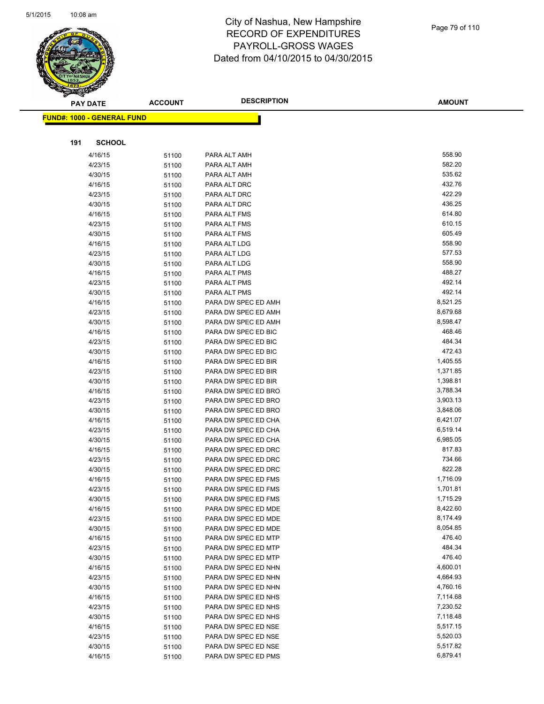

**AMOUNT**

| <b>FUND#: 1000 - GENERAL FUND</b> |                |                                            |                      |
|-----------------------------------|----------------|--------------------------------------------|----------------------|
|                                   |                |                                            |                      |
| 191<br><b>SCHOOL</b>              |                |                                            |                      |
|                                   |                |                                            | 558.90               |
| 4/16/15                           | 51100          | PARA ALT AMH                               | 582.20               |
| 4/23/15                           | 51100          | PARA ALT AMH                               | 535.62               |
| 4/30/15                           | 51100          | PARA ALT AMH                               | 432.76               |
| 4/16/15                           | 51100          | PARA ALT DRC                               | 422.29               |
| 4/23/15                           | 51100          | PARA ALT DRC                               | 436.25               |
| 4/30/15                           | 51100          | PARA ALT DRC                               | 614.80               |
| 4/16/15<br>4/23/15                | 51100          | PARA ALT FMS<br>PARA ALT FMS               | 610.15               |
| 4/30/15                           | 51100<br>51100 | PARA ALT FMS                               | 605.49               |
| 4/16/15                           | 51100          | PARA ALT LDG                               | 558.90               |
| 4/23/15                           | 51100          | PARA ALT LDG                               | 577.53               |
| 4/30/15                           | 51100          | PARA ALT LDG                               | 558.90               |
| 4/16/15                           | 51100          | PARA ALT PMS                               | 488.27               |
| 4/23/15                           | 51100          | PARA ALT PMS                               | 492.14               |
| 4/30/15                           | 51100          | PARA ALT PMS                               | 492.14               |
| 4/16/15                           | 51100          | PARA DW SPEC ED AMH                        | 8,521.25             |
| 4/23/15                           | 51100          | PARA DW SPEC ED AMH                        | 8,679.68             |
| 4/30/15                           | 51100          | PARA DW SPEC ED AMH                        | 8,598.47             |
| 4/16/15                           | 51100          | PARA DW SPEC ED BIC                        | 468.46               |
| 4/23/15                           | 51100          | PARA DW SPEC ED BIC                        | 484.34               |
| 4/30/15                           | 51100          | PARA DW SPEC ED BIC                        | 472.43               |
| 4/16/15                           | 51100          | PARA DW SPEC ED BIR                        | 1,405.55             |
| 4/23/15                           | 51100          | PARA DW SPEC ED BIR                        | 1,371.85             |
| 4/30/15                           | 51100          | PARA DW SPEC ED BIR                        | 1,398.81             |
| 4/16/15                           | 51100          | PARA DW SPEC ED BRO                        | 3,788.34             |
| 4/23/15                           | 51100          | PARA DW SPEC ED BRO                        | 3,903.13             |
| 4/30/15                           | 51100          | PARA DW SPEC ED BRO                        | 3,848.06             |
| 4/16/15                           | 51100          | PARA DW SPEC ED CHA                        | 6,421.07             |
| 4/23/15                           | 51100          | PARA DW SPEC ED CHA                        | 6,519.14             |
| 4/30/15                           | 51100          | PARA DW SPEC ED CHA                        | 6,985.05             |
| 4/16/15                           | 51100          | PARA DW SPEC ED DRC                        | 817.83               |
| 4/23/15                           | 51100          | PARA DW SPEC ED DRC                        | 734.66               |
| 4/30/15                           | 51100          | PARA DW SPEC ED DRC                        | 822.28               |
| 4/16/15                           | 51100          | PARA DW SPEC ED FMS                        | 1,716.09             |
| 4/23/15                           | 51100          | PARA DW SPEC ED FMS                        | 1,701.81             |
| 4/30/15                           | 51100          | PARA DW SPEC ED FMS                        | 1,715.29             |
| 4/16/15                           | 51100          | PARA DW SPEC ED MDE                        | 8,422.60             |
| 4/23/15                           | 51100          | PARA DW SPEC ED MDE                        | 8,174.49             |
| 4/30/15                           | 51100          | PARA DW SPEC ED MDE                        | 8,054.85             |
| 4/16/15                           | 51100          | PARA DW SPEC ED MTP                        | 476.40               |
| 4/23/15                           | 51100          | PARA DW SPEC ED MTP                        | 484.34               |
| 4/30/15                           | 51100          | PARA DW SPEC ED MTP                        | 476.40               |
| 4/16/15                           | 51100          | PARA DW SPEC ED NHN                        | 4,600.01             |
| 4/23/15<br>4/30/15                | 51100          | PARA DW SPEC ED NHN                        | 4,664.93<br>4,760.16 |
|                                   | 51100          | PARA DW SPEC ED NHN                        | 7,114.68             |
| 4/16/15<br>4/23/15                | 51100          | PARA DW SPEC ED NHS<br>PARA DW SPEC ED NHS | 7,230.52             |
| 4/30/15                           | 51100          | PARA DW SPEC ED NHS                        | 7,118.48             |
| 4/16/15                           | 51100          | PARA DW SPEC ED NSE                        | 5,517.15             |
| 4/23/15                           | 51100<br>51100 | PARA DW SPEC ED NSE                        | 5,520.03             |
| 4/30/15                           | 51100          | PARA DW SPEC ED NSE                        | 5,517.82             |
| 4/16/15                           | 51100          | PARA DW SPEC ED PMS                        | 6,879.41             |
|                                   |                |                                            |                      |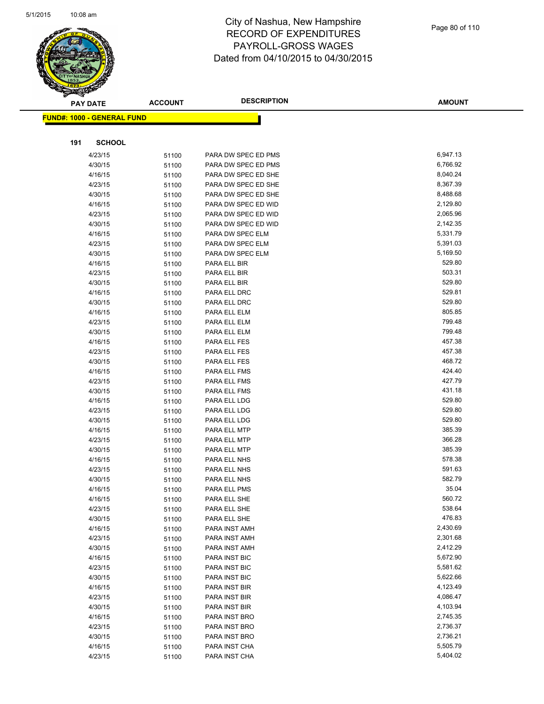

| ॼ   | <b>PAY DATE</b>                   | <b>ACCOUNT</b> | <b>DESCRIPTION</b>             | <b>AMOUNT</b>        |
|-----|-----------------------------------|----------------|--------------------------------|----------------------|
|     | <b>FUND#: 1000 - GENERAL FUND</b> |                |                                |                      |
|     |                                   |                |                                |                      |
| 191 | <b>SCHOOL</b>                     |                |                                |                      |
|     | 4/23/15                           | 51100          | PARA DW SPEC ED PMS            | 6,947.13             |
|     | 4/30/15                           | 51100          | PARA DW SPEC ED PMS            | 6,766.92             |
|     | 4/16/15                           | 51100          | PARA DW SPEC ED SHE            | 8,040.24             |
|     | 4/23/15                           | 51100          | PARA DW SPEC ED SHE            | 8,367.39             |
|     | 4/30/15                           | 51100          | PARA DW SPEC ED SHE            | 8,488.68             |
|     | 4/16/15                           | 51100          | PARA DW SPEC ED WID            | 2,129.80             |
|     | 4/23/15                           | 51100          | PARA DW SPEC ED WID            | 2,065.96             |
|     | 4/30/15                           | 51100          | PARA DW SPEC ED WID            | 2,142.35             |
|     | 4/16/15                           | 51100          | PARA DW SPEC ELM               | 5,331.79             |
|     | 4/23/15                           | 51100          | PARA DW SPEC ELM               | 5,391.03             |
|     | 4/30/15                           | 51100          | PARA DW SPEC ELM               | 5,169.50             |
|     | 4/16/15                           | 51100          | PARA ELL BIR                   | 529.80               |
|     | 4/23/15                           | 51100          | PARA ELL BIR                   | 503.31               |
|     | 4/30/15                           | 51100          | PARA ELL BIR                   | 529.80               |
|     | 4/16/15                           | 51100          | PARA ELL DRC                   | 529.81               |
|     | 4/30/15                           | 51100          | PARA ELL DRC                   | 529.80               |
|     | 4/16/15                           | 51100          | PARA ELL ELM                   | 805.85               |
|     | 4/23/15                           | 51100          | PARA ELL ELM                   | 799.48               |
|     | 4/30/15                           | 51100          | PARA ELL ELM                   | 799.48               |
|     | 4/16/15                           | 51100          | PARA ELL FES                   | 457.38               |
|     | 4/23/15                           | 51100          | PARA ELL FES                   | 457.38               |
|     | 4/30/15                           | 51100          | PARA ELL FES                   | 468.72               |
|     | 4/16/15                           | 51100          | PARA ELL FMS                   | 424.40               |
|     | 4/23/15                           | 51100          | PARA ELL FMS                   | 427.79               |
|     | 4/30/15                           | 51100          | PARA ELL FMS                   | 431.18               |
|     | 4/16/15                           | 51100          | PARA ELL LDG                   | 529.80               |
|     | 4/23/15                           | 51100          | PARA ELL LDG                   | 529.80               |
|     | 4/30/15                           | 51100          | PARA ELL LDG                   | 529.80               |
|     | 4/16/15                           | 51100          | PARA ELL MTP                   | 385.39               |
|     | 4/23/15                           | 51100          | PARA ELL MTP                   | 366.28               |
|     | 4/30/15                           | 51100          | PARA ELL MTP                   | 385.39               |
|     | 4/16/15                           | 51100          | PARA ELL NHS                   | 578.38               |
|     | 4/23/15                           | 51100          | PARA ELL NHS                   | 591.63               |
|     | 4/30/15                           | 51100          | PARA ELL NHS                   | 582.79               |
|     | 4/16/15                           | 51100          | PARA ELL PMS                   | 35.04                |
|     | 4/16/15                           | 51100          | PARA ELL SHE                   | 560.72<br>538.64     |
|     | 4/23/15                           | 51100          | PARA ELL SHE                   | 476.83               |
|     | 4/30/15                           | 51100          | PARA ELL SHE                   |                      |
|     | 4/16/15                           | 51100          | PARA INST AMH                  | 2,430.69<br>2,301.68 |
|     | 4/23/15                           | 51100          | PARA INST AMH<br>PARA INST AMH | 2,412.29             |
|     | 4/30/15<br>4/16/15                | 51100          |                                | 5,672.90             |
|     | 4/23/15                           | 51100          | PARA INST BIC<br>PARA INST BIC | 5,581.62             |
|     | 4/30/15                           | 51100          | PARA INST BIC                  | 5,622.66             |
|     | 4/16/15                           | 51100          | PARA INST BIR                  | 4,123.49             |
|     | 4/23/15                           | 51100          | PARA INST BIR                  | 4,086.47             |
|     | 4/30/15                           | 51100          | PARA INST BIR                  | 4,103.94             |
|     | 4/16/15                           | 51100          | PARA INST BRO                  | 2,745.35             |
|     | 4/23/15                           | 51100<br>51100 | PARA INST BRO                  | 2,736.37             |
|     | 4/30/15                           | 51100          | PARA INST BRO                  | 2,736.21             |
|     | 4/16/15                           | 51100          | PARA INST CHA                  | 5,505.79             |
|     | 4/23/15                           | 51100          | PARA INST CHA                  | 5,404.02             |
|     |                                   |                |                                |                      |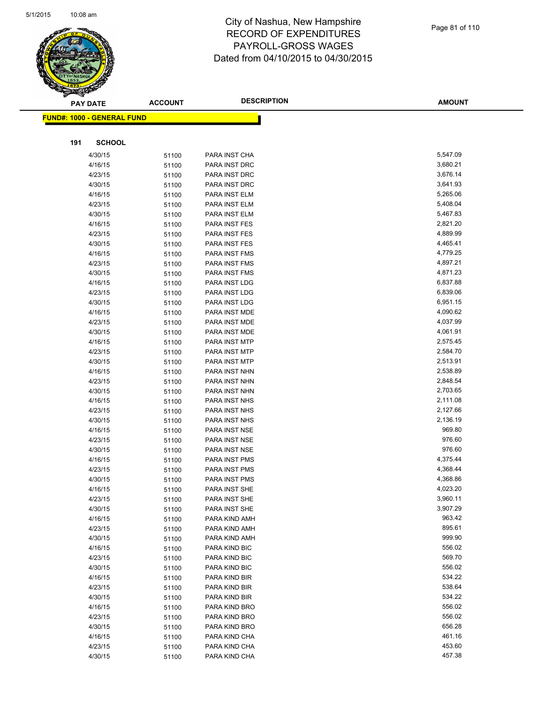

|     | <b>PAY DATE</b>                         | <b>ACCOUNT</b> | <b>DESCRIPTION</b> | <b>AMOUNT</b> |
|-----|-----------------------------------------|----------------|--------------------|---------------|
|     | <mark>FUND#: 1000 - GENERAL FUND</mark> |                |                    |               |
|     |                                         |                |                    |               |
| 191 | <b>SCHOOL</b>                           |                |                    |               |
|     | 4/30/15                                 | 51100          | PARA INST CHA      | 5,547.09      |
|     | 4/16/15                                 | 51100          | PARA INST DRC      | 3,680.21      |
|     | 4/23/15                                 | 51100          | PARA INST DRC      | 3,676.14      |
|     | 4/30/15                                 | 51100          | PARA INST DRC      | 3,641.93      |
|     | 4/16/15                                 | 51100          | PARA INST ELM      | 5,265.06      |
|     | 4/23/15                                 | 51100          | PARA INST ELM      | 5,408.04      |
|     | 4/30/15                                 | 51100          | PARA INST ELM      | 5,467.83      |
|     | 4/16/15                                 | 51100          | PARA INST FES      | 2,821.20      |
|     | 4/23/15                                 | 51100          | PARA INST FES      | 4,889.99      |
|     | 4/30/15                                 | 51100          | PARA INST FES      | 4,465.41      |
|     | 4/16/15                                 | 51100          | PARA INST FMS      | 4,779.25      |
|     | 4/23/15                                 | 51100          | PARA INST FMS      | 4,897.21      |
|     | 4/30/15                                 | 51100          | PARA INST FMS      | 4,871.23      |
|     | 4/16/15                                 | 51100          | PARA INST LDG      | 6,837.88      |
|     | 4/23/15                                 | 51100          | PARA INST LDG      | 6,839.06      |
|     | 4/30/15                                 | 51100          | PARA INST LDG      | 6,951.15      |
|     | 4/16/15                                 | 51100          | PARA INST MDE      | 4,090.62      |
|     | 4/23/15                                 | 51100          | PARA INST MDE      | 4,037.99      |
|     | 4/30/15                                 | 51100          | PARA INST MDE      | 4,061.91      |
|     | 4/16/15                                 | 51100          | PARA INST MTP      | 2,575.45      |
|     | 4/23/15                                 | 51100          | PARA INST MTP      | 2,584.70      |
|     | 4/30/15                                 | 51100          | PARA INST MTP      | 2,513.91      |
|     | 4/16/15                                 | 51100          | PARA INST NHN      | 2,538.89      |
|     | 4/23/15                                 | 51100          | PARA INST NHN      | 2,848.54      |
|     | 4/30/15                                 | 51100          | PARA INST NHN      | 2,703.65      |
|     | 4/16/15                                 | 51100          | PARA INST NHS      | 2,111.08      |
|     | 4/23/15                                 | 51100          | PARA INST NHS      | 2,127.66      |
|     | 4/30/15                                 | 51100          | PARA INST NHS      | 2,136.19      |
|     | 4/16/15                                 | 51100          | PARA INST NSE      | 969.80        |
|     | 4/23/15                                 | 51100          | PARA INST NSE      | 976.60        |
|     | 4/30/15                                 | 51100          | PARA INST NSE      | 976.60        |
|     | 4/16/15                                 | 51100          | PARA INST PMS      | 4,375.44      |
|     | 4/23/15                                 | 51100          | PARA INST PMS      | 4,368.44      |
|     | 4/30/15                                 | 51100          | PARA INST PMS      | 4,368.86      |
|     | 4/16/15                                 | 51100          | PARA INST SHE      | 4,023.20      |
|     | 4/23/15                                 | 51100          | PARA INST SHE      | 3,960.11      |
|     | 4/30/15                                 | 51100          | PARA INST SHE      | 3,907.29      |
|     | 4/16/15                                 | 51100          | PARA KIND AMH      | 963.42        |
|     | 4/23/15                                 | 51100          | PARA KIND AMH      | 895.61        |
|     | 4/30/15                                 | 51100          | PARA KIND AMH      | 999.90        |
|     | 4/16/15                                 | 51100          | PARA KIND BIC      | 556.02        |
|     | 4/23/15                                 | 51100          | PARA KIND BIC      | 569.70        |
|     | 4/30/15                                 | 51100          | PARA KIND BIC      | 556.02        |
|     | 4/16/15                                 | 51100          | PARA KIND BIR      | 534.22        |
|     | 4/23/15                                 | 51100          | PARA KIND BIR      | 538.64        |
|     | 4/30/15                                 | 51100          | PARA KIND BIR      | 534.22        |
|     | 4/16/15                                 | 51100          | PARA KIND BRO      | 556.02        |
|     | 4/23/15                                 | 51100          | PARA KIND BRO      | 556.02        |
|     | 4/30/15                                 | 51100          | PARA KIND BRO      | 656.28        |
|     | 4/16/15                                 | 51100          | PARA KIND CHA      | 461.16        |
|     | 4/23/15                                 | 51100          | PARA KIND CHA      | 453.60        |
|     | 4/30/15                                 | 51100          | PARA KIND CHA      | 457.38        |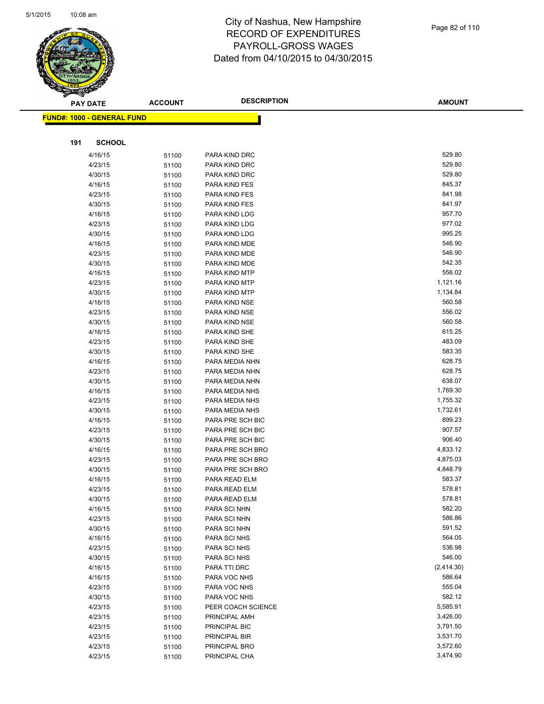

|     | <b>PAY DATE</b>                    | <b>ACCOUNT</b> | <b>DESCRIPTION</b>             | <b>AMOUNT</b>    |
|-----|------------------------------------|----------------|--------------------------------|------------------|
|     | <u> FUND#: 1000 - GENERAL FUND</u> |                |                                |                  |
|     |                                    |                |                                |                  |
|     |                                    |                |                                |                  |
| 191 | <b>SCHOOL</b>                      |                |                                |                  |
|     | 4/16/15                            | 51100          | PARA KIND DRC                  | 529.80           |
|     | 4/23/15                            | 51100          | PARA KIND DRC                  | 529.80           |
|     | 4/30/15                            | 51100          | PARA KIND DRC                  | 529.80           |
|     | 4/16/15                            | 51100          | PARA KIND FES                  | 845.37           |
|     | 4/23/15                            | 51100          | PARA KIND FES                  | 841.98           |
|     | 4/30/15                            | 51100          | PARA KIND FES                  | 841.97           |
|     | 4/16/15                            | 51100          | PARA KIND LDG                  | 957.70           |
|     | 4/23/15                            | 51100          | PARA KIND LDG                  | 977.02           |
|     | 4/30/15                            | 51100          | PARA KIND LDG                  | 995.25           |
|     | 4/16/15                            | 51100          | PARA KIND MDE                  | 546.90           |
|     | 4/23/15                            | 51100          | PARA KIND MDE                  | 546.90           |
|     | 4/30/15                            | 51100          | PARA KIND MDE                  | 542.35           |
|     | 4/16/15                            | 51100          | PARA KIND MTP                  | 556.02           |
|     | 4/23/15                            | 51100          | PARA KIND MTP                  | 1,121.16         |
|     | 4/30/15                            | 51100          | PARA KIND MTP                  | 1,134.84         |
|     | 4/16/15                            | 51100          | PARA KIND NSE                  | 560.58<br>556.02 |
|     | 4/23/15                            | 51100          | PARA KIND NSE                  | 560.58           |
|     | 4/30/15                            | 51100          | PARA KIND NSE<br>PARA KIND SHE | 615.25           |
|     | 4/16/15<br>4/23/15                 | 51100          | PARA KIND SHE                  | 483.09           |
|     | 4/30/15                            | 51100          | PARA KIND SHE                  | 583.35           |
|     | 4/16/15                            | 51100          | PARA MEDIA NHN                 | 628.75           |
|     | 4/23/15                            | 51100<br>51100 | PARA MEDIA NHN                 | 628.75           |
|     | 4/30/15                            | 51100          | PARA MEDIA NHN                 | 638.07           |
|     | 4/16/15                            | 51100          | PARA MEDIA NHS                 | 1,769.30         |
|     | 4/23/15                            | 51100          | PARA MEDIA NHS                 | 1,755.32         |
|     | 4/30/15                            | 51100          | PARA MEDIA NHS                 | 1,732.61         |
|     | 4/16/15                            | 51100          | PARA PRE SCH BIC               | 899.23           |
|     | 4/23/15                            | 51100          | PARA PRE SCH BIC               | 907.57           |
|     | 4/30/15                            | 51100          | PARA PRE SCH BIC               | 906.40           |
|     | 4/16/15                            | 51100          | PARA PRE SCH BRO               | 4,833.12         |
|     | 4/23/15                            | 51100          | PARA PRE SCH BRO               | 4,875.03         |
|     | 4/30/15                            | 51100          | PARA PRE SCH BRO               | 4,848.79         |
|     | 4/16/15                            | 51100          | PARA READ ELM                  | 583.37           |
|     | 4/23/15                            | 51100          | PARA READ ELM                  | 578.81           |
|     | 4/30/15                            | 51100          | PARA READ ELM                  | 578.81           |
|     | 4/16/15                            | 51100          | PARA SCI NHN                   | 582.20           |
|     | 4/23/15                            | 51100          | PARA SCI NHN                   | 586.86           |
|     | 4/30/15                            | 51100          | PARA SCI NHN                   | 591.52           |
|     | 4/16/15                            | 51100          | PARA SCI NHS                   | 564.05           |
|     | 4/23/15                            | 51100          | PARA SCI NHS                   | 536.98           |
|     | 4/30/15                            | 51100          | PARA SCI NHS                   | 546.00           |
|     | 4/16/15                            | 51100          | PARA TTI DRC                   | (2,414.30)       |
|     | 4/16/15                            | 51100          | PARA VOC NHS                   | 586.64           |
|     | 4/23/15                            | 51100          | PARA VOC NHS                   | 555.04           |
|     | 4/30/15                            | 51100          | PARA VOC NHS                   | 582.12           |
|     | 4/23/15                            | 51100          | PEER COACH SCIENCE             | 5,585.91         |
|     | 4/23/15                            | 51100          | PRINCIPAL AMH                  | 3,426.00         |
|     | 4/23/15                            | 51100          | PRINCIPAL BIC                  | 3,791.50         |
|     | 4/23/15                            | 51100          | PRINCIPAL BIR                  | 3,531.70         |
|     | 4/23/15                            | 51100          | PRINCIPAL BRO                  | 3,572.60         |
|     | 4/23/15                            | 51100          | PRINCIPAL CHA                  | 3,474.90         |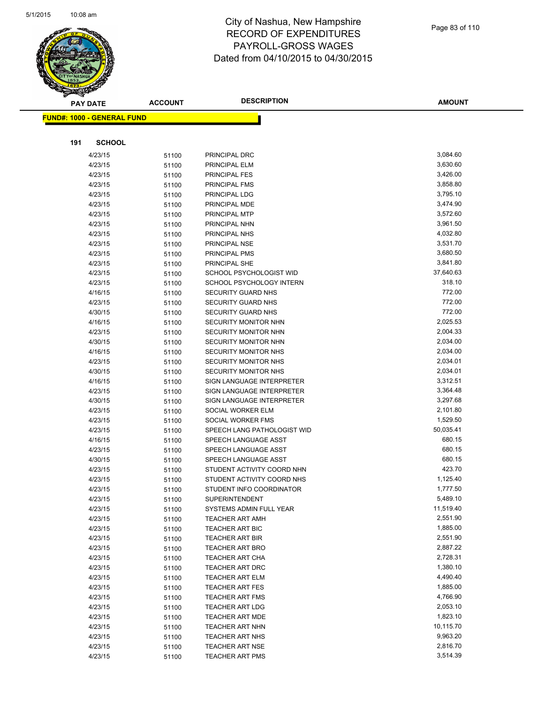

|     | <b>PAY DATE</b>                    | <b>ACCOUNT</b> | <b>DESCRIPTION</b>                                     | AMOUNT                |
|-----|------------------------------------|----------------|--------------------------------------------------------|-----------------------|
|     | <u> FUND#: 1000 - GENERAL FUND</u> |                |                                                        |                       |
|     |                                    |                |                                                        |                       |
|     |                                    |                |                                                        |                       |
| 191 | <b>SCHOOL</b>                      |                |                                                        |                       |
|     | 4/23/15                            | 51100          | PRINCIPAL DRC                                          | 3,084.60              |
|     | 4/23/15                            | 51100          | PRINCIPAL ELM                                          | 3,630.60              |
|     | 4/23/15                            | 51100          | PRINCIPAL FES                                          | 3,426.00              |
|     | 4/23/15                            | 51100          | PRINCIPAL FMS                                          | 3,858.80              |
|     | 4/23/15                            | 51100          | PRINCIPAL LDG                                          | 3,795.10              |
|     | 4/23/15                            | 51100          | PRINCIPAL MDE                                          | 3,474.90              |
|     | 4/23/15                            | 51100          | PRINCIPAL MTP                                          | 3,572.60              |
|     | 4/23/15                            | 51100          | PRINCIPAL NHN                                          | 3,961.50              |
|     | 4/23/15                            | 51100          | PRINCIPAL NHS                                          | 4,032.80              |
|     | 4/23/15                            | 51100          | PRINCIPAL NSE                                          | 3,531.70              |
|     | 4/23/15                            | 51100          | PRINCIPAL PMS                                          | 3,680.50              |
|     | 4/23/15                            | 51100          | PRINCIPAL SHE                                          | 3,841.80<br>37,640.63 |
|     | 4/23/15                            | 51100          | SCHOOL PSYCHOLOGIST WID                                | 318.10                |
|     | 4/23/15                            | 51100          | SCHOOL PSYCHOLOGY INTERN                               | 772.00                |
|     | 4/16/15                            | 51100          | <b>SECURITY GUARD NHS</b><br><b>SECURITY GUARD NHS</b> | 772.00                |
|     | 4/23/15<br>4/30/15                 | 51100          | SECURITY GUARD NHS                                     | 772.00                |
|     | 4/16/15                            | 51100          | SECURITY MONITOR NHN                                   | 2,025.53              |
|     | 4/23/15                            | 51100          | SECURITY MONITOR NHN                                   | 2,004.33              |
|     | 4/30/15                            | 51100          | SECURITY MONITOR NHN                                   | 2,034.00              |
|     | 4/16/15                            | 51100<br>51100 | <b>SECURITY MONITOR NHS</b>                            | 2,034.00              |
|     | 4/23/15                            | 51100          | <b>SECURITY MONITOR NHS</b>                            | 2,034.01              |
|     | 4/30/15                            | 51100          | <b>SECURITY MONITOR NHS</b>                            | 2,034.01              |
|     | 4/16/15                            | 51100          | SIGN LANGUAGE INTERPRETER                              | 3,312.51              |
|     | 4/23/15                            | 51100          | SIGN LANGUAGE INTERPRETER                              | 3,364.48              |
|     | 4/30/15                            | 51100          | SIGN LANGUAGE INTERPRETER                              | 3,297.68              |
|     | 4/23/15                            | 51100          | SOCIAL WORKER ELM                                      | 2,101.80              |
|     | 4/23/15                            | 51100          | SOCIAL WORKER FMS                                      | 1,529.50              |
|     | 4/23/15                            | 51100          | SPEECH LANG PATHOLOGIST WID                            | 50,035.41             |
|     | 4/16/15                            | 51100          | SPEECH LANGUAGE ASST                                   | 680.15                |
|     | 4/23/15                            | 51100          | SPEECH LANGUAGE ASST                                   | 680.15                |
|     | 4/30/15                            | 51100          | SPEECH LANGUAGE ASST                                   | 680.15                |
|     | 4/23/15                            | 51100          | STUDENT ACTIVITY COORD NHN                             | 423.70                |
|     | 4/23/15                            | 51100          | STUDENT ACTIVITY COORD NHS                             | 1,125.40              |
|     | 4/23/15                            | 51100          | STUDENT INFO COORDINATOR                               | 1,777.50              |
|     | 4/23/15                            | 51100          | SUPERINTENDENT                                         | 5,489.10              |
|     | 4/23/15                            | 51100          | SYSTEMS ADMIN FULL YEAR                                | 11,519.40             |
|     | 4/23/15                            | 51100          | <b>TEACHER ART AMH</b>                                 | 2,551.90              |
|     | 4/23/15                            | 51100          | <b>TEACHER ART BIC</b>                                 | 1,885.00              |
|     | 4/23/15                            | 51100          | <b>TEACHER ART BIR</b>                                 | 2,551.90              |
|     | 4/23/15                            | 51100          | <b>TEACHER ART BRO</b>                                 | 2,887.22              |
|     | 4/23/15                            | 51100          | TEACHER ART CHA                                        | 2,728.31              |
|     | 4/23/15                            | 51100          | TEACHER ART DRC                                        | 1,380.10              |
|     | 4/23/15                            | 51100          | <b>TEACHER ART ELM</b>                                 | 4,490.40              |
|     | 4/23/15                            | 51100          | <b>TEACHER ART FES</b>                                 | 1,885.00              |
|     | 4/23/15                            | 51100          | <b>TEACHER ART FMS</b>                                 | 4,766.90              |
|     | 4/23/15                            | 51100          | <b>TEACHER ART LDG</b>                                 | 2,053.10              |
|     | 4/23/15                            | 51100          | <b>TEACHER ART MDE</b>                                 | 1,823.10              |
|     | 4/23/15                            | 51100          | TEACHER ART NHN                                        | 10,115.70             |
|     | 4/23/15                            | 51100          | <b>TEACHER ART NHS</b>                                 | 9,963.20              |
|     | 4/23/15                            | 51100          | <b>TEACHER ART NSE</b>                                 | 2,816.70              |
|     | 4/23/15                            | 51100          | <b>TEACHER ART PMS</b>                                 | 3,514.39              |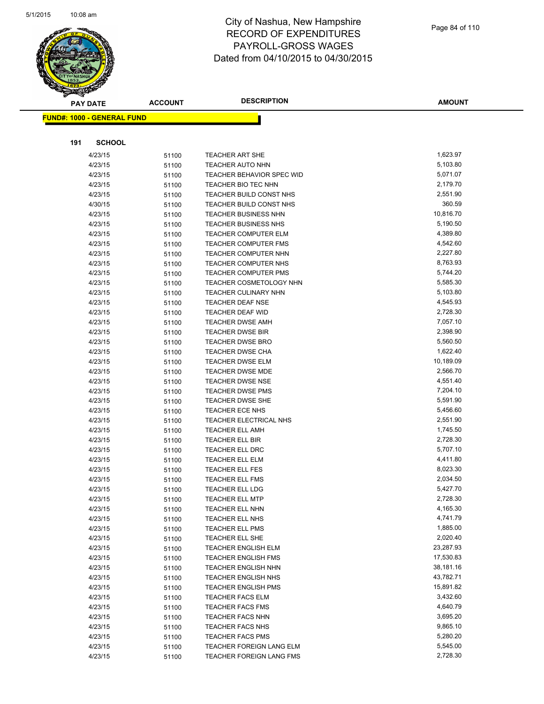

| <b>PAY DATE</b> |                                   | <b>ACCOUNT</b> | <b>DESCRIPTION</b>                                 | <b>AMOUNT</b>        |
|-----------------|-----------------------------------|----------------|----------------------------------------------------|----------------------|
|                 | <b>FUND#: 1000 - GENERAL FUND</b> |                |                                                    |                      |
|                 |                                   |                |                                                    |                      |
|                 |                                   |                |                                                    |                      |
| 191             | <b>SCHOOL</b>                     |                |                                                    |                      |
|                 | 4/23/15                           | 51100          | <b>TEACHER ART SHE</b>                             | 1,623.97             |
|                 | 4/23/15                           | 51100          | <b>TEACHER AUTO NHN</b>                            | 5,103.80             |
|                 | 4/23/15                           | 51100          | <b>TEACHER BEHAVIOR SPEC WID</b>                   | 5,071.07             |
|                 | 4/23/15                           | 51100          | TEACHER BIO TEC NHN                                | 2,179.70             |
|                 | 4/23/15                           | 51100          | TEACHER BUILD CONST NHS                            | 2,551.90             |
|                 | 4/30/15                           | 51100          | TEACHER BUILD CONST NHS                            | 360.59               |
|                 | 4/23/15                           | 51100          | <b>TEACHER BUSINESS NHN</b>                        | 10,816.70            |
|                 | 4/23/15                           | 51100          | <b>TEACHER BUSINESS NHS</b>                        | 5,190.50             |
|                 | 4/23/15                           | 51100          | <b>TEACHER COMPUTER ELM</b>                        | 4,389.80             |
|                 | 4/23/15                           | 51100          | <b>TEACHER COMPUTER FMS</b>                        | 4,542.60             |
|                 | 4/23/15                           | 51100          | <b>TEACHER COMPUTER NHN</b>                        | 2,227.80             |
|                 | 4/23/15                           | 51100          | TEACHER COMPUTER NHS                               | 8,763.93             |
|                 | 4/23/15                           | 51100          | <b>TEACHER COMPUTER PMS</b>                        | 5,744.20             |
|                 | 4/23/15                           | 51100          | TEACHER COSMETOLOGY NHN                            | 5,585.30             |
|                 | 4/23/15                           | 51100          | <b>TEACHER CULINARY NHN</b>                        | 5,103.80             |
|                 | 4/23/15                           | 51100          | <b>TEACHER DEAF NSE</b>                            | 4,545.93             |
|                 | 4/23/15                           | 51100          | TEACHER DEAF WID                                   | 2,728.30             |
|                 | 4/23/15                           | 51100          | TEACHER DWSE AMH                                   | 7,057.10             |
|                 | 4/23/15                           | 51100          | <b>TEACHER DWSE BIR</b>                            | 2,398.90             |
|                 | 4/23/15                           | 51100          | <b>TEACHER DWSE BRO</b>                            | 5,560.50             |
|                 | 4/23/15                           | 51100          | <b>TEACHER DWSE CHA</b>                            | 1,622.40             |
|                 | 4/23/15                           | 51100          | <b>TEACHER DWSE ELM</b>                            | 10,189.09            |
|                 | 4/23/15                           | 51100          | <b>TEACHER DWSE MDE</b>                            | 2,566.70             |
|                 | 4/23/15                           | 51100          | <b>TEACHER DWSE NSE</b>                            | 4,551.40<br>7,204.10 |
|                 | 4/23/15                           | 51100          | <b>TEACHER DWSE PMS</b><br><b>TEACHER DWSE SHE</b> | 5,591.90             |
|                 | 4/23/15                           | 51100          | <b>TEACHER ECE NHS</b>                             | 5,456.60             |
|                 | 4/23/15<br>4/23/15                | 51100          | TEACHER ELECTRICAL NHS                             | 2,551.90             |
|                 | 4/23/15                           | 51100          | <b>TEACHER ELL AMH</b>                             | 1,745.50             |
|                 | 4/23/15                           | 51100          | TEACHER ELL BIR                                    | 2,728.30             |
|                 | 4/23/15                           | 51100<br>51100 | TEACHER ELL DRC                                    | 5,707.10             |
|                 | 4/23/15                           | 51100          | <b>TEACHER ELL ELM</b>                             | 4,411.80             |
|                 | 4/23/15                           | 51100          | <b>TEACHER ELL FES</b>                             | 8,023.30             |
|                 | 4/23/15                           | 51100          | TEACHER ELL FMS                                    | 2,034.50             |
|                 | 4/23/15                           | 51100          | <b>TEACHER ELL LDG</b>                             | 5,427.70             |
|                 | 4/23/15                           | 51100          | <b>TEACHER ELL MTP</b>                             | 2,728.30             |
|                 | 4/23/15                           | 51100          | TEACHER ELL NHN                                    | 4,165.30             |
|                 | 4/23/15                           | 51100          | TEACHER ELL NHS                                    | 4,741.79             |
|                 | 4/23/15                           | 51100          | <b>TEACHER ELL PMS</b>                             | 1,885.00             |
|                 | 4/23/15                           | 51100          | TEACHER ELL SHE                                    | 2,020.40             |
|                 | 4/23/15                           | 51100          | <b>TEACHER ENGLISH ELM</b>                         | 23,287.93            |
|                 | 4/23/15                           | 51100          | <b>TEACHER ENGLISH FMS</b>                         | 17,530.83            |
|                 | 4/23/15                           | 51100          | <b>TEACHER ENGLISH NHN</b>                         | 38,181.16            |
|                 | 4/23/15                           | 51100          | <b>TEACHER ENGLISH NHS</b>                         | 43,782.71            |
|                 | 4/23/15                           | 51100          | <b>TEACHER ENGLISH PMS</b>                         | 15,891.82            |
|                 | 4/23/15                           | 51100          | <b>TEACHER FACS ELM</b>                            | 3,432.60             |
|                 | 4/23/15                           | 51100          | <b>TEACHER FACS FMS</b>                            | 4,640.79             |
|                 | 4/23/15                           | 51100          | <b>TEACHER FACS NHN</b>                            | 3,695.20             |
|                 | 4/23/15                           | 51100          | TEACHER FACS NHS                                   | 9,865.10             |
|                 | 4/23/15                           | 51100          | <b>TEACHER FACS PMS</b>                            | 5,280.20             |
|                 | 4/23/15                           | 51100          | TEACHER FOREIGN LANG ELM                           | 5,545.00             |
|                 | 4/23/15                           | 51100          | TEACHER FOREIGN LANG FMS                           | 2,728.30             |
|                 |                                   |                |                                                    |                      |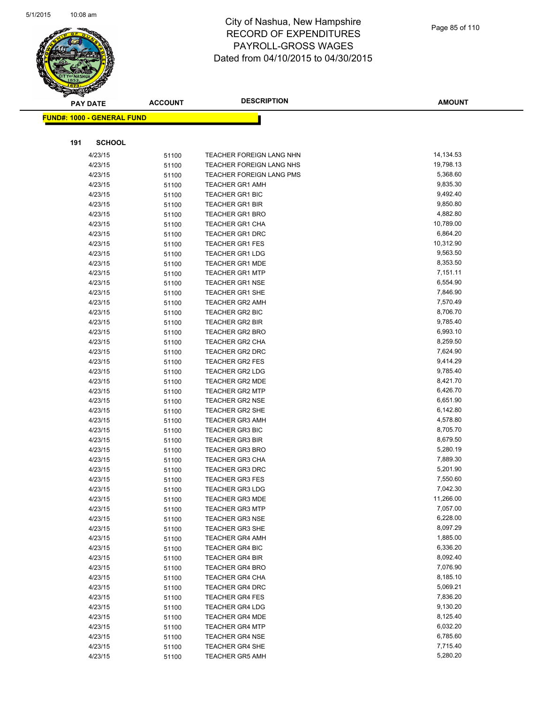

|     | <b>PAY DATE</b>                    | <b>ACCOUNT</b> | <b>DESCRIPTION</b>       | <b>AMOUNT</b> |
|-----|------------------------------------|----------------|--------------------------|---------------|
|     | <u> FUND#: 1000 - GENERAL FUND</u> |                |                          |               |
|     |                                    |                |                          |               |
|     |                                    |                |                          |               |
| 191 | <b>SCHOOL</b>                      |                |                          |               |
|     | 4/23/15                            | 51100          | TEACHER FOREIGN LANG NHN | 14,134.53     |
|     | 4/23/15                            | 51100          | TEACHER FOREIGN LANG NHS | 19,798.13     |
|     | 4/23/15                            | 51100          | TEACHER FOREIGN LANG PMS | 5,368.60      |
|     | 4/23/15                            | 51100          | <b>TEACHER GR1 AMH</b>   | 9,835.30      |
|     | 4/23/15                            | 51100          | <b>TEACHER GR1 BIC</b>   | 9,492.40      |
|     | 4/23/15                            | 51100          | <b>TEACHER GR1 BIR</b>   | 9,850.80      |
|     | 4/23/15                            | 51100          | <b>TEACHER GR1 BRO</b>   | 4,882.80      |
|     | 4/23/15                            | 51100          | <b>TEACHER GR1 CHA</b>   | 10,789.00     |
|     | 4/23/15                            | 51100          | <b>TEACHER GR1 DRC</b>   | 6,864.20      |
|     | 4/23/15                            | 51100          | <b>TEACHER GR1 FES</b>   | 10,312.90     |
|     | 4/23/15                            | 51100          | <b>TEACHER GR1 LDG</b>   | 9,563.50      |
|     | 4/23/15                            | 51100          | <b>TEACHER GR1 MDE</b>   | 8,353.50      |
|     | 4/23/15                            | 51100          | <b>TEACHER GR1 MTP</b>   | 7,151.11      |
|     | 4/23/15                            | 51100          | <b>TEACHER GR1 NSE</b>   | 6,554.90      |
|     | 4/23/15                            | 51100          | <b>TEACHER GR1 SHE</b>   | 7,846.90      |
|     | 4/23/15                            | 51100          | <b>TEACHER GR2 AMH</b>   | 7,570.49      |
|     | 4/23/15                            | 51100          | <b>TEACHER GR2 BIC</b>   | 8,706.70      |
|     | 4/23/15                            | 51100          | <b>TEACHER GR2 BIR</b>   | 9,785.40      |
|     | 4/23/15                            | 51100          | <b>TEACHER GR2 BRO</b>   | 6,993.10      |
|     | 4/23/15                            | 51100          | <b>TEACHER GR2 CHA</b>   | 8,259.50      |
|     | 4/23/15                            | 51100          | TEACHER GR2 DRC          | 7,624.90      |
|     | 4/23/15                            | 51100          | <b>TEACHER GR2 FES</b>   | 9,414.29      |
|     | 4/23/15                            | 51100          | TEACHER GR2 LDG          | 9,785.40      |
|     | 4/23/15                            | 51100          | TEACHER GR2 MDE          | 8,421.70      |
|     | 4/23/15                            | 51100          | <b>TEACHER GR2 MTP</b>   | 6,426.70      |
|     | 4/23/15                            | 51100          | <b>TEACHER GR2 NSE</b>   | 6,651.90      |
|     | 4/23/15                            | 51100          | <b>TEACHER GR2 SHE</b>   | 6,142.80      |
|     | 4/23/15                            | 51100          | <b>TEACHER GR3 AMH</b>   | 4,578.80      |
|     | 4/23/15                            | 51100          | <b>TEACHER GR3 BIC</b>   | 8,705.70      |
|     | 4/23/15                            | 51100          | <b>TEACHER GR3 BIR</b>   | 8,679.50      |
|     | 4/23/15                            | 51100          | <b>TEACHER GR3 BRO</b>   | 5,280.19      |
|     | 4/23/15                            | 51100          | <b>TEACHER GR3 CHA</b>   | 7,889.30      |
|     | 4/23/15                            | 51100          | TEACHER GR3 DRC          | 5,201.90      |
|     | 4/23/15                            | 51100          | <b>TEACHER GR3 FES</b>   | 7,550.60      |
|     | 4/23/15                            | 51100          | <b>TEACHER GR3 LDG</b>   | 7,042.30      |
|     | 4/23/15                            | 51100          | TEACHER GR3 MDE          | 11,266.00     |
|     | 4/23/15                            | 51100          | <b>TEACHER GR3 MTP</b>   | 7,057.00      |
|     | 4/23/15                            | 51100          | <b>TEACHER GR3 NSE</b>   | 6,228.00      |
|     | 4/23/15                            | 51100          | <b>TEACHER GR3 SHE</b>   | 8,097.29      |
|     | 4/23/15                            | 51100          | <b>TEACHER GR4 AMH</b>   | 1,885.00      |
|     | 4/23/15                            | 51100          | <b>TEACHER GR4 BIC</b>   | 6,336.20      |
|     | 4/23/15                            | 51100          | <b>TEACHER GR4 BIR</b>   | 8,092.40      |
|     | 4/23/15                            | 51100          | <b>TEACHER GR4 BRO</b>   | 7,076.90      |
|     | 4/23/15                            | 51100          | <b>TEACHER GR4 CHA</b>   | 8,185.10      |
|     | 4/23/15                            | 51100          | <b>TEACHER GR4 DRC</b>   | 5,069.21      |
|     | 4/23/15                            | 51100          | <b>TEACHER GR4 FES</b>   | 7,836.20      |
|     | 4/23/15                            | 51100          | <b>TEACHER GR4 LDG</b>   | 9,130.20      |
|     | 4/23/15                            | 51100          | <b>TEACHER GR4 MDE</b>   | 8,125.40      |
|     | 4/23/15                            | 51100          | <b>TEACHER GR4 MTP</b>   | 6,032.20      |
|     | 4/23/15                            | 51100          | <b>TEACHER GR4 NSE</b>   | 6,785.60      |
|     | 4/23/15                            | 51100          | <b>TEACHER GR4 SHE</b>   | 7,715.40      |
|     | 4/23/15                            | 51100          | <b>TEACHER GR5 AMH</b>   | 5,280.20      |
|     |                                    |                |                          |               |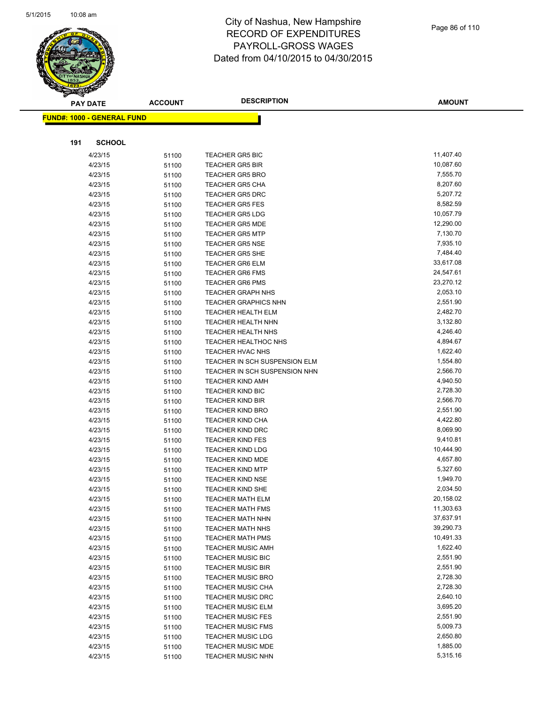

|     | <b>PAY DATE</b>                   | <b>ACCOUNT</b> | <b>DESCRIPTION</b>                               | <b>AMOUNT</b>          |
|-----|-----------------------------------|----------------|--------------------------------------------------|------------------------|
|     | <b>FUND#: 1000 - GENERAL FUND</b> |                |                                                  |                        |
|     |                                   |                |                                                  |                        |
|     |                                   |                |                                                  |                        |
| 191 | <b>SCHOOL</b>                     |                |                                                  |                        |
|     | 4/23/15                           | 51100          | <b>TEACHER GR5 BIC</b>                           | 11,407.40              |
|     | 4/23/15                           | 51100          | <b>TEACHER GR5 BIR</b>                           | 10,087.60              |
|     | 4/23/15                           | 51100          | <b>TEACHER GR5 BRO</b>                           | 7,555.70               |
|     | 4/23/15                           | 51100          | <b>TEACHER GR5 CHA</b>                           | 8,207.60               |
|     | 4/23/15                           | 51100          | <b>TEACHER GR5 DRC</b>                           | 5,207.72               |
|     | 4/23/15                           | 51100          | <b>TEACHER GR5 FES</b>                           | 8,582.59               |
|     | 4/23/15                           | 51100          | <b>TEACHER GR5 LDG</b>                           | 10,057.79              |
|     | 4/23/15                           | 51100          | <b>TEACHER GR5 MDE</b>                           | 12,290.00              |
|     | 4/23/15                           | 51100          | <b>TEACHER GR5 MTP</b>                           | 7,130.70               |
|     | 4/23/15                           | 51100          | <b>TEACHER GR5 NSE</b>                           | 7,935.10               |
|     | 4/23/15                           | 51100          | <b>TEACHER GR5 SHE</b>                           | 7,484.40               |
|     | 4/23/15                           | 51100          | <b>TEACHER GR6 ELM</b>                           | 33,617.08              |
|     | 4/23/15                           | 51100          | <b>TEACHER GR6 FMS</b><br><b>TEACHER GR6 PMS</b> | 24,547.61<br>23,270.12 |
|     | 4/23/15<br>4/23/15                | 51100          | <b>TEACHER GRAPH NHS</b>                         | 2,053.10               |
|     | 4/23/15                           | 51100<br>51100 | <b>TEACHER GRAPHICS NHN</b>                      | 2,551.90               |
|     | 4/23/15                           | 51100          | <b>TEACHER HEALTH ELM</b>                        | 2,482.70               |
|     | 4/23/15                           | 51100          | TEACHER HEALTH NHN                               | 3,132.80               |
|     | 4/23/15                           | 51100          | <b>TEACHER HEALTH NHS</b>                        | 4,246.40               |
|     | 4/23/15                           | 51100          | TEACHER HEALTHOC NHS                             | 4,894.67               |
|     | 4/23/15                           | 51100          | TEACHER HVAC NHS                                 | 1,622.40               |
|     | 4/23/15                           | 51100          | TEACHER IN SCH SUSPENSION ELM                    | 1,554.80               |
|     | 4/23/15                           | 51100          | TEACHER IN SCH SUSPENSION NHN                    | 2,566.70               |
|     | 4/23/15                           | 51100          | <b>TEACHER KIND AMH</b>                          | 4,940.50               |
|     | 4/23/15                           | 51100          | <b>TEACHER KIND BIC</b>                          | 2,728.30               |
|     | 4/23/15                           | 51100          | <b>TEACHER KIND BIR</b>                          | 2,566.70               |
|     | 4/23/15                           | 51100          | <b>TEACHER KIND BRO</b>                          | 2,551.90               |
|     | 4/23/15                           | 51100          | <b>TEACHER KIND CHA</b>                          | 4,422.80               |
|     | 4/23/15                           | 51100          | <b>TEACHER KIND DRC</b>                          | 8,069.90               |
|     | 4/23/15                           | 51100          | <b>TEACHER KIND FES</b>                          | 9,410.81               |
|     | 4/23/15                           | 51100          | <b>TEACHER KIND LDG</b>                          | 10,444.90              |
|     | 4/23/15                           | 51100          | TEACHER KIND MDE                                 | 4,657.80               |
|     | 4/23/15                           | 51100          | <b>TEACHER KIND MTP</b>                          | 5,327.60               |
|     | 4/23/15                           | 51100          | <b>TEACHER KIND NSE</b>                          | 1,949.70               |
|     | 4/23/15                           | 51100          | <b>TEACHER KIND SHE</b>                          | 2,034.50               |
|     | 4/23/15                           | 51100          | <b>TEACHER MATH ELM</b>                          | 20,158.02              |
|     | 4/23/15                           | 51100          | <b>TEACHER MATH FMS</b>                          | 11,303.63              |
|     | 4/23/15                           | 51100          | <b>TEACHER MATH NHN</b>                          | 37,637.91              |
|     | 4/23/15                           | 51100          | <b>TEACHER MATH NHS</b>                          | 39,290.73              |
|     | 4/23/15                           | 51100          | <b>TEACHER MATH PMS</b>                          | 10,491.33              |
|     | 4/23/15                           | 51100          | <b>TEACHER MUSIC AMH</b>                         | 1,622.40               |
|     | 4/23/15                           | 51100          | <b>TEACHER MUSIC BIC</b>                         | 2,551.90               |
|     | 4/23/15                           | 51100          | <b>TEACHER MUSIC BIR</b>                         | 2,551.90               |
|     | 4/23/15                           | 51100          | <b>TEACHER MUSIC BRO</b>                         | 2,728.30               |
|     | 4/23/15                           | 51100          | <b>TEACHER MUSIC CHA</b>                         | 2,728.30               |
|     | 4/23/15                           | 51100          | <b>TEACHER MUSIC DRC</b>                         | 2,640.10               |
|     | 4/23/15                           | 51100          | <b>TEACHER MUSIC ELM</b>                         | 3,695.20               |
|     | 4/23/15                           | 51100          | <b>TEACHER MUSIC FES</b>                         | 2,551.90               |
|     | 4/23/15                           | 51100          | <b>TEACHER MUSIC FMS</b>                         | 5,009.73               |
|     | 4/23/15                           | 51100          | <b>TEACHER MUSIC LDG</b>                         | 2,650.80               |
|     | 4/23/15                           | 51100          | <b>TEACHER MUSIC MDE</b>                         | 1,885.00               |
|     | 4/23/15                           | 51100          | <b>TEACHER MUSIC NHN</b>                         | 5,315.16               |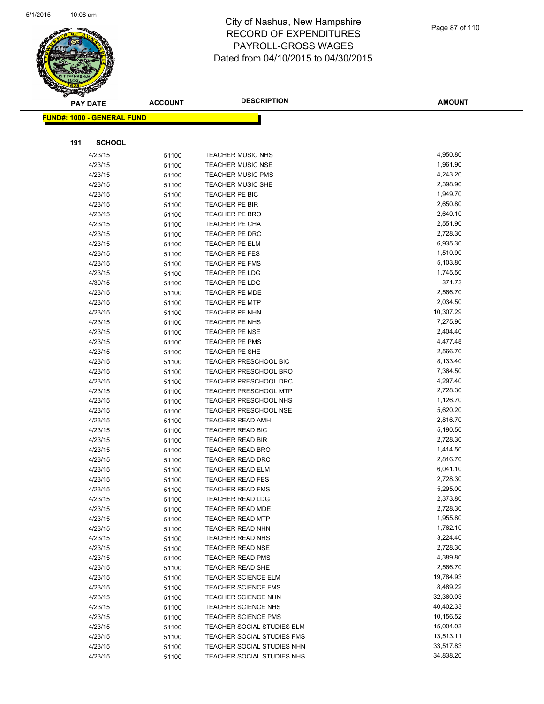

|     | <b>PAY DATE</b>                    | <b>ACCOUNT</b> | <b>DESCRIPTION</b>                             | <b>AMOUNT</b>      |
|-----|------------------------------------|----------------|------------------------------------------------|--------------------|
|     | <u> FUND#: 1000 - GENERAL FUND</u> |                |                                                |                    |
|     |                                    |                |                                                |                    |
|     |                                    |                |                                                |                    |
| 191 | <b>SCHOOL</b>                      |                |                                                |                    |
|     | 4/23/15                            | 51100          | <b>TEACHER MUSIC NHS</b>                       | 4,950.80           |
|     | 4/23/15                            | 51100          | <b>TEACHER MUSIC NSE</b>                       | 1,961.90           |
|     | 4/23/15                            | 51100          | <b>TEACHER MUSIC PMS</b>                       | 4,243.20           |
|     | 4/23/15                            | 51100          | <b>TEACHER MUSIC SHE</b>                       | 2,398.90           |
|     | 4/23/15                            | 51100          | TEACHER PE BIC                                 | 1,949.70           |
|     | 4/23/15                            | 51100          | TEACHER PE BIR                                 | 2,650.80           |
|     | 4/23/15                            | 51100          | TEACHER PE BRO                                 | 2,640.10           |
|     | 4/23/15                            | 51100          | TEACHER PE CHA                                 | 2,551.90           |
|     | 4/23/15                            | 51100          | TEACHER PE DRC                                 | 2,728.30           |
|     | 4/23/15                            | 51100          | <b>TEACHER PE ELM</b>                          | 6,935.30           |
|     | 4/23/15                            | 51100          | TEACHER PE FES                                 | 1,510.90           |
|     | 4/23/15                            | 51100          | <b>TEACHER PE FMS</b>                          | 5,103.80           |
|     | 4/23/15                            | 51100          | TEACHER PE LDG<br><b>TEACHER PE LDG</b>        | 1,745.50<br>371.73 |
|     | 4/30/15<br>4/23/15                 | 51100          |                                                | 2,566.70           |
|     |                                    | 51100          | <b>TEACHER PE MDE</b><br><b>TEACHER PE MTP</b> | 2,034.50           |
|     | 4/23/15<br>4/23/15                 | 51100          | TEACHER PE NHN                                 | 10,307.29          |
|     | 4/23/15                            | 51100          | TEACHER PE NHS                                 | 7,275.90           |
|     | 4/23/15                            | 51100          | <b>TEACHER PE NSE</b>                          | 2,404.40           |
|     | 4/23/15                            | 51100          | TEACHER PE PMS                                 | 4,477.48           |
|     | 4/23/15                            | 51100          | TEACHER PE SHE                                 | 2,566.70           |
|     | 4/23/15                            | 51100<br>51100 | <b>TEACHER PRESCHOOL BIC</b>                   | 8,133.40           |
|     | 4/23/15                            | 51100          | TEACHER PRESCHOOL BRO                          | 7,364.50           |
|     | 4/23/15                            | 51100          | TEACHER PRESCHOOL DRC                          | 4,297.40           |
|     | 4/23/15                            | 51100          | TEACHER PRESCHOOL MTP                          | 2,728.30           |
|     | 4/23/15                            | 51100          | <b>TEACHER PRESCHOOL NHS</b>                   | 1,126.70           |
|     | 4/23/15                            | 51100          | <b>TEACHER PRESCHOOL NSE</b>                   | 5,620.20           |
|     | 4/23/15                            | 51100          | <b>TEACHER READ AMH</b>                        | 2,816.70           |
|     | 4/23/15                            | 51100          | TEACHER READ BIC                               | 5,190.50           |
|     | 4/23/15                            | 51100          | <b>TEACHER READ BIR</b>                        | 2,728.30           |
|     | 4/23/15                            | 51100          | <b>TEACHER READ BRO</b>                        | 1,414.50           |
|     | 4/23/15                            | 51100          | <b>TEACHER READ DRC</b>                        | 2,816.70           |
|     | 4/23/15                            | 51100          | <b>TEACHER READ ELM</b>                        | 6,041.10           |
|     | 4/23/15                            | 51100          | <b>TEACHER READ FES</b>                        | 2,728.30           |
|     | 4/23/15                            | 51100          | <b>TEACHER READ FMS</b>                        | 5,295.00           |
|     | 4/23/15                            | 51100          | TEACHER READ LDG                               | 2,373.80           |
|     | 4/23/15                            | 51100          | <b>TEACHER READ MDE</b>                        | 2,728.30           |
|     | 4/23/15                            | 51100          | <b>TEACHER READ MTP</b>                        | 1,955.80           |
|     | 4/23/15                            | 51100          | <b>TEACHER READ NHN</b>                        | 1,762.10           |
|     | 4/23/15                            | 51100          | <b>TEACHER READ NHS</b>                        | 3,224.40           |
|     | 4/23/15                            | 51100          | <b>TEACHER READ NSE</b>                        | 2,728.30           |
|     | 4/23/15                            | 51100          | TEACHER READ PMS                               | 4,389.80           |
|     | 4/23/15                            | 51100          | <b>TEACHER READ SHE</b>                        | 2,566.70           |
|     | 4/23/15                            | 51100          | TEACHER SCIENCE ELM                            | 19,784.93          |
|     | 4/23/15                            | 51100          | <b>TEACHER SCIENCE FMS</b>                     | 8,489.22           |
|     | 4/23/15                            | 51100          | <b>TEACHER SCIENCE NHN</b>                     | 32,360.03          |
|     | 4/23/15                            | 51100          | <b>TEACHER SCIENCE NHS</b>                     | 40,402.33          |
|     | 4/23/15                            | 51100          | <b>TEACHER SCIENCE PMS</b>                     | 10,156.52          |
|     | 4/23/15                            | 51100          | TEACHER SOCIAL STUDIES ELM                     | 15,004.03          |
|     | 4/23/15                            | 51100          | TEACHER SOCIAL STUDIES FMS                     | 13,513.11          |
|     | 4/23/15                            | 51100          | TEACHER SOCIAL STUDIES NHN                     | 33,517.83          |
|     | 4/23/15                            | 51100          | TEACHER SOCIAL STUDIES NHS                     | 34,838.20          |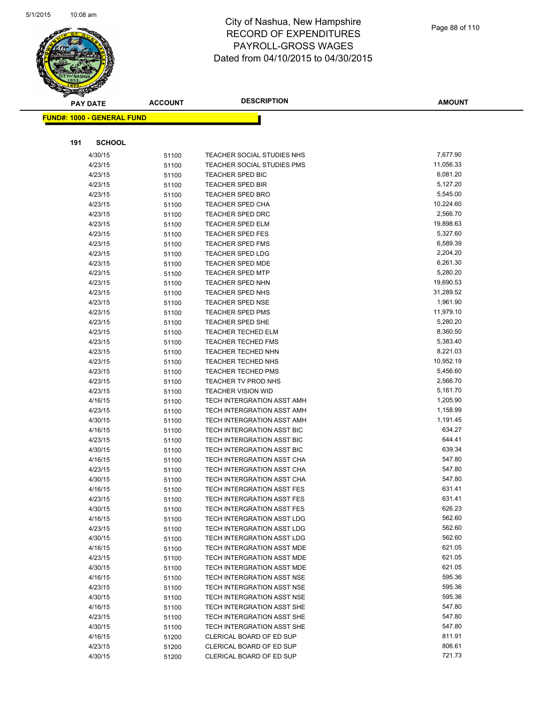

|     | <b>PAY DATE</b>                   | <b>ACCOUNT</b> | <b>DESCRIPTION</b>                               | <b>AMOUNT</b>         |
|-----|-----------------------------------|----------------|--------------------------------------------------|-----------------------|
|     | <b>FUND#: 1000 - GENERAL FUND</b> |                |                                                  |                       |
|     |                                   |                |                                                  |                       |
| 191 | <b>SCHOOL</b>                     |                |                                                  |                       |
|     | 4/30/15                           | 51100          | TEACHER SOCIAL STUDIES NHS                       | 7,677.90              |
|     | 4/23/15                           | 51100          | <b>TEACHER SOCIAL STUDIES PMS</b>                | 11,056.33             |
|     | 4/23/15                           | 51100          | <b>TEACHER SPED BIC</b>                          | 6,081.20              |
|     | 4/23/15                           | 51100          | <b>TEACHER SPED BIR</b>                          | 5,127.20              |
|     | 4/23/15                           | 51100          | <b>TEACHER SPED BRO</b>                          | 5,545.00              |
|     | 4/23/15                           | 51100          | <b>TEACHER SPED CHA</b>                          | 10,224.60             |
|     | 4/23/15                           | 51100          | <b>TEACHER SPED DRC</b>                          | 2,566.70              |
|     | 4/23/15                           | 51100          | <b>TEACHER SPED ELM</b>                          | 19,898.63             |
|     | 4/23/15                           | 51100          | <b>TEACHER SPED FES</b>                          | 5,327.60              |
|     | 4/23/15                           | 51100          | <b>TEACHER SPED FMS</b>                          | 6,589.39              |
|     | 4/23/15                           | 51100          | <b>TEACHER SPED LDG</b>                          | 2,204.20              |
|     | 4/23/15                           | 51100          | <b>TEACHER SPED MDE</b>                          | 6,261.30              |
|     | 4/23/15                           | 51100          | TEACHER SPED MTP                                 | 5,280.20              |
|     | 4/23/15                           | 51100          | <b>TEACHER SPED NHN</b>                          | 19,690.53             |
|     | 4/23/15                           | 51100          | <b>TEACHER SPED NHS</b>                          | 31,289.52             |
|     | 4/23/15                           | 51100          | <b>TEACHER SPED NSE</b>                          | 1,961.90              |
|     | 4/23/15                           | 51100          | <b>TEACHER SPED PMS</b>                          | 11,979.10             |
|     | 4/23/15                           | 51100          | TEACHER SPED SHE                                 | 5,280.20              |
|     | 4/23/15                           | 51100          | <b>TEACHER TECHED ELM</b>                        | 8,360.50              |
|     | 4/23/15                           | 51100          | <b>TEACHER TECHED FMS</b>                        | 5,383.40              |
|     | 4/23/15                           | 51100          | <b>TEACHER TECHED NHN</b>                        | 8,221.03<br>10,952.19 |
|     | 4/23/15                           | 51100          | <b>TEACHER TECHED NHS</b>                        | 5,456.60              |
|     | 4/23/15                           | 51100          | <b>TEACHER TECHED PMS</b>                        | 2,566.70              |
|     | 4/23/15<br>4/23/15                | 51100          | TEACHER TV PROD NHS<br><b>TEACHER VISION WID</b> | 5,161.70              |
|     | 4/16/15                           | 51100<br>51100 | TECH INTERGRATION ASST AMH                       | 1,205.90              |
|     | 4/23/15                           | 51100          | TECH INTERGRATION ASST AMH                       | 1,158.99              |
|     | 4/30/15                           | 51100          | TECH INTERGRATION ASST AMH                       | 1,191.45              |
|     | 4/16/15                           | 51100          | TECH INTERGRATION ASST BIC                       | 634.27                |
|     | 4/23/15                           | 51100          | TECH INTERGRATION ASST BIC                       | 644.41                |
|     | 4/30/15                           | 51100          | <b>TECH INTERGRATION ASST BIC</b>                | 639.34                |
|     | 4/16/15                           | 51100          | TECH INTERGRATION ASST CHA                       | 547.80                |
|     | 4/23/15                           | 51100          | TECH INTERGRATION ASST CHA                       | 547.80                |
|     | 4/30/15                           | 51100          | TECH INTERGRATION ASST CHA                       | 547.80                |
|     | 4/16/15                           | 51100          | <b>TECH INTERGRATION ASST FES</b>                | 631.41                |
|     | 4/23/15                           | 51100          | TECH INTERGRATION ASST FES                       | 631.41                |
|     | 4/30/15                           | 51100          | TECH INTERGRATION ASST FES                       | 626.23                |
|     | 4/16/15                           | 51100          | TECH INTERGRATION ASST LDG                       | 562.60                |
|     | 4/23/15                           | 51100          | TECH INTERGRATION ASST LDG                       | 562.60                |
|     | 4/30/15                           | 51100          | TECH INTERGRATION ASST LDG                       | 562.60                |
|     | 4/16/15                           | 51100          | TECH INTERGRATION ASST MDE                       | 621.05                |
|     | 4/23/15                           | 51100          | TECH INTERGRATION ASST MDE                       | 621.05                |
|     | 4/30/15                           | 51100          | TECH INTERGRATION ASST MDE                       | 621.05                |
|     | 4/16/15                           | 51100          | <b>TECH INTERGRATION ASST NSE</b>                | 595.36                |
|     | 4/23/15                           | 51100          | <b>TECH INTERGRATION ASST NSE</b>                | 595.36                |
|     | 4/30/15                           | 51100          | TECH INTERGRATION ASST NSE                       | 595.36                |
|     | 4/16/15                           | 51100          | <b>TECH INTERGRATION ASST SHE</b>                | 547.80                |
|     | 4/23/15                           | 51100          | TECH INTERGRATION ASST SHE                       | 547.80                |
|     | 4/30/15                           | 51100          | TECH INTERGRATION ASST SHE                       | 547.80                |
|     | 4/16/15                           | 51200          | CLERICAL BOARD OF ED SUP                         | 811.91                |
|     | 4/23/15                           | 51200          | CLERICAL BOARD OF ED SUP                         | 806.61                |
|     | 4/30/15                           | 51200          | CLERICAL BOARD OF ED SUP                         | 721.73                |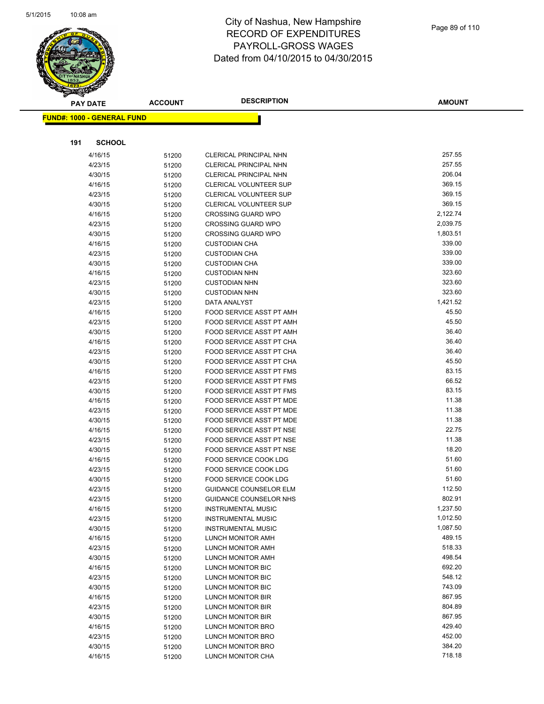

|     | <b>PAY DATE</b>                   | <b>ACCOUNT</b> | <b>DESCRIPTION</b>              | <b>AMOUNT</b> |
|-----|-----------------------------------|----------------|---------------------------------|---------------|
|     | <b>FUND#: 1000 - GENERAL FUND</b> |                |                                 |               |
|     |                                   |                |                                 |               |
|     |                                   |                |                                 |               |
| 191 | <b>SCHOOL</b>                     |                |                                 |               |
|     | 4/16/15                           | 51200          | <b>CLERICAL PRINCIPAL NHN</b>   | 257.55        |
|     | 4/23/15                           | 51200          | CLERICAL PRINCIPAL NHN          | 257.55        |
|     | 4/30/15                           | 51200          | CLERICAL PRINCIPAL NHN          | 206.04        |
|     | 4/16/15                           | 51200          | <b>CLERICAL VOLUNTEER SUP</b>   | 369.15        |
|     | 4/23/15                           | 51200          | CLERICAL VOLUNTEER SUP          | 369.15        |
|     | 4/30/15                           | 51200          | <b>CLERICAL VOLUNTEER SUP</b>   | 369.15        |
|     | 4/16/15                           | 51200          | <b>CROSSING GUARD WPO</b>       | 2,122.74      |
|     | 4/23/15                           | 51200          | <b>CROSSING GUARD WPO</b>       | 2,039.75      |
|     | 4/30/15                           | 51200          | <b>CROSSING GUARD WPO</b>       | 1,803.51      |
|     | 4/16/15                           | 51200          | <b>CUSTODIAN CHA</b>            | 339.00        |
|     | 4/23/15                           | 51200          | <b>CUSTODIAN CHA</b>            | 339.00        |
|     | 4/30/15                           | 51200          | <b>CUSTODIAN CHA</b>            | 339.00        |
|     | 4/16/15                           | 51200          | <b>CUSTODIAN NHN</b>            | 323.60        |
|     | 4/23/15                           | 51200          | <b>CUSTODIAN NHN</b>            | 323.60        |
|     | 4/30/15                           | 51200          | <b>CUSTODIAN NHN</b>            | 323.60        |
|     | 4/23/15                           | 51200          | DATA ANALYST                    | 1,421.52      |
|     | 4/16/15                           | 51200          | <b>FOOD SERVICE ASST PT AMH</b> | 45.50         |
|     | 4/23/15                           | 51200          | FOOD SERVICE ASST PT AMH        | 45.50         |
|     | 4/30/15                           | 51200          | FOOD SERVICE ASST PT AMH        | 36.40         |
|     | 4/16/15                           | 51200          | FOOD SERVICE ASST PT CHA        | 36.40         |
|     | 4/23/15                           | 51200          | FOOD SERVICE ASST PT CHA        | 36.40         |
|     | 4/30/15                           | 51200          | FOOD SERVICE ASST PT CHA        | 45.50         |
|     | 4/16/15                           | 51200          | <b>FOOD SERVICE ASST PT FMS</b> | 83.15         |
|     | 4/23/15                           | 51200          | <b>FOOD SERVICE ASST PT FMS</b> | 66.52         |
|     | 4/30/15                           | 51200          | <b>FOOD SERVICE ASST PT FMS</b> | 83.15         |
|     | 4/16/15                           | 51200          | FOOD SERVICE ASST PT MDE        | 11.38         |
|     | 4/23/15                           | 51200          | FOOD SERVICE ASST PT MDE        | 11.38         |
|     | 4/30/15                           | 51200          | FOOD SERVICE ASST PT MDE        | 11.38         |
|     | 4/16/15                           | 51200          | FOOD SERVICE ASST PT NSE        | 22.75         |
|     | 4/23/15                           | 51200          | FOOD SERVICE ASST PT NSE        | 11.38         |
|     | 4/30/15                           | 51200          | FOOD SERVICE ASST PT NSE        | 18.20         |
|     | 4/16/15                           | 51200          | FOOD SERVICE COOK LDG           | 51.60         |
|     | 4/23/15                           | 51200          | <b>FOOD SERVICE COOK LDG</b>    | 51.60         |
|     | 4/30/15                           | 51200          | FOOD SERVICE COOK LDG           | 51.60         |
|     | 4/23/15                           | 51200          | <b>GUIDANCE COUNSELOR ELM</b>   | 112.50        |
|     | 4/23/15                           | 51200          | GUIDANCE COUNSELOR NHS          | 802.91        |
|     | 4/16/15                           | 51200          | <b>INSTRUMENTAL MUSIC</b>       | 1,237.50      |
|     | 4/23/15                           | 51200          | <b>INSTRUMENTAL MUSIC</b>       | 1,012.50      |
|     | 4/30/15                           | 51200          | <b>INSTRUMENTAL MUSIC</b>       | 1,087.50      |
|     | 4/16/15                           | 51200          | LUNCH MONITOR AMH               | 489.15        |
|     | 4/23/15                           | 51200          | LUNCH MONITOR AMH               | 518.33        |
|     | 4/30/15                           | 51200          | <b>LUNCH MONITOR AMH</b>        | 498.54        |
|     | 4/16/15                           | 51200          | LUNCH MONITOR BIC               | 692.20        |
|     | 4/23/15                           | 51200          | LUNCH MONITOR BIC               | 548.12        |
|     | 4/30/15                           | 51200          | LUNCH MONITOR BIC               | 743.09        |
|     | 4/16/15                           | 51200          | LUNCH MONITOR BIR               | 867.95        |
|     | 4/23/15                           | 51200          | LUNCH MONITOR BIR               | 804.89        |
|     | 4/30/15                           | 51200          | LUNCH MONITOR BIR               | 867.95        |
|     | 4/16/15                           | 51200          | LUNCH MONITOR BRO               | 429.40        |
|     | 4/23/15                           | 51200          | LUNCH MONITOR BRO               | 452.00        |
|     | 4/30/15                           | 51200          | LUNCH MONITOR BRO               | 384.20        |
|     | 4/16/15                           | 51200          | LUNCH MONITOR CHA               | 718.18        |
|     |                                   |                |                                 |               |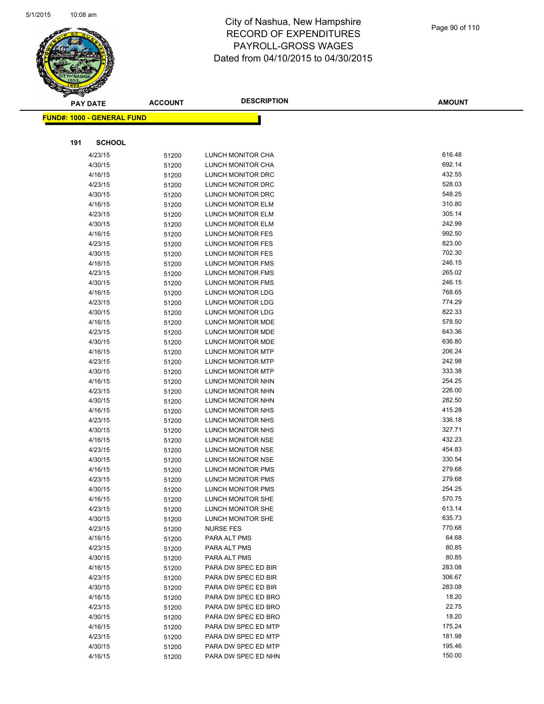

**AMOUNT**

| <u> FUND#: 1000 - GENERAL FUND</u> |                |                                        |                  |
|------------------------------------|----------------|----------------------------------------|------------------|
|                                    |                |                                        |                  |
| 191                                | <b>SCHOOL</b>  |                                        |                  |
|                                    |                |                                        |                  |
| 4/23/15                            | 51200          | <b>LUNCH MONITOR CHA</b>               | 616.48           |
| 4/30/15                            | 51200          | LUNCH MONITOR CHA                      | 692.14           |
| 4/16/15                            | 51200          | LUNCH MONITOR DRC                      | 432.55           |
| 4/23/15                            | 51200          | LUNCH MONITOR DRC                      | 528.03           |
| 4/30/15                            | 51200          | LUNCH MONITOR DRC                      | 548.25           |
| 4/16/15                            | 51200          | LUNCH MONITOR ELM                      | 310.80           |
| 4/23/15                            | 51200          | LUNCH MONITOR ELM                      | 305.14<br>242.99 |
| 4/30/15                            | 51200          | LUNCH MONITOR ELM                      | 992.50           |
| 4/16/15<br>4/23/15                 | 51200          | LUNCH MONITOR FES<br>LUNCH MONITOR FES | 823.00           |
| 4/30/15                            | 51200          | LUNCH MONITOR FES                      | 702.30           |
| 4/16/15                            | 51200          | LUNCH MONITOR FMS                      | 246.15           |
| 4/23/15                            | 51200<br>51200 | LUNCH MONITOR FMS                      | 265.02           |
| 4/30/15                            | 51200          | LUNCH MONITOR FMS                      | 246.15           |
| 4/16/15                            | 51200          | LUNCH MONITOR LDG                      | 768.65           |
| 4/23/15                            | 51200          | LUNCH MONITOR LDG                      | 774.29           |
| 4/30/15                            | 51200          | LUNCH MONITOR LDG                      | 822.33           |
| 4/16/15                            | 51200          | LUNCH MONITOR MDE                      | 578.50           |
| 4/23/15                            | 51200          | LUNCH MONITOR MDE                      | 643.36           |
| 4/30/15                            | 51200          | LUNCH MONITOR MDE                      | 636.80           |
| 4/16/15                            | 51200          | LUNCH MONITOR MTP                      | 206.24           |
| 4/23/15                            | 51200          | LUNCH MONITOR MTP                      | 242.98           |
| 4/30/15                            | 51200          | LUNCH MONITOR MTP                      | 333.38           |
| 4/16/15                            | 51200          | LUNCH MONITOR NHN                      | 254.25           |
| 4/23/15                            | 51200          | LUNCH MONITOR NHN                      | 226.00           |
| 4/30/15                            | 51200          | LUNCH MONITOR NHN                      | 282.50           |
| 4/16/15                            | 51200          | LUNCH MONITOR NHS                      | 415.28           |
| 4/23/15                            | 51200          | LUNCH MONITOR NHS                      | 336.18           |
| 4/30/15                            | 51200          | LUNCH MONITOR NHS                      | 327.71           |
| 4/16/15                            | 51200          | LUNCH MONITOR NSE                      | 432.23           |
| 4/23/15                            | 51200          | LUNCH MONITOR NSE                      | 454.83           |
| 4/30/15                            | 51200          | LUNCH MONITOR NSE                      | 330.54           |
| 4/16/15                            | 51200          | LUNCH MONITOR PMS                      | 279.68           |
| 4/23/15                            | 51200          | LUNCH MONITOR PMS                      | 279.68           |
| 4/30/15                            | 51200          | LUNCH MONITOR PMS                      | 254.25           |
| 4/16/15                            | 51200          | LUNCH MONITOR SHE                      | 570.75           |
| 4/23/15                            | 51200          | LUNCH MONITOR SHE                      | 613.14           |
| 4/30/15                            | 51200          | LUNCH MONITOR SHE                      | 635.73<br>770.68 |
| 4/23/15                            | 51200          | <b>NURSE FES</b>                       | 64.68            |
| 4/16/15<br>4/23/15                 | 51200          | PARA ALT PMS<br>PARA ALT PMS           | 80.85            |
| 4/30/15                            | 51200          | PARA ALT PMS                           | 80.85            |
| 4/16/15                            | 51200<br>51200 | PARA DW SPEC ED BIR                    | 283.08           |
| 4/23/15                            | 51200          | PARA DW SPEC ED BIR                    | 306.67           |
| 4/30/15                            | 51200          | PARA DW SPEC ED BIR                    | 283.08           |
| 4/16/15                            | 51200          | PARA DW SPEC ED BRO                    | 18.20            |
| 4/23/15                            | 51200          | PARA DW SPEC ED BRO                    | 22.75            |
| 4/30/15                            | 51200          | PARA DW SPEC ED BRO                    | 18.20            |
| 4/16/15                            | 51200          | PARA DW SPEC ED MTP                    | 175.24           |
| 4/23/15                            | 51200          | PARA DW SPEC ED MTP                    | 181.98           |
| 4/30/15                            | 51200          | PARA DW SPEC ED MTP                    | 195.46           |
| 4/16/15                            | 51200          | PARA DW SPEC ED NHN                    | 150.00           |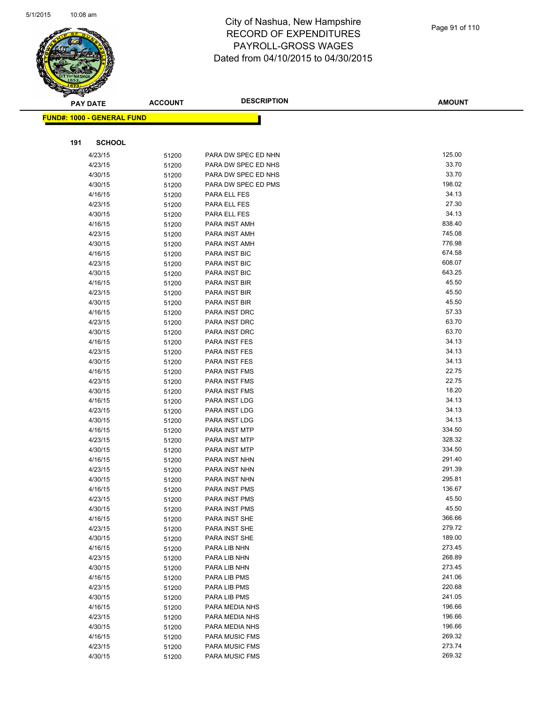

| ॼ   | <b>PAY DATE</b>                   | <b>ACCOUNT</b> | <b>DESCRIPTION</b>    | <b>AMOUNT</b> |
|-----|-----------------------------------|----------------|-----------------------|---------------|
|     | <b>FUND#: 1000 - GENERAL FUND</b> |                |                       |               |
|     |                                   |                |                       |               |
| 191 | <b>SCHOOL</b>                     |                |                       |               |
|     | 4/23/15                           | 51200          | PARA DW SPEC ED NHN   | 125.00        |
|     | 4/23/15                           | 51200          | PARA DW SPEC ED NHS   | 33.70         |
|     | 4/30/15                           | 51200          | PARA DW SPEC ED NHS   | 33.70         |
|     | 4/30/15                           | 51200          | PARA DW SPEC ED PMS   | 198.02        |
|     | 4/16/15                           | 51200          | PARA ELL FES          | 34.13         |
|     | 4/23/15                           | 51200          | PARA ELL FES          | 27.30         |
|     | 4/30/15                           | 51200          | PARA ELL FES          | 34.13         |
|     | 4/16/15                           | 51200          | PARA INST AMH         | 838.40        |
|     | 4/23/15                           | 51200          | PARA INST AMH         | 745.08        |
|     | 4/30/15                           | 51200          | PARA INST AMH         | 776.98        |
|     | 4/16/15                           | 51200          | PARA INST BIC         | 674.58        |
|     | 4/23/15                           | 51200          | PARA INST BIC         | 608.07        |
|     | 4/30/15                           | 51200          | PARA INST BIC         | 643.25        |
|     | 4/16/15                           | 51200          | PARA INST BIR         | 45.50         |
|     | 4/23/15                           | 51200          | PARA INST BIR         | 45.50         |
|     | 4/30/15                           | 51200          | PARA INST BIR         | 45.50         |
|     | 4/16/15                           | 51200          | PARA INST DRC         | 57.33         |
|     | 4/23/15                           | 51200          | PARA INST DRC         | 63.70         |
|     | 4/30/15                           | 51200          | PARA INST DRC         | 63.70         |
|     | 4/16/15                           | 51200          | <b>PARA INST FES</b>  | 34.13         |
|     | 4/23/15                           | 51200          | PARA INST FES         | 34.13         |
|     | 4/30/15                           | 51200          | PARA INST FES         | 34.13         |
|     | 4/16/15                           | 51200          | PARA INST FMS         | 22.75         |
|     | 4/23/15                           | 51200          | PARA INST FMS         | 22.75         |
|     | 4/30/15                           | 51200          | PARA INST FMS         | 18.20         |
|     | 4/16/15                           | 51200          | PARA INST LDG         | 34.13         |
|     | 4/23/15                           | 51200          | PARA INST LDG         | 34.13         |
|     | 4/30/15                           | 51200          | PARA INST LDG         | 34.13         |
|     | 4/16/15                           | 51200          | PARA INST MTP         | 334.50        |
|     | 4/23/15                           | 51200          | PARA INST MTP         | 328.32        |
|     | 4/30/15                           | 51200          | PARA INST MTP         | 334.50        |
|     | 4/16/15                           | 51200          | PARA INST NHN         | 291.40        |
|     | 4/23/15                           | 51200          | PARA INST NHN         | 291.39        |
|     | 4/30/15                           | 51200          | PARA INST NHN         | 295.81        |
|     | 4/16/15                           | 51200          | PARA INST PMS         | 136.67        |
|     | 4/23/15                           | 51200          | PARA INST PMS         | 45.50         |
|     | 4/30/15                           | 51200          | PARA INST PMS         | 45.50         |
|     | 4/16/15                           | 51200          | PARA INST SHE         | 366.66        |
|     | 4/23/15                           | 51200          | PARA INST SHE         | 279.72        |
|     | 4/30/15                           | 51200          | PARA INST SHE         | 189.00        |
|     | 4/16/15                           | 51200          | PARA LIB NHN          | 273.45        |
|     | 4/23/15                           | 51200          | PARA LIB NHN          | 268.89        |
|     | 4/30/15                           | 51200          | PARA LIB NHN          | 273.45        |
|     | 4/16/15                           | 51200          | PARA LIB PMS          | 241.06        |
|     | 4/23/15                           | 51200          | PARA LIB PMS          | 220.68        |
|     | 4/30/15                           | 51200          | PARA LIB PMS          | 241.05        |
|     | 4/16/15                           | 51200          | PARA MEDIA NHS        | 196.66        |
|     | 4/23/15                           | 51200          | PARA MEDIA NHS        | 196.66        |
|     | 4/30/15                           | 51200          | PARA MEDIA NHS        | 196.66        |
|     | 4/16/15                           | 51200          | <b>PARA MUSIC FMS</b> | 269.32        |
|     | 4/23/15                           | 51200          | PARA MUSIC FMS        | 273.74        |
|     | 4/30/15                           | 51200          | PARA MUSIC FMS        | 269.32        |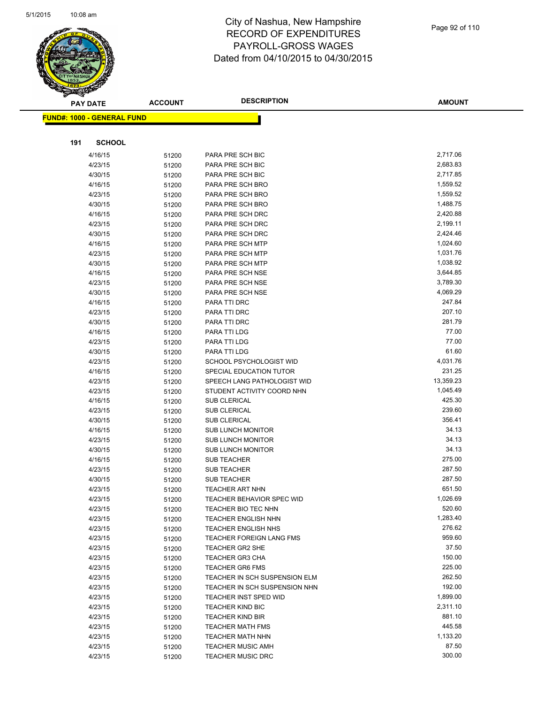

**AMOUNT**

| <u> FUND#: 1000 - GENERAL FUND</u> |       |                                  |           |  |
|------------------------------------|-------|----------------------------------|-----------|--|
|                                    |       |                                  |           |  |
| 191<br><b>SCHOOL</b>               |       |                                  |           |  |
| 4/16/15                            | 51200 | PARA PRE SCH BIC                 | 2,717.06  |  |
| 4/23/15                            | 51200 | PARA PRE SCH BIC                 | 2,683.83  |  |
| 4/30/15                            | 51200 | PARA PRE SCH BIC                 | 2,717.85  |  |
| 4/16/15                            | 51200 | PARA PRE SCH BRO                 | 1,559.52  |  |
| 4/23/15                            | 51200 | PARA PRE SCH BRO                 | 1,559.52  |  |
| 4/30/15                            | 51200 | PARA PRE SCH BRO                 | 1,488.75  |  |
| 4/16/15                            | 51200 | PARA PRE SCH DRC                 | 2,420.88  |  |
| 4/23/15                            | 51200 | PARA PRE SCH DRC                 | 2,199.11  |  |
| 4/30/15                            | 51200 | PARA PRE SCH DRC                 | 2,424.46  |  |
| 4/16/15                            | 51200 | PARA PRE SCH MTP                 | 1,024.60  |  |
| 4/23/15                            | 51200 | PARA PRE SCH MTP                 | 1,031.76  |  |
| 4/30/15                            | 51200 | PARA PRE SCH MTP                 | 1,038.92  |  |
| 4/16/15                            | 51200 | PARA PRE SCH NSE                 | 3,644.85  |  |
| 4/23/15                            | 51200 | PARA PRE SCH NSE                 | 3,789.30  |  |
| 4/30/15                            | 51200 | PARA PRE SCH NSE                 | 4,069.29  |  |
| 4/16/15                            | 51200 | PARA TTI DRC                     | 247.84    |  |
| 4/23/15                            | 51200 | PARA TTI DRC                     | 207.10    |  |
| 4/30/15                            | 51200 | PARA TTI DRC                     | 281.79    |  |
| 4/16/15                            | 51200 | PARA TTI LDG                     | 77.00     |  |
| 4/23/15                            | 51200 | PARA TTI LDG                     | 77.00     |  |
| 4/30/15                            | 51200 | PARA TTI LDG                     | 61.60     |  |
| 4/23/15                            | 51200 | SCHOOL PSYCHOLOGIST WID          | 4,031.76  |  |
| 4/16/15                            | 51200 | SPECIAL EDUCATION TUTOR          | 231.25    |  |
| 4/23/15                            | 51200 | SPEECH LANG PATHOLOGIST WID      | 13,359.23 |  |
| 4/23/15                            | 51200 | STUDENT ACTIVITY COORD NHN       | 1,045.49  |  |
| 4/16/15                            | 51200 | <b>SUB CLERICAL</b>              | 425.30    |  |
| 4/23/15                            | 51200 | <b>SUB CLERICAL</b>              | 239.60    |  |
| 4/30/15                            | 51200 | <b>SUB CLERICAL</b>              | 356.41    |  |
| 4/16/15                            | 51200 | <b>SUB LUNCH MONITOR</b>         | 34.13     |  |
| 4/23/15                            | 51200 | <b>SUB LUNCH MONITOR</b>         | 34.13     |  |
| 4/30/15                            | 51200 | <b>SUB LUNCH MONITOR</b>         | 34.13     |  |
| 4/16/15                            | 51200 | <b>SUB TEACHER</b>               | 275.00    |  |
| 4/23/15                            | 51200 | <b>SUB TEACHER</b>               | 287.50    |  |
| 4/30/15                            | 51200 | <b>SUB TEACHER</b>               | 287.50    |  |
| 4/23/15                            | 51200 | <b>TEACHER ART NHN</b>           | 651.50    |  |
| 4/23/15                            | 51200 | <b>TEACHER BEHAVIOR SPEC WID</b> | 1,026.69  |  |
| 4/23/15                            | 51200 | TEACHER BIO TEC NHN              | 520.60    |  |
| 4/23/15                            | 51200 | <b>TEACHER ENGLISH NHN</b>       | 1,283.40  |  |
| 4/23/15                            | 51200 | <b>TEACHER ENGLISH NHS</b>       | 276.62    |  |
| 4/23/15                            | 51200 | TEACHER FOREIGN LANG FMS         | 959.60    |  |
| 4/23/15                            | 51200 | TEACHER GR2 SHE                  | 37.50     |  |
| 4/23/15                            | 51200 | <b>TEACHER GR3 CHA</b>           | 150.00    |  |
| 4/23/15                            | 51200 | <b>TEACHER GR6 FMS</b>           | 225.00    |  |
| 4/23/15                            | 51200 | TEACHER IN SCH SUSPENSION ELM    | 262.50    |  |
| 4/23/15                            | 51200 | TEACHER IN SCH SUSPENSION NHN    | 192.00    |  |
| 4/23/15                            | 51200 | TEACHER INST SPED WID            | 1,899.00  |  |
| 4/23/15                            | 51200 | <b>TEACHER KIND BIC</b>          | 2,311.10  |  |
| 4/23/15                            | 51200 | <b>TEACHER KIND BIR</b>          | 881.10    |  |
| 4/23/15                            | 51200 | <b>TEACHER MATH FMS</b>          | 445.58    |  |
| 4/23/15                            | 51200 | TEACHER MATH NHN                 | 1,133.20  |  |
| 4/23/15                            | 51200 | <b>TEACHER MUSIC AMH</b>         | 87.50     |  |
| 4/23/15                            | 51200 | <b>TEACHER MUSIC DRC</b>         | 300.00    |  |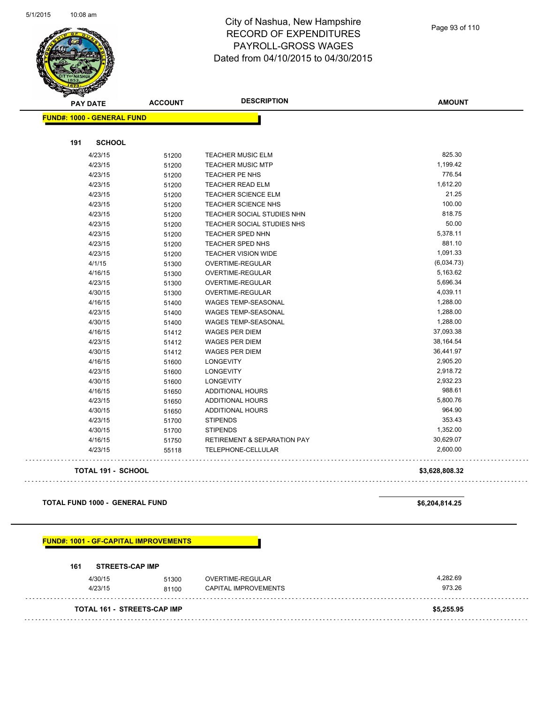

| <b>PAY DATE</b>                   | <b>ACCOUNT</b> | <b>DESCRIPTION</b>                     | <b>AMOUNT</b>  |
|-----------------------------------|----------------|----------------------------------------|----------------|
| <b>FUND#: 1000 - GENERAL FUND</b> |                |                                        |                |
|                                   |                |                                        |                |
| <b>SCHOOL</b><br>191              |                |                                        |                |
| 4/23/15                           | 51200          | <b>TEACHER MUSIC ELM</b>               | 825.30         |
| 4/23/15                           | 51200          | <b>TEACHER MUSIC MTP</b>               | 1,199.42       |
| 4/23/15                           | 51200          | <b>TEACHER PE NHS</b>                  | 776.54         |
| 4/23/15                           | 51200          | <b>TEACHER READ ELM</b>                | 1,612.20       |
| 4/23/15                           | 51200          | <b>TEACHER SCIENCE ELM</b>             | 21.25          |
| 4/23/15                           | 51200          | TEACHER SCIENCE NHS                    | 100.00         |
| 4/23/15                           | 51200          | TEACHER SOCIAL STUDIES NHN             | 818.75         |
| 4/23/15                           | 51200          | TEACHER SOCIAL STUDIES NHS             | 50.00          |
| 4/23/15                           | 51200          | <b>TEACHER SPED NHN</b>                | 5,378.11       |
| 4/23/15                           | 51200          | TEACHER SPED NHS                       | 881.10         |
| 4/23/15                           | 51200          | <b>TEACHER VISION WIDE</b>             | 1,091.33       |
| 4/1/15                            | 51300          | OVERTIME-REGULAR                       | (6,034.73)     |
| 4/16/15                           | 51300          | OVERTIME-REGULAR                       | 5,163.62       |
| 4/23/15                           | 51300          | OVERTIME-REGULAR                       | 5,696.34       |
| 4/30/15                           | 51300          | OVERTIME-REGULAR                       | 4,039.11       |
| 4/16/15                           | 51400          | WAGES TEMP-SEASONAL                    | 1,288.00       |
| 4/23/15                           | 51400          | WAGES TEMP-SEASONAL                    | 1,288.00       |
| 4/30/15                           | 51400          | <b>WAGES TEMP-SEASONAL</b>             | 1,288.00       |
| 4/16/15                           | 51412          | <b>WAGES PER DIEM</b>                  | 37,093.38      |
| 4/23/15                           | 51412          | <b>WAGES PER DIEM</b>                  | 38,164.54      |
| 4/30/15                           | 51412          | WAGES PER DIEM                         | 36,441.97      |
| 4/16/15                           | 51600          | <b>LONGEVITY</b>                       | 2,905.20       |
| 4/23/15                           | 51600          | <b>LONGEVITY</b>                       | 2,918.72       |
| 4/30/15                           | 51600          | <b>LONGEVITY</b>                       | 2,932.23       |
| 4/16/15                           | 51650          | <b>ADDITIONAL HOURS</b>                | 988.61         |
| 4/23/15                           | 51650          | <b>ADDITIONAL HOURS</b>                | 5,800.76       |
| 4/30/15                           | 51650          | <b>ADDITIONAL HOURS</b>                | 964.90         |
| 4/23/15                           | 51700          | <b>STIPENDS</b>                        | 353.43         |
| 4/30/15                           | 51700          | <b>STIPENDS</b>                        | 1,352.00       |
| 4/16/15                           | 51750          | <b>RETIREMENT &amp; SEPARATION PAY</b> | 30,629.07      |
| 4/23/15                           | 55118          | TELEPHONE-CELLULAR                     | 2,600.00       |
| TOTAL 191 - SCHOOL                |                |                                        | \$3,628,808.32 |

### **TOTAL FUND 1000 - GENERAL FUND \$6,204,814.25**

### **FUND#: 1001 - GF-CAPITAL IMPROVEMENTS**

| <b>TOTAL 161 - STREETS-CAP IMP</b> |       |                             | \$5,255.95 |
|------------------------------------|-------|-----------------------------|------------|
| 4/23/15                            | 81100 | <b>CAPITAL IMPROVEMENTS</b> | 973.26     |
| 4/30/15                            | 51300 | OVERTIME-REGULAR            | 4.282.69   |
| 161<br><b>STREETS-CAP IMP</b>      |       |                             |            |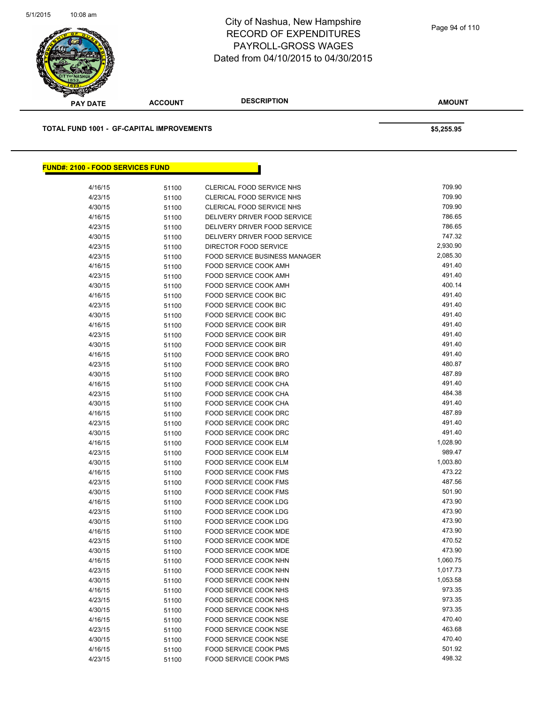

| æ                                         |                |                           |               |
|-------------------------------------------|----------------|---------------------------|---------------|
| <b>PAY DATE</b>                           | <b>ACCOUNT</b> | <b>DESCRIPTION</b>        | <b>AMOUNT</b> |
| TOTAL FUND 1001 - GF-CAPITAL IMPROVEMENTS |                |                           | \$5,255.95    |
|                                           |                |                           |               |
| <u> FUND#: 2100 - FOOD SERVICES FUND</u>  |                |                           |               |
| 4/16/15                                   | 51100          | CLERICAL FOOD SERVICE NHS | 709.90        |
| 4/23/15                                   | 51100          | CLERICAL FOOD SERVICE NHS | 709.90        |
| A/20/15                                   | <b>51100</b>   | CLEDICAL EOOD SEDVICE NHS | 709 Q0        |

| 4/30/15 | 51100 | CLERICAL FOOD SERVICE NHS     | 709.90   |
|---------|-------|-------------------------------|----------|
| 4/16/15 | 51100 | DELIVERY DRIVER FOOD SERVICE  | 786.65   |
| 4/23/15 | 51100 | DELIVERY DRIVER FOOD SERVICE  | 786.65   |
| 4/30/15 | 51100 | DELIVERY DRIVER FOOD SERVICE  | 747.32   |
| 4/23/15 | 51100 | DIRECTOR FOOD SERVICE         | 2,930.90 |
| 4/23/15 | 51100 | FOOD SERVICE BUSINESS MANAGER | 2,085.30 |
| 4/16/15 | 51100 | FOOD SERVICE COOK AMH         | 491.40   |
| 4/23/15 | 51100 | <b>FOOD SERVICE COOK AMH</b>  | 491.40   |
| 4/30/15 | 51100 | FOOD SERVICE COOK AMH         | 400.14   |
| 4/16/15 | 51100 | <b>FOOD SERVICE COOK BIC</b>  | 491.40   |
| 4/23/15 | 51100 | FOOD SERVICE COOK BIC         | 491.40   |
| 4/30/15 | 51100 | FOOD SERVICE COOK BIC         | 491.40   |
| 4/16/15 | 51100 | <b>FOOD SERVICE COOK BIR</b>  | 491.40   |
| 4/23/15 | 51100 | FOOD SERVICE COOK BIR         | 491.40   |
| 4/30/15 | 51100 | <b>FOOD SERVICE COOK BIR</b>  | 491.40   |
| 4/16/15 | 51100 | FOOD SERVICE COOK BRO         | 491.40   |
| 4/23/15 | 51100 | FOOD SERVICE COOK BRO         | 480.87   |
| 4/30/15 | 51100 | FOOD SERVICE COOK BRO         | 487.89   |
| 4/16/15 | 51100 | FOOD SERVICE COOK CHA         | 491.40   |
| 4/23/15 | 51100 | FOOD SERVICE COOK CHA         | 484.38   |
| 4/30/15 | 51100 | <b>FOOD SERVICE COOK CHA</b>  | 491.40   |
| 4/16/15 | 51100 | FOOD SERVICE COOK DRC         | 487.89   |
| 4/23/15 | 51100 | FOOD SERVICE COOK DRC         | 491.40   |
| 4/30/15 | 51100 | FOOD SERVICE COOK DRC         | 491.40   |
| 4/16/15 | 51100 | FOOD SERVICE COOK ELM         | 1,028.90 |
| 4/23/15 | 51100 | FOOD SERVICE COOK ELM         | 989.47   |
| 4/30/15 | 51100 | FOOD SERVICE COOK ELM         | 1,003.80 |
| 4/16/15 | 51100 | <b>FOOD SERVICE COOK FMS</b>  | 473.22   |
| 4/23/15 | 51100 | <b>FOOD SERVICE COOK FMS</b>  | 487.56   |
| 4/30/15 | 51100 | FOOD SERVICE COOK FMS         | 501.90   |
| 4/16/15 | 51100 | FOOD SERVICE COOK LDG         | 473.90   |
| 4/23/15 | 51100 | FOOD SERVICE COOK LDG         | 473.90   |
| 4/30/15 | 51100 | FOOD SERVICE COOK LDG         | 473.90   |
| 4/16/15 | 51100 | <b>FOOD SERVICE COOK MDE</b>  | 473.90   |
| 4/23/15 | 51100 | FOOD SERVICE COOK MDE         | 470.52   |
| 4/30/15 | 51100 | FOOD SERVICE COOK MDE         | 473.90   |
| 4/16/15 | 51100 | FOOD SERVICE COOK NHN         | 1,060.75 |
| 4/23/15 | 51100 | FOOD SERVICE COOK NHN         | 1,017.73 |
| 4/30/15 | 51100 | FOOD SERVICE COOK NHN         | 1,053.58 |
| 4/16/15 | 51100 | FOOD SERVICE COOK NHS         | 973.35   |
| 4/23/15 | 51100 | FOOD SERVICE COOK NHS         | 973.35   |
| 4/30/15 | 51100 | FOOD SERVICE COOK NHS         | 973.35   |
| 4/16/15 | 51100 | FOOD SERVICE COOK NSE         | 470.40   |
| 4/23/15 | 51100 | <b>FOOD SERVICE COOK NSE</b>  | 463.68   |
| 4/30/15 | 51100 | FOOD SERVICE COOK NSE         | 470.40   |
| 4/16/15 | 51100 | <b>FOOD SERVICE COOK PMS</b>  | 501.92   |
| 4/23/15 | 51100 | <b>FOOD SERVICE COOK PMS</b>  | 498.32   |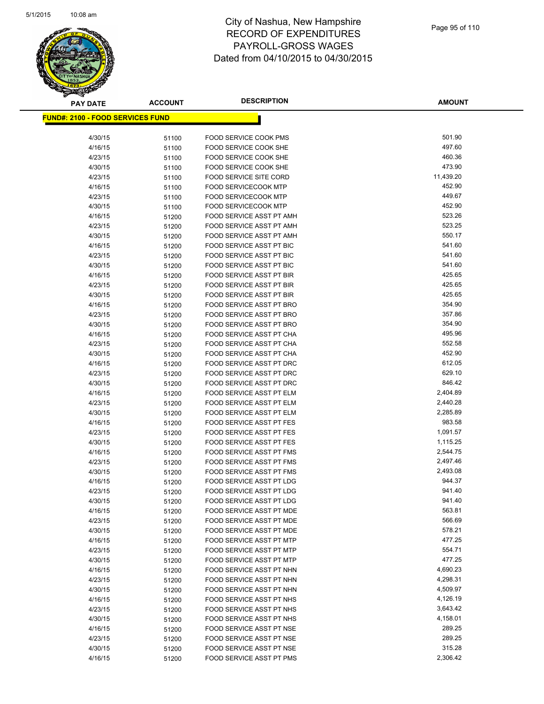

| <b>PAY DATE</b>                          | <b>ACCOUNT</b> | <b>DESCRIPTION</b>                                          | <b>AMOUNT</b>        |
|------------------------------------------|----------------|-------------------------------------------------------------|----------------------|
| <u> FUND#: 2100 - FOOD SERVICES FUND</u> |                |                                                             |                      |
|                                          |                |                                                             |                      |
| 4/30/15                                  | 51100          | <b>FOOD SERVICE COOK PMS</b>                                | 501.90               |
| 4/16/15                                  | 51100          | FOOD SERVICE COOK SHE                                       | 497.60               |
| 4/23/15                                  | 51100          | <b>FOOD SERVICE COOK SHE</b>                                | 460.36               |
| 4/30/15                                  | 51100          | FOOD SERVICE COOK SHE                                       | 473.90               |
| 4/23/15                                  | 51100          | <b>FOOD SERVICE SITE CORD</b>                               | 11,439.20            |
| 4/16/15                                  | 51100          | <b>FOOD SERVICECOOK MTP</b>                                 | 452.90               |
| 4/23/15                                  | 51100          | <b>FOOD SERVICECOOK MTP</b>                                 | 449.67               |
| 4/30/15                                  | 51100          | <b>FOOD SERVICECOOK MTP</b>                                 | 452.90               |
| 4/16/15                                  | 51200          | FOOD SERVICE ASST PT AMH                                    | 523.26               |
| 4/23/15                                  | 51200          | FOOD SERVICE ASST PT AMH                                    | 523.25               |
| 4/30/15                                  | 51200          | FOOD SERVICE ASST PT AMH                                    | 550.17               |
| 4/16/15                                  | 51200          | FOOD SERVICE ASST PT BIC                                    | 541.60               |
| 4/23/15                                  | 51200          | FOOD SERVICE ASST PT BIC                                    | 541.60               |
| 4/30/15                                  | 51200          | FOOD SERVICE ASST PT BIC                                    | 541.60               |
| 4/16/15                                  | 51200          | FOOD SERVICE ASST PT BIR                                    | 425.65               |
| 4/23/15                                  | 51200          | FOOD SERVICE ASST PT BIR                                    | 425.65               |
| 4/30/15                                  | 51200          | FOOD SERVICE ASST PT BIR                                    | 425.65               |
| 4/16/15                                  | 51200          | FOOD SERVICE ASST PT BRO                                    | 354.90               |
| 4/23/15                                  | 51200          | FOOD SERVICE ASST PT BRO                                    | 357.86               |
| 4/30/15                                  | 51200          | FOOD SERVICE ASST PT BRO                                    | 354.90               |
| 4/16/15                                  | 51200          | FOOD SERVICE ASST PT CHA                                    | 495.96               |
| 4/23/15                                  | 51200          | FOOD SERVICE ASST PT CHA                                    | 552.58               |
| 4/30/15                                  | 51200          | FOOD SERVICE ASST PT CHA                                    | 452.90               |
| 4/16/15                                  | 51200          | FOOD SERVICE ASST PT DRC                                    | 612.05               |
| 4/23/15                                  | 51200          | FOOD SERVICE ASST PT DRC                                    | 629.10               |
| 4/30/15                                  | 51200          | FOOD SERVICE ASST PT DRC                                    | 846.42               |
| 4/16/15                                  | 51200          | FOOD SERVICE ASST PT ELM                                    | 2,404.89             |
| 4/23/15                                  | 51200          | FOOD SERVICE ASST PT ELM                                    | 2,440.28             |
| 4/30/15                                  | 51200          | FOOD SERVICE ASST PT ELM                                    | 2,285.89             |
| 4/16/15                                  | 51200          | FOOD SERVICE ASST PT FES                                    | 983.58               |
| 4/23/15                                  | 51200          | FOOD SERVICE ASST PT FES                                    | 1,091.57             |
| 4/30/15                                  | 51200          | FOOD SERVICE ASST PT FES                                    | 1,115.25<br>2,544.75 |
| 4/16/15<br>4/23/15                       | 51200          | FOOD SERVICE ASST PT FMS<br><b>FOOD SERVICE ASST PT FMS</b> | 2,497.46             |
| 4/30/15                                  | 51200          | FOOD SERVICE ASST PT FMS                                    | 2,493.08             |
| 4/16/15                                  | 51200<br>51200 | FOOD SERVICE ASST PT LDG                                    | 944.37               |
| 4/23/15                                  | 51200          | <b>FOOD SERVICE ASST PT LDG</b>                             | 941.40               |
| 4/30/15                                  | 51200          | FOOD SERVICE ASST PT LDG                                    | 941.40               |
| 4/16/15                                  | 51200          | FOOD SERVICE ASST PT MDE                                    | 563.81               |
| 4/23/15                                  | 51200          | FOOD SERVICE ASST PT MDE                                    | 566.69               |
| 4/30/15                                  | 51200          | FOOD SERVICE ASST PT MDE                                    | 578.21               |
| 4/16/15                                  | 51200          | FOOD SERVICE ASST PT MTP                                    | 477.25               |
| 4/23/15                                  | 51200          | FOOD SERVICE ASST PT MTP                                    | 554.71               |
| 4/30/15                                  | 51200          | FOOD SERVICE ASST PT MTP                                    | 477.25               |
| 4/16/15                                  | 51200          | FOOD SERVICE ASST PT NHN                                    | 4,690.23             |
| 4/23/15                                  | 51200          | FOOD SERVICE ASST PT NHN                                    | 4,298.31             |
| 4/30/15                                  | 51200          | FOOD SERVICE ASST PT NHN                                    | 4,509.97             |
| 4/16/15                                  | 51200          | FOOD SERVICE ASST PT NHS                                    | 4,126.19             |
| 4/23/15                                  | 51200          | FOOD SERVICE ASST PT NHS                                    | 3,643.42             |
| 4/30/15                                  | 51200          | FOOD SERVICE ASST PT NHS                                    | 4,158.01             |
| 4/16/15                                  | 51200          | FOOD SERVICE ASST PT NSE                                    | 289.25               |
| 4/23/15                                  | 51200          | FOOD SERVICE ASST PT NSE                                    | 289.25               |
| 4/30/15                                  | 51200          | FOOD SERVICE ASST PT NSE                                    | 315.28               |
| 4/16/15                                  | 51200          | FOOD SERVICE ASST PT PMS                                    | 2,306.42             |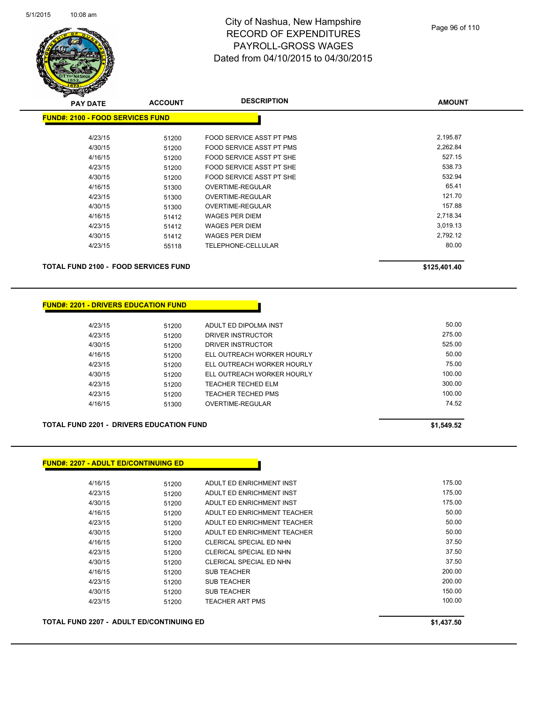

| <b>PAY DATE</b>                         | <b>ACCOUNT</b> | <b>DESCRIPTION</b>       | <b>AMOUNT</b> |
|-----------------------------------------|----------------|--------------------------|---------------|
| <b>FUND#: 2100 - FOOD SERVICES FUND</b> |                |                          |               |
|                                         |                |                          |               |
| 4/23/15                                 | 51200          | FOOD SERVICE ASST PT PMS | 2,195.87      |
| 4/30/15                                 | 51200          | FOOD SERVICE ASST PT PMS | 2,262.84      |
| 4/16/15                                 | 51200          | FOOD SERVICE ASST PT SHE | 527.15        |
| 4/23/15                                 | 51200          | FOOD SERVICE ASST PT SHE | 538.73        |
| 4/30/15                                 | 51200          | FOOD SERVICE ASST PT SHE | 532.94        |
| 4/16/15                                 | 51300          | OVERTIME-REGULAR         | 65.41         |
| 4/23/15                                 | 51300          | OVERTIME-REGULAR         | 121.70        |
| 4/30/15                                 | 51300          | <b>OVERTIME-REGULAR</b>  | 157.88        |
| 4/16/15                                 | 51412          | <b>WAGES PER DIEM</b>    | 2,718.34      |
| 4/23/15                                 | 51412          | <b>WAGES PER DIEM</b>    | 3,019.13      |
| 4/30/15                                 | 51412          | <b>WAGES PER DIEM</b>    | 2,792.12      |
| 4/23/15                                 | 55118          | TELEPHONE-CELLULAR       | 80.00         |
|                                         |                |                          |               |
|                                         |                |                          |               |

**TOTAL FUND 2100 - FOOD SERVICES FUND \$125,401.40** 

### **FUND#: 2201 - DRIVERS EDUCATION FUND**

| 4/23/15 | 51200 | ADULT ED DIPOLMA INST      | 50.00  |
|---------|-------|----------------------------|--------|
| 4/23/15 | 51200 | DRIVER INSTRUCTOR          | 275.00 |
| 4/30/15 | 51200 | DRIVER INSTRUCTOR          | 525.00 |
| 4/16/15 | 51200 | ELL OUTREACH WORKER HOURLY | 50.00  |
| 4/23/15 | 51200 | ELL OUTREACH WORKER HOURLY | 75.00  |
| 4/30/15 | 51200 | ELL OUTREACH WORKER HOURLY | 100.00 |
| 4/23/15 | 51200 | <b>TEACHER TECHED ELM</b>  | 300.00 |
| 4/23/15 | 51200 | TEACHER TECHED PMS         | 100.00 |
| 4/16/15 | 51300 | OVERTIME-REGULAR           | 74.52  |
|         |       |                            |        |

**TOTAL FUND 2201 - DRIVERS EDUCATION FUND \$1,549.52** 

**FUND#: 2207 - ADULT ED/CONTINUING ED**

| 4/16/15 | 51200 | ADULT ED ENRICHMENT INST    | 175.00 |
|---------|-------|-----------------------------|--------|
| 4/23/15 | 51200 | ADULT ED ENRICHMENT INST    | 175.00 |
| 4/30/15 | 51200 | ADULT ED ENRICHMENT INST    | 175.00 |
| 4/16/15 | 51200 | ADULT ED ENRICHMENT TEACHER | 50.00  |
| 4/23/15 | 51200 | ADULT ED ENRICHMENT TEACHER | 50.00  |
| 4/30/15 | 51200 | ADULT ED ENRICHMENT TEACHER | 50.00  |
| 4/16/15 | 51200 | CLERICAL SPECIAL ED NHN     | 37.50  |
| 4/23/15 | 51200 | CLERICAL SPECIAL ED NHN     | 37.50  |
| 4/30/15 | 51200 | CLERICAL SPECIAL ED NHN     | 37.50  |
| 4/16/15 | 51200 | <b>SUB TEACHER</b>          | 200.00 |
| 4/23/15 | 51200 | <b>SUB TEACHER</b>          | 200.00 |
| 4/30/15 | 51200 | <b>SUB TEACHER</b>          | 150.00 |
| 4/23/15 | 51200 | <b>TEACHER ART PMS</b>      | 100.00 |
|         |       |                             |        |

**TOTAL FUND 2207 - ADULT ED/CONTINUING ED \$1,437.50**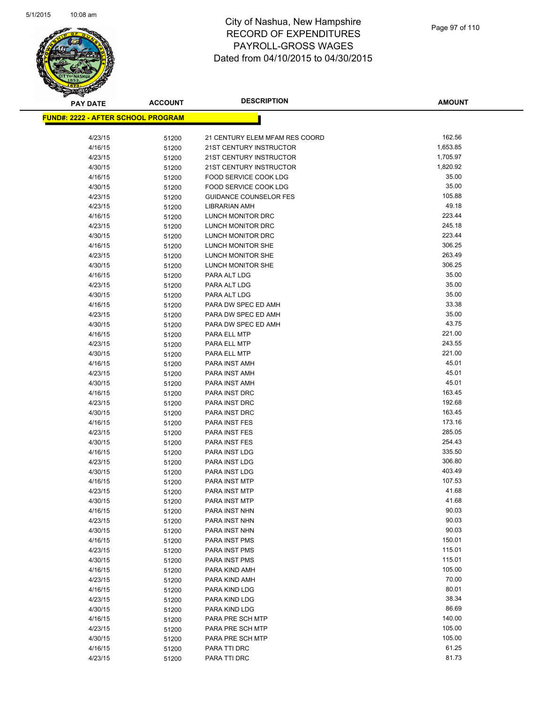

| <b>PAY DATE</b>                            | <b>ACCOUNT</b> | <b>DESCRIPTION</b>             | <b>AMOUNT</b>    |
|--------------------------------------------|----------------|--------------------------------|------------------|
| <u> FUND#: 2222 - AFTER SCHOOL PROGRAM</u> |                |                                |                  |
|                                            |                |                                |                  |
| 4/23/15                                    | 51200          | 21 CENTURY ELEM MFAM RES COORD | 162.56           |
| 4/16/15                                    | 51200          | 21ST CENTURY INSTRUCTOR        | 1,653.85         |
| 4/23/15                                    | 51200          | 21ST CENTURY INSTRUCTOR        | 1,705.97         |
| 4/30/15                                    | 51200          | 21ST CENTURY INSTRUCTOR        | 1,820.92         |
| 4/16/15                                    | 51200          | FOOD SERVICE COOK LDG          | 35.00            |
| 4/30/15                                    | 51200          | FOOD SERVICE COOK LDG          | 35.00            |
| 4/23/15                                    | 51200          | <b>GUIDANCE COUNSELOR FES</b>  | 105.88           |
| 4/23/15                                    | 51200          | LIBRARIAN AMH                  | 49.18            |
| 4/16/15                                    | 51200          | LUNCH MONITOR DRC              | 223.44           |
| 4/23/15                                    | 51200          | LUNCH MONITOR DRC              | 245.18           |
| 4/30/15                                    | 51200          | LUNCH MONITOR DRC              | 223.44           |
| 4/16/15                                    | 51200          | LUNCH MONITOR SHE              | 306.25           |
| 4/23/15                                    | 51200          | LUNCH MONITOR SHE              | 263.49           |
| 4/30/15                                    | 51200          | LUNCH MONITOR SHE              | 306.25           |
| 4/16/15                                    | 51200          | PARA ALT LDG                   | 35.00            |
| 4/23/15                                    | 51200          | PARA ALT LDG                   | 35.00            |
| 4/30/15                                    | 51200          | PARA ALT LDG                   | 35.00            |
| 4/16/15                                    | 51200          | PARA DW SPEC ED AMH            | 33.38            |
| 4/23/15                                    | 51200          | PARA DW SPEC ED AMH            | 35.00            |
| 4/30/15                                    | 51200          | PARA DW SPEC ED AMH            | 43.75            |
| 4/16/15                                    | 51200          | PARA ELL MTP                   | 221.00           |
| 4/23/15                                    | 51200          | PARA ELL MTP                   | 243.55           |
| 4/30/15                                    | 51200          | PARA ELL MTP                   | 221.00           |
| 4/16/15                                    | 51200          | PARA INST AMH                  | 45.01            |
| 4/23/15                                    | 51200          | PARA INST AMH                  | 45.01<br>45.01   |
| 4/30/15                                    | 51200          | PARA INST AMH                  |                  |
| 4/16/15                                    | 51200          | PARA INST DRC                  | 163.45<br>192.68 |
| 4/23/15<br>4/30/15                         | 51200          | PARA INST DRC<br>PARA INST DRC | 163.45           |
| 4/16/15                                    | 51200<br>51200 | PARA INST FES                  | 173.16           |
| 4/23/15                                    | 51200          | PARA INST FES                  | 285.05           |
| 4/30/15                                    | 51200          | <b>PARA INST FES</b>           | 254.43           |
| 4/16/15                                    | 51200          | PARA INST LDG                  | 335.50           |
| 4/23/15                                    | 51200          | PARA INST LDG                  | 306.80           |
| 4/30/15                                    | 51200          | PARA INST LDG                  | 403.49           |
| 4/16/15                                    | 51200          | PARA INST MTP                  | 107.53           |
| 4/23/15                                    | 51200          | <b>PARA INST MTP</b>           | 41.68            |
| 4/30/15                                    | 51200          | PARA INST MTP                  | 41.68            |
| 4/16/15                                    | 51200          | PARA INST NHN                  | 90.03            |
| 4/23/15                                    | 51200          | PARA INST NHN                  | 90.03            |
| 4/30/15                                    | 51200          | PARA INST NHN                  | 90.03            |
| 4/16/15                                    | 51200          | PARA INST PMS                  | 150.01           |
| 4/23/15                                    | 51200          | PARA INST PMS                  | 115.01           |
| 4/30/15                                    | 51200          | PARA INST PMS                  | 115.01           |
| 4/16/15                                    | 51200          | PARA KIND AMH                  | 105.00           |
| 4/23/15                                    | 51200          | PARA KIND AMH                  | 70.00            |
| 4/16/15                                    | 51200          | PARA KIND LDG                  | 80.01            |
| 4/23/15                                    | 51200          | PARA KIND LDG                  | 38.34            |
| 4/30/15                                    | 51200          | PARA KIND LDG                  | 86.69            |
| 4/16/15                                    | 51200          | PARA PRE SCH MTP               | 140.00           |
| 4/23/15                                    | 51200          | PARA PRE SCH MTP               | 105.00           |
| 4/30/15                                    | 51200          | PARA PRE SCH MTP               | 105.00           |
| 4/16/15                                    | 51200          | PARA TTI DRC                   | 61.25            |
| 4/23/15                                    | 51200          | PARA TTI DRC                   | 81.73            |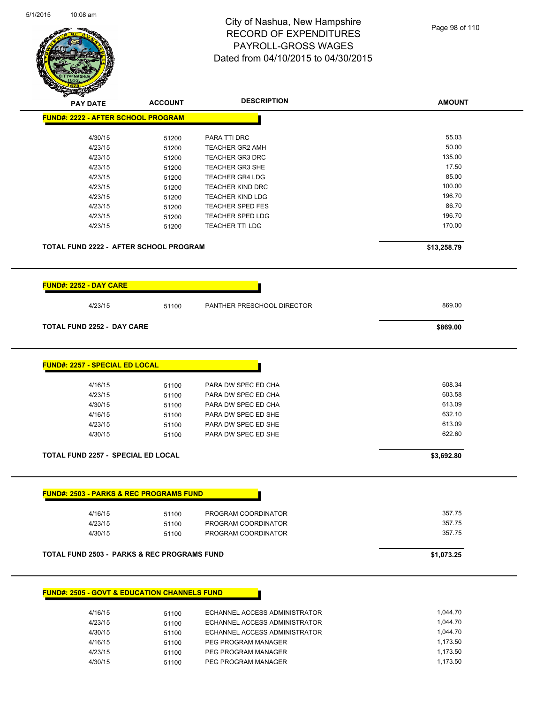

| <b>PAY DATE</b>                                         | <b>ACCOUNT</b> | <b>DESCRIPTION</b>            | <b>AMOUNT</b> |
|---------------------------------------------------------|----------------|-------------------------------|---------------|
| <b>FUND#: 2222 - AFTER SCHOOL PROGRAM</b>               |                |                               |               |
| 4/30/15                                                 | 51200          | PARA TTI DRC                  | 55.03         |
| 4/23/15                                                 | 51200          | <b>TEACHER GR2 AMH</b>        | 50.00         |
| 4/23/15                                                 | 51200          | <b>TEACHER GR3 DRC</b>        | 135.00        |
| 4/23/15                                                 | 51200          | TEACHER GR3 SHE               | 17.50         |
| 4/23/15                                                 | 51200          | <b>TEACHER GR4 LDG</b>        | 85.00         |
| 4/23/15                                                 | 51200          | <b>TEACHER KIND DRC</b>       | 100.00        |
| 4/23/15                                                 | 51200          | <b>TEACHER KIND LDG</b>       | 196.70        |
| 4/23/15                                                 | 51200          | <b>TEACHER SPED FES</b>       | 86.70         |
| 4/23/15                                                 | 51200          | <b>TEACHER SPED LDG</b>       | 196.70        |
| 4/23/15                                                 | 51200          | <b>TEACHER TTI LDG</b>        | 170.00        |
| <b>TOTAL FUND 2222 - AFTER SCHOOL PROGRAM</b>           |                |                               | \$13,258.79   |
| <b>FUND#: 2252 - DAY CARE</b>                           |                |                               |               |
| 4/23/15                                                 | 51100          | PANTHER PRESCHOOL DIRECTOR    | 869.00        |
| <b>TOTAL FUND 2252 - DAY CARE</b>                       |                |                               | \$869.00      |
| <b>FUND#: 2257 - SPECIAL ED LOCAL</b>                   |                |                               |               |
| 4/16/15                                                 | 51100          | PARA DW SPEC ED CHA           | 608.34        |
| 4/23/15                                                 | 51100          | PARA DW SPEC ED CHA           | 603.58        |
| 4/30/15                                                 | 51100          | PARA DW SPEC ED CHA           | 613.09        |
| 4/16/15                                                 | 51100          | PARA DW SPEC ED SHE           | 632.10        |
| 4/23/15                                                 | 51100          | PARA DW SPEC ED SHE           | 613.09        |
| 4/30/15                                                 | 51100          | PARA DW SPEC ED SHE           | 622.60        |
| TOTAL FUND 2257 - SPECIAL ED LOCAL                      |                |                               | \$3,692.80    |
|                                                         |                |                               |               |
| <b>FUND#: 2503 - PARKS &amp; REC PROGRAMS FUND</b>      |                |                               |               |
| 4/16/15                                                 | 51100          | PROGRAM COORDINATOR           | 357.75        |
| 4/23/15                                                 | 51100          | PROGRAM COORDINATOR           | 357.75        |
| 4/30/15                                                 | 51100          | PROGRAM COORDINATOR           | 357.75        |
| <b>TOTAL FUND 2503 - PARKS &amp; REC PROGRAMS FUND</b>  |                |                               | \$1,073.25    |
|                                                         |                |                               |               |
| <b>FUND#: 2505 - GOVT &amp; EDUCATION CHANNELS FUND</b> |                |                               |               |
| 4/16/15                                                 | 51100          | ECHANNEL ACCESS ADMINISTRATOR | 1 044 70      |

| 4/16/15 | 51100 | ECHANNEL ACCESS ADMINISTRATOR | 1.044.70 |
|---------|-------|-------------------------------|----------|
| 4/23/15 | 51100 | ECHANNEL ACCESS ADMINISTRATOR | 1.044.70 |
| 4/30/15 | 51100 | ECHANNEL ACCESS ADMINISTRATOR | 1.044.70 |
| 4/16/15 | 51100 | PEG PROGRAM MANAGER           | 1.173.50 |
| 4/23/15 | 51100 | PEG PROGRAM MANAGER           | 1.173.50 |
| 4/30/15 | 51100 | PEG PROGRAM MANAGER           | 1.173.50 |
|         |       |                               |          |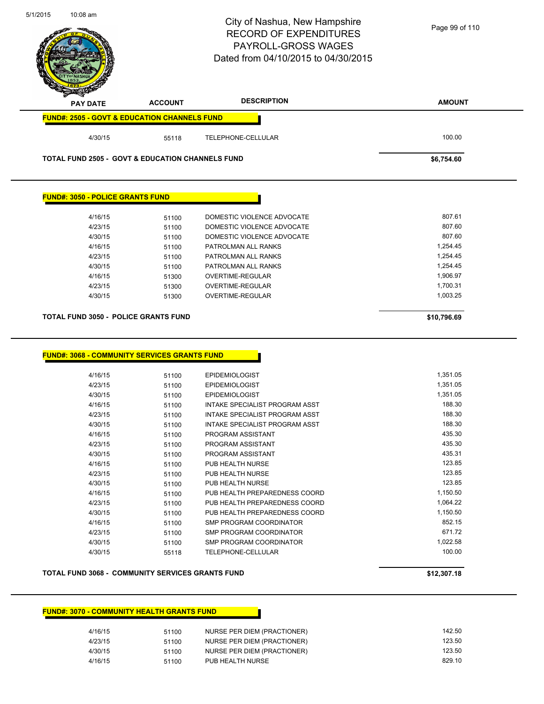|                                                                                                                   |                | PAYROLL-GROSS WAGES<br>Dated from 04/10/2015 to 04/30/2015 |                      |
|-------------------------------------------------------------------------------------------------------------------|----------------|------------------------------------------------------------|----------------------|
|                                                                                                                   |                |                                                            |                      |
| <b>PAY DATE</b>                                                                                                   | <b>ACCOUNT</b> | <b>DESCRIPTION</b>                                         | <b>AMOUNT</b>        |
| <b>FUND#: 2505 - GOVT &amp; EDUCATION CHANNELS FUND</b>                                                           |                |                                                            |                      |
| 4/30/15                                                                                                           | 55118          | TELEPHONE-CELLULAR                                         | 100.00               |
| <b>TOTAL FUND 2505 - GOVT &amp; EDUCATION CHANNELS FUND</b>                                                       |                |                                                            | \$6,754.60           |
| <b>FUND#: 3050 - POLICE GRANTS FUND</b>                                                                           |                |                                                            |                      |
| 4/16/15                                                                                                           | 51100          | DOMESTIC VIOLENCE ADVOCATE                                 | 807.61               |
| 4/23/15                                                                                                           | 51100          | DOMESTIC VIOLENCE ADVOCATE                                 | 807.60               |
| 4/30/15                                                                                                           | 51100          | DOMESTIC VIOLENCE ADVOCATE                                 | 807.60               |
| 4/16/15                                                                                                           | 51100          | PATROLMAN ALL RANKS                                        | 1,254.45             |
| 4/23/15                                                                                                           | 51100          | PATROLMAN ALL RANKS                                        | 1,254.45             |
| 4/30/15                                                                                                           | 51100          | PATROLMAN ALL RANKS                                        | 1,254.45             |
| 4/16/15                                                                                                           | 51300          | OVERTIME-REGULAR                                           | 1,906.97             |
| 4/23/15                                                                                                           | 51300          | OVERTIME-REGULAR                                           | 1,700.31             |
|                                                                                                                   |                |                                                            | 1,003.25             |
| 4/30/15                                                                                                           | 51300          | OVERTIME-REGULAR                                           | \$10,796.69          |
|                                                                                                                   |                |                                                            |                      |
|                                                                                                                   |                |                                                            | 1,351.05             |
| TOTAL FUND 3050 - POLICE GRANTS FUND<br><b>FUND#: 3068 - COMMUNITY SERVICES GRANTS FUND</b><br>4/16/15<br>4/23/15 | 51100<br>51100 | <b>EPIDEMIOLOGIST</b><br><b>EPIDEMIOLOGIST</b>             | 1,351.05             |
| 4/30/15                                                                                                           | 51100          | <b>EPIDEMIOLOGIST</b>                                      | 1,351.05             |
| 4/16/15                                                                                                           | 51100          | INTAKE SPECIALIST PROGRAM ASST                             | 188.30               |
| 4/23/15                                                                                                           | 51100          | INTAKE SPECIALIST PROGRAM ASST                             | 188.30               |
| 4/30/15                                                                                                           | 51100          | INTAKE SPECIALIST PROGRAM ASST                             | 188.30               |
| 4/16/15                                                                                                           | 51100          | PROGRAM ASSISTANT                                          | 435.30               |
| 4/23/15                                                                                                           | 51100          | PROGRAM ASSISTANT                                          | 435.30               |
| 4/30/15                                                                                                           | 51100          | PROGRAM ASSISTANT                                          | 435.31               |
| 4/16/15                                                                                                           | 51100          | PUB HEALTH NURSE                                           | 123.85               |
| 4/23/15                                                                                                           | 51100          | PUB HEALTH NURSE                                           | 123.85               |
| 4/30/15                                                                                                           | 51100          | PUB HEALTH NURSE                                           | 123.85               |
| 4/16/15                                                                                                           | 51100          | PUB HEALTH PREPAREDNESS COORD                              | 1,150.50<br>1,064.22 |
| 4/23/15                                                                                                           | 51100          | PUB HEALTH PREPAREDNESS COORD                              | 1,150.50             |
| 4/30/15<br>4/16/15                                                                                                | 51100<br>51100 | PUB HEALTH PREPAREDNESS COORD<br>SMP PROGRAM COORDINATOR   | 852.15               |
| 4/23/15                                                                                                           | 51100          | SMP PROGRAM COORDINATOR                                    | 671.72               |
| 4/30/15                                                                                                           | 51100          | SMP PROGRAM COORDINATOR                                    | 1,022.58             |
| 4/30/15                                                                                                           | 55118          | TELEPHONE-CELLULAR                                         | 100.00               |
| TOTAL FUND 3068 - COMMUNITY SERVICES GRANTS FUND                                                                  |                |                                                            | \$12,307.18          |

5/1/2015 10:08 am

| 4/16/15 | 51100 | NURSE PER DIEM (PRACTIONER) | 142.50 |
|---------|-------|-----------------------------|--------|
| 4/23/15 | 51100 | NURSE PER DIEM (PRACTIONER) | 123.50 |
| 4/30/15 | 51100 | NURSE PER DIEM (PRACTIONER) | 123.50 |
| 4/16/15 | 51100 | PUB HEALTH NURSE            | 829.10 |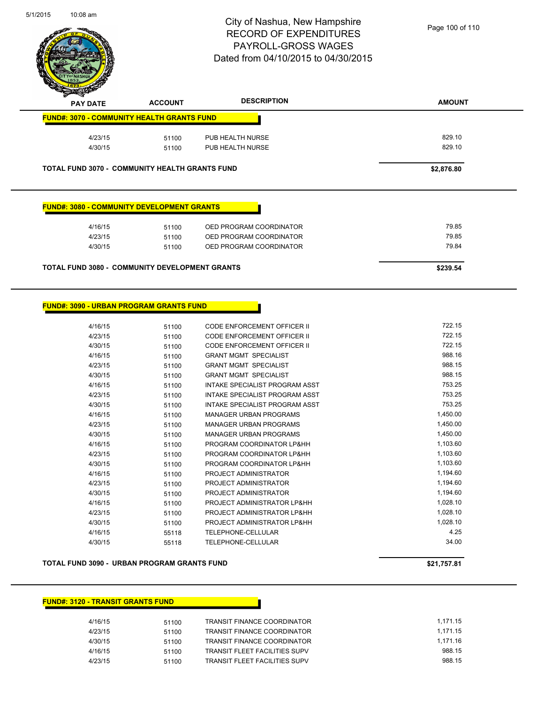

| $\mathscr{D} \curvearrowright$<br><b>PAY DATE</b> |         | <b>ACCOUNT</b>                                        | <b>DESCRIPTION</b>      | <b>AMOUNT</b> |
|---------------------------------------------------|---------|-------------------------------------------------------|-------------------------|---------------|
|                                                   |         | <b>FUND#: 3070 - COMMUNITY HEALTH GRANTS FUND</b>     |                         |               |
|                                                   | 4/23/15 | 51100                                                 | PUB HEALTH NURSE        | 829.10        |
|                                                   | 4/30/15 | 51100                                                 | PUB HEALTH NURSE        | 829.10        |
|                                                   |         | <b>TOTAL FUND 3070 - COMMUNITY HEALTH GRANTS FUND</b> |                         | \$2,876.80    |
|                                                   |         | <b>FUND#: 3080 - COMMUNITY DEVELOPMENT GRANTS</b>     |                         |               |
|                                                   | 4/16/15 | 51100                                                 | OED PROGRAM COORDINATOR | 79.85         |
|                                                   | A19211F | <b>51100</b>                                          | OED PROCRAM COOPDINATOR | <b>79.85</b>  |

| <b>TOTAL FUND 3080 - COMMUNITY DEVELOPMENT GRANTS</b> | \$239.54 |                         |       |
|-------------------------------------------------------|----------|-------------------------|-------|
| 4/30/15                                               | 51100    | OED PROGRAM COORDINATOR | 79.84 |
|                                                       |          |                         |       |
| 4/23/15                                               | 51100    | OED PROGRAM COORDINATOR | 79.85 |

**FUND#: 3090 - URBAN PROGRAM GRANTS FUND**

| 4/16/15 | 51100 | CODE ENFORCEMENT OFFICER II    | 722.15   |
|---------|-------|--------------------------------|----------|
| 4/23/15 | 51100 | CODE ENFORCEMENT OFFICER II    | 722.15   |
| 4/30/15 | 51100 | CODE ENFORCEMENT OFFICER II    | 722.15   |
| 4/16/15 | 51100 | <b>GRANT MGMT SPECIALIST</b>   | 988.16   |
| 4/23/15 | 51100 | <b>GRANT MGMT SPECIALIST</b>   | 988.15   |
| 4/30/15 | 51100 | <b>GRANT MGMT SPECIALIST</b>   | 988.15   |
| 4/16/15 | 51100 | INTAKE SPECIALIST PROGRAM ASST | 753.25   |
| 4/23/15 | 51100 | INTAKE SPECIALIST PROGRAM ASST | 753.25   |
| 4/30/15 | 51100 | INTAKE SPECIALIST PROGRAM ASST | 753.25   |
| 4/16/15 | 51100 | <b>MANAGER URBAN PROGRAMS</b>  | 1,450.00 |
| 4/23/15 | 51100 | <b>MANAGER URBAN PROGRAMS</b>  | 1,450.00 |
| 4/30/15 | 51100 | <b>MANAGER URBAN PROGRAMS</b>  | 1,450.00 |
| 4/16/15 | 51100 | PROGRAM COORDINATOR LP&HH      | 1,103.60 |
| 4/23/15 | 51100 | PROGRAM COORDINATOR LP&HH      | 1,103.60 |
| 4/30/15 | 51100 | PROGRAM COORDINATOR LP&HH      | 1,103.60 |
| 4/16/15 | 51100 | PROJECT ADMINISTRATOR          | 1,194.60 |
| 4/23/15 | 51100 | PROJECT ADMINISTRATOR          | 1,194.60 |
| 4/30/15 | 51100 | PROJECT ADMINISTRATOR          | 1,194.60 |
| 4/16/15 | 51100 | PROJECT ADMINISTRATOR LP&HH    | 1,028.10 |
| 4/23/15 | 51100 | PROJECT ADMINISTRATOR LP&HH    | 1,028.10 |
| 4/30/15 | 51100 | PROJECT ADMINISTRATOR LP&HH    | 1,028.10 |
| 4/16/15 | 55118 | TELEPHONE-CELLULAR             | 4.25     |
| 4/30/15 | 55118 | <b>TELEPHONE-CELLULAR</b>      | 34.00    |
|         |       |                                |          |

**TOTAL FUND 3090 - URBAN PROGRAM GRANTS FUND \$21,757.81** 

### **FUND#: 3120 - TRANSIT GRANTS FUND**

| 4/16/15 | 51100 | TRANSIT FINANCE COORDINATOR        | 1.171.15 |
|---------|-------|------------------------------------|----------|
| 4/23/15 | 51100 | <b>TRANSIT FINANCE COORDINATOR</b> | 1.171.15 |
| 4/30/15 | 51100 | <b>TRANSIT FINANCE COORDINATOR</b> | 1.171.16 |
| 4/16/15 | 51100 | TRANSIT FLEET FACILITIES SUPV      | 988.15   |
| 4/23/15 | 51100 | TRANSIT FLEET FACILITIES SUPV      | 988.15   |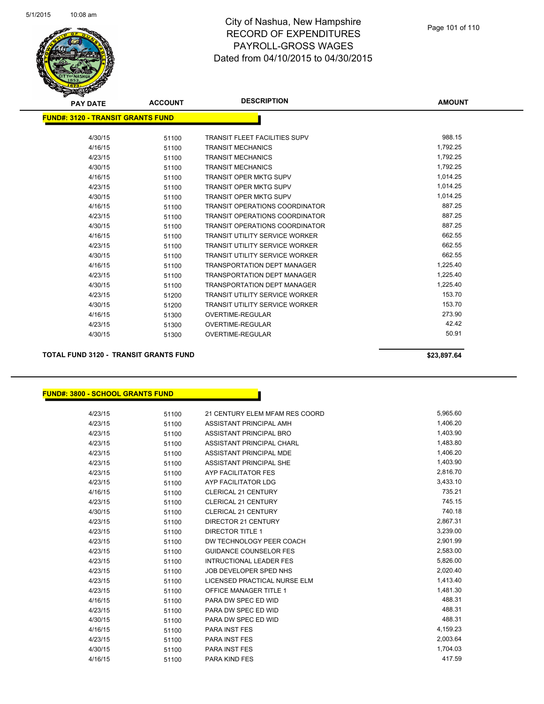

| z<br><b>PAY DATE</b>                     | <b>ACCOUNT</b> | <b>DESCRIPTION</b>                    | <b>AMOUNT</b> |
|------------------------------------------|----------------|---------------------------------------|---------------|
| <b>FUND#: 3120 - TRANSIT GRANTS FUND</b> |                |                                       |               |
| 4/30/15                                  | 51100          | <b>TRANSIT FLEET FACILITIES SUPV</b>  | 988.15        |
| 4/16/15                                  | 51100          | <b>TRANSIT MECHANICS</b>              | 1,792.25      |
| 4/23/15                                  | 51100          | <b>TRANSIT MECHANICS</b>              | 1,792.25      |
| 4/30/15                                  | 51100          | <b>TRANSIT MECHANICS</b>              | 1,792.25      |
| 4/16/15                                  | 51100          | <b>TRANSIT OPER MKTG SUPV</b>         | 1,014.25      |
| 4/23/15                                  | 51100          | <b>TRANSIT OPER MKTG SUPV</b>         | 1,014.25      |
| 4/30/15                                  | 51100          | <b>TRANSIT OPER MKTG SUPV</b>         | 1,014.25      |
| 4/16/15                                  | 51100          | <b>TRANSIT OPERATIONS COORDINATOR</b> | 887.25        |
| 4/23/15                                  | 51100          | <b>TRANSIT OPERATIONS COORDINATOR</b> | 887.25        |
| 4/30/15                                  | 51100          | <b>TRANSIT OPERATIONS COORDINATOR</b> | 887.25        |
| 4/16/15                                  | 51100          | <b>TRANSIT UTILITY SERVICE WORKER</b> | 662.55        |
| 4/23/15                                  | 51100          | <b>TRANSIT UTILITY SERVICE WORKER</b> | 662.55        |
| 4/30/15                                  | 51100          | <b>TRANSIT UTILITY SERVICE WORKER</b> | 662.55        |
| 4/16/15                                  | 51100          | <b>TRANSPORTATION DEPT MANAGER</b>    | 1,225.40      |
| 4/23/15                                  | 51100          | <b>TRANSPORTATION DEPT MANAGER</b>    | 1,225.40      |
| 4/30/15                                  | 51100          | <b>TRANSPORTATION DEPT MANAGER</b>    | 1.225.40      |
| 4/23/15                                  | 51200          | <b>TRANSIT UTILITY SERVICE WORKER</b> | 153.70        |
| 4/30/15                                  | 51200          | <b>TRANSIT UTILITY SERVICE WORKER</b> | 153.70        |
| 4/16/15                                  | 51300          | <b>OVERTIME-REGULAR</b>               | 273.90        |
| 4/23/15                                  | 51300          | <b>OVERTIME-REGULAR</b>               | 42.42         |
| 4/30/15                                  | 51300          | <b>OVERTIME-REGULAR</b>               | 50.91         |

**TOTAL FUND 3120 - TRANSIT GRANTS FUND \$23,897.64** 

**FUND#: 3800 - SCHOOL GRANTS FUND**

| 4/23/15 | 51100 | 21 CENTURY ELEM MFAM RES COORD | 5,965.60 |
|---------|-------|--------------------------------|----------|
| 4/23/15 | 51100 | ASSISTANT PRINCIPAL AMH        | 1,406.20 |
| 4/23/15 | 51100 | ASSISTANT PRINCIPAL BRO        | 1,403.90 |
| 4/23/15 | 51100 | ASSISTANT PRINCIPAL CHARL      | 1,483.80 |
| 4/23/15 | 51100 | ASSISTANT PRINCIPAL MDE        | 1,406.20 |
| 4/23/15 | 51100 | ASSISTANT PRINCIPAL SHE        | 1,403.90 |
| 4/23/15 | 51100 | AYP FACILITATOR FES            | 2,816.70 |
| 4/23/15 | 51100 | AYP FACILITATOR LDG            | 3,433.10 |
| 4/16/15 | 51100 | <b>CLERICAL 21 CENTURY</b>     | 735.21   |
| 4/23/15 | 51100 | <b>CLERICAL 21 CENTURY</b>     | 745.15   |
| 4/30/15 | 51100 | <b>CLERICAL 21 CENTURY</b>     | 740.18   |
| 4/23/15 | 51100 | DIRECTOR 21 CENTURY            | 2,867.31 |
| 4/23/15 | 51100 | <b>DIRECTOR TITLE 1</b>        | 3,239.00 |
| 4/23/15 | 51100 | DW TECHNOLOGY PEER COACH       | 2,901.99 |
| 4/23/15 | 51100 | <b>GUIDANCE COUNSELOR FES</b>  | 2,583.00 |
| 4/23/15 | 51100 | <b>INTRUCTIONAL LEADER FES</b> | 5,826.00 |
| 4/23/15 | 51100 | JOB DEVELOPER SPED NHS         | 2,020.40 |
| 4/23/15 | 51100 | LICENSED PRACTICAL NURSE ELM   | 1,413.40 |
| 4/23/15 | 51100 | <b>OFFICE MANAGER TITLE 1</b>  | 1,481.30 |
| 4/16/15 | 51100 | PARA DW SPEC ED WID            | 488.31   |
| 4/23/15 | 51100 | PARA DW SPEC ED WID            | 488.31   |
| 4/30/15 | 51100 | PARA DW SPEC ED WID            | 488.31   |
| 4/16/15 | 51100 | <b>PARA INST FES</b>           | 4,159.23 |
| 4/23/15 | 51100 | <b>PARA INST FES</b>           | 2,003.64 |
| 4/30/15 | 51100 | <b>PARA INST FES</b>           | 1,704.03 |
| 4/16/15 | 51100 | PARA KIND FES                  | 417.59   |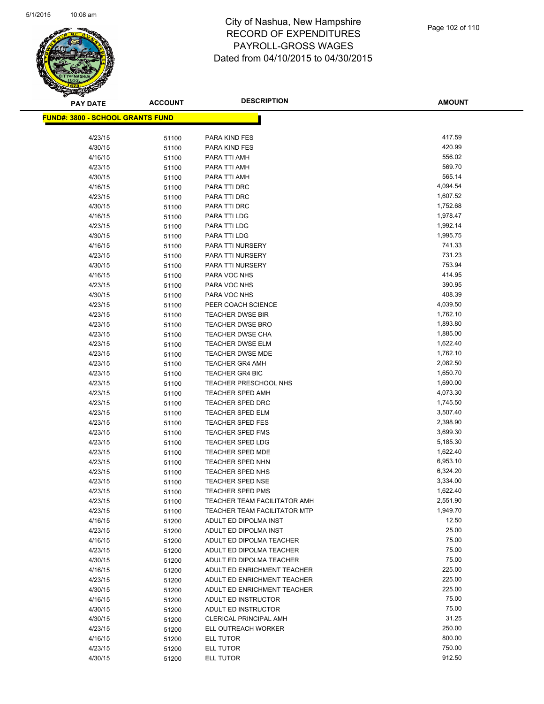

| <b>PAY DATE</b>                          | <b>ACCOUNT</b> | <b>DESCRIPTION</b>                          | <b>AMOUNT</b>        |
|------------------------------------------|----------------|---------------------------------------------|----------------------|
| <u> FUND#: 3800 - SCHOOL GRANTS FUND</u> |                |                                             |                      |
|                                          |                |                                             |                      |
| 4/23/15                                  | 51100          | PARA KIND FES                               | 417.59               |
| 4/30/15                                  | 51100          | PARA KIND FES                               | 420.99               |
| 4/16/15                                  | 51100          | PARA TTI AMH                                | 556.02               |
| 4/23/15                                  | 51100          | PARA TTI AMH                                | 569.70               |
| 4/30/15                                  | 51100          | PARA TTI AMH                                | 565.14               |
| 4/16/15                                  | 51100          | PARA TTI DRC                                | 4,094.54             |
| 4/23/15                                  | 51100          | PARA TTI DRC                                | 1,607.52             |
| 4/30/15                                  | 51100          | PARA TTI DRC                                | 1,752.68             |
| 4/16/15                                  | 51100          | PARA TTI LDG                                | 1,978.47             |
| 4/23/15                                  | 51100          | PARA TTI LDG                                | 1,992.14             |
| 4/30/15                                  | 51100          | PARA TTI LDG                                | 1,995.75             |
| 4/16/15                                  | 51100          | PARA TTI NURSERY                            | 741.33               |
| 4/23/15                                  | 51100          | PARA TTI NURSERY                            | 731.23               |
| 4/30/15                                  | 51100          | PARA TTI NURSERY                            | 753.94               |
| 4/16/15                                  | 51100          | PARA VOC NHS                                | 414.95               |
| 4/23/15                                  | 51100          | PARA VOC NHS                                | 390.95               |
| 4/30/15                                  | 51100          | PARA VOC NHS                                | 408.39               |
| 4/23/15                                  | 51100          | PEER COACH SCIENCE                          | 4,039.50             |
| 4/23/15                                  | 51100          | <b>TEACHER DWSE BIR</b>                     | 1,762.10             |
| 4/23/15                                  | 51100          | <b>TEACHER DWSE BRO</b>                     | 1,893.80             |
| 4/23/15                                  | 51100          | <b>TEACHER DWSE CHA</b>                     | 1,885.00             |
| 4/23/15                                  | 51100          | <b>TEACHER DWSE ELM</b>                     | 1,622.40             |
| 4/23/15                                  | 51100          | TEACHER DWSE MDE                            | 1,762.10             |
| 4/23/15                                  | 51100          | <b>TEACHER GR4 AMH</b>                      | 2,082.50             |
| 4/23/15                                  | 51100          | <b>TEACHER GR4 BIC</b>                      | 1,650.70             |
| 4/23/15                                  | 51100          | <b>TEACHER PRESCHOOL NHS</b>                | 1,690.00             |
| 4/23/15                                  | 51100          | <b>TEACHER SPED AMH</b>                     | 4,073.30             |
| 4/23/15                                  | 51100          | <b>TEACHER SPED DRC</b>                     | 1,745.50             |
| 4/23/15                                  | 51100          | <b>TEACHER SPED ELM</b>                     | 3,507.40             |
| 4/23/15                                  | 51100          | <b>TEACHER SPED FES</b>                     | 2,398.90             |
| 4/23/15                                  | 51100          | <b>TEACHER SPED FMS</b>                     | 3,699.30             |
| 4/23/15                                  | 51100          | <b>TEACHER SPED LDG</b>                     | 5,185.30             |
| 4/23/15<br>4/23/15                       | 51100          | <b>TEACHER SPED MDE</b><br>TEACHER SPED NHN | 1,622.40<br>6,953.10 |
| 4/23/15                                  | 51100          | TEACHER SPED NHS                            | 6,324.20             |
| 4/23/15                                  | 51100          | TEACHER SPED NSE                            | 3,334.00             |
| 4/23/15                                  | 51100<br>51100 | TEACHER SPED PMS                            | 1,622.40             |
| 4/23/15                                  | 51100          | TEACHER TEAM FACILITATOR AMH                | 2,551.90             |
| 4/23/15                                  | 51100          | <b>TEACHER TEAM FACILITATOR MTP</b>         | 1,949.70             |
| 4/16/15                                  | 51200          | ADULT ED DIPOLMA INST                       | 12.50                |
| 4/23/15                                  | 51200          | ADULT ED DIPOLMA INST                       | 25.00                |
| 4/16/15                                  | 51200          | ADULT ED DIPOLMA TEACHER                    | 75.00                |
| 4/23/15                                  | 51200          | ADULT ED DIPOLMA TEACHER                    | 75.00                |
| 4/30/15                                  | 51200          | ADULT ED DIPOLMA TEACHER                    | 75.00                |
| 4/16/15                                  | 51200          | ADULT ED ENRICHMENT TEACHER                 | 225.00               |
| 4/23/15                                  | 51200          | ADULT ED ENRICHMENT TEACHER                 | 225.00               |
| 4/30/15                                  | 51200          | ADULT ED ENRICHMENT TEACHER                 | 225.00               |
| 4/16/15                                  | 51200          | ADULT ED INSTRUCTOR                         | 75.00                |
| 4/30/15                                  | 51200          | ADULT ED INSTRUCTOR                         | 75.00                |
| 4/30/15                                  | 51200          | <b>CLERICAL PRINCIPAL AMH</b>               | 31.25                |
| 4/23/15                                  | 51200          | ELL OUTREACH WORKER                         | 250.00               |
| 4/16/15                                  | 51200          | ELL TUTOR                                   | 800.00               |
| 4/23/15                                  | 51200          | ELL TUTOR                                   | 750.00               |
| 4/30/15                                  | 51200          | <b>ELL TUTOR</b>                            | 912.50               |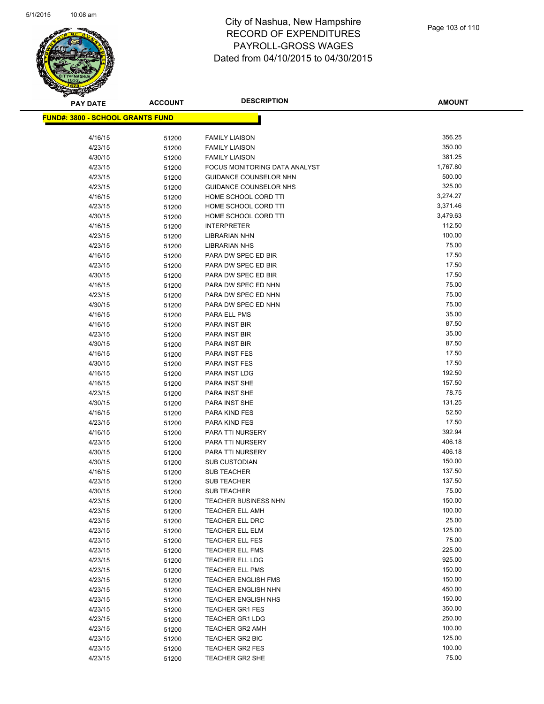

**AMOUNT**

| <u> FUND#: 3800 - SCHOOL GRANTS FUND</u> |                |                                           |                 |
|------------------------------------------|----------------|-------------------------------------------|-----------------|
| 4/16/15                                  | 51200          | <b>FAMILY LIAISON</b>                     | 356.25          |
| 4/23/15                                  | 51200          | <b>FAMILY LIAISON</b>                     | 350.00          |
| 4/30/15                                  | 51200          | <b>FAMILY LIAISON</b>                     | 381.25          |
| 4/23/15                                  | 51200          | FOCUS MONITORING DATA ANALYST             | 1,767.80        |
| 4/23/15                                  | 51200          | <b>GUIDANCE COUNSELOR NHN</b>             | 500.00          |
| 4/23/15                                  | 51200          | GUIDANCE COUNSELOR NHS                    | 325.00          |
| 4/16/15                                  | 51200          | HOME SCHOOL CORD TTI                      | 3,274.27        |
| 4/23/15                                  | 51200          | HOME SCHOOL CORD TTI                      | 3,371.46        |
| 4/30/15                                  | 51200          | HOME SCHOOL CORD TTI                      | 3,479.63        |
| 4/16/15                                  | 51200          | <b>INTERPRETER</b>                        | 112.50          |
| 4/23/15                                  | 51200          | <b>LIBRARIAN NHN</b>                      | 100.00          |
| 4/23/15                                  | 51200          | <b>LIBRARIAN NHS</b>                      | 75.00           |
| 4/16/15                                  | 51200          | PARA DW SPEC ED BIR                       | 17.50           |
| 4/23/15                                  | 51200          | PARA DW SPEC ED BIR                       | 17.50           |
| 4/30/15                                  | 51200          | PARA DW SPEC ED BIR                       | 17.50           |
| 4/16/15                                  | 51200          | PARA DW SPEC ED NHN                       | 75.00           |
| 4/23/15                                  | 51200          | PARA DW SPEC ED NHN                       | 75.00           |
| 4/30/15                                  | 51200          | PARA DW SPEC ED NHN                       | 75.00           |
| 4/16/15                                  | 51200          | PARA ELL PMS                              | 35.00           |
| 4/16/15                                  | 51200          | PARA INST BIR                             | 87.50           |
| 4/23/15                                  | 51200          | <b>PARA INST BIR</b>                      | 35.00           |
| 4/30/15                                  | 51200          | PARA INST BIR                             | 87.50           |
| 4/16/15                                  | 51200          | PARA INST FES                             | 17.50           |
| 4/30/15                                  | 51200          | PARA INST FES                             | 17.50           |
| 4/16/15                                  | 51200          | PARA INST LDG                             | 192.50          |
| 4/16/15                                  | 51200          | PARA INST SHE                             | 157.50          |
| 4/23/15                                  | 51200          | PARA INST SHE                             | 78.75           |
| 4/30/15                                  | 51200          | PARA INST SHE                             | 131.25          |
| 4/16/15                                  | 51200          | PARA KIND FES                             | 52.50           |
| 4/23/15                                  | 51200          | PARA KIND FES                             | 17.50           |
| 4/16/15                                  | 51200          | PARA TTI NURSERY                          | 392.94          |
| 4/23/15                                  | 51200          | PARA TTI NURSERY                          | 406.18          |
| 4/30/15                                  | 51200          | PARA TTI NURSERY                          | 406.18          |
| 4/30/15                                  | 51200          | <b>SUB CUSTODIAN</b>                      | 150.00          |
| 4/16/15                                  | 51200          | <b>SUB TEACHER</b>                        | 137.50          |
| 4/23/15                                  | 51200          | <b>SUB TEACHER</b>                        | 137.50          |
| 4/30/15                                  | 51200          | <b>SUB TEACHER</b>                        | 75.00<br>150.00 |
| 4/23/15                                  | 51200          | <b>TEACHER BUSINESS NHN</b>               | 100.00          |
| 4/23/15                                  | 51200          | <b>TEACHER ELL AMH</b>                    | 25.00           |
| 4/23/15<br>4/23/15                       | 51200          | TEACHER ELL DRC<br><b>TEACHER ELL ELM</b> | 125.00          |
| 4/23/15                                  | 51200          | TEACHER ELL FES                           | 75.00           |
| 4/23/15                                  | 51200<br>51200 | TEACHER ELL FMS                           | 225.00          |
| 4/23/15                                  |                | <b>TEACHER ELL LDG</b>                    | 925.00          |
| 4/23/15                                  | 51200<br>51200 | <b>TEACHER ELL PMS</b>                    | 150.00          |
| 4/23/15                                  | 51200          | <b>TEACHER ENGLISH FMS</b>                | 150.00          |
| 4/23/15                                  | 51200          | TEACHER ENGLISH NHN                       | 450.00          |
| 4/23/15                                  | 51200          | <b>TEACHER ENGLISH NHS</b>                | 150.00          |
| 4/23/15                                  | 51200          | <b>TEACHER GR1 FES</b>                    | 350.00          |
| 4/23/15                                  | 51200          | <b>TEACHER GR1 LDG</b>                    | 250.00          |
| 4/23/15                                  | 51200          | <b>TEACHER GR2 AMH</b>                    | 100.00          |
| 4/23/15                                  | 51200          | TEACHER GR2 BIC                           | 125.00          |
| 4/23/15                                  | 51200          | <b>TEACHER GR2 FES</b>                    | 100.00          |
| 4/23/15                                  | 51200          | TEACHER GR2 SHE                           | 75.00           |
|                                          |                |                                           |                 |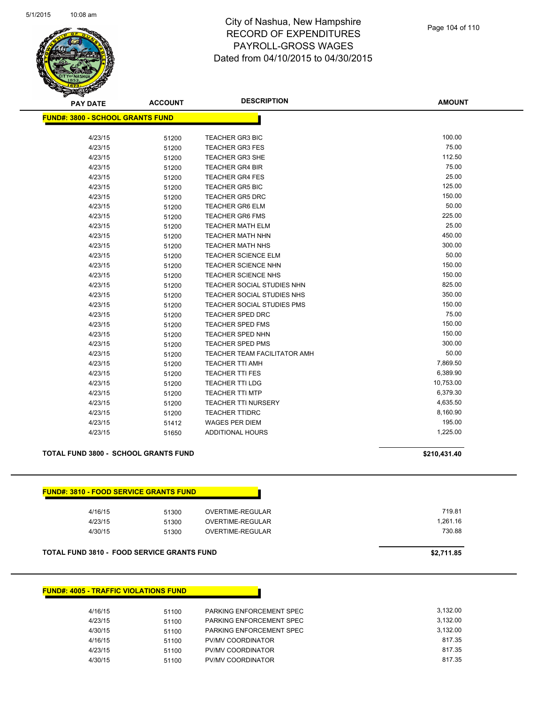

| <b>PAY DATE</b>                         | <b>ACCOUNT</b> | <b>DESCRIPTION</b>                | <b>AMOUNT</b> |
|-----------------------------------------|----------------|-----------------------------------|---------------|
| <b>FUND#: 3800 - SCHOOL GRANTS FUND</b> |                |                                   |               |
| 4/23/15                                 | 51200          | <b>TEACHER GR3 BIC</b>            | 100.00        |
| 4/23/15                                 | 51200          | <b>TEACHER GR3 FES</b>            | 75.00         |
| 4/23/15                                 | 51200          | <b>TEACHER GR3 SHE</b>            | 112.50        |
| 4/23/15                                 | 51200          | <b>TEACHER GR4 BIR</b>            | 75.00         |
| 4/23/15                                 | 51200          | <b>TEACHER GR4 FES</b>            | 25.00         |
| 4/23/15                                 | 51200          | <b>TEACHER GR5 BIC</b>            | 125.00        |
| 4/23/15                                 | 51200          | <b>TEACHER GR5 DRC</b>            | 150.00        |
| 4/23/15                                 | 51200          | <b>TEACHER GR6 ELM</b>            | 50.00         |
| 4/23/15                                 | 51200          | <b>TEACHER GR6 FMS</b>            | 225.00        |
| 4/23/15                                 | 51200          | <b>TEACHER MATH ELM</b>           | 25.00         |
| 4/23/15                                 | 51200          | <b>TEACHER MATH NHN</b>           | 450.00        |
| 4/23/15                                 | 51200          | <b>TEACHER MATH NHS</b>           | 300.00        |
| 4/23/15                                 | 51200          | <b>TEACHER SCIENCE ELM</b>        | 50.00         |
| 4/23/15                                 | 51200          | TEACHER SCIENCE NHN               | 150.00        |
| 4/23/15                                 | 51200          | <b>TEACHER SCIENCE NHS</b>        | 150.00        |
| 4/23/15                                 | 51200          | TEACHER SOCIAL STUDIES NHN        | 825.00        |
| 4/23/15                                 | 51200          | <b>TEACHER SOCIAL STUDIES NHS</b> | 350.00        |
| 4/23/15                                 | 51200          | TEACHER SOCIAL STUDIES PMS        | 150.00        |
| 4/23/15                                 | 51200          | <b>TEACHER SPED DRC</b>           | 75.00         |
| 4/23/15                                 | 51200          | <b>TEACHER SPED FMS</b>           | 150.00        |
| 4/23/15                                 | 51200          | <b>TEACHER SPED NHN</b>           | 150.00        |
| 4/23/15                                 | 51200          | <b>TEACHER SPED PMS</b>           | 300.00        |
| 4/23/15                                 | 51200          | TEACHER TEAM FACILITATOR AMH      | 50.00         |
| 4/23/15                                 | 51200          | <b>TEACHER TTI AMH</b>            | 7,869.50      |
| 4/23/15                                 | 51200          | <b>TEACHER TTI FES</b>            | 6,389.90      |
| 4/23/15                                 | 51200          | <b>TEACHER TTI LDG</b>            | 10,753.00     |
| 4/23/15                                 | 51200          | <b>TEACHER TTI MTP</b>            | 6,379.30      |
| 4/23/15                                 | 51200          | <b>TEACHER TTI NURSERY</b>        | 4,635.50      |
| 4/23/15                                 | 51200          | <b>TEACHER TTIDRC</b>             | 8,160.90      |
| 4/23/15                                 | 51412          | <b>WAGES PER DIEM</b>             | 195.00        |
| 4/23/15                                 | 51650          | <b>ADDITIONAL HOURS</b>           | 1,225.00      |

#### **TOTAL FUND 3800 - SCHOOL GRANTS FUND \$210,431.40**

| 4/16/15 | 51300 | OVERTIME-REGULAR | 719.81   |
|---------|-------|------------------|----------|
| 4/23/15 | 51300 | OVERTIME-REGULAR | 1,261.16 |
| 4/30/15 | 51300 | OVERTIME-REGULAR | 730.88   |

# **FUND#: 4005 - TRAFFIC VIOLATIONS FUND**

| 4/16/15 | 51100 | PARKING ENFORCEMENT SPEC | 3.132.00 |
|---------|-------|--------------------------|----------|
| 4/23/15 | 51100 | PARKING ENFORCEMENT SPEC | 3.132.00 |
| 4/30/15 | 51100 | PARKING ENFORCEMENT SPEC | 3.132.00 |
| 4/16/15 | 51100 | PV/MV COORDINATOR        | 817.35   |
| 4/23/15 | 51100 | PV/MV COORDINATOR        | 817.35   |
| 4/30/15 | 51100 | PV/MV COORDINATOR        | 817.35   |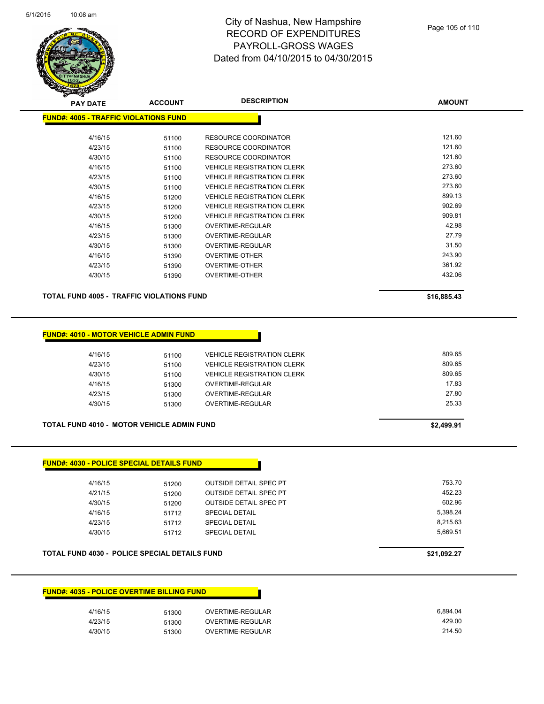

| <b>PAY DATE</b>                               | <b>ACCOUNT</b> | <b>DESCRIPTION</b>                | <b>AMOUNT</b> |
|-----------------------------------------------|----------------|-----------------------------------|---------------|
| <u> FUND#: 4005 - TRAFFIC VIOLATIONS FUND</u> |                |                                   |               |
|                                               |                |                                   |               |
| 4/16/15                                       | 51100          | <b>RESOURCE COORDINATOR</b>       | 121.60        |
| 4/23/15                                       | 51100          | <b>RESOURCE COORDINATOR</b>       | 121.60        |
| 4/30/15                                       | 51100          | RESOURCE COORDINATOR              | 121.60        |
| 4/16/15                                       | 51100          | <b>VEHICLE REGISTRATION CLERK</b> | 273.60        |
| 4/23/15                                       | 51100          | <b>VEHICLE REGISTRATION CLERK</b> | 273.60        |
| 4/30/15                                       | 51100          | <b>VEHICLE REGISTRATION CLERK</b> | 273.60        |
| 4/16/15                                       | 51200          | <b>VEHICLE REGISTRATION CLERK</b> | 899.13        |
| 4/23/15                                       | 51200          | <b>VEHICLE REGISTRATION CLERK</b> | 902.69        |
| 4/30/15                                       | 51200          | <b>VEHICLE REGISTRATION CLERK</b> | 909.81        |
| 4/16/15                                       | 51300          | OVERTIME-REGULAR                  | 42.98         |
| 4/23/15                                       | 51300          | <b>OVERTIME-REGULAR</b>           | 27.79         |
| 4/30/15                                       | 51300          | OVERTIME-REGULAR                  | 31.50         |
| 4/16/15                                       | 51390          | <b>OVERTIME-OTHER</b>             | 243.90        |
| 4/23/15                                       | 51390          | <b>OVERTIME-OTHER</b>             | 361.92        |
| 4/30/15                                       | 51390          | <b>OVERTIME-OTHER</b>             | 432.06        |
|                                               |                |                                   |               |

**TOTAL FUND 4005 - TRAFFIC VIOLATIONS FUND \$16,885.43** 

### **FUND#: 4010 - MOTOR VEHICLE ADMIN FUND**

| 4/16/15 | 51100 | <b>VEHICLE REGISTRATION CLERK</b> | 809.65 |
|---------|-------|-----------------------------------|--------|
| 4/23/15 | 51100 | <b>VEHICLE REGISTRATION CLERK</b> | 809.65 |
| 4/30/15 | 51100 | <b>VEHICLE REGISTRATION CLERK</b> | 809.65 |
| 4/16/15 | 51300 | OVERTIME-REGULAR                  | 17.83  |
| 4/23/15 | 51300 | OVERTIME-REGULAR                  | 27.80  |
| 4/30/15 | 51300 | OVERTIME-REGULAR                  | 25.33  |
|         |       |                                   |        |

#### **TOTAL FUND 4010 - MOTOR VEHICLE ADMIN FUND \$2,499.91**

### **FUND#: 4030 - POLICE SPECIAL DETAILS FUND**

| 4/16/15<br>4/21/15<br>4/30/15<br>4/16/15<br>4/23/15 | 51200<br>51200<br>51200<br>51712<br>51712 | <b>OUTSIDE DETAIL SPEC PT</b><br><b>OUTSIDE DETAIL SPEC PT</b><br><b>OUTSIDE DETAIL SPEC PT</b><br><b>SPECIAL DETAIL</b><br><b>SPECIAL DETAIL</b> | 753.70<br>452.23<br>602.96<br>5.398.24<br>8.215.63<br>5.669.51 |
|-----------------------------------------------------|-------------------------------------------|---------------------------------------------------------------------------------------------------------------------------------------------------|----------------------------------------------------------------|
| 4/30/15                                             | 51712                                     | <b>SPECIAL DETAIL</b>                                                                                                                             |                                                                |
|                                                     |                                           |                                                                                                                                                   |                                                                |

#### **TOTAL FUND 4030 - POLICE SPECIAL DETAILS FUND \$21,092.27**

### **FUND#: 4035 - POLICE OVERTIME BILLING FUND**

| 4/16/15 | 51300 | OVERTIME-REGULAR | 6.894.04 |
|---------|-------|------------------|----------|
| 4/23/15 | 51300 | OVERTIME-REGULAR | 429.00   |
| 4/30/15 | 51300 | OVERTIME-REGULAR | 214.50   |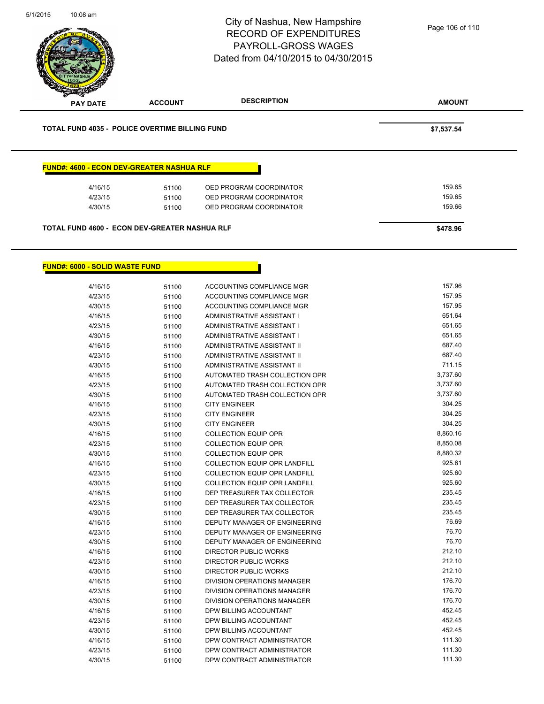

#### **FUND#: 6000 - SOLID WASTE FUND**

| 4/16/15 | 51100 | ACCOUNTING COMPLIANCE MGR            | 157.96   |
|---------|-------|--------------------------------------|----------|
| 4/23/15 | 51100 | <b>ACCOUNTING COMPLIANCE MGR</b>     | 157.95   |
| 4/30/15 | 51100 | ACCOUNTING COMPLIANCE MGR            | 157.95   |
| 4/16/15 | 51100 | ADMINISTRATIVE ASSISTANT I           | 651.64   |
| 4/23/15 | 51100 | ADMINISTRATIVE ASSISTANT I           | 651.65   |
| 4/30/15 | 51100 | ADMINISTRATIVE ASSISTANT I           | 651.65   |
| 4/16/15 | 51100 | <b>ADMINISTRATIVE ASSISTANT II</b>   | 687.40   |
| 4/23/15 | 51100 | ADMINISTRATIVE ASSISTANT II          | 687.40   |
| 4/30/15 | 51100 | <b>ADMINISTRATIVE ASSISTANT II</b>   | 711.15   |
| 4/16/15 | 51100 | AUTOMATED TRASH COLLECTION OPR       | 3,737.60 |
| 4/23/15 | 51100 | AUTOMATED TRASH COLLECTION OPR       | 3,737.60 |
| 4/30/15 | 51100 | AUTOMATED TRASH COLLECTION OPR       | 3,737.60 |
| 4/16/15 | 51100 | <b>CITY ENGINEER</b>                 | 304.25   |
| 4/23/15 | 51100 | <b>CITY ENGINEER</b>                 | 304.25   |
| 4/30/15 | 51100 | <b>CITY ENGINEER</b>                 | 304.25   |
| 4/16/15 | 51100 | <b>COLLECTION EQUIP OPR</b>          | 8,860.16 |
| 4/23/15 | 51100 | <b>COLLECTION EQUIP OPR</b>          | 8,850.08 |
| 4/30/15 | 51100 | <b>COLLECTION EQUIP OPR</b>          | 8,880.32 |
| 4/16/15 | 51100 | <b>COLLECTION EQUIP OPR LANDFILL</b> | 925.61   |
| 4/23/15 | 51100 | <b>COLLECTION EQUIP OPR LANDFILL</b> | 925.60   |
| 4/30/15 | 51100 | <b>COLLECTION EQUIP OPR LANDFILL</b> | 925.60   |
| 4/16/15 | 51100 | DEP TREASURER TAX COLLECTOR          | 235.45   |
| 4/23/15 | 51100 | DEP TREASURER TAX COLLECTOR          | 235.45   |
| 4/30/15 | 51100 | DEP TREASURER TAX COLLECTOR          | 235.45   |
| 4/16/15 | 51100 | DEPUTY MANAGER OF ENGINEERING        | 76.69    |
| 4/23/15 | 51100 | DEPUTY MANAGER OF ENGINEERING        | 76.70    |
| 4/30/15 | 51100 | DEPUTY MANAGER OF ENGINEERING        | 76.70    |
| 4/16/15 | 51100 | <b>DIRECTOR PUBLIC WORKS</b>         | 212.10   |
| 4/23/15 | 51100 | <b>DIRECTOR PUBLIC WORKS</b>         | 212.10   |
| 4/30/15 | 51100 | DIRECTOR PUBLIC WORKS                | 212.10   |
| 4/16/15 | 51100 | DIVISION OPERATIONS MANAGER          | 176.70   |
| 4/23/15 | 51100 | DIVISION OPERATIONS MANAGER          | 176.70   |
| 4/30/15 | 51100 | DIVISION OPERATIONS MANAGER          | 176.70   |
| 4/16/15 | 51100 | DPW BILLING ACCOUNTANT               | 452.45   |
| 4/23/15 | 51100 | DPW BILLING ACCOUNTANT               | 452.45   |
| 4/30/15 | 51100 | DPW BILLING ACCOUNTANT               | 452.45   |
| 4/16/15 | 51100 | DPW CONTRACT ADMINISTRATOR           | 111.30   |
| 4/23/15 | 51100 | DPW CONTRACT ADMINISTRATOR           | 111.30   |
| 4/30/15 | 51100 | DPW CONTRACT ADMINISTRATOR           | 111.30   |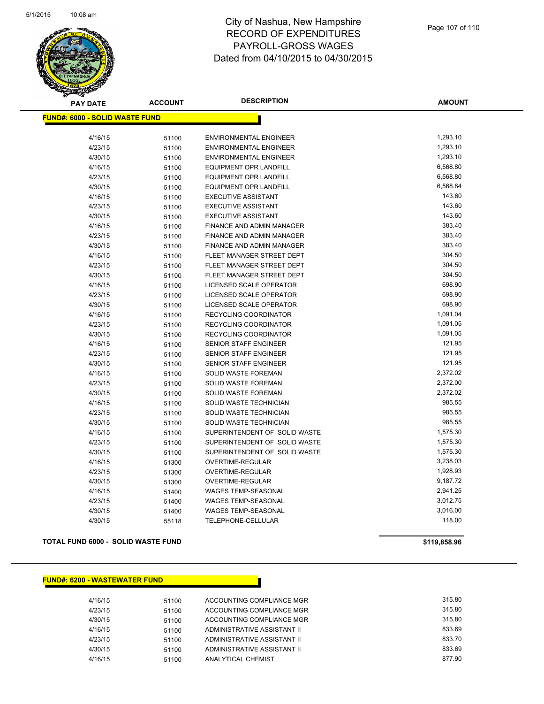

| <b>PAY DATE</b>                       | <b>ACCOUNT</b> | <b>DESCRIPTION</b>            | <b>AMOUNT</b> |  |  |
|---------------------------------------|----------------|-------------------------------|---------------|--|--|
| <b>FUND#: 6000 - SOLID WASTE FUND</b> |                |                               |               |  |  |
|                                       |                |                               | 1,293.10      |  |  |
| 4/16/15                               | 51100          | <b>ENVIRONMENTAL ENGINEER</b> | 1,293.10      |  |  |
| 4/23/15                               | 51100          | <b>ENVIRONMENTAL ENGINEER</b> | 1,293.10      |  |  |
| 4/30/15                               | 51100          | <b>ENVIRONMENTAL ENGINEER</b> | 6,568.80      |  |  |
| 4/16/15                               | 51100          | <b>EQUIPMENT OPR LANDFILL</b> |               |  |  |
| 4/23/15                               | 51100          | <b>EQUIPMENT OPR LANDFILL</b> | 6,568.80      |  |  |
| 4/30/15                               | 51100          | <b>EQUIPMENT OPR LANDFILL</b> | 6,568.84      |  |  |
| 4/16/15                               | 51100          | <b>EXECUTIVE ASSISTANT</b>    | 143.60        |  |  |
| 4/23/15                               | 51100          | <b>EXECUTIVE ASSISTANT</b>    | 143.60        |  |  |
| 4/30/15                               | 51100          | <b>EXECUTIVE ASSISTANT</b>    | 143.60        |  |  |
| 4/16/15                               | 51100          | FINANCE AND ADMIN MANAGER     | 383.40        |  |  |
| 4/23/15                               | 51100          | FINANCE AND ADMIN MANAGER     | 383.40        |  |  |
| 4/30/15                               | 51100          | FINANCE AND ADMIN MANAGER     | 383.40        |  |  |
| 4/16/15                               | 51100          | FLEET MANAGER STREET DEPT     | 304.50        |  |  |
| 4/23/15                               | 51100          | FLEET MANAGER STREET DEPT     | 304.50        |  |  |
| 4/30/15                               | 51100          | FLEET MANAGER STREET DEPT     | 304.50        |  |  |
| 4/16/15                               | 51100          | LICENSED SCALE OPERATOR       | 698.90        |  |  |
| 4/23/15                               | 51100          | LICENSED SCALE OPERATOR       | 698.90        |  |  |
| 4/30/15                               | 51100          | LICENSED SCALE OPERATOR       | 698.90        |  |  |
| 4/16/15                               | 51100          | RECYCLING COORDINATOR         | 1,091.04      |  |  |
| 4/23/15                               | 51100          | RECYCLING COORDINATOR         | 1,091.05      |  |  |
| 4/30/15                               | 51100          | <b>RECYCLING COORDINATOR</b>  | 1,091.05      |  |  |
| 4/16/15                               | 51100          | SENIOR STAFF ENGINEER         | 121.95        |  |  |
| 4/23/15                               | 51100          | SENIOR STAFF ENGINEER         | 121.95        |  |  |
| 4/30/15                               | 51100          | <b>SENIOR STAFF ENGINEER</b>  | 121.95        |  |  |
| 4/16/15                               | 51100          | SOLID WASTE FOREMAN           | 2,372.02      |  |  |
| 4/23/15                               | 51100          | SOLID WASTE FOREMAN           | 2,372.00      |  |  |
| 4/30/15                               | 51100          | SOLID WASTE FOREMAN           | 2,372.02      |  |  |
| 4/16/15                               | 51100          | SOLID WASTE TECHNICIAN        | 985.55        |  |  |
| 4/23/15                               | 51100          | SOLID WASTE TECHNICIAN        | 985.55        |  |  |
| 4/30/15                               | 51100          | SOLID WASTE TECHNICIAN        | 985.55        |  |  |
| 4/16/15                               | 51100          | SUPERINTENDENT OF SOLID WASTE | 1,575.30      |  |  |
| 4/23/15                               | 51100          | SUPERINTENDENT OF SOLID WASTE | 1,575.30      |  |  |
| 4/30/15                               | 51100          | SUPERINTENDENT OF SOLID WASTE | 1,575.30      |  |  |
| 4/16/15                               | 51300          | OVERTIME-REGULAR              | 3,238.03      |  |  |
| 4/23/15                               | 51300          | OVERTIME-REGULAR              | 1,928.93      |  |  |
| 4/30/15                               | 51300          | OVERTIME-REGULAR              | 9,187.72      |  |  |
| 4/16/15                               | 51400          | <b>WAGES TEMP-SEASONAL</b>    | 2,941.25      |  |  |
| 4/23/15                               | 51400          | <b>WAGES TEMP-SEASONAL</b>    | 3,012.75      |  |  |
| 4/30/15                               | 51400          | <b>WAGES TEMP-SEASONAL</b>    | 3,016.00      |  |  |
| 4/30/15                               | 55118          | TELEPHONE-CELLULAR            | 118.00        |  |  |
|                                       |                |                               |               |  |  |

**TOTAL FUND 6000 - SOLID WASTE FUND \$119,858.96** 

# **FUND#: 6200 - WASTEWATER FUND**

| 4/16/15 | 51100 | ACCOUNTING COMPLIANCE MGR   | 315.80 |
|---------|-------|-----------------------------|--------|
| 4/23/15 | 51100 | ACCOUNTING COMPLIANCE MGR   | 315.80 |
| 4/30/15 | 51100 | ACCOUNTING COMPLIANCE MGR   | 315.80 |
| 4/16/15 | 51100 | ADMINISTRATIVE ASSISTANT II | 833.69 |
| 4/23/15 | 51100 | ADMINISTRATIVE ASSISTANT II | 833.70 |
| 4/30/15 | 51100 | ADMINISTRATIVE ASSISTANT II | 833.69 |
| 4/16/15 | 51100 | ANALYTICAL CHEMIST          | 877.90 |
|         |       |                             |        |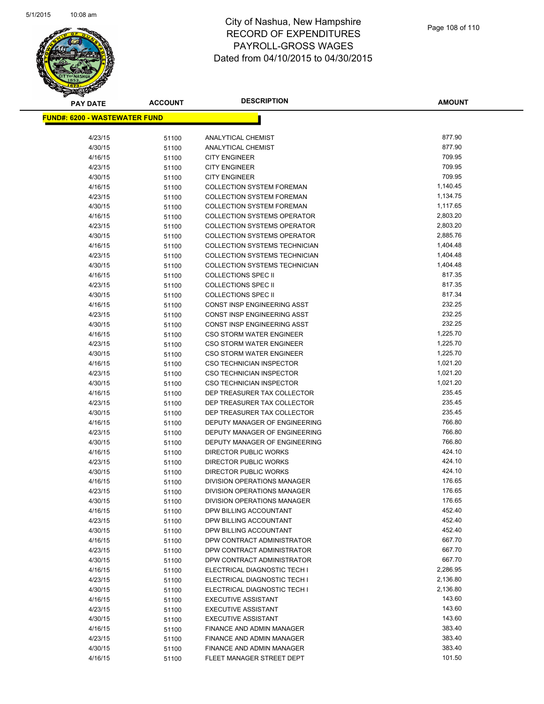

| <b>PAY DATE</b>                       | <b>ACCOUNT</b> | <b>DESCRIPTION</b>                                            | <b>AMOUNT</b>    |
|---------------------------------------|----------------|---------------------------------------------------------------|------------------|
| <u> FUND#: 6200 - WASTEWATER FUND</u> |                |                                                               |                  |
|                                       |                |                                                               |                  |
| 4/23/15                               | 51100          | ANALYTICAL CHEMIST                                            | 877.90           |
| 4/30/15                               | 51100          | ANALYTICAL CHEMIST                                            | 877.90           |
| 4/16/15                               | 51100          | <b>CITY ENGINEER</b>                                          | 709.95           |
| 4/23/15                               | 51100          | <b>CITY ENGINEER</b>                                          | 709.95           |
| 4/30/15                               | 51100          | <b>CITY ENGINEER</b>                                          | 709.95           |
| 4/16/15                               | 51100          | <b>COLLECTION SYSTEM FOREMAN</b>                              | 1,140.45         |
| 4/23/15                               | 51100          | <b>COLLECTION SYSTEM FOREMAN</b>                              | 1,134.75         |
| 4/30/15                               | 51100          | <b>COLLECTION SYSTEM FOREMAN</b>                              | 1,117.65         |
| 4/16/15                               | 51100          | <b>COLLECTION SYSTEMS OPERATOR</b>                            | 2,803.20         |
| 4/23/15                               | 51100          | <b>COLLECTION SYSTEMS OPERATOR</b>                            | 2,803.20         |
| 4/30/15                               | 51100          | <b>COLLECTION SYSTEMS OPERATOR</b>                            | 2,885.76         |
| 4/16/15                               | 51100          | <b>COLLECTION SYSTEMS TECHNICIAN</b>                          | 1,404.48         |
| 4/23/15                               | 51100          | COLLECTION SYSTEMS TECHNICIAN                                 | 1,404.48         |
| 4/30/15                               | 51100          | <b>COLLECTION SYSTEMS TECHNICIAN</b>                          | 1,404.48         |
| 4/16/15                               | 51100          | <b>COLLECTIONS SPEC II</b>                                    | 817.35           |
| 4/23/15                               | 51100          | <b>COLLECTIONS SPEC II</b>                                    | 817.35           |
| 4/30/15                               | 51100          | <b>COLLECTIONS SPEC II</b>                                    | 817.34           |
| 4/16/15                               | 51100          | CONST INSP ENGINEERING ASST                                   | 232.25           |
| 4/23/15                               | 51100          | CONST INSP ENGINEERING ASST                                   | 232.25           |
| 4/30/15                               | 51100          | <b>CONST INSP ENGINEERING ASST</b>                            | 232.25           |
| 4/16/15                               | 51100          | <b>CSO STORM WATER ENGINEER</b>                               | 1,225.70         |
| 4/23/15                               | 51100          | <b>CSO STORM WATER ENGINEER</b>                               | 1,225.70         |
| 4/30/15                               | 51100          | CSO STORM WATER ENGINEER                                      | 1,225.70         |
| 4/16/15                               | 51100          | <b>CSO TECHNICIAN INSPECTOR</b>                               | 1,021.20         |
| 4/23/15                               | 51100          | CSO TECHNICIAN INSPECTOR                                      | 1,021.20         |
| 4/30/15                               | 51100          | CSO TECHNICIAN INSPECTOR                                      | 1,021.20         |
| 4/16/15                               | 51100          | DEP TREASURER TAX COLLECTOR                                   | 235.45           |
| 4/23/15                               | 51100          | DEP TREASURER TAX COLLECTOR                                   | 235.45           |
| 4/30/15                               | 51100          | DEP TREASURER TAX COLLECTOR                                   | 235.45           |
| 4/16/15                               | 51100          | DEPUTY MANAGER OF ENGINEERING                                 | 766.80           |
| 4/23/15                               | 51100          | DEPUTY MANAGER OF ENGINEERING                                 | 766.80<br>766.80 |
| 4/30/15                               | 51100          | DEPUTY MANAGER OF ENGINEERING<br><b>DIRECTOR PUBLIC WORKS</b> |                  |
| 4/16/15                               | 51100          |                                                               | 424.10<br>424.10 |
| 4/23/15                               | 51100          | DIRECTOR PUBLIC WORKS<br><b>DIRECTOR PUBLIC WORKS</b>         | 424.10           |
| 4/30/15                               | 51100          | <b>DIVISION OPERATIONS MANAGER</b>                            | 176.65           |
| 4/16/15<br>4/23/15                    | 51100          | DIVISION OPERATIONS MANAGER                                   | 176.65           |
|                                       | 51100          |                                                               | 176.65           |
| 4/30/15<br>4/16/15                    | 51100          | DIVISION OPERATIONS MANAGER<br>DPW BILLING ACCOUNTANT         | 452.40           |
| 4/23/15                               | 51100<br>51100 | DPW BILLING ACCOUNTANT                                        | 452.40           |
| 4/30/15                               | 51100          | DPW BILLING ACCOUNTANT                                        | 452.40           |
| 4/16/15                               | 51100          | DPW CONTRACT ADMINISTRATOR                                    | 667.70           |
| 4/23/15                               | 51100          | DPW CONTRACT ADMINISTRATOR                                    | 667.70           |
| 4/30/15                               | 51100          | DPW CONTRACT ADMINISTRATOR                                    | 667.70           |
| 4/16/15                               | 51100          | ELECTRICAL DIAGNOSTIC TECH I                                  | 2,286.95         |
| 4/23/15                               | 51100          | ELECTRICAL DIAGNOSTIC TECH I                                  | 2,136.80         |
| 4/30/15                               | 51100          | ELECTRICAL DIAGNOSTIC TECH I                                  | 2,136.80         |
| 4/16/15                               | 51100          | <b>EXECUTIVE ASSISTANT</b>                                    | 143.60           |
| 4/23/15                               | 51100          | <b>EXECUTIVE ASSISTANT</b>                                    | 143.60           |
| 4/30/15                               | 51100          | <b>EXECUTIVE ASSISTANT</b>                                    | 143.60           |
| 4/16/15                               | 51100          | FINANCE AND ADMIN MANAGER                                     | 383.40           |
| 4/23/15                               | 51100          | FINANCE AND ADMIN MANAGER                                     | 383.40           |
| 4/30/15                               | 51100          | FINANCE AND ADMIN MANAGER                                     | 383.40           |
| 4/16/15                               | 51100          | FLEET MANAGER STREET DEPT                                     | 101.50           |
|                                       |                |                                                               |                  |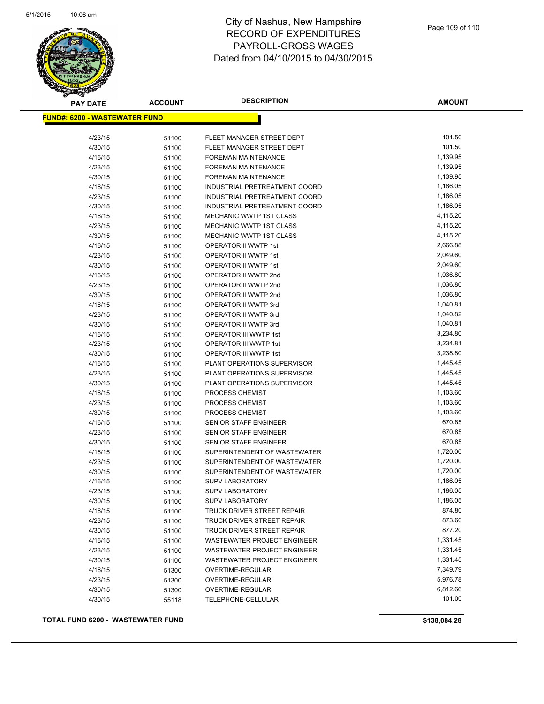

## City of Nashua, New Hampshire RECORD OF EXPENDITURES PAYROLL-GROSS WAGES Dated from 04/10/2015 to 04/30/2015

| <b>FUND#: 6200 - WASTEWATER FUND</b><br>101.50<br>4/23/15<br>FLEET MANAGER STREET DEPT<br>51100<br>101.50<br>4/30/15<br>51100<br>FLEET MANAGER STREET DEPT<br>1,139.95<br>4/16/15<br>FOREMAN MAINTENANCE<br>51100<br>1,139.95<br>4/23/15<br>FOREMAN MAINTENANCE<br>51100<br>1,139.95<br>4/30/15<br>FOREMAN MAINTENANCE<br>51100<br>1,186.05<br>4/16/15<br>INDUSTRIAL PRETREATMENT COORD<br>51100<br>1,186.05<br>4/23/15<br>INDUSTRIAL PRETREATMENT COORD<br>51100<br>1,186.05<br>4/30/15<br>INDUSTRIAL PRETREATMENT COORD<br>51100<br>4,115.20<br>MECHANIC WWTP 1ST CLASS<br>4/16/15<br>51100<br>4,115.20<br>4/23/15<br>MECHANIC WWTP 1ST CLASS<br>51100<br>MECHANIC WWTP 1ST CLASS<br>4,115.20<br>4/30/15<br>51100<br>OPERATOR II WWTP 1st<br>2,666.88<br>4/16/15<br>51100<br>2,049.60<br>4/23/15<br><b>OPERATOR II WWTP 1st</b><br>51100<br>4/30/15<br>2,049.60<br><b>OPERATOR II WWTP 1st</b><br>51100<br>1,036.80<br>OPERATOR II WWTP 2nd<br>4/16/15<br>51100<br>1,036.80<br>4/23/15<br>OPERATOR II WWTP 2nd<br>51100<br>1,036.80<br>4/30/15<br>OPERATOR II WWTP 2nd<br>51100<br>OPERATOR II WWTP 3rd<br>1,040.81<br>4/16/15<br>51100<br>1,040.82<br>4/23/15<br>OPERATOR II WWTP 3rd<br>51100<br>4/30/15<br>1,040.81<br>OPERATOR II WWTP 3rd<br>51100<br>3,234.80<br>OPERATOR III WWTP 1st<br>4/16/15<br>51100<br>OPERATOR III WWTP 1st<br>3,234.81<br>4/23/15<br>51100<br>3,238.80<br>OPERATOR III WWTP 1st<br>4/30/15<br>51100<br>1,445.45<br>4/16/15<br>PLANT OPERATIONS SUPERVISOR<br>51100<br>1,445.45<br>4/23/15<br>PLANT OPERATIONS SUPERVISOR<br>51100<br>1,445.45<br>PLANT OPERATIONS SUPERVISOR<br>4/30/15<br>51100<br>1,103.60<br>4/16/15<br>PROCESS CHEMIST<br>51100<br>1,103.60<br>4/23/15<br>PROCESS CHEMIST<br>51100<br>1,103.60<br>4/30/15<br>PROCESS CHEMIST<br>51100<br>670.85<br>SENIOR STAFF ENGINEER<br>4/16/15<br>51100<br>4/23/15<br>670.85<br><b>SENIOR STAFF ENGINEER</b><br>51100<br>670.85<br>4/30/15<br><b>SENIOR STAFF ENGINEER</b><br>51100<br>SUPERINTENDENT OF WASTEWATER<br>1,720.00<br>4/16/15<br>51100<br>1,720.00<br>SUPERINTENDENT OF WASTEWATER<br>4/23/15<br>51100<br>1,720.00<br>4/30/15<br>SUPERINTENDENT OF WASTEWATER<br>51100<br>1,186.05<br><b>SUPV LABORATORY</b><br>4/16/15<br>51100<br>1,186.05<br>4/23/15<br><b>SUPV LABORATORY</b><br>51100<br>1,186.05<br>4/30/15<br><b>SUPV LABORATORY</b><br>51100<br>874.80<br>4/16/15<br><b>TRUCK DRIVER STREET REPAIR</b><br>51100<br>873.60<br>4/23/15<br>TRUCK DRIVER STREET REPAIR<br>51100<br>877.20<br><b>TRUCK DRIVER STREET REPAIR</b><br>4/30/15<br>51100<br>WASTEWATER PROJECT ENGINEER<br>1,331.45<br>4/16/15<br>51100<br>1,331.45<br>4/23/15<br>51100<br><b>WASTEWATER PROJECT ENGINEER</b><br>1,331.45<br>4/30/15<br>WASTEWATER PROJECT ENGINEER<br>51100<br>7,349.79<br>4/16/15<br>OVERTIME-REGULAR<br>51300<br>5,976.78<br>4/23/15<br>OVERTIME-REGULAR<br>51300<br>6,812.66<br>4/30/15<br><b>OVERTIME-REGULAR</b><br>51300<br>101.00<br>4/30/15<br>TELEPHONE-CELLULAR<br>55118 | <b>PAY DATE</b> | <b>ACCOUNT</b> | <b>DESCRIPTION</b> | <b>AMOUNT</b> |
|------------------------------------------------------------------------------------------------------------------------------------------------------------------------------------------------------------------------------------------------------------------------------------------------------------------------------------------------------------------------------------------------------------------------------------------------------------------------------------------------------------------------------------------------------------------------------------------------------------------------------------------------------------------------------------------------------------------------------------------------------------------------------------------------------------------------------------------------------------------------------------------------------------------------------------------------------------------------------------------------------------------------------------------------------------------------------------------------------------------------------------------------------------------------------------------------------------------------------------------------------------------------------------------------------------------------------------------------------------------------------------------------------------------------------------------------------------------------------------------------------------------------------------------------------------------------------------------------------------------------------------------------------------------------------------------------------------------------------------------------------------------------------------------------------------------------------------------------------------------------------------------------------------------------------------------------------------------------------------------------------------------------------------------------------------------------------------------------------------------------------------------------------------------------------------------------------------------------------------------------------------------------------------------------------------------------------------------------------------------------------------------------------------------------------------------------------------------------------------------------------------------------------------------------------------------------------------------------------------------------------------------------------------------------------------------------------------------------------------------------------------------------------------------------------------------------------------------------------------------------------------------------------------------------------------------------------------------------------------------|-----------------|----------------|--------------------|---------------|
|                                                                                                                                                                                                                                                                                                                                                                                                                                                                                                                                                                                                                                                                                                                                                                                                                                                                                                                                                                                                                                                                                                                                                                                                                                                                                                                                                                                                                                                                                                                                                                                                                                                                                                                                                                                                                                                                                                                                                                                                                                                                                                                                                                                                                                                                                                                                                                                                                                                                                                                                                                                                                                                                                                                                                                                                                                                                                                                                                                                          |                 |                |                    |               |
|                                                                                                                                                                                                                                                                                                                                                                                                                                                                                                                                                                                                                                                                                                                                                                                                                                                                                                                                                                                                                                                                                                                                                                                                                                                                                                                                                                                                                                                                                                                                                                                                                                                                                                                                                                                                                                                                                                                                                                                                                                                                                                                                                                                                                                                                                                                                                                                                                                                                                                                                                                                                                                                                                                                                                                                                                                                                                                                                                                                          |                 |                |                    |               |
|                                                                                                                                                                                                                                                                                                                                                                                                                                                                                                                                                                                                                                                                                                                                                                                                                                                                                                                                                                                                                                                                                                                                                                                                                                                                                                                                                                                                                                                                                                                                                                                                                                                                                                                                                                                                                                                                                                                                                                                                                                                                                                                                                                                                                                                                                                                                                                                                                                                                                                                                                                                                                                                                                                                                                                                                                                                                                                                                                                                          |                 |                |                    |               |
|                                                                                                                                                                                                                                                                                                                                                                                                                                                                                                                                                                                                                                                                                                                                                                                                                                                                                                                                                                                                                                                                                                                                                                                                                                                                                                                                                                                                                                                                                                                                                                                                                                                                                                                                                                                                                                                                                                                                                                                                                                                                                                                                                                                                                                                                                                                                                                                                                                                                                                                                                                                                                                                                                                                                                                                                                                                                                                                                                                                          |                 |                |                    |               |
|                                                                                                                                                                                                                                                                                                                                                                                                                                                                                                                                                                                                                                                                                                                                                                                                                                                                                                                                                                                                                                                                                                                                                                                                                                                                                                                                                                                                                                                                                                                                                                                                                                                                                                                                                                                                                                                                                                                                                                                                                                                                                                                                                                                                                                                                                                                                                                                                                                                                                                                                                                                                                                                                                                                                                                                                                                                                                                                                                                                          |                 |                |                    |               |
|                                                                                                                                                                                                                                                                                                                                                                                                                                                                                                                                                                                                                                                                                                                                                                                                                                                                                                                                                                                                                                                                                                                                                                                                                                                                                                                                                                                                                                                                                                                                                                                                                                                                                                                                                                                                                                                                                                                                                                                                                                                                                                                                                                                                                                                                                                                                                                                                                                                                                                                                                                                                                                                                                                                                                                                                                                                                                                                                                                                          |                 |                |                    |               |
|                                                                                                                                                                                                                                                                                                                                                                                                                                                                                                                                                                                                                                                                                                                                                                                                                                                                                                                                                                                                                                                                                                                                                                                                                                                                                                                                                                                                                                                                                                                                                                                                                                                                                                                                                                                                                                                                                                                                                                                                                                                                                                                                                                                                                                                                                                                                                                                                                                                                                                                                                                                                                                                                                                                                                                                                                                                                                                                                                                                          |                 |                |                    |               |
|                                                                                                                                                                                                                                                                                                                                                                                                                                                                                                                                                                                                                                                                                                                                                                                                                                                                                                                                                                                                                                                                                                                                                                                                                                                                                                                                                                                                                                                                                                                                                                                                                                                                                                                                                                                                                                                                                                                                                                                                                                                                                                                                                                                                                                                                                                                                                                                                                                                                                                                                                                                                                                                                                                                                                                                                                                                                                                                                                                                          |                 |                |                    |               |
|                                                                                                                                                                                                                                                                                                                                                                                                                                                                                                                                                                                                                                                                                                                                                                                                                                                                                                                                                                                                                                                                                                                                                                                                                                                                                                                                                                                                                                                                                                                                                                                                                                                                                                                                                                                                                                                                                                                                                                                                                                                                                                                                                                                                                                                                                                                                                                                                                                                                                                                                                                                                                                                                                                                                                                                                                                                                                                                                                                                          |                 |                |                    |               |
|                                                                                                                                                                                                                                                                                                                                                                                                                                                                                                                                                                                                                                                                                                                                                                                                                                                                                                                                                                                                                                                                                                                                                                                                                                                                                                                                                                                                                                                                                                                                                                                                                                                                                                                                                                                                                                                                                                                                                                                                                                                                                                                                                                                                                                                                                                                                                                                                                                                                                                                                                                                                                                                                                                                                                                                                                                                                                                                                                                                          |                 |                |                    |               |
|                                                                                                                                                                                                                                                                                                                                                                                                                                                                                                                                                                                                                                                                                                                                                                                                                                                                                                                                                                                                                                                                                                                                                                                                                                                                                                                                                                                                                                                                                                                                                                                                                                                                                                                                                                                                                                                                                                                                                                                                                                                                                                                                                                                                                                                                                                                                                                                                                                                                                                                                                                                                                                                                                                                                                                                                                                                                                                                                                                                          |                 |                |                    |               |
|                                                                                                                                                                                                                                                                                                                                                                                                                                                                                                                                                                                                                                                                                                                                                                                                                                                                                                                                                                                                                                                                                                                                                                                                                                                                                                                                                                                                                                                                                                                                                                                                                                                                                                                                                                                                                                                                                                                                                                                                                                                                                                                                                                                                                                                                                                                                                                                                                                                                                                                                                                                                                                                                                                                                                                                                                                                                                                                                                                                          |                 |                |                    |               |
|                                                                                                                                                                                                                                                                                                                                                                                                                                                                                                                                                                                                                                                                                                                                                                                                                                                                                                                                                                                                                                                                                                                                                                                                                                                                                                                                                                                                                                                                                                                                                                                                                                                                                                                                                                                                                                                                                                                                                                                                                                                                                                                                                                                                                                                                                                                                                                                                                                                                                                                                                                                                                                                                                                                                                                                                                                                                                                                                                                                          |                 |                |                    |               |
|                                                                                                                                                                                                                                                                                                                                                                                                                                                                                                                                                                                                                                                                                                                                                                                                                                                                                                                                                                                                                                                                                                                                                                                                                                                                                                                                                                                                                                                                                                                                                                                                                                                                                                                                                                                                                                                                                                                                                                                                                                                                                                                                                                                                                                                                                                                                                                                                                                                                                                                                                                                                                                                                                                                                                                                                                                                                                                                                                                                          |                 |                |                    |               |
|                                                                                                                                                                                                                                                                                                                                                                                                                                                                                                                                                                                                                                                                                                                                                                                                                                                                                                                                                                                                                                                                                                                                                                                                                                                                                                                                                                                                                                                                                                                                                                                                                                                                                                                                                                                                                                                                                                                                                                                                                                                                                                                                                                                                                                                                                                                                                                                                                                                                                                                                                                                                                                                                                                                                                                                                                                                                                                                                                                                          |                 |                |                    |               |
|                                                                                                                                                                                                                                                                                                                                                                                                                                                                                                                                                                                                                                                                                                                                                                                                                                                                                                                                                                                                                                                                                                                                                                                                                                                                                                                                                                                                                                                                                                                                                                                                                                                                                                                                                                                                                                                                                                                                                                                                                                                                                                                                                                                                                                                                                                                                                                                                                                                                                                                                                                                                                                                                                                                                                                                                                                                                                                                                                                                          |                 |                |                    |               |
|                                                                                                                                                                                                                                                                                                                                                                                                                                                                                                                                                                                                                                                                                                                                                                                                                                                                                                                                                                                                                                                                                                                                                                                                                                                                                                                                                                                                                                                                                                                                                                                                                                                                                                                                                                                                                                                                                                                                                                                                                                                                                                                                                                                                                                                                                                                                                                                                                                                                                                                                                                                                                                                                                                                                                                                                                                                                                                                                                                                          |                 |                |                    |               |
|                                                                                                                                                                                                                                                                                                                                                                                                                                                                                                                                                                                                                                                                                                                                                                                                                                                                                                                                                                                                                                                                                                                                                                                                                                                                                                                                                                                                                                                                                                                                                                                                                                                                                                                                                                                                                                                                                                                                                                                                                                                                                                                                                                                                                                                                                                                                                                                                                                                                                                                                                                                                                                                                                                                                                                                                                                                                                                                                                                                          |                 |                |                    |               |
|                                                                                                                                                                                                                                                                                                                                                                                                                                                                                                                                                                                                                                                                                                                                                                                                                                                                                                                                                                                                                                                                                                                                                                                                                                                                                                                                                                                                                                                                                                                                                                                                                                                                                                                                                                                                                                                                                                                                                                                                                                                                                                                                                                                                                                                                                                                                                                                                                                                                                                                                                                                                                                                                                                                                                                                                                                                                                                                                                                                          |                 |                |                    |               |
|                                                                                                                                                                                                                                                                                                                                                                                                                                                                                                                                                                                                                                                                                                                                                                                                                                                                                                                                                                                                                                                                                                                                                                                                                                                                                                                                                                                                                                                                                                                                                                                                                                                                                                                                                                                                                                                                                                                                                                                                                                                                                                                                                                                                                                                                                                                                                                                                                                                                                                                                                                                                                                                                                                                                                                                                                                                                                                                                                                                          |                 |                |                    |               |
|                                                                                                                                                                                                                                                                                                                                                                                                                                                                                                                                                                                                                                                                                                                                                                                                                                                                                                                                                                                                                                                                                                                                                                                                                                                                                                                                                                                                                                                                                                                                                                                                                                                                                                                                                                                                                                                                                                                                                                                                                                                                                                                                                                                                                                                                                                                                                                                                                                                                                                                                                                                                                                                                                                                                                                                                                                                                                                                                                                                          |                 |                |                    |               |
|                                                                                                                                                                                                                                                                                                                                                                                                                                                                                                                                                                                                                                                                                                                                                                                                                                                                                                                                                                                                                                                                                                                                                                                                                                                                                                                                                                                                                                                                                                                                                                                                                                                                                                                                                                                                                                                                                                                                                                                                                                                                                                                                                                                                                                                                                                                                                                                                                                                                                                                                                                                                                                                                                                                                                                                                                                                                                                                                                                                          |                 |                |                    |               |
|                                                                                                                                                                                                                                                                                                                                                                                                                                                                                                                                                                                                                                                                                                                                                                                                                                                                                                                                                                                                                                                                                                                                                                                                                                                                                                                                                                                                                                                                                                                                                                                                                                                                                                                                                                                                                                                                                                                                                                                                                                                                                                                                                                                                                                                                                                                                                                                                                                                                                                                                                                                                                                                                                                                                                                                                                                                                                                                                                                                          |                 |                |                    |               |
|                                                                                                                                                                                                                                                                                                                                                                                                                                                                                                                                                                                                                                                                                                                                                                                                                                                                                                                                                                                                                                                                                                                                                                                                                                                                                                                                                                                                                                                                                                                                                                                                                                                                                                                                                                                                                                                                                                                                                                                                                                                                                                                                                                                                                                                                                                                                                                                                                                                                                                                                                                                                                                                                                                                                                                                                                                                                                                                                                                                          |                 |                |                    |               |
|                                                                                                                                                                                                                                                                                                                                                                                                                                                                                                                                                                                                                                                                                                                                                                                                                                                                                                                                                                                                                                                                                                                                                                                                                                                                                                                                                                                                                                                                                                                                                                                                                                                                                                                                                                                                                                                                                                                                                                                                                                                                                                                                                                                                                                                                                                                                                                                                                                                                                                                                                                                                                                                                                                                                                                                                                                                                                                                                                                                          |                 |                |                    |               |
|                                                                                                                                                                                                                                                                                                                                                                                                                                                                                                                                                                                                                                                                                                                                                                                                                                                                                                                                                                                                                                                                                                                                                                                                                                                                                                                                                                                                                                                                                                                                                                                                                                                                                                                                                                                                                                                                                                                                                                                                                                                                                                                                                                                                                                                                                                                                                                                                                                                                                                                                                                                                                                                                                                                                                                                                                                                                                                                                                                                          |                 |                |                    |               |
|                                                                                                                                                                                                                                                                                                                                                                                                                                                                                                                                                                                                                                                                                                                                                                                                                                                                                                                                                                                                                                                                                                                                                                                                                                                                                                                                                                                                                                                                                                                                                                                                                                                                                                                                                                                                                                                                                                                                                                                                                                                                                                                                                                                                                                                                                                                                                                                                                                                                                                                                                                                                                                                                                                                                                                                                                                                                                                                                                                                          |                 |                |                    |               |
|                                                                                                                                                                                                                                                                                                                                                                                                                                                                                                                                                                                                                                                                                                                                                                                                                                                                                                                                                                                                                                                                                                                                                                                                                                                                                                                                                                                                                                                                                                                                                                                                                                                                                                                                                                                                                                                                                                                                                                                                                                                                                                                                                                                                                                                                                                                                                                                                                                                                                                                                                                                                                                                                                                                                                                                                                                                                                                                                                                                          |                 |                |                    |               |
|                                                                                                                                                                                                                                                                                                                                                                                                                                                                                                                                                                                                                                                                                                                                                                                                                                                                                                                                                                                                                                                                                                                                                                                                                                                                                                                                                                                                                                                                                                                                                                                                                                                                                                                                                                                                                                                                                                                                                                                                                                                                                                                                                                                                                                                                                                                                                                                                                                                                                                                                                                                                                                                                                                                                                                                                                                                                                                                                                                                          |                 |                |                    |               |
|                                                                                                                                                                                                                                                                                                                                                                                                                                                                                                                                                                                                                                                                                                                                                                                                                                                                                                                                                                                                                                                                                                                                                                                                                                                                                                                                                                                                                                                                                                                                                                                                                                                                                                                                                                                                                                                                                                                                                                                                                                                                                                                                                                                                                                                                                                                                                                                                                                                                                                                                                                                                                                                                                                                                                                                                                                                                                                                                                                                          |                 |                |                    |               |
|                                                                                                                                                                                                                                                                                                                                                                                                                                                                                                                                                                                                                                                                                                                                                                                                                                                                                                                                                                                                                                                                                                                                                                                                                                                                                                                                                                                                                                                                                                                                                                                                                                                                                                                                                                                                                                                                                                                                                                                                                                                                                                                                                                                                                                                                                                                                                                                                                                                                                                                                                                                                                                                                                                                                                                                                                                                                                                                                                                                          |                 |                |                    |               |
|                                                                                                                                                                                                                                                                                                                                                                                                                                                                                                                                                                                                                                                                                                                                                                                                                                                                                                                                                                                                                                                                                                                                                                                                                                                                                                                                                                                                                                                                                                                                                                                                                                                                                                                                                                                                                                                                                                                                                                                                                                                                                                                                                                                                                                                                                                                                                                                                                                                                                                                                                                                                                                                                                                                                                                                                                                                                                                                                                                                          |                 |                |                    |               |
|                                                                                                                                                                                                                                                                                                                                                                                                                                                                                                                                                                                                                                                                                                                                                                                                                                                                                                                                                                                                                                                                                                                                                                                                                                                                                                                                                                                                                                                                                                                                                                                                                                                                                                                                                                                                                                                                                                                                                                                                                                                                                                                                                                                                                                                                                                                                                                                                                                                                                                                                                                                                                                                                                                                                                                                                                                                                                                                                                                                          |                 |                |                    |               |
|                                                                                                                                                                                                                                                                                                                                                                                                                                                                                                                                                                                                                                                                                                                                                                                                                                                                                                                                                                                                                                                                                                                                                                                                                                                                                                                                                                                                                                                                                                                                                                                                                                                                                                                                                                                                                                                                                                                                                                                                                                                                                                                                                                                                                                                                                                                                                                                                                                                                                                                                                                                                                                                                                                                                                                                                                                                                                                                                                                                          |                 |                |                    |               |
|                                                                                                                                                                                                                                                                                                                                                                                                                                                                                                                                                                                                                                                                                                                                                                                                                                                                                                                                                                                                                                                                                                                                                                                                                                                                                                                                                                                                                                                                                                                                                                                                                                                                                                                                                                                                                                                                                                                                                                                                                                                                                                                                                                                                                                                                                                                                                                                                                                                                                                                                                                                                                                                                                                                                                                                                                                                                                                                                                                                          |                 |                |                    |               |
|                                                                                                                                                                                                                                                                                                                                                                                                                                                                                                                                                                                                                                                                                                                                                                                                                                                                                                                                                                                                                                                                                                                                                                                                                                                                                                                                                                                                                                                                                                                                                                                                                                                                                                                                                                                                                                                                                                                                                                                                                                                                                                                                                                                                                                                                                                                                                                                                                                                                                                                                                                                                                                                                                                                                                                                                                                                                                                                                                                                          |                 |                |                    |               |
|                                                                                                                                                                                                                                                                                                                                                                                                                                                                                                                                                                                                                                                                                                                                                                                                                                                                                                                                                                                                                                                                                                                                                                                                                                                                                                                                                                                                                                                                                                                                                                                                                                                                                                                                                                                                                                                                                                                                                                                                                                                                                                                                                                                                                                                                                                                                                                                                                                                                                                                                                                                                                                                                                                                                                                                                                                                                                                                                                                                          |                 |                |                    |               |
|                                                                                                                                                                                                                                                                                                                                                                                                                                                                                                                                                                                                                                                                                                                                                                                                                                                                                                                                                                                                                                                                                                                                                                                                                                                                                                                                                                                                                                                                                                                                                                                                                                                                                                                                                                                                                                                                                                                                                                                                                                                                                                                                                                                                                                                                                                                                                                                                                                                                                                                                                                                                                                                                                                                                                                                                                                                                                                                                                                                          |                 |                |                    |               |
|                                                                                                                                                                                                                                                                                                                                                                                                                                                                                                                                                                                                                                                                                                                                                                                                                                                                                                                                                                                                                                                                                                                                                                                                                                                                                                                                                                                                                                                                                                                                                                                                                                                                                                                                                                                                                                                                                                                                                                                                                                                                                                                                                                                                                                                                                                                                                                                                                                                                                                                                                                                                                                                                                                                                                                                                                                                                                                                                                                                          |                 |                |                    |               |
|                                                                                                                                                                                                                                                                                                                                                                                                                                                                                                                                                                                                                                                                                                                                                                                                                                                                                                                                                                                                                                                                                                                                                                                                                                                                                                                                                                                                                                                                                                                                                                                                                                                                                                                                                                                                                                                                                                                                                                                                                                                                                                                                                                                                                                                                                                                                                                                                                                                                                                                                                                                                                                                                                                                                                                                                                                                                                                                                                                                          |                 |                |                    |               |
|                                                                                                                                                                                                                                                                                                                                                                                                                                                                                                                                                                                                                                                                                                                                                                                                                                                                                                                                                                                                                                                                                                                                                                                                                                                                                                                                                                                                                                                                                                                                                                                                                                                                                                                                                                                                                                                                                                                                                                                                                                                                                                                                                                                                                                                                                                                                                                                                                                                                                                                                                                                                                                                                                                                                                                                                                                                                                                                                                                                          |                 |                |                    |               |
|                                                                                                                                                                                                                                                                                                                                                                                                                                                                                                                                                                                                                                                                                                                                                                                                                                                                                                                                                                                                                                                                                                                                                                                                                                                                                                                                                                                                                                                                                                                                                                                                                                                                                                                                                                                                                                                                                                                                                                                                                                                                                                                                                                                                                                                                                                                                                                                                                                                                                                                                                                                                                                                                                                                                                                                                                                                                                                                                                                                          |                 |                |                    |               |
|                                                                                                                                                                                                                                                                                                                                                                                                                                                                                                                                                                                                                                                                                                                                                                                                                                                                                                                                                                                                                                                                                                                                                                                                                                                                                                                                                                                                                                                                                                                                                                                                                                                                                                                                                                                                                                                                                                                                                                                                                                                                                                                                                                                                                                                                                                                                                                                                                                                                                                                                                                                                                                                                                                                                                                                                                                                                                                                                                                                          |                 |                |                    |               |
|                                                                                                                                                                                                                                                                                                                                                                                                                                                                                                                                                                                                                                                                                                                                                                                                                                                                                                                                                                                                                                                                                                                                                                                                                                                                                                                                                                                                                                                                                                                                                                                                                                                                                                                                                                                                                                                                                                                                                                                                                                                                                                                                                                                                                                                                                                                                                                                                                                                                                                                                                                                                                                                                                                                                                                                                                                                                                                                                                                                          |                 |                |                    |               |
|                                                                                                                                                                                                                                                                                                                                                                                                                                                                                                                                                                                                                                                                                                                                                                                                                                                                                                                                                                                                                                                                                                                                                                                                                                                                                                                                                                                                                                                                                                                                                                                                                                                                                                                                                                                                                                                                                                                                                                                                                                                                                                                                                                                                                                                                                                                                                                                                                                                                                                                                                                                                                                                                                                                                                                                                                                                                                                                                                                                          |                 |                |                    |               |
|                                                                                                                                                                                                                                                                                                                                                                                                                                                                                                                                                                                                                                                                                                                                                                                                                                                                                                                                                                                                                                                                                                                                                                                                                                                                                                                                                                                                                                                                                                                                                                                                                                                                                                                                                                                                                                                                                                                                                                                                                                                                                                                                                                                                                                                                                                                                                                                                                                                                                                                                                                                                                                                                                                                                                                                                                                                                                                                                                                                          |                 |                |                    |               |
|                                                                                                                                                                                                                                                                                                                                                                                                                                                                                                                                                                                                                                                                                                                                                                                                                                                                                                                                                                                                                                                                                                                                                                                                                                                                                                                                                                                                                                                                                                                                                                                                                                                                                                                                                                                                                                                                                                                                                                                                                                                                                                                                                                                                                                                                                                                                                                                                                                                                                                                                                                                                                                                                                                                                                                                                                                                                                                                                                                                          |                 |                |                    |               |
|                                                                                                                                                                                                                                                                                                                                                                                                                                                                                                                                                                                                                                                                                                                                                                                                                                                                                                                                                                                                                                                                                                                                                                                                                                                                                                                                                                                                                                                                                                                                                                                                                                                                                                                                                                                                                                                                                                                                                                                                                                                                                                                                                                                                                                                                                                                                                                                                                                                                                                                                                                                                                                                                                                                                                                                                                                                                                                                                                                                          |                 |                |                    |               |
|                                                                                                                                                                                                                                                                                                                                                                                                                                                                                                                                                                                                                                                                                                                                                                                                                                                                                                                                                                                                                                                                                                                                                                                                                                                                                                                                                                                                                                                                                                                                                                                                                                                                                                                                                                                                                                                                                                                                                                                                                                                                                                                                                                                                                                                                                                                                                                                                                                                                                                                                                                                                                                                                                                                                                                                                                                                                                                                                                                                          |                 |                |                    |               |
|                                                                                                                                                                                                                                                                                                                                                                                                                                                                                                                                                                                                                                                                                                                                                                                                                                                                                                                                                                                                                                                                                                                                                                                                                                                                                                                                                                                                                                                                                                                                                                                                                                                                                                                                                                                                                                                                                                                                                                                                                                                                                                                                                                                                                                                                                                                                                                                                                                                                                                                                                                                                                                                                                                                                                                                                                                                                                                                                                                                          |                 |                |                    |               |

## **TOTAL FUND 6200 - WASTEWATER FUND \$138,084.28**